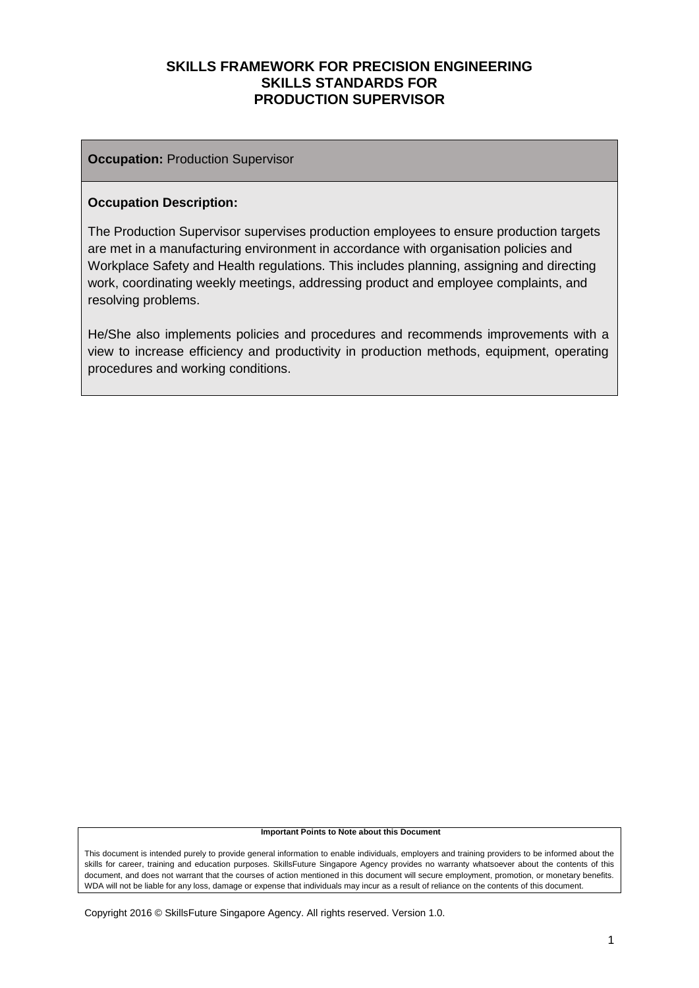#### **Occupation: Production Supervisor**

#### **Occupation Description:**

The Production Supervisor supervises production employees to ensure production targets are met in a manufacturing environment in accordance with organisation policies and Workplace Safety and Health regulations. This includes planning, assigning and directing work, coordinating weekly meetings, addressing product and employee complaints, and resolving problems.

He/She also implements policies and procedures and recommends improvements with a view to increase efficiency and productivity in production methods, equipment, operating procedures and working conditions.

#### **Important Points to Note about this Document**

This document is intended purely to provide general information to enable individuals, employers and training providers to be informed about the skills for career, training and education purposes. SkillsFuture Singapore Agency provides no warranty whatsoever about the contents of this document, and does not warrant that the courses of action mentioned in this document will secure employment, promotion, or monetary benefits. WDA will not be liable for any loss, damage or expense that individuals may incur as a result of reliance on the contents of this document.

Copyright 2016 © SkillsFuture Singapore Agency. All rights reserved. Version 1.0.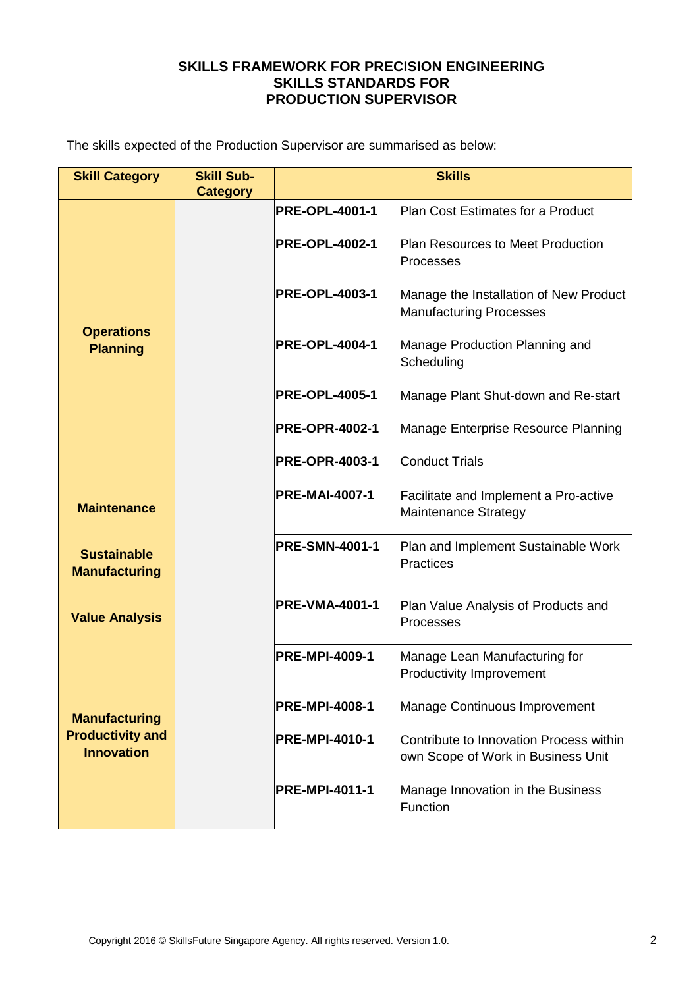The skills expected of the Production Supervisor are summarised as below:

| <b>Skill Category</b>                        | <b>Skill Sub-</b><br><b>Category</b> | <b>Skills</b>         |                                                                               |  |
|----------------------------------------------|--------------------------------------|-----------------------|-------------------------------------------------------------------------------|--|
| <b>Operations</b><br><b>Planning</b>         |                                      | <b>PRE-OPL-4001-1</b> | Plan Cost Estimates for a Product                                             |  |
|                                              |                                      | <b>PRE-OPL-4002-1</b> | <b>Plan Resources to Meet Production</b><br>Processes                         |  |
|                                              |                                      | <b>PRE-OPL-4003-1</b> | Manage the Installation of New Product<br><b>Manufacturing Processes</b>      |  |
|                                              |                                      | <b>PRE-OPL-4004-1</b> | Manage Production Planning and<br>Scheduling                                  |  |
|                                              |                                      | <b>PRE-OPL-4005-1</b> | Manage Plant Shut-down and Re-start                                           |  |
|                                              |                                      | <b>PRE-OPR-4002-1</b> | Manage Enterprise Resource Planning                                           |  |
|                                              |                                      | <b>PRE-OPR-4003-1</b> | <b>Conduct Trials</b>                                                         |  |
| <b>Maintenance</b>                           |                                      | <b>PRE-MAI-4007-1</b> | Facilitate and Implement a Pro-active<br><b>Maintenance Strategy</b>          |  |
| <b>Sustainable</b><br><b>Manufacturing</b>   |                                      | <b>PRE-SMN-4001-1</b> | Plan and Implement Sustainable Work<br><b>Practices</b>                       |  |
| <b>Value Analysis</b>                        |                                      | <b>PRE-VMA-4001-1</b> | Plan Value Analysis of Products and<br>Processes                              |  |
|                                              |                                      | <b>PRE-MPI-4009-1</b> | Manage Lean Manufacturing for<br><b>Productivity Improvement</b>              |  |
| <b>Manufacturing</b>                         |                                      | <b>PRE-MPI-4008-1</b> | Manage Continuous Improvement                                                 |  |
| <b>Productivity and</b><br><b>Innovation</b> |                                      | <b>PRE-MPI-4010-1</b> | Contribute to Innovation Process within<br>own Scope of Work in Business Unit |  |
|                                              |                                      | <b>PRE-MPI-4011-1</b> | Manage Innovation in the Business<br>Function                                 |  |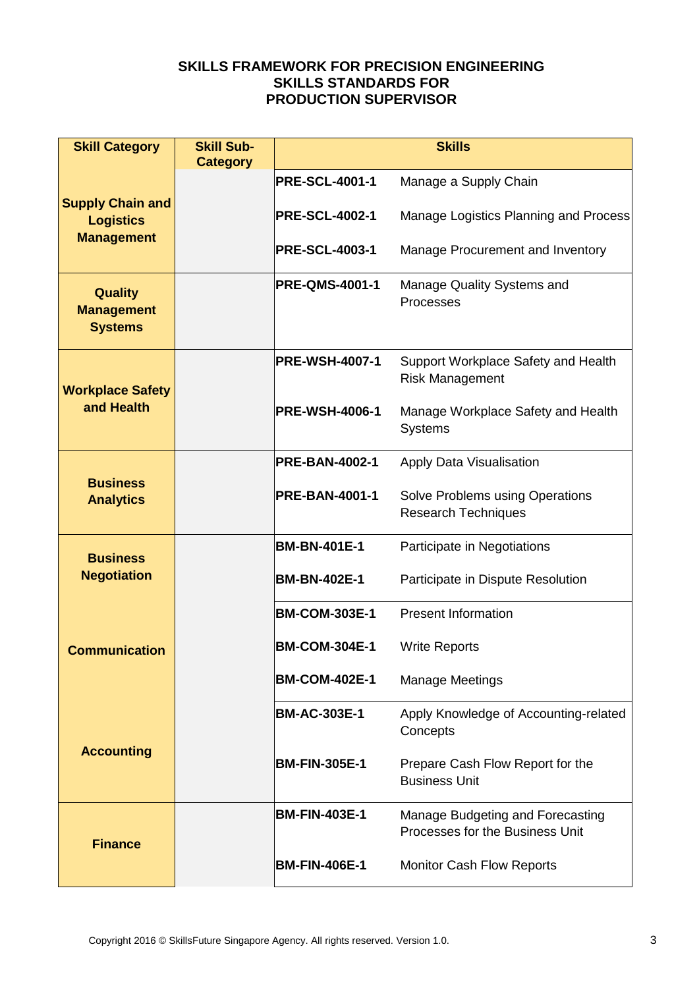| <b>Skill Category</b>                                 | <b>Skill Sub-</b><br><b>Category</b> | <b>Skills</b>         |                                                                     |  |
|-------------------------------------------------------|--------------------------------------|-----------------------|---------------------------------------------------------------------|--|
|                                                       |                                      | <b>PRE-SCL-4001-1</b> | Manage a Supply Chain                                               |  |
| <b>Supply Chain and</b><br><b>Logistics</b>           |                                      | <b>PRE-SCL-4002-1</b> | Manage Logistics Planning and Process                               |  |
| <b>Management</b>                                     |                                      | <b>PRE-SCL-4003-1</b> | Manage Procurement and Inventory                                    |  |
| <b>Quality</b><br><b>Management</b><br><b>Systems</b> |                                      | <b>PRE-QMS-4001-1</b> | Manage Quality Systems and<br>Processes                             |  |
| <b>Workplace Safety</b>                               |                                      | <b>PRE-WSH-4007-1</b> | Support Workplace Safety and Health<br><b>Risk Management</b>       |  |
| and Health                                            |                                      | <b>PRE-WSH-4006-1</b> | Manage Workplace Safety and Health<br><b>Systems</b>                |  |
|                                                       |                                      | <b>PRE-BAN-4002-1</b> | Apply Data Visualisation                                            |  |
| <b>Business</b><br><b>Analytics</b>                   |                                      | <b>PRE-BAN-4001-1</b> | Solve Problems using Operations<br><b>Research Techniques</b>       |  |
| <b>Business</b>                                       |                                      | <b>BM-BN-401E-1</b>   | Participate in Negotiations                                         |  |
| <b>Negotiation</b>                                    |                                      | <b>BM-BN-402E-1</b>   | Participate in Dispute Resolution                                   |  |
|                                                       |                                      | <b>BM-COM-303E-1</b>  | <b>Present Information</b>                                          |  |
| <b>Communication</b>                                  |                                      | <b>BM-COM-304E-1</b>  | <b>Write Reports</b>                                                |  |
|                                                       |                                      | <b>BM-COM-402E-1</b>  | <b>Manage Meetings</b>                                              |  |
| <b>Accounting</b>                                     |                                      | <b>BM-AC-303E-1</b>   | Apply Knowledge of Accounting-related<br>Concepts                   |  |
|                                                       |                                      | <b>BM-FIN-305E-1</b>  | Prepare Cash Flow Report for the<br><b>Business Unit</b>            |  |
| <b>Finance</b>                                        |                                      | <b>BM-FIN-403E-1</b>  | Manage Budgeting and Forecasting<br>Processes for the Business Unit |  |
|                                                       |                                      | <b>BM-FIN-406E-1</b>  | <b>Monitor Cash Flow Reports</b>                                    |  |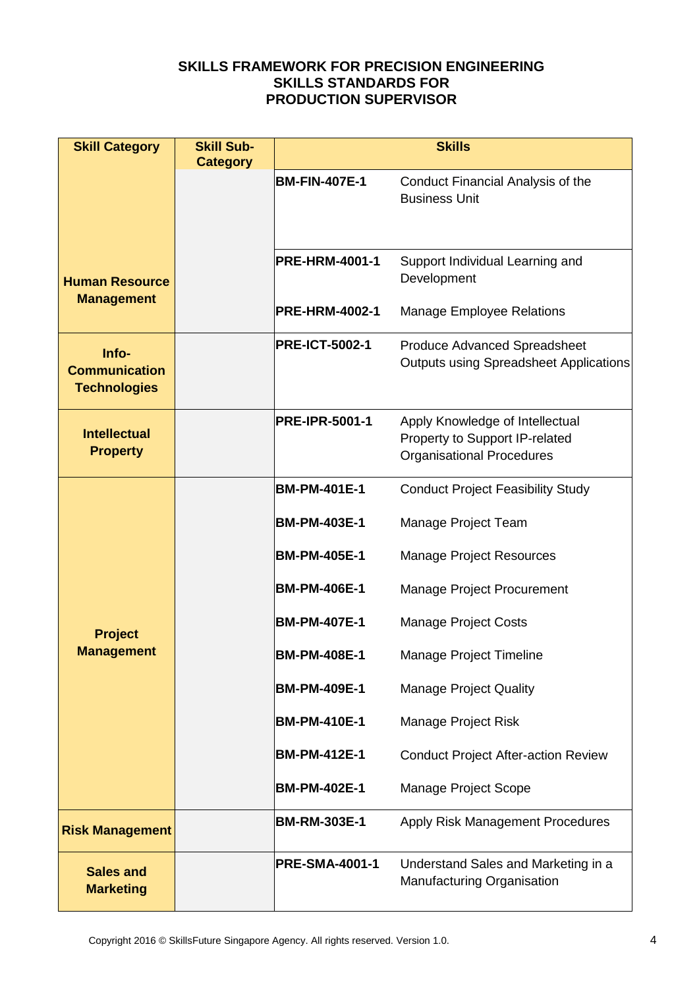| <b>Skill Category</b>                                | <b>Skill Sub-</b><br><b>Category</b> | <b>Skills</b>         |                                                                                                       |  |
|------------------------------------------------------|--------------------------------------|-----------------------|-------------------------------------------------------------------------------------------------------|--|
|                                                      |                                      | <b>BM-FIN-407E-1</b>  | Conduct Financial Analysis of the<br><b>Business Unit</b>                                             |  |
| <b>Human Resource</b>                                |                                      | <b>PRE-HRM-4001-1</b> | Support Individual Learning and<br>Development                                                        |  |
| <b>Management</b>                                    |                                      | <b>PRE-HRM-4002-1</b> | <b>Manage Employee Relations</b>                                                                      |  |
| Info-<br><b>Communication</b><br><b>Technologies</b> |                                      | <b>PRE-ICT-5002-1</b> | <b>Produce Advanced Spreadsheet</b><br><b>Outputs using Spreadsheet Applications</b>                  |  |
| <b>Intellectual</b><br><b>Property</b>               |                                      | <b>PRE-IPR-5001-1</b> | Apply Knowledge of Intellectual<br>Property to Support IP-related<br><b>Organisational Procedures</b> |  |
|                                                      |                                      | <b>BM-PM-401E-1</b>   | <b>Conduct Project Feasibility Study</b>                                                              |  |
|                                                      |                                      | <b>BM-PM-403E-1</b>   | Manage Project Team                                                                                   |  |
|                                                      |                                      | <b>BM-PM-405E-1</b>   | <b>Manage Project Resources</b>                                                                       |  |
|                                                      |                                      | <b>BM-PM-406E-1</b>   | <b>Manage Project Procurement</b>                                                                     |  |
| <b>Project</b>                                       |                                      | <b>BM-PM-407E-1</b>   | <b>Manage Project Costs</b>                                                                           |  |
| <b>Management</b>                                    |                                      | <b>BM-PM-408E-1</b>   | <b>Manage Project Timeline</b>                                                                        |  |
|                                                      |                                      | <b>BM-PM-409E-1</b>   | <b>Manage Project Quality</b>                                                                         |  |
|                                                      |                                      | <b>BM-PM-410E-1</b>   | Manage Project Risk                                                                                   |  |
|                                                      |                                      | <b>BM-PM-412E-1</b>   | <b>Conduct Project After-action Review</b>                                                            |  |
|                                                      |                                      | <b>BM-PM-402E-1</b>   | Manage Project Scope                                                                                  |  |
| <b>Risk Management</b>                               |                                      | <b>BM-RM-303E-1</b>   | <b>Apply Risk Management Procedures</b>                                                               |  |
| <b>Sales and</b><br><b>Marketing</b>                 |                                      | <b>PRE-SMA-4001-1</b> | Understand Sales and Marketing in a<br>Manufacturing Organisation                                     |  |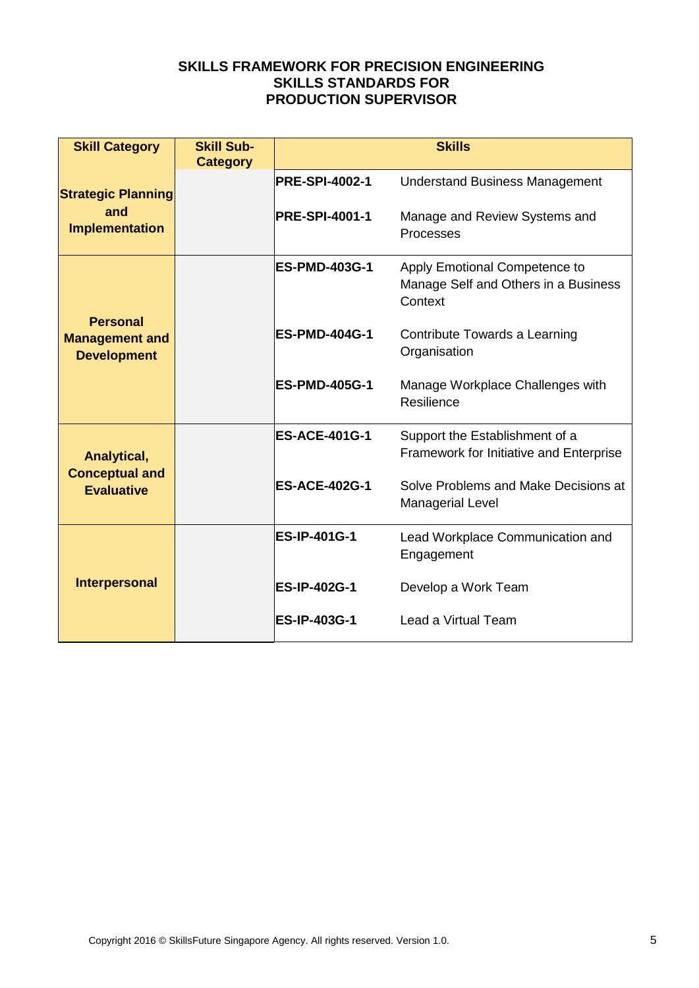| <b>Skill Category</b>                                          | <b>Skill Sub-</b><br><b>Category</b> | <b>Skills</b>         |                                                                                  |  |
|----------------------------------------------------------------|--------------------------------------|-----------------------|----------------------------------------------------------------------------------|--|
| <b>Strategic Planning</b>                                      |                                      | <b>PRE-SPI-4002-1</b> | <b>Understand Business Management</b>                                            |  |
| and<br><b>Implementation</b>                                   |                                      | <b>PRE-SPI-4001-1</b> | Manage and Review Systems and<br>Processes                                       |  |
|                                                                |                                      | <b>ES-PMD-403G-1</b>  | Apply Emotional Competence to<br>Manage Self and Others in a Business<br>Context |  |
| <b>Personal</b><br><b>Management and</b><br><b>Development</b> |                                      | <b>ES-PMD-404G-1</b>  | Contribute Towards a Learning<br>Organisation                                    |  |
|                                                                |                                      | <b>ES-PMD-405G-1</b>  | Manage Workplace Challenges with<br>Resilience                                   |  |
| Analytical,                                                    |                                      | <b>ES-ACE-401G-1</b>  | Support the Establishment of a<br>Framework for Initiative and Enterprise        |  |
| <b>Conceptual and</b><br><b>Evaluative</b>                     |                                      | <b>ES-ACE-402G-1</b>  | Solve Problems and Make Decisions at<br><b>Managerial Level</b>                  |  |
| <b>Interpersonal</b>                                           |                                      | <b>ES-IP-401G-1</b>   | Lead Workplace Communication and<br>Engagement                                   |  |
|                                                                |                                      | <b>ES-IP-402G-1</b>   | Develop a Work Team                                                              |  |
|                                                                |                                      | <b>ES-IP-403G-1</b>   | Lead a Virtual Team                                                              |  |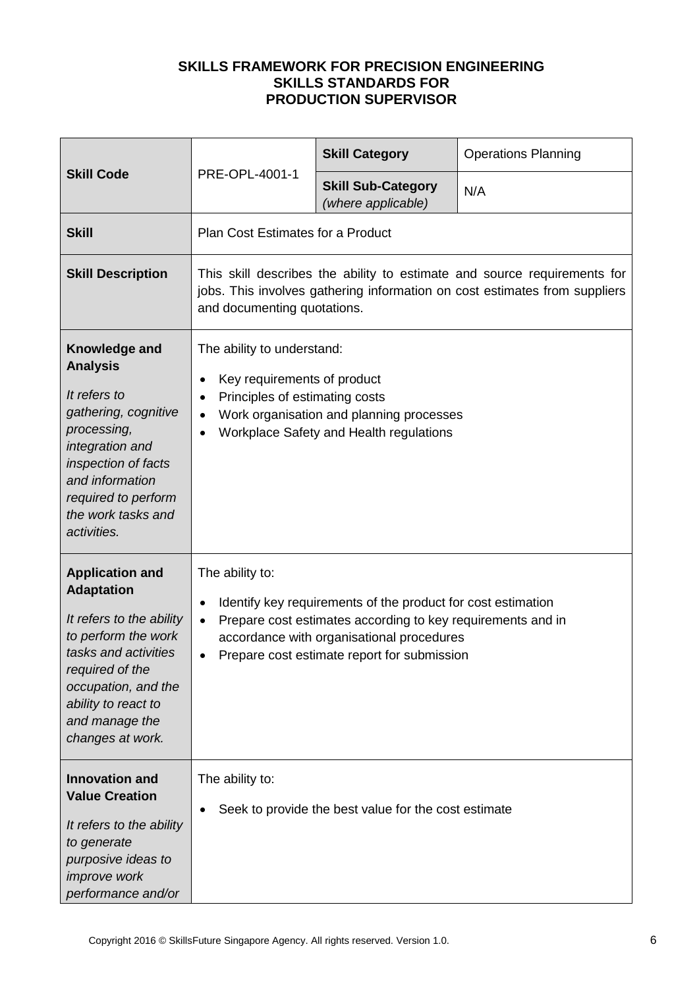| <b>Skill Code</b>                                                                                                                                                                                                             | PRE-OPL-4001-1                                                                                                                                                                                                                         | <b>Skill Category</b>                                                                                                                                                                                                   | <b>Operations Planning</b> |
|-------------------------------------------------------------------------------------------------------------------------------------------------------------------------------------------------------------------------------|----------------------------------------------------------------------------------------------------------------------------------------------------------------------------------------------------------------------------------------|-------------------------------------------------------------------------------------------------------------------------------------------------------------------------------------------------------------------------|----------------------------|
|                                                                                                                                                                                                                               |                                                                                                                                                                                                                                        | <b>Skill Sub-Category</b><br>(where applicable)                                                                                                                                                                         | N/A                        |
| <b>Skill</b>                                                                                                                                                                                                                  | <b>Plan Cost Estimates for a Product</b>                                                                                                                                                                                               |                                                                                                                                                                                                                         |                            |
| <b>Skill Description</b>                                                                                                                                                                                                      | This skill describes the ability to estimate and source requirements for<br>jobs. This involves gathering information on cost estimates from suppliers<br>and documenting quotations.                                                  |                                                                                                                                                                                                                         |                            |
| Knowledge and<br><b>Analysis</b><br>It refers to<br>gathering, cognitive<br>processing,<br>integration and<br>inspection of facts<br>and information<br>required to perform<br>the work tasks and<br>activities.              | The ability to understand:<br>Key requirements of product<br>$\bullet$<br>Principles of estimating costs<br>$\bullet$<br>Work organisation and planning processes<br>$\bullet$<br>Workplace Safety and Health regulations<br>$\bullet$ |                                                                                                                                                                                                                         |                            |
| <b>Application and</b><br><b>Adaptation</b><br>It refers to the ability<br>to perform the work<br>tasks and activities<br>required of the<br>occupation, and the<br>ability to react to<br>and manage the<br>changes at work. | The ability to:<br>$\bullet$<br>$\bullet$<br>$\bullet$                                                                                                                                                                                 | Identify key requirements of the product for cost estimation<br>Prepare cost estimates according to key requirements and in<br>accordance with organisational procedures<br>Prepare cost estimate report for submission |                            |
| <b>Innovation and</b><br><b>Value Creation</b><br>It refers to the ability<br>to generate<br>purposive ideas to<br><i>improve</i> work<br>performance and/or                                                                  | The ability to:                                                                                                                                                                                                                        | Seek to provide the best value for the cost estimate                                                                                                                                                                    |                            |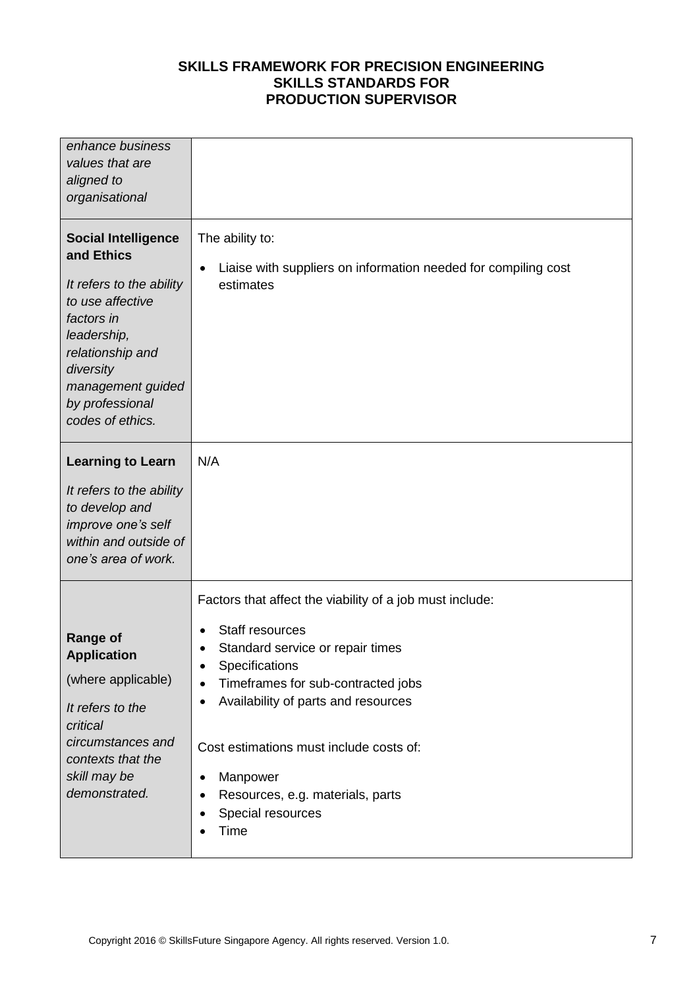| enhance business<br>values that are<br>aligned to<br>organisational                                                                                                                                                |                                                                                                                                                                                                                                                                                                                                                                                                                      |
|--------------------------------------------------------------------------------------------------------------------------------------------------------------------------------------------------------------------|----------------------------------------------------------------------------------------------------------------------------------------------------------------------------------------------------------------------------------------------------------------------------------------------------------------------------------------------------------------------------------------------------------------------|
| <b>Social Intelligence</b><br>and Ethics<br>It refers to the ability<br>to use affective<br>factors in<br>leadership,<br>relationship and<br>diversity<br>management guided<br>by professional<br>codes of ethics. | The ability to:<br>Liaise with suppliers on information needed for compiling cost<br>$\bullet$<br>estimates                                                                                                                                                                                                                                                                                                          |
| <b>Learning to Learn</b><br>It refers to the ability<br>to develop and<br>improve one's self<br>within and outside of<br>one's area of work.                                                                       | N/A                                                                                                                                                                                                                                                                                                                                                                                                                  |
| <b>Range of</b><br><b>Application</b><br>(where applicable)<br>It refers to the<br>critical<br>circumstances and<br>contexts that the<br>skill may be<br>demonstrated.                                             | Factors that affect the viability of a job must include:<br>Staff resources<br>Standard service or repair times<br>$\bullet$<br>Specifications<br>$\bullet$<br>Timeframes for sub-contracted jobs<br>$\bullet$<br>Availability of parts and resources<br>Cost estimations must include costs of:<br>Manpower<br>$\bullet$<br>Resources, e.g. materials, parts<br>$\bullet$<br>Special resources<br>$\bullet$<br>Time |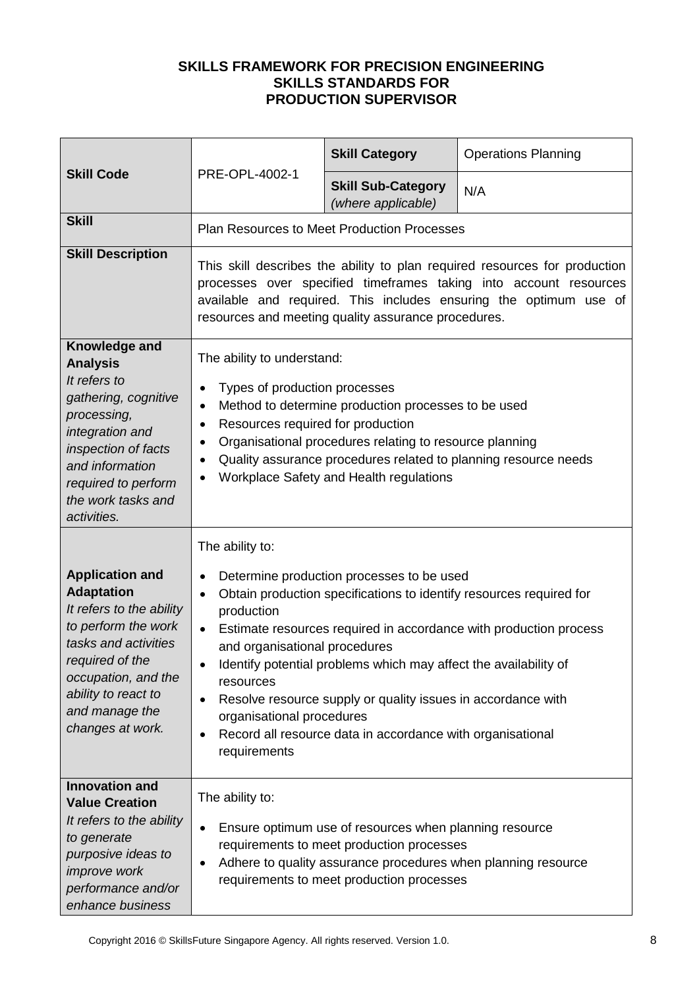|                                                                                                                                                                                                                               |                                                                                                                                                                                                                                                                                                                                                                                   | <b>Skill Category</b>                                                                                                                                                                                                                       | <b>Operations Planning</b>                                                                                                               |  |
|-------------------------------------------------------------------------------------------------------------------------------------------------------------------------------------------------------------------------------|-----------------------------------------------------------------------------------------------------------------------------------------------------------------------------------------------------------------------------------------------------------------------------------------------------------------------------------------------------------------------------------|---------------------------------------------------------------------------------------------------------------------------------------------------------------------------------------------------------------------------------------------|------------------------------------------------------------------------------------------------------------------------------------------|--|
| <b>Skill Code</b>                                                                                                                                                                                                             | PRE-OPL-4002-1                                                                                                                                                                                                                                                                                                                                                                    | <b>Skill Sub-Category</b><br>(where applicable)                                                                                                                                                                                             | N/A                                                                                                                                      |  |
| <b>Skill</b>                                                                                                                                                                                                                  |                                                                                                                                                                                                                                                                                                                                                                                   | <b>Plan Resources to Meet Production Processes</b>                                                                                                                                                                                          |                                                                                                                                          |  |
| <b>Skill Description</b>                                                                                                                                                                                                      | This skill describes the ability to plan required resources for production<br>processes over specified timeframes taking into account resources<br>available and required. This includes ensuring the optimum use of<br>resources and meeting quality assurance procedures.                                                                                                       |                                                                                                                                                                                                                                             |                                                                                                                                          |  |
| Knowledge and<br><b>Analysis</b><br>It refers to<br>gathering, cognitive<br>processing,<br>integration and<br>inspection of facts<br>and information<br>required to perform<br>the work tasks and<br>activities.              | The ability to understand:<br>Types of production processes<br>$\bullet$<br>Method to determine production processes to be used<br>$\bullet$<br>Resources required for production<br>$\bullet$<br>Organisational procedures relating to resource planning<br>٠<br>Quality assurance procedures related to planning resource needs<br>٠<br>Workplace Safety and Health regulations |                                                                                                                                                                                                                                             |                                                                                                                                          |  |
|                                                                                                                                                                                                                               | The ability to:                                                                                                                                                                                                                                                                                                                                                                   |                                                                                                                                                                                                                                             |                                                                                                                                          |  |
| <b>Application and</b><br><b>Adaptation</b><br>It refers to the ability<br>to perform the work<br>tasks and activities<br>required of the<br>occupation, and the<br>ability to react to<br>and manage the<br>changes at work. | $\bullet$<br>$\bullet$<br>production<br>$\bullet$<br>and organisational procedures<br>resources<br>$\bullet$<br>organisational procedures<br>$\bullet$<br>requirements                                                                                                                                                                                                            | Determine production processes to be used<br>Identify potential problems which may affect the availability of<br>Resolve resource supply or quality issues in accordance with<br>Record all resource data in accordance with organisational | Obtain production specifications to identify resources required for<br>Estimate resources required in accordance with production process |  |
| <b>Innovation and</b><br><b>Value Creation</b><br>It refers to the ability<br>to generate<br>purposive ideas to<br>improve work<br>performance and/or<br>enhance business                                                     | The ability to:<br>$\bullet$<br>٠                                                                                                                                                                                                                                                                                                                                                 | Ensure optimum use of resources when planning resource<br>requirements to meet production processes<br>Adhere to quality assurance procedures when planning resource<br>requirements to meet production processes                           |                                                                                                                                          |  |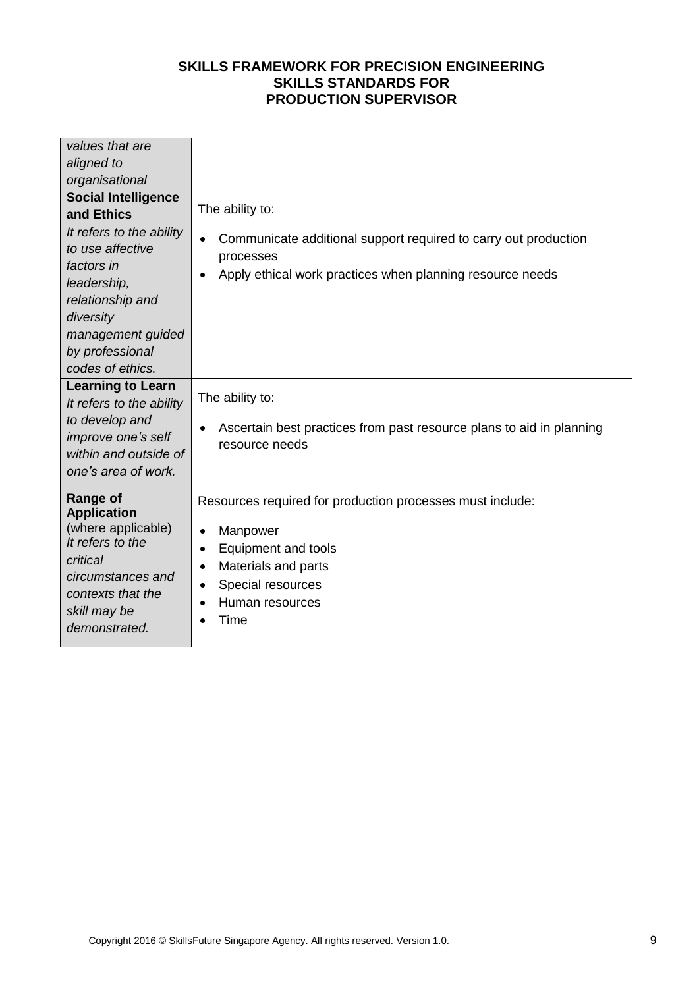| values that are                                                                                                                                                                                                    |                                                                                                                                                                                                                                      |
|--------------------------------------------------------------------------------------------------------------------------------------------------------------------------------------------------------------------|--------------------------------------------------------------------------------------------------------------------------------------------------------------------------------------------------------------------------------------|
| aligned to                                                                                                                                                                                                         |                                                                                                                                                                                                                                      |
| organisational                                                                                                                                                                                                     |                                                                                                                                                                                                                                      |
| <b>Social Intelligence</b><br>and Ethics<br>It refers to the ability<br>to use affective<br>factors in<br>leadership,<br>relationship and<br>diversity<br>management guided<br>by professional<br>codes of ethics. | The ability to:<br>Communicate additional support required to carry out production<br>$\bullet$<br>processes<br>Apply ethical work practices when planning resource needs<br>$\bullet$                                               |
| <b>Learning to Learn</b><br>It refers to the ability<br>to develop and<br>improve one's self<br>within and outside of<br>one's area of work.                                                                       | The ability to:<br>Ascertain best practices from past resource plans to aid in planning<br>$\bullet$<br>resource needs                                                                                                               |
| <b>Range of</b><br><b>Application</b><br>(where applicable)<br>It refers to the<br>critical<br>circumstances and<br>contexts that the<br>skill may be<br>demonstrated.                                             | Resources required for production processes must include:<br>Manpower<br>$\bullet$<br>Equipment and tools<br>$\bullet$<br>Materials and parts<br>$\bullet$<br>Special resources<br>$\bullet$<br>Human resources<br>$\bullet$<br>Time |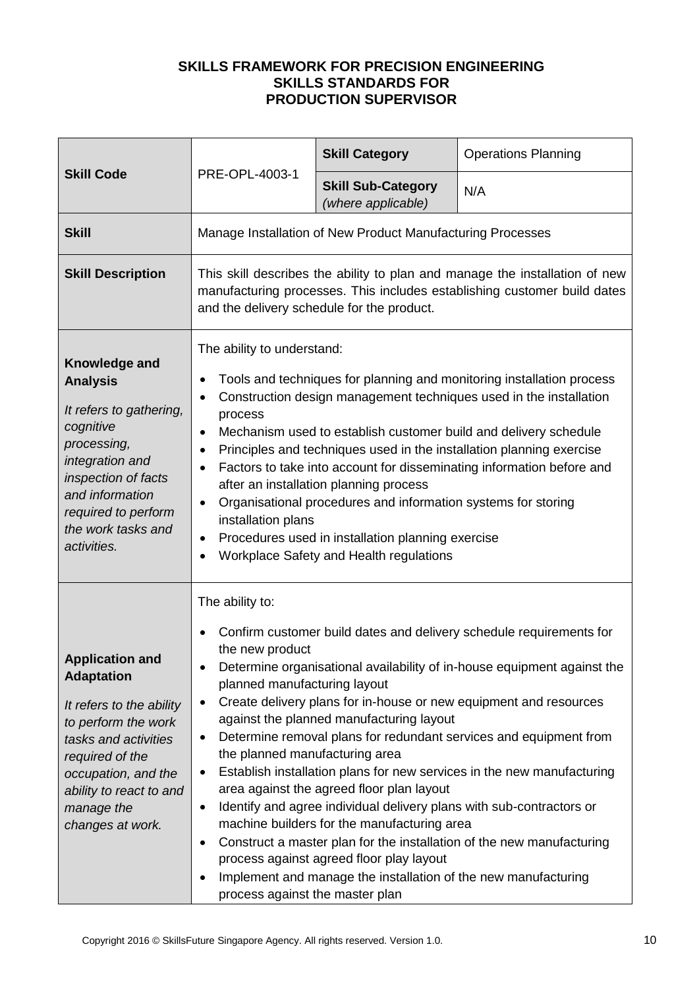|                                                                                                                                                                                                                               | PRE-OPL-4003-1                                                                                                                                                                                                                                                                                                                                                                                                                                                                                                                                                                                                                                                                    | <b>Skill Category</b>                                                                                                                                                                                                                                                                                                      | <b>Operations Planning</b>                                                                                                                                                                                                                                                                                                                                                                                                                  |
|-------------------------------------------------------------------------------------------------------------------------------------------------------------------------------------------------------------------------------|-----------------------------------------------------------------------------------------------------------------------------------------------------------------------------------------------------------------------------------------------------------------------------------------------------------------------------------------------------------------------------------------------------------------------------------------------------------------------------------------------------------------------------------------------------------------------------------------------------------------------------------------------------------------------------------|----------------------------------------------------------------------------------------------------------------------------------------------------------------------------------------------------------------------------------------------------------------------------------------------------------------------------|---------------------------------------------------------------------------------------------------------------------------------------------------------------------------------------------------------------------------------------------------------------------------------------------------------------------------------------------------------------------------------------------------------------------------------------------|
| <b>Skill Code</b>                                                                                                                                                                                                             |                                                                                                                                                                                                                                                                                                                                                                                                                                                                                                                                                                                                                                                                                   | <b>Skill Sub-Category</b><br>(where applicable)                                                                                                                                                                                                                                                                            | N/A                                                                                                                                                                                                                                                                                                                                                                                                                                         |
| <b>Skill</b>                                                                                                                                                                                                                  |                                                                                                                                                                                                                                                                                                                                                                                                                                                                                                                                                                                                                                                                                   | Manage Installation of New Product Manufacturing Processes                                                                                                                                                                                                                                                                 |                                                                                                                                                                                                                                                                                                                                                                                                                                             |
| <b>Skill Description</b>                                                                                                                                                                                                      | This skill describes the ability to plan and manage the installation of new<br>manufacturing processes. This includes establishing customer build dates<br>and the delivery schedule for the product.                                                                                                                                                                                                                                                                                                                                                                                                                                                                             |                                                                                                                                                                                                                                                                                                                            |                                                                                                                                                                                                                                                                                                                                                                                                                                             |
| Knowledge and<br><b>Analysis</b><br>It refers to gathering,<br>cognitive<br>processing,<br>integration and<br>inspection of facts<br>and information<br>required to perform<br>the work tasks and<br>activities.              | The ability to understand:<br>Tools and techniques for planning and monitoring installation process<br>Construction design management techniques used in the installation<br>$\bullet$<br>process<br>Mechanism used to establish customer build and delivery schedule<br>$\bullet$<br>Principles and techniques used in the installation planning exercise<br>Factors to take into account for disseminating information before and<br>after an installation planning process<br>Organisational procedures and information systems for storing<br>$\bullet$<br>installation plans<br>Procedures used in installation planning exercise<br>Workplace Safety and Health regulations |                                                                                                                                                                                                                                                                                                                            |                                                                                                                                                                                                                                                                                                                                                                                                                                             |
| <b>Application and</b><br><b>Adaptation</b><br>It refers to the ability<br>to perform the work<br>tasks and activities<br>required of the<br>occupation, and the<br>ability to react to and<br>manage the<br>changes at work. | The ability to:<br>the new product<br>planned manufacturing layout<br>٠<br>٠<br>the planned manufacturing area<br>٠<br>$\bullet$<br>٠<br>٠<br>process against the master plan                                                                                                                                                                                                                                                                                                                                                                                                                                                                                                     | against the planned manufacturing layout<br>area against the agreed floor plan layout<br>Identify and agree individual delivery plans with sub-contractors or<br>machine builders for the manufacturing area<br>process against agreed floor play layout<br>Implement and manage the installation of the new manufacturing | Confirm customer build dates and delivery schedule requirements for<br>Determine organisational availability of in-house equipment against the<br>Create delivery plans for in-house or new equipment and resources<br>Determine removal plans for redundant services and equipment from<br>Establish installation plans for new services in the new manufacturing<br>Construct a master plan for the installation of the new manufacturing |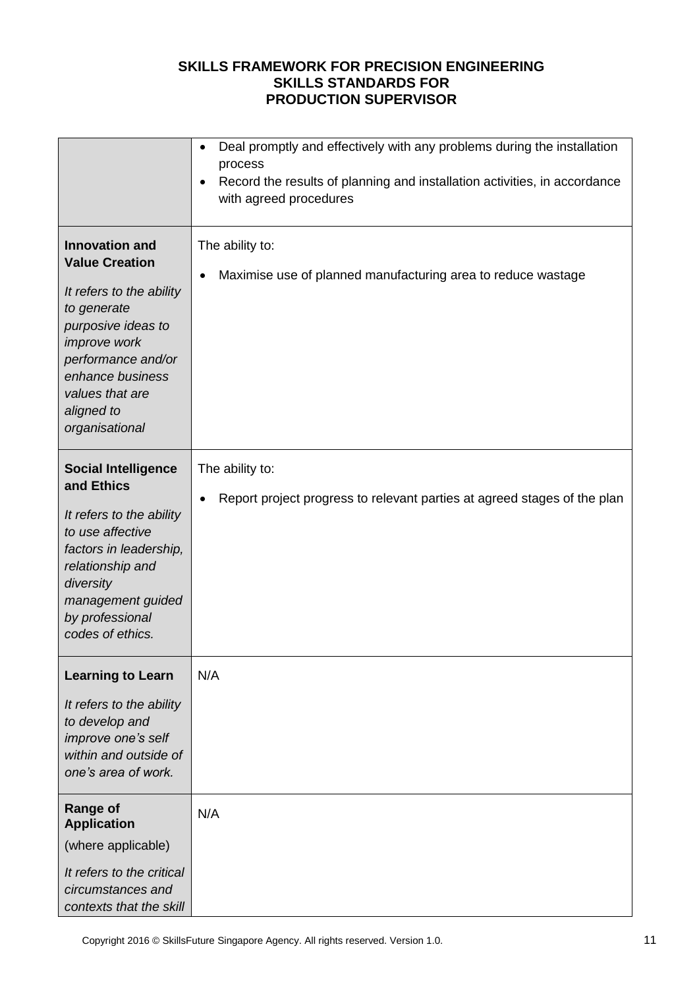|                                                                                                                                                                                                                                     | Deal promptly and effectively with any problems during the installation<br>$\bullet$<br>process<br>Record the results of planning and installation activities, in accordance<br>$\bullet$<br>with agreed procedures |
|-------------------------------------------------------------------------------------------------------------------------------------------------------------------------------------------------------------------------------------|---------------------------------------------------------------------------------------------------------------------------------------------------------------------------------------------------------------------|
| <b>Innovation and</b><br><b>Value Creation</b><br>It refers to the ability<br>to generate<br>purposive ideas to<br><i>improve</i> work<br>performance and/or<br>enhance business<br>values that are<br>aligned to<br>organisational | The ability to:<br>Maximise use of planned manufacturing area to reduce wastage<br>٠                                                                                                                                |
| <b>Social Intelligence</b><br>and Ethics<br>It refers to the ability<br>to use affective<br>factors in leadership,<br>relationship and<br>diversity<br>management guided<br>by professional<br>codes of ethics.                     | The ability to:<br>Report project progress to relevant parties at agreed stages of the plan                                                                                                                         |
| <b>Learning to Learn</b><br>It refers to the ability<br>to develop and<br>improve one's self<br>within and outside of<br>one's area of work.                                                                                        | N/A                                                                                                                                                                                                                 |
| <b>Range of</b><br><b>Application</b><br>(where applicable)<br>It refers to the critical<br>circumstances and<br>contexts that the skill                                                                                            | N/A                                                                                                                                                                                                                 |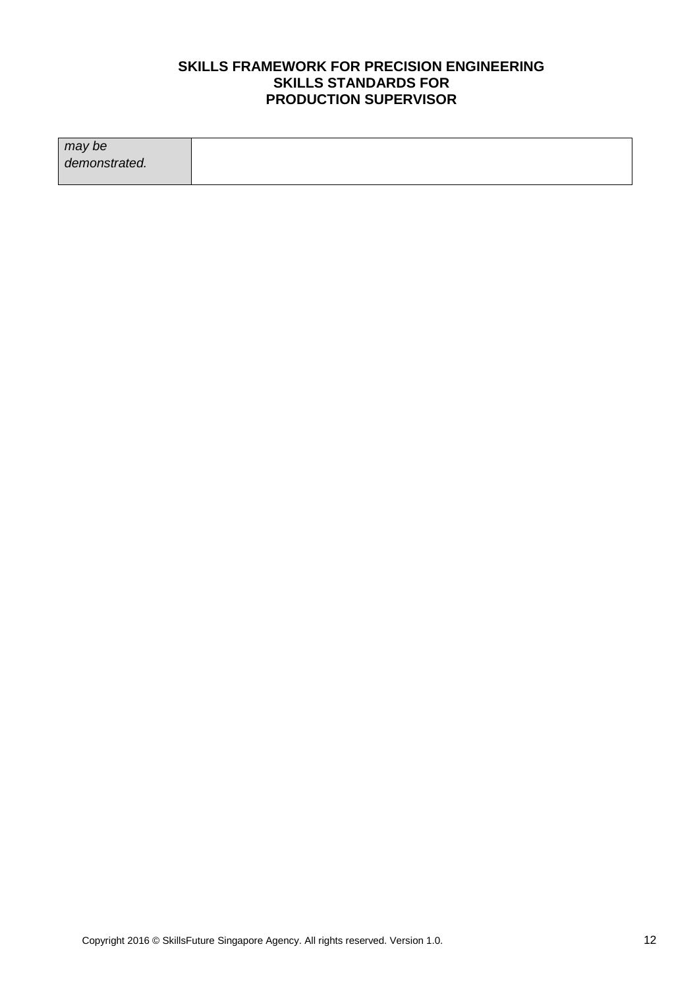| may be        |  |
|---------------|--|
| demonstrated. |  |
|               |  |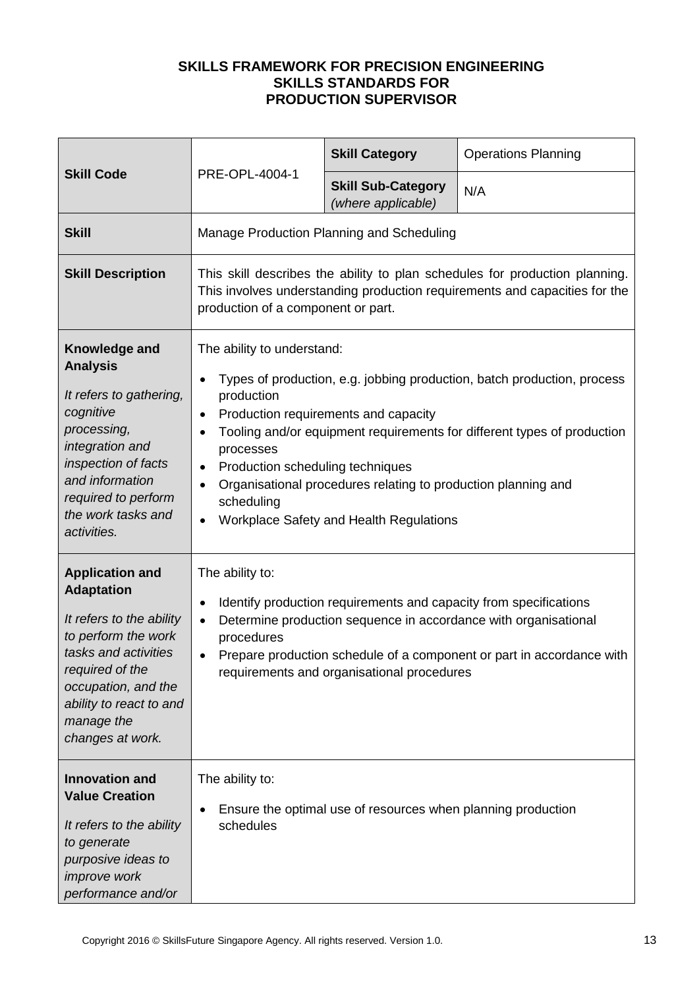| <b>Skill Code</b>                                                                                                                                                                                                             | PRE-OPL-4004-1                                                                                                                                                                                                                                                                                                                                                                                                                                                                                  | <b>Skill Category</b>                                        | <b>Operations Planning</b> |
|-------------------------------------------------------------------------------------------------------------------------------------------------------------------------------------------------------------------------------|-------------------------------------------------------------------------------------------------------------------------------------------------------------------------------------------------------------------------------------------------------------------------------------------------------------------------------------------------------------------------------------------------------------------------------------------------------------------------------------------------|--------------------------------------------------------------|----------------------------|
|                                                                                                                                                                                                                               |                                                                                                                                                                                                                                                                                                                                                                                                                                                                                                 | <b>Skill Sub-Category</b><br>(where applicable)              | N/A                        |
| <b>Skill</b>                                                                                                                                                                                                                  |                                                                                                                                                                                                                                                                                                                                                                                                                                                                                                 | Manage Production Planning and Scheduling                    |                            |
| <b>Skill Description</b>                                                                                                                                                                                                      | This skill describes the ability to plan schedules for production planning.<br>This involves understanding production requirements and capacities for the<br>production of a component or part.                                                                                                                                                                                                                                                                                                 |                                                              |                            |
| Knowledge and<br><b>Analysis</b><br>It refers to gathering,<br>cognitive<br>processing,<br>integration and<br>inspection of facts<br>and information<br>required to perform<br>the work tasks and<br>activities.              | The ability to understand:<br>Types of production, e.g. jobbing production, batch production, process<br>$\bullet$<br>production<br>Production requirements and capacity<br>$\bullet$<br>Tooling and/or equipment requirements for different types of production<br>$\bullet$<br>processes<br>Production scheduling techniques<br>$\bullet$<br>Organisational procedures relating to production planning and<br>$\bullet$<br>scheduling<br>Workplace Safety and Health Regulations<br>$\bullet$ |                                                              |                            |
| <b>Application and</b><br><b>Adaptation</b><br>It refers to the ability<br>to perform the work<br>tasks and activities<br>required of the<br>occupation, and the<br>ability to react to and<br>manage the<br>changes at work. | The ability to:<br>Identify production requirements and capacity from specifications<br>$\bullet$<br>Determine production sequence in accordance with organisational<br>$\bullet$<br>procedures<br>Prepare production schedule of a component or part in accordance with<br>$\bullet$<br>requirements and organisational procedures                                                                                                                                                             |                                                              |                            |
| <b>Innovation and</b><br><b>Value Creation</b><br>It refers to the ability<br>to generate<br>purposive ideas to<br><i>improve</i> work<br>performance and/or                                                                  | The ability to:<br>٠<br>schedules                                                                                                                                                                                                                                                                                                                                                                                                                                                               | Ensure the optimal use of resources when planning production |                            |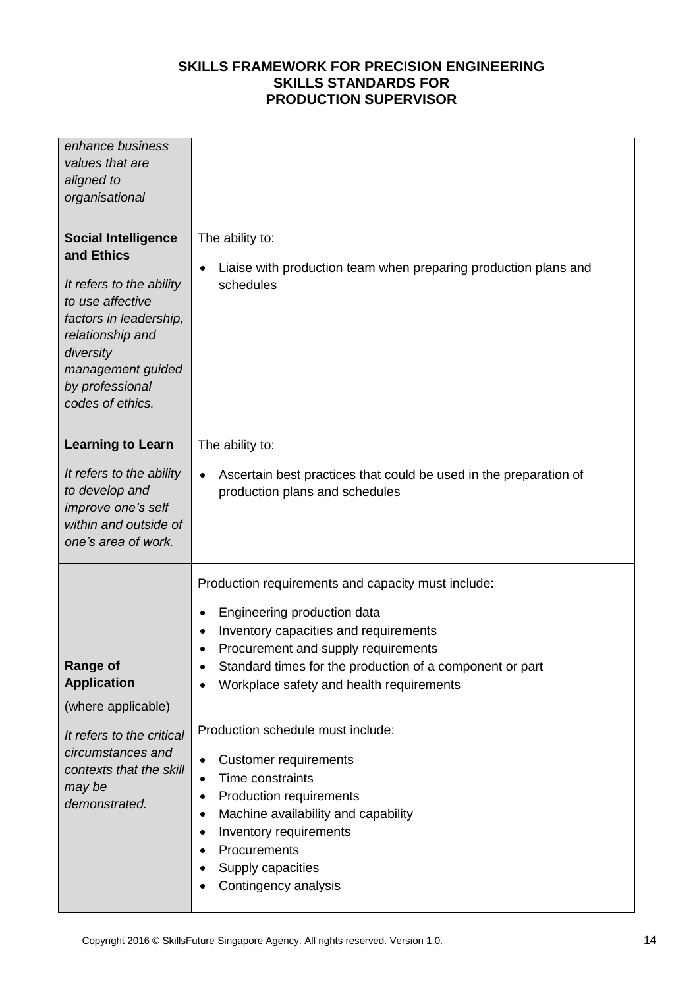| enhance business<br>values that are<br>aligned to<br>organisational                                                                                                                                             |                                                                                                                                                                                                                                                                                                                                                                                                                                                                                                                                                                                                                                                                         |
|-----------------------------------------------------------------------------------------------------------------------------------------------------------------------------------------------------------------|-------------------------------------------------------------------------------------------------------------------------------------------------------------------------------------------------------------------------------------------------------------------------------------------------------------------------------------------------------------------------------------------------------------------------------------------------------------------------------------------------------------------------------------------------------------------------------------------------------------------------------------------------------------------------|
| <b>Social Intelligence</b><br>and Ethics<br>It refers to the ability<br>to use affective<br>factors in leadership,<br>relationship and<br>diversity<br>management guided<br>by professional<br>codes of ethics. | The ability to:<br>Liaise with production team when preparing production plans and<br>$\bullet$<br>schedules                                                                                                                                                                                                                                                                                                                                                                                                                                                                                                                                                            |
| <b>Learning to Learn</b><br>It refers to the ability<br>to develop and<br>improve one's self<br>within and outside of<br>one's area of work.                                                                    | The ability to:<br>Ascertain best practices that could be used in the preparation of<br>$\bullet$<br>production plans and schedules                                                                                                                                                                                                                                                                                                                                                                                                                                                                                                                                     |
| <b>Range of</b><br><b>Application</b><br>(where applicable)<br>It refers to the critical<br>circumstances and<br>contexts that the skill<br>may be<br>demonstrated.                                             | Production requirements and capacity must include:<br>Engineering production data<br>$\bullet$<br>Inventory capacities and requirements<br>$\bullet$<br>Procurement and supply requirements<br>Standard times for the production of a component or part<br>٠<br>Workplace safety and health requirements<br>$\bullet$<br>Production schedule must include:<br><b>Customer requirements</b><br>$\bullet$<br>Time constraints<br>$\bullet$<br>Production requirements<br>٠<br>Machine availability and capability<br>$\bullet$<br>Inventory requirements<br>$\bullet$<br>Procurements<br>$\bullet$<br>Supply capacities<br>$\bullet$<br>Contingency analysis<br>$\bullet$ |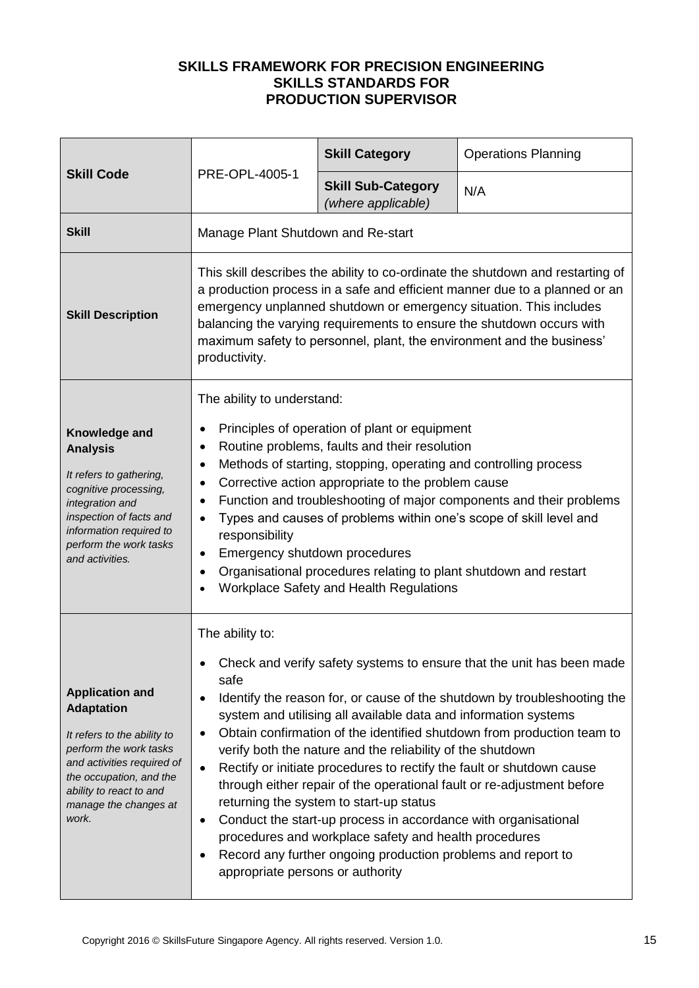| <b>Skill Code</b>                                                                                                                                                                                                          | PRE-OPL-4005-1                                                                                                                                                                                                                                                                                                                                                                                                                                                                                                                                                                                                                                                                                                                                                                                                                                                                | <b>Skill Category</b>                           | <b>Operations Planning</b> |
|----------------------------------------------------------------------------------------------------------------------------------------------------------------------------------------------------------------------------|-------------------------------------------------------------------------------------------------------------------------------------------------------------------------------------------------------------------------------------------------------------------------------------------------------------------------------------------------------------------------------------------------------------------------------------------------------------------------------------------------------------------------------------------------------------------------------------------------------------------------------------------------------------------------------------------------------------------------------------------------------------------------------------------------------------------------------------------------------------------------------|-------------------------------------------------|----------------------------|
|                                                                                                                                                                                                                            |                                                                                                                                                                                                                                                                                                                                                                                                                                                                                                                                                                                                                                                                                                                                                                                                                                                                               | <b>Skill Sub-Category</b><br>(where applicable) | N/A                        |
| <b>Skill</b>                                                                                                                                                                                                               | Manage Plant Shutdown and Re-start                                                                                                                                                                                                                                                                                                                                                                                                                                                                                                                                                                                                                                                                                                                                                                                                                                            |                                                 |                            |
| <b>Skill Description</b>                                                                                                                                                                                                   | This skill describes the ability to co-ordinate the shutdown and restarting of<br>a production process in a safe and efficient manner due to a planned or an<br>emergency unplanned shutdown or emergency situation. This includes<br>balancing the varying requirements to ensure the shutdown occurs with<br>maximum safety to personnel, plant, the environment and the business'<br>productivity.                                                                                                                                                                                                                                                                                                                                                                                                                                                                         |                                                 |                            |
| Knowledge and<br><b>Analysis</b><br>It refers to gathering,<br>cognitive processing,<br>integration and<br>inspection of facts and<br>information required to<br>perform the work tasks<br>and activities.                 | The ability to understand:<br>Principles of operation of plant or equipment<br>$\bullet$<br>Routine problems, faults and their resolution<br>$\bullet$<br>Methods of starting, stopping, operating and controlling process<br>٠<br>Corrective action appropriate to the problem cause<br>$\bullet$<br>Function and troubleshooting of major components and their problems<br>٠<br>Types and causes of problems within one's scope of skill level and<br>$\bullet$<br>responsibility<br>Emergency shutdown procedures<br>$\bullet$<br>Organisational procedures relating to plant shutdown and restart<br>$\bullet$<br>Workplace Safety and Health Regulations<br>$\bullet$                                                                                                                                                                                                    |                                                 |                            |
| <b>Application and</b><br><b>Adaptation</b><br>It refers to the ability to<br>perform the work tasks<br>and activities required of<br>the occupation, and the<br>ability to react to and<br>manage the changes at<br>work. | The ability to:<br>Check and verify safety systems to ensure that the unit has been made<br>safe<br>Identify the reason for, or cause of the shutdown by troubleshooting the<br>٠<br>system and utilising all available data and information systems<br>Obtain confirmation of the identified shutdown from production team to<br>$\bullet$<br>verify both the nature and the reliability of the shutdown<br>Rectify or initiate procedures to rectify the fault or shutdown cause<br>$\bullet$<br>through either repair of the operational fault or re-adjustment before<br>returning the system to start-up status<br>Conduct the start-up process in accordance with organisational<br>$\bullet$<br>procedures and workplace safety and health procedures<br>Record any further ongoing production problems and report to<br>$\bullet$<br>appropriate persons or authority |                                                 |                            |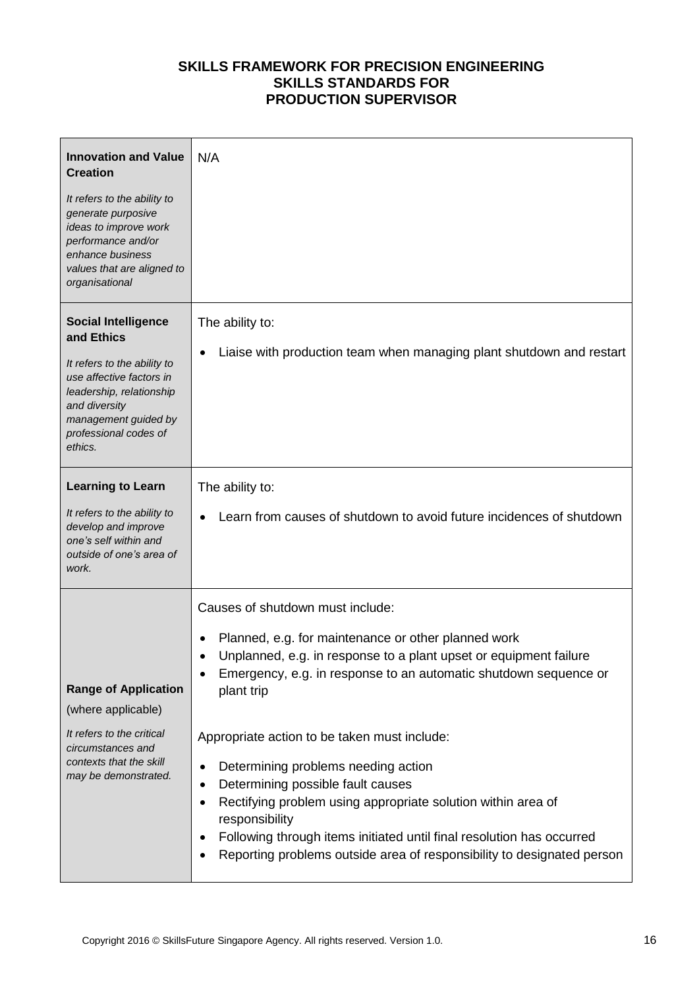| <b>Innovation and Value</b><br><b>Creation</b>                                                                                                                                                               | N/A                                                                                                                                                                                                                          |
|--------------------------------------------------------------------------------------------------------------------------------------------------------------------------------------------------------------|------------------------------------------------------------------------------------------------------------------------------------------------------------------------------------------------------------------------------|
| It refers to the ability to<br>generate purposive<br>ideas to improve work<br>performance and/or<br>enhance business<br>values that are aligned to<br>organisational                                         |                                                                                                                                                                                                                              |
| <b>Social Intelligence</b><br>and Ethics<br>It refers to the ability to<br>use affective factors in<br>leadership, relationship<br>and diversity<br>management guided by<br>professional codes of<br>ethics. | The ability to:<br>Liaise with production team when managing plant shutdown and restart<br>٠                                                                                                                                 |
| <b>Learning to Learn</b>                                                                                                                                                                                     | The ability to:                                                                                                                                                                                                              |
| It refers to the ability to<br>develop and improve<br>one's self within and<br>outside of one's area of<br>work.                                                                                             | Learn from causes of shutdown to avoid future incidences of shutdown                                                                                                                                                         |
|                                                                                                                                                                                                              | Causes of shutdown must include:                                                                                                                                                                                             |
| <b>Range of Application</b><br>(where applicable)                                                                                                                                                            | Planned, e.g. for maintenance or other planned work<br>$\bullet$<br>Unplanned, e.g. in response to a plant upset or equipment failure<br>Emergency, e.g. in response to an automatic shutdown sequence or<br>٠<br>plant trip |
| It refers to the critical<br>circumstances and                                                                                                                                                               | Appropriate action to be taken must include:                                                                                                                                                                                 |
| contexts that the skill<br>may be demonstrated.                                                                                                                                                              | Determining problems needing action<br>$\bullet$<br>Determining possible fault causes<br>$\bullet$                                                                                                                           |
|                                                                                                                                                                                                              | Rectifying problem using appropriate solution within area of<br>$\bullet$<br>responsibility                                                                                                                                  |
|                                                                                                                                                                                                              | Following through items initiated until final resolution has occurred<br>٠<br>Reporting problems outside area of responsibility to designated person<br>٠                                                                    |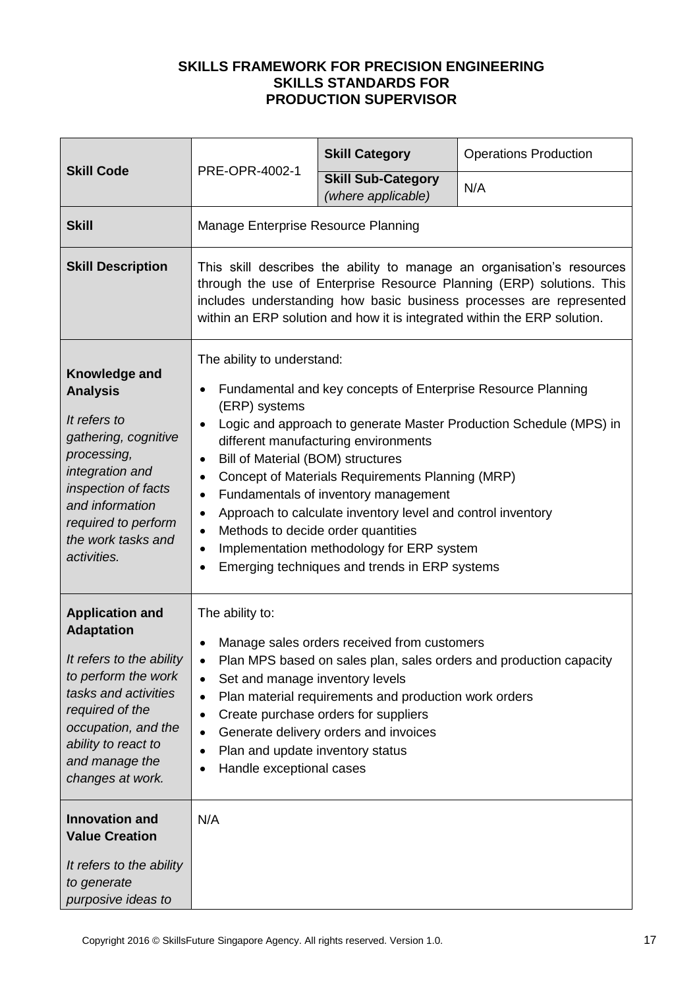|                                                                                                                                                                                                                               | PRE-OPR-4002-1                                                                                                                                                                                                                                                                                                                                                                                                                                                                                                                                                                                                                                                                     | <b>Skill Category</b>                           | <b>Operations Production</b> |
|-------------------------------------------------------------------------------------------------------------------------------------------------------------------------------------------------------------------------------|------------------------------------------------------------------------------------------------------------------------------------------------------------------------------------------------------------------------------------------------------------------------------------------------------------------------------------------------------------------------------------------------------------------------------------------------------------------------------------------------------------------------------------------------------------------------------------------------------------------------------------------------------------------------------------|-------------------------------------------------|------------------------------|
| <b>Skill Code</b>                                                                                                                                                                                                             |                                                                                                                                                                                                                                                                                                                                                                                                                                                                                                                                                                                                                                                                                    | <b>Skill Sub-Category</b><br>(where applicable) | N/A                          |
| <b>Skill</b>                                                                                                                                                                                                                  | Manage Enterprise Resource Planning                                                                                                                                                                                                                                                                                                                                                                                                                                                                                                                                                                                                                                                |                                                 |                              |
| <b>Skill Description</b>                                                                                                                                                                                                      | This skill describes the ability to manage an organisation's resources<br>through the use of Enterprise Resource Planning (ERP) solutions. This<br>includes understanding how basic business processes are represented<br>within an ERP solution and how it is integrated within the ERP solution.                                                                                                                                                                                                                                                                                                                                                                                 |                                                 |                              |
| Knowledge and<br><b>Analysis</b><br>It refers to<br>gathering, cognitive<br>processing,<br>integration and<br>inspection of facts<br>and information<br>required to perform<br>the work tasks and<br>activities.              | The ability to understand:<br>Fundamental and key concepts of Enterprise Resource Planning<br>$\bullet$<br>(ERP) systems<br>Logic and approach to generate Master Production Schedule (MPS) in<br>$\bullet$<br>different manufacturing environments<br>Bill of Material (BOM) structures<br>$\bullet$<br>Concept of Materials Requirements Planning (MRP)<br>$\bullet$<br>Fundamentals of inventory management<br>$\bullet$<br>Approach to calculate inventory level and control inventory<br>$\bullet$<br>Methods to decide order quantities<br>$\bullet$<br>Implementation methodology for ERP system<br>$\bullet$<br>Emerging techniques and trends in ERP systems<br>$\bullet$ |                                                 |                              |
| <b>Application and</b><br><b>Adaptation</b><br>It refers to the ability<br>to perform the work<br>tasks and activities<br>required of the<br>occupation, and the<br>ability to react to<br>and manage the<br>changes at work. | The ability to:<br>Manage sales orders received from customers<br>Plan MPS based on sales plan, sales orders and production capacity<br>$\bullet$<br>Set and manage inventory levels<br>$\bullet$<br>Plan material requirements and production work orders<br>$\bullet$<br>Create purchase orders for suppliers<br>$\bullet$<br>Generate delivery orders and invoices<br>$\bullet$<br>Plan and update inventory status<br>$\bullet$<br>Handle exceptional cases<br>$\bullet$                                                                                                                                                                                                       |                                                 |                              |
| <b>Innovation and</b><br><b>Value Creation</b><br>It refers to the ability<br>to generate<br>purposive ideas to                                                                                                               | N/A                                                                                                                                                                                                                                                                                                                                                                                                                                                                                                                                                                                                                                                                                |                                                 |                              |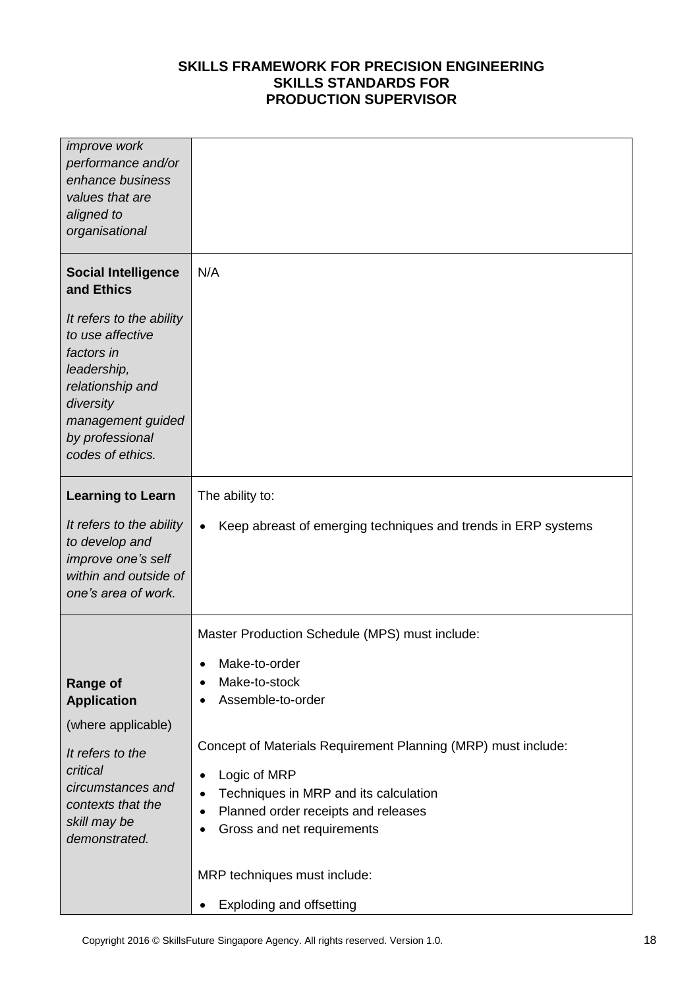| <i>improve</i> work<br>performance and/or<br>enhance business<br>values that are<br>aligned to<br>organisational                                                                                                   |                                                                                                                                                                                                                                                                                                                                                                                                                                                    |
|--------------------------------------------------------------------------------------------------------------------------------------------------------------------------------------------------------------------|----------------------------------------------------------------------------------------------------------------------------------------------------------------------------------------------------------------------------------------------------------------------------------------------------------------------------------------------------------------------------------------------------------------------------------------------------|
| <b>Social Intelligence</b><br>and Ethics<br>It refers to the ability<br>to use affective<br>factors in<br>leadership,<br>relationship and<br>diversity<br>management guided<br>by professional<br>codes of ethics. | N/A                                                                                                                                                                                                                                                                                                                                                                                                                                                |
| <b>Learning to Learn</b><br>It refers to the ability<br>to develop and<br>improve one's self<br>within and outside of<br>one's area of work.                                                                       | The ability to:<br>Keep abreast of emerging techniques and trends in ERP systems<br>$\bullet$                                                                                                                                                                                                                                                                                                                                                      |
| <b>Range of</b><br><b>Application</b><br>(where applicable)<br>It refers to the<br>critical<br>circumstances and<br>contexts that the<br>skill may be<br>demonstrated.                                             | Master Production Schedule (MPS) must include:<br>Make-to-order<br>٠<br>Make-to-stock<br>٠<br>Assemble-to-order<br>Concept of Materials Requirement Planning (MRP) must include:<br>Logic of MRP<br>$\bullet$<br>Techniques in MRP and its calculation<br>$\bullet$<br>Planned order receipts and releases<br>$\bullet$<br>Gross and net requirements<br>$\bullet$<br>MRP techniques must include:<br><b>Exploding and offsetting</b><br>$\bullet$ |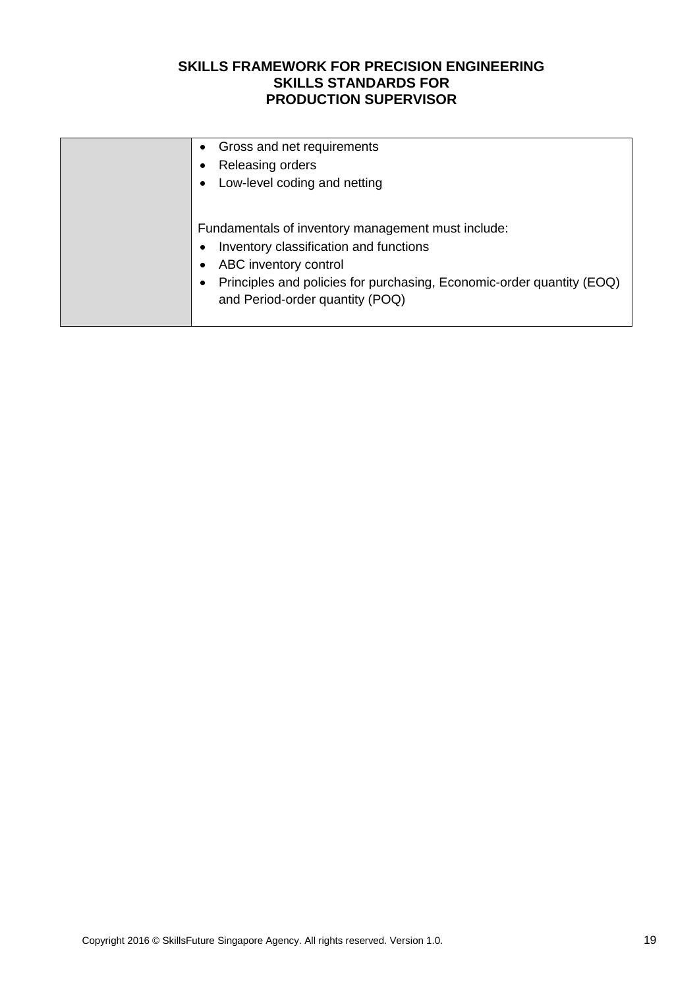| Gross and net requirements<br>$\bullet$<br>Releasing orders<br>Low-level coding and netting<br>$\bullet$                                                                                                                                       |
|------------------------------------------------------------------------------------------------------------------------------------------------------------------------------------------------------------------------------------------------|
| Fundamentals of inventory management must include:<br>Inventory classification and functions<br>$\bullet$<br>ABC inventory control<br>Principles and policies for purchasing, Economic-order quantity (EOQ)<br>and Period-order quantity (POQ) |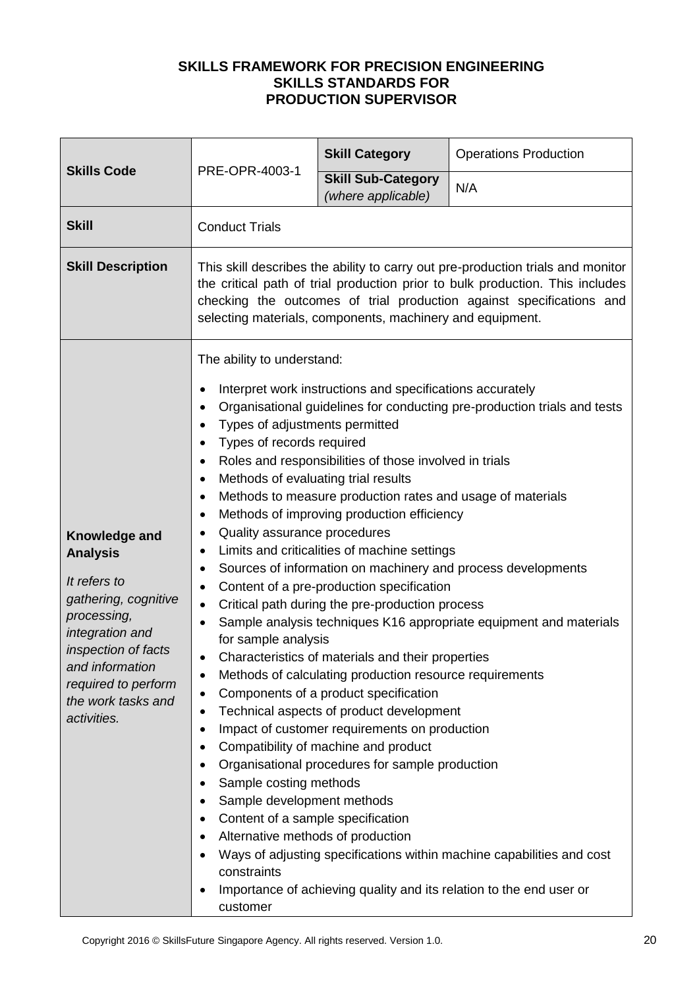| <b>Skills Code</b>                                                                                                                                                                                               | PRE-OPR-4003-1                                                                                                                                                                                                                                                                                                                                                                                                                                                                                                                                                                                                                                                                                                                                                                                                                                                                                                                                                                                                                                                                                                                                                                                                                                                                                                                                                                                                                                                                                                                                                                                                                                                                                                                                    | <b>Skill Category</b>                           | <b>Operations Production</b> |
|------------------------------------------------------------------------------------------------------------------------------------------------------------------------------------------------------------------|---------------------------------------------------------------------------------------------------------------------------------------------------------------------------------------------------------------------------------------------------------------------------------------------------------------------------------------------------------------------------------------------------------------------------------------------------------------------------------------------------------------------------------------------------------------------------------------------------------------------------------------------------------------------------------------------------------------------------------------------------------------------------------------------------------------------------------------------------------------------------------------------------------------------------------------------------------------------------------------------------------------------------------------------------------------------------------------------------------------------------------------------------------------------------------------------------------------------------------------------------------------------------------------------------------------------------------------------------------------------------------------------------------------------------------------------------------------------------------------------------------------------------------------------------------------------------------------------------------------------------------------------------------------------------------------------------------------------------------------------------|-------------------------------------------------|------------------------------|
|                                                                                                                                                                                                                  |                                                                                                                                                                                                                                                                                                                                                                                                                                                                                                                                                                                                                                                                                                                                                                                                                                                                                                                                                                                                                                                                                                                                                                                                                                                                                                                                                                                                                                                                                                                                                                                                                                                                                                                                                   | <b>Skill Sub-Category</b><br>(where applicable) | N/A                          |
| <b>Skill</b>                                                                                                                                                                                                     | <b>Conduct Trials</b>                                                                                                                                                                                                                                                                                                                                                                                                                                                                                                                                                                                                                                                                                                                                                                                                                                                                                                                                                                                                                                                                                                                                                                                                                                                                                                                                                                                                                                                                                                                                                                                                                                                                                                                             |                                                 |                              |
| <b>Skill Description</b>                                                                                                                                                                                         | This skill describes the ability to carry out pre-production trials and monitor<br>the critical path of trial production prior to bulk production. This includes<br>checking the outcomes of trial production against specifications and<br>selecting materials, components, machinery and equipment.                                                                                                                                                                                                                                                                                                                                                                                                                                                                                                                                                                                                                                                                                                                                                                                                                                                                                                                                                                                                                                                                                                                                                                                                                                                                                                                                                                                                                                             |                                                 |                              |
| Knowledge and<br><b>Analysis</b><br>It refers to<br>gathering, cognitive<br>processing,<br>integration and<br>inspection of facts<br>and information<br>required to perform<br>the work tasks and<br>activities. | The ability to understand:<br>Interpret work instructions and specifications accurately<br>٠<br>Organisational guidelines for conducting pre-production trials and tests<br>٠<br>Types of adjustments permitted<br>٠<br>Types of records required<br>$\bullet$<br>Roles and responsibilities of those involved in trials<br>$\bullet$<br>Methods of evaluating trial results<br>٠<br>Methods to measure production rates and usage of materials<br>$\bullet$<br>Methods of improving production efficiency<br>$\bullet$<br>Quality assurance procedures<br>٠<br>Limits and criticalities of machine settings<br>٠<br>Sources of information on machinery and process developments<br>٠<br>Content of a pre-production specification<br>$\bullet$<br>Critical path during the pre-production process<br>$\bullet$<br>Sample analysis techniques K16 appropriate equipment and materials<br>$\bullet$<br>for sample analysis<br>Characteristics of materials and their properties<br>$\bullet$<br>Methods of calculating production resource requirements<br>$\bullet$<br>Components of a product specification<br>$\bullet$<br>Technical aspects of product development<br>$\bullet$<br>Impact of customer requirements on production<br>$\bullet$<br>Compatibility of machine and product<br>$\bullet$<br>Organisational procedures for sample production<br>$\bullet$<br>Sample costing methods<br>$\bullet$<br>Sample development methods<br>$\bullet$<br>Content of a sample specification<br>$\bullet$<br>Alternative methods of production<br>$\bullet$<br>Ways of adjusting specifications within machine capabilities and cost<br>٠<br>constraints<br>Importance of achieving quality and its relation to the end user or<br>٠<br>customer |                                                 |                              |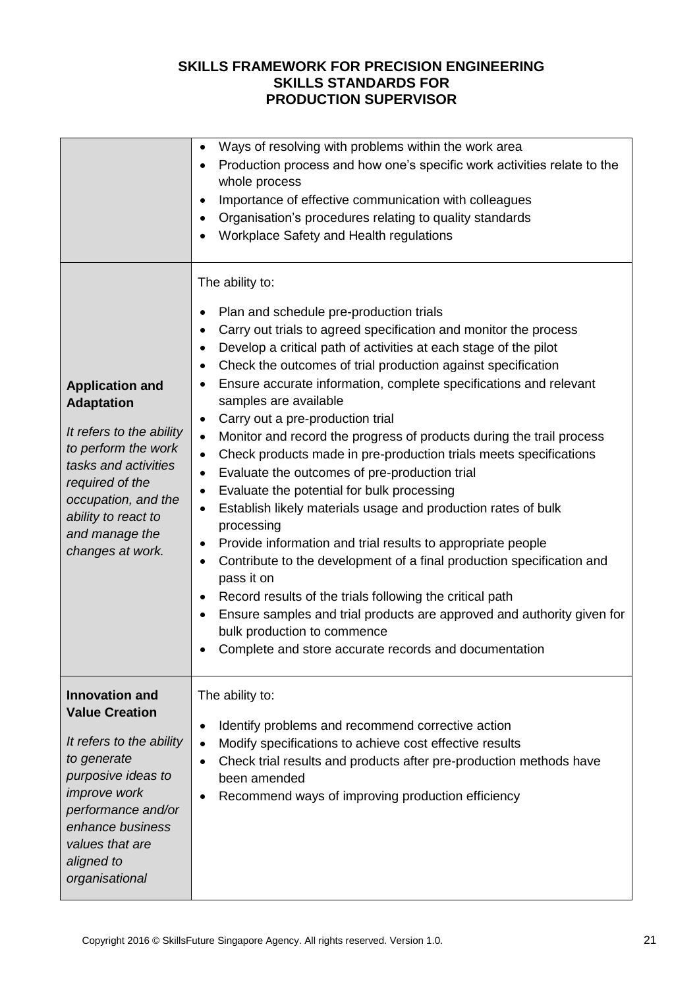|                                                                                                                                                                                                                                     | Ways of resolving with problems within the work area<br>$\bullet$<br>Production process and how one's specific work activities relate to the<br>$\bullet$<br>whole process<br>Importance of effective communication with colleagues<br>$\bullet$<br>Organisation's procedures relating to quality standards<br>$\bullet$<br>Workplace Safety and Health regulations<br>$\bullet$                                                                                                                                                                                                                                                                                                                                                                                                                                                                                                                                                                                                                                                                                                                                                                                                                                                                                                                                       |
|-------------------------------------------------------------------------------------------------------------------------------------------------------------------------------------------------------------------------------------|------------------------------------------------------------------------------------------------------------------------------------------------------------------------------------------------------------------------------------------------------------------------------------------------------------------------------------------------------------------------------------------------------------------------------------------------------------------------------------------------------------------------------------------------------------------------------------------------------------------------------------------------------------------------------------------------------------------------------------------------------------------------------------------------------------------------------------------------------------------------------------------------------------------------------------------------------------------------------------------------------------------------------------------------------------------------------------------------------------------------------------------------------------------------------------------------------------------------------------------------------------------------------------------------------------------------|
| <b>Application and</b><br><b>Adaptation</b><br>It refers to the ability<br>to perform the work<br>tasks and activities<br>required of the<br>occupation, and the<br>ability to react to<br>and manage the<br>changes at work.       | The ability to:<br>Plan and schedule pre-production trials<br>$\bullet$<br>Carry out trials to agreed specification and monitor the process<br>$\bullet$<br>Develop a critical path of activities at each stage of the pilot<br>$\bullet$<br>Check the outcomes of trial production against specification<br>$\bullet$<br>Ensure accurate information, complete specifications and relevant<br>$\bullet$<br>samples are available<br>Carry out a pre-production trial<br>$\bullet$<br>Monitor and record the progress of products during the trail process<br>$\bullet$<br>Check products made in pre-production trials meets specifications<br>$\bullet$<br>Evaluate the outcomes of pre-production trial<br>$\bullet$<br>Evaluate the potential for bulk processing<br>$\bullet$<br>Establish likely materials usage and production rates of bulk<br>$\bullet$<br>processing<br>Provide information and trial results to appropriate people<br>$\bullet$<br>Contribute to the development of a final production specification and<br>$\bullet$<br>pass it on<br>Record results of the trials following the critical path<br>$\bullet$<br>Ensure samples and trial products are approved and authority given for<br>$\bullet$<br>bulk production to commence<br>Complete and store accurate records and documentation |
| <b>Innovation and</b><br><b>Value Creation</b><br>It refers to the ability<br>to generate<br>purposive ideas to<br><i>improve</i> work<br>performance and/or<br>enhance business<br>values that are<br>aligned to<br>organisational | The ability to:<br>Identify problems and recommend corrective action<br>$\bullet$<br>Modify specifications to achieve cost effective results<br>$\bullet$<br>Check trial results and products after pre-production methods have<br>$\bullet$<br>been amended<br>Recommend ways of improving production efficiency<br>$\bullet$                                                                                                                                                                                                                                                                                                                                                                                                                                                                                                                                                                                                                                                                                                                                                                                                                                                                                                                                                                                         |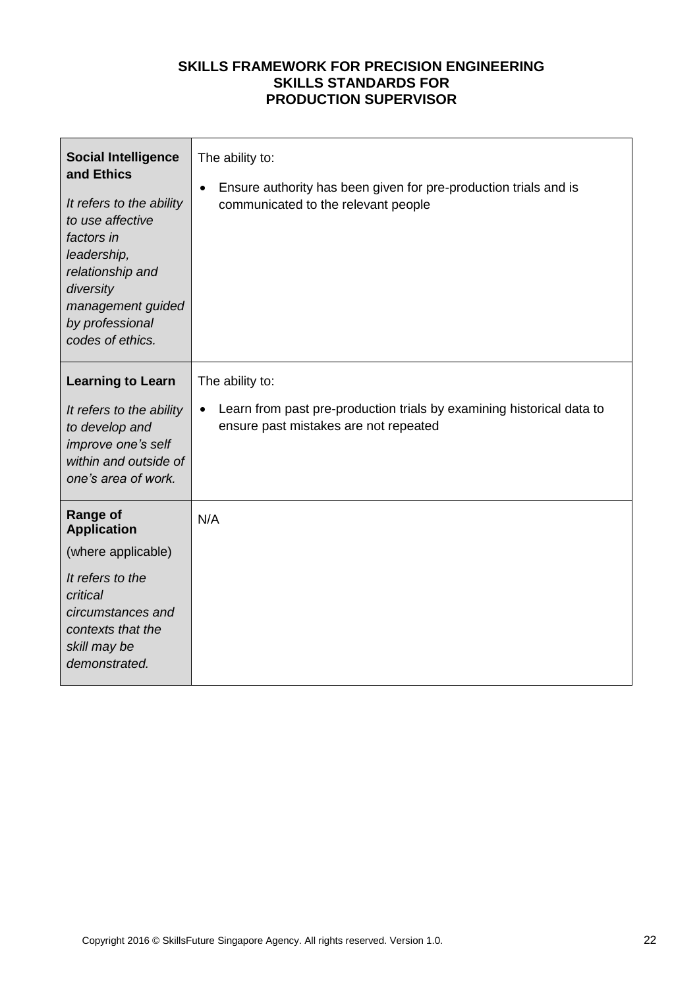| <b>Social Intelligence</b><br>and Ethics<br>It refers to the ability<br>to use affective<br>factors in<br>leadership,<br>relationship and<br>diversity<br>management guided<br>by professional<br>codes of ethics. | The ability to:<br>Ensure authority has been given for pre-production trials and is<br>$\bullet$<br>communicated to the relevant people        |
|--------------------------------------------------------------------------------------------------------------------------------------------------------------------------------------------------------------------|------------------------------------------------------------------------------------------------------------------------------------------------|
| <b>Learning to Learn</b><br>It refers to the ability<br>to develop and<br>improve one's self<br>within and outside of<br>one's area of work.                                                                       | The ability to:<br>Learn from past pre-production trials by examining historical data to<br>$\bullet$<br>ensure past mistakes are not repeated |
| <b>Range of</b><br><b>Application</b><br>(where applicable)<br>It refers to the<br>critical<br>circumstances and<br>contexts that the<br>skill may be<br>demonstrated.                                             | N/A                                                                                                                                            |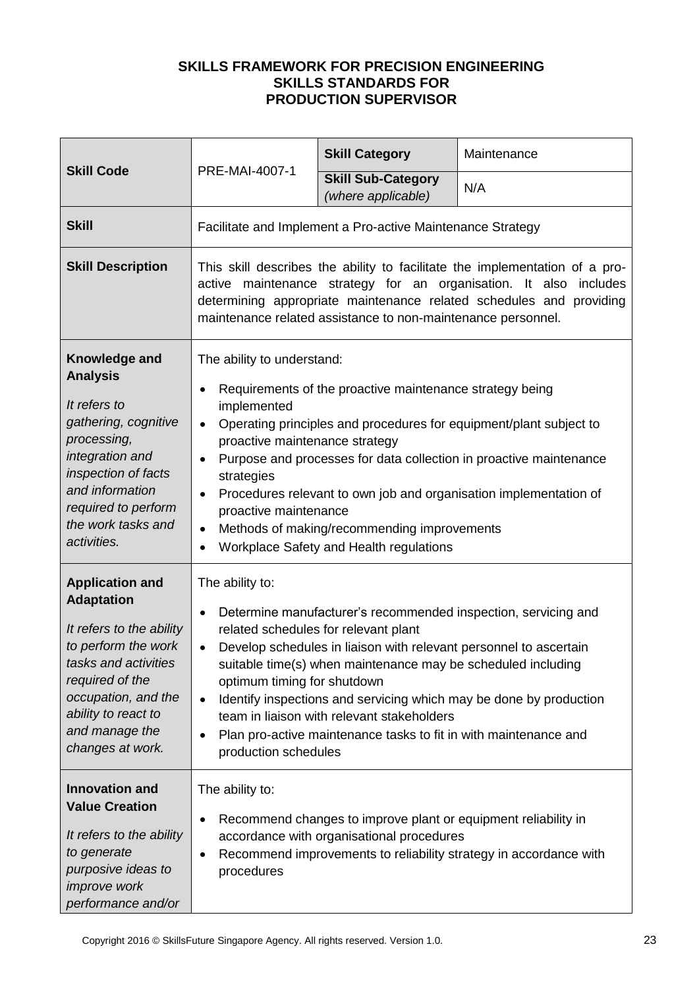|                                                                                                                                                                                                                               | PRE-MAI-4007-1                                                                                                                                                                                                                                                                                                                                                                                                                                                                                                                                                    | <b>Skill Category</b>                                      | Maintenance |  |
|-------------------------------------------------------------------------------------------------------------------------------------------------------------------------------------------------------------------------------|-------------------------------------------------------------------------------------------------------------------------------------------------------------------------------------------------------------------------------------------------------------------------------------------------------------------------------------------------------------------------------------------------------------------------------------------------------------------------------------------------------------------------------------------------------------------|------------------------------------------------------------|-------------|--|
| <b>Skill Code</b>                                                                                                                                                                                                             |                                                                                                                                                                                                                                                                                                                                                                                                                                                                                                                                                                   | <b>Skill Sub-Category</b><br>(where applicable)            | N/A         |  |
| <b>Skill</b>                                                                                                                                                                                                                  |                                                                                                                                                                                                                                                                                                                                                                                                                                                                                                                                                                   | Facilitate and Implement a Pro-active Maintenance Strategy |             |  |
| <b>Skill Description</b>                                                                                                                                                                                                      | This skill describes the ability to facilitate the implementation of a pro-<br>active maintenance strategy for an organisation. It also<br>includes<br>determining appropriate maintenance related schedules and providing<br>maintenance related assistance to non-maintenance personnel.                                                                                                                                                                                                                                                                        |                                                            |             |  |
| Knowledge and<br><b>Analysis</b><br>It refers to<br>gathering, cognitive<br>processing,<br>integration and<br>inspection of facts<br>and information<br>required to perform<br>the work tasks and<br>activities.              | The ability to understand:<br>Requirements of the proactive maintenance strategy being<br>implemented<br>Operating principles and procedures for equipment/plant subject to<br>$\bullet$<br>proactive maintenance strategy<br>Purpose and processes for data collection in proactive maintenance<br>$\bullet$<br>strategies<br>Procedures relevant to own job and organisation implementation of<br>$\bullet$<br>proactive maintenance<br>Methods of making/recommending improvements<br>$\bullet$<br>Workplace Safety and Health regulations<br>$\bullet$        |                                                            |             |  |
| <b>Application and</b><br><b>Adaptation</b><br>It refers to the ability<br>to perform the work<br>tasks and activities<br>required of the<br>occupation, and the<br>ability to react to<br>and manage the<br>changes at work. | The ability to:<br>Determine manufacturer's recommended inspection, servicing and<br>$\bullet$<br>related schedules for relevant plant<br>Develop schedules in liaison with relevant personnel to ascertain<br>$\bullet$<br>suitable time(s) when maintenance may be scheduled including<br>optimum timing for shutdown<br>Identify inspections and servicing which may be done by production<br>$\bullet$<br>team in liaison with relevant stakeholders<br>Plan pro-active maintenance tasks to fit in with maintenance and<br>$\bullet$<br>production schedules |                                                            |             |  |
| <b>Innovation and</b><br><b>Value Creation</b><br>It refers to the ability<br>to generate<br>purposive ideas to<br><i>improve</i> work<br>performance and/or                                                                  | The ability to:<br>Recommend changes to improve plant or equipment reliability in<br>$\bullet$<br>accordance with organisational procedures<br>Recommend improvements to reliability strategy in accordance with<br>٠<br>procedures                                                                                                                                                                                                                                                                                                                               |                                                            |             |  |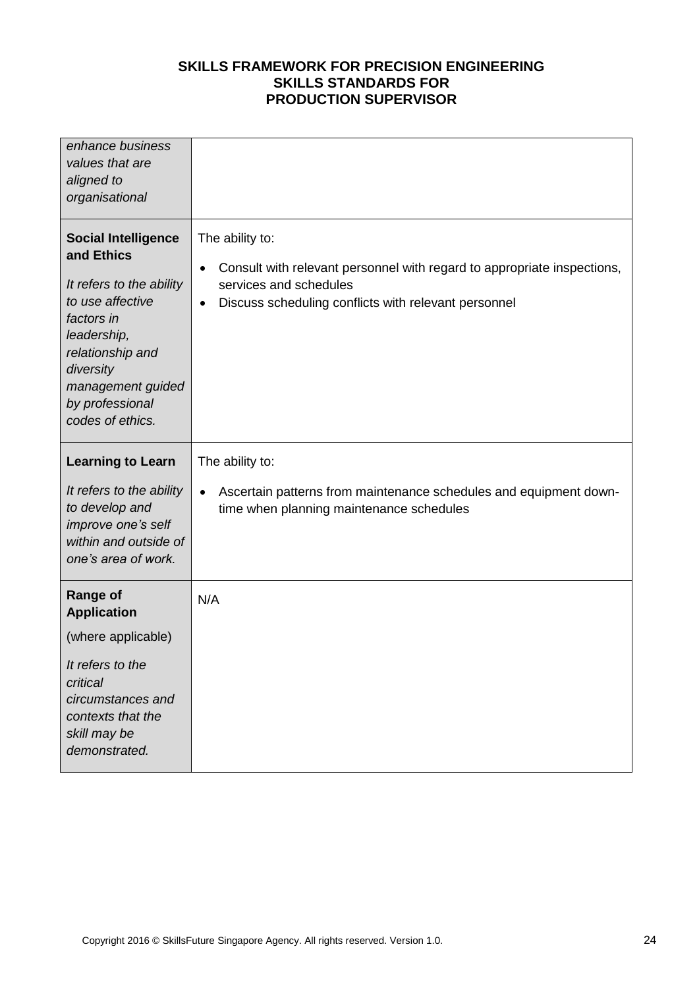| enhance business<br>values that are<br>aligned to<br>organisational                                                                                                                                                |                                                                                                                                                                                                |
|--------------------------------------------------------------------------------------------------------------------------------------------------------------------------------------------------------------------|------------------------------------------------------------------------------------------------------------------------------------------------------------------------------------------------|
| <b>Social Intelligence</b><br>and Ethics<br>It refers to the ability<br>to use affective<br>factors in<br>leadership,<br>relationship and<br>diversity<br>management guided<br>by professional<br>codes of ethics. | The ability to:<br>Consult with relevant personnel with regard to appropriate inspections,<br>$\bullet$<br>services and schedules<br>Discuss scheduling conflicts with relevant personnel<br>٠ |
| <b>Learning to Learn</b>                                                                                                                                                                                           | The ability to:                                                                                                                                                                                |
| It refers to the ability<br>to develop and<br>improve one's self<br>within and outside of<br>one's area of work.                                                                                                   | Ascertain patterns from maintenance schedules and equipment down-<br>$\bullet$<br>time when planning maintenance schedules                                                                     |
| <b>Range of</b><br><b>Application</b>                                                                                                                                                                              | N/A                                                                                                                                                                                            |
| (where applicable)                                                                                                                                                                                                 |                                                                                                                                                                                                |
| It refers to the<br>critical<br>circumstances and<br>contexts that the<br>skill may be<br>demonstrated.                                                                                                            |                                                                                                                                                                                                |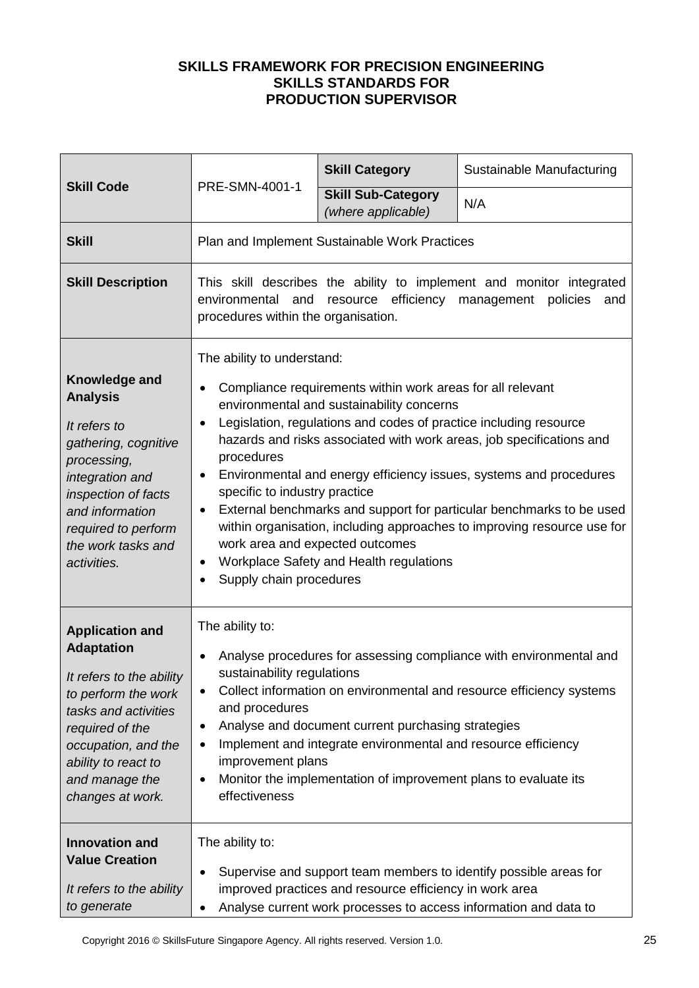|                                                                                                                                                                                                                               |                                                                                                                                                                                                                                                                                                                                                                                                                                                                                                                                                                                                                                                                                                                                           | <b>Skill Category</b>                           | Sustainable Manufacturing |
|-------------------------------------------------------------------------------------------------------------------------------------------------------------------------------------------------------------------------------|-------------------------------------------------------------------------------------------------------------------------------------------------------------------------------------------------------------------------------------------------------------------------------------------------------------------------------------------------------------------------------------------------------------------------------------------------------------------------------------------------------------------------------------------------------------------------------------------------------------------------------------------------------------------------------------------------------------------------------------------|-------------------------------------------------|---------------------------|
| <b>Skill Code</b>                                                                                                                                                                                                             | PRE-SMN-4001-1                                                                                                                                                                                                                                                                                                                                                                                                                                                                                                                                                                                                                                                                                                                            | <b>Skill Sub-Category</b><br>(where applicable) | N/A                       |
| <b>Skill</b>                                                                                                                                                                                                                  |                                                                                                                                                                                                                                                                                                                                                                                                                                                                                                                                                                                                                                                                                                                                           | Plan and Implement Sustainable Work Practices   |                           |
| <b>Skill Description</b>                                                                                                                                                                                                      | This skill describes the ability to implement and monitor integrated<br>environmental and<br>resource efficiency management<br>policies<br>and<br>procedures within the organisation.                                                                                                                                                                                                                                                                                                                                                                                                                                                                                                                                                     |                                                 |                           |
| Knowledge and<br><b>Analysis</b><br>It refers to<br>gathering, cognitive<br>processing,<br>integration and<br>inspection of facts<br>and information<br>required to perform<br>the work tasks and<br>activities.              | The ability to understand:<br>Compliance requirements within work areas for all relevant<br>$\bullet$<br>environmental and sustainability concerns<br>Legislation, regulations and codes of practice including resource<br>$\bullet$<br>hazards and risks associated with work areas, job specifications and<br>procedures<br>Environmental and energy efficiency issues, systems and procedures<br>$\bullet$<br>specific to industry practice<br>External benchmarks and support for particular benchmarks to be used<br>٠<br>within organisation, including approaches to improving resource use for<br>work area and expected outcomes<br>Workplace Safety and Health regulations<br>$\bullet$<br>Supply chain procedures<br>$\bullet$ |                                                 |                           |
| <b>Application and</b><br><b>Adaptation</b><br>It refers to the ability<br>to perform the work<br>tasks and activities<br>required of the<br>occupation, and the<br>ability to react to<br>and manage the<br>changes at work. | The ability to:<br>Analyse procedures for assessing compliance with environmental and<br>sustainability regulations<br>Collect information on environmental and resource efficiency systems<br>٠<br>and procedures<br>Analyse and document current purchasing strategies<br>٠<br>Implement and integrate environmental and resource efficiency<br>٠<br>improvement plans<br>Monitor the implementation of improvement plans to evaluate its<br>٠<br>effectiveness                                                                                                                                                                                                                                                                         |                                                 |                           |
| <b>Innovation and</b><br><b>Value Creation</b><br>It refers to the ability<br>to generate                                                                                                                                     | The ability to:<br>Supervise and support team members to identify possible areas for<br>٠<br>improved practices and resource efficiency in work area<br>Analyse current work processes to access information and data to<br>٠                                                                                                                                                                                                                                                                                                                                                                                                                                                                                                             |                                                 |                           |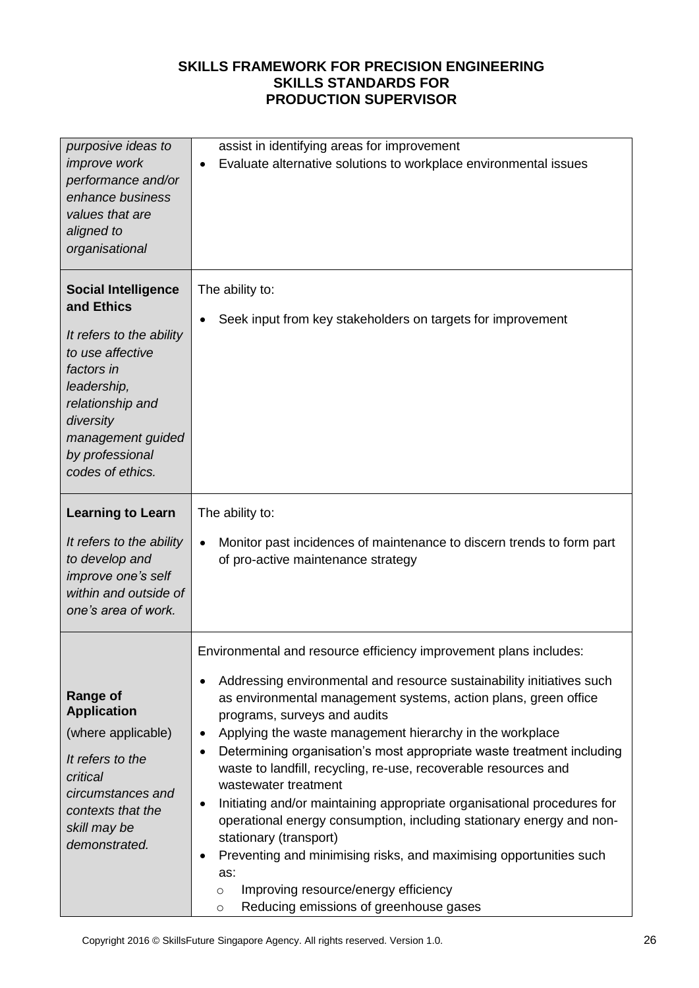| purposive ideas to<br>improve work<br>performance and/or<br>enhance business<br>values that are<br>aligned to<br>organisational                                                                                    | assist in identifying areas for improvement<br>Evaluate alternative solutions to workplace environmental issues<br>٠                                                                                                                                                                                                                                                                                                                                                                                                                                                                                                                                                                                                                                                                                                                                                                     |  |
|--------------------------------------------------------------------------------------------------------------------------------------------------------------------------------------------------------------------|------------------------------------------------------------------------------------------------------------------------------------------------------------------------------------------------------------------------------------------------------------------------------------------------------------------------------------------------------------------------------------------------------------------------------------------------------------------------------------------------------------------------------------------------------------------------------------------------------------------------------------------------------------------------------------------------------------------------------------------------------------------------------------------------------------------------------------------------------------------------------------------|--|
| <b>Social Intelligence</b><br>and Ethics<br>It refers to the ability<br>to use affective<br>factors in<br>leadership,<br>relationship and<br>diversity<br>management guided<br>by professional<br>codes of ethics. | The ability to:<br>Seek input from key stakeholders on targets for improvement                                                                                                                                                                                                                                                                                                                                                                                                                                                                                                                                                                                                                                                                                                                                                                                                           |  |
| <b>Learning to Learn</b><br>It refers to the ability<br>to develop and<br>improve one's self<br>within and outside of<br>one's area of work.                                                                       | The ability to:<br>Monitor past incidences of maintenance to discern trends to form part<br>$\bullet$<br>of pro-active maintenance strategy                                                                                                                                                                                                                                                                                                                                                                                                                                                                                                                                                                                                                                                                                                                                              |  |
| <b>Range of</b><br><b>Application</b><br>(where applicable)<br>It refers to the<br>critical<br>circumstances and<br>contexts that the<br>skill may be<br>demonstrated.                                             | Environmental and resource efficiency improvement plans includes:<br>Addressing environmental and resource sustainability initiatives such<br>٠<br>as environmental management systems, action plans, green office<br>programs, surveys and audits<br>Applying the waste management hierarchy in the workplace<br>٠<br>Determining organisation's most appropriate waste treatment including<br>$\bullet$<br>waste to landfill, recycling, re-use, recoverable resources and<br>wastewater treatment<br>Initiating and/or maintaining appropriate organisational procedures for<br>$\bullet$<br>operational energy consumption, including stationary energy and non-<br>stationary (transport)<br>Preventing and minimising risks, and maximising opportunities such<br>٠<br>as:<br>Improving resource/energy efficiency<br>$\circ$<br>Reducing emissions of greenhouse gases<br>$\circ$ |  |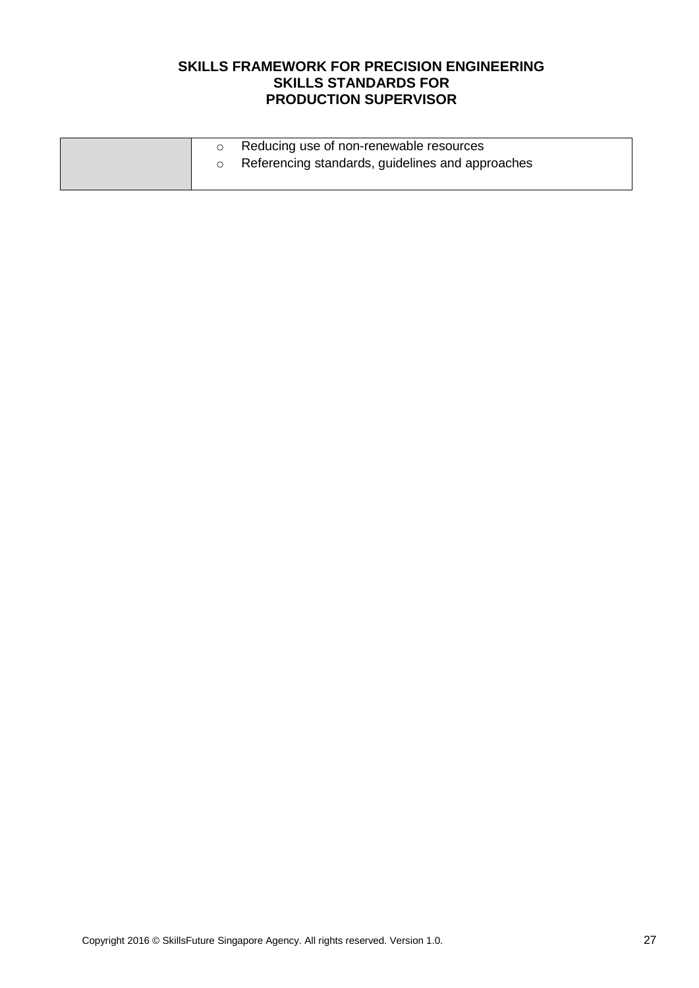|  | Reducing use of non-renewable resources<br>Referencing standards, guidelines and approaches |
|--|---------------------------------------------------------------------------------------------|
|  |                                                                                             |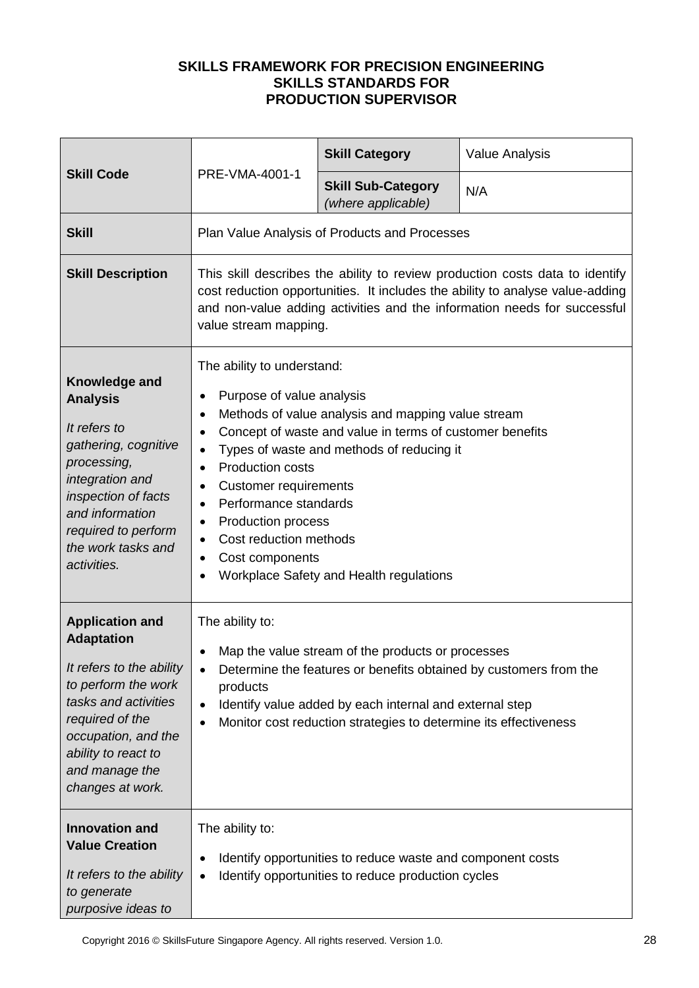| <b>Skill Code</b>                                                                                                                                                                                                             | PRE-VMA-4001-1                                                                                                                                                                                                                                                                                                                                       | <b>Skill Category</b>                                                                                                                                                                                  | <b>Value Analysis</b>                                             |
|-------------------------------------------------------------------------------------------------------------------------------------------------------------------------------------------------------------------------------|------------------------------------------------------------------------------------------------------------------------------------------------------------------------------------------------------------------------------------------------------------------------------------------------------------------------------------------------------|--------------------------------------------------------------------------------------------------------------------------------------------------------------------------------------------------------|-------------------------------------------------------------------|
|                                                                                                                                                                                                                               |                                                                                                                                                                                                                                                                                                                                                      | <b>Skill Sub-Category</b><br>(where applicable)                                                                                                                                                        | N/A                                                               |
| <b>Skill</b>                                                                                                                                                                                                                  |                                                                                                                                                                                                                                                                                                                                                      | Plan Value Analysis of Products and Processes                                                                                                                                                          |                                                                   |
| <b>Skill Description</b>                                                                                                                                                                                                      | This skill describes the ability to review production costs data to identify<br>cost reduction opportunities. It includes the ability to analyse value-adding<br>and non-value adding activities and the information needs for successful<br>value stream mapping.                                                                                   |                                                                                                                                                                                                        |                                                                   |
| Knowledge and<br><b>Analysis</b><br>It refers to<br>gathering, cognitive<br>processing,<br>integration and<br>inspection of facts<br>and information<br>required to perform<br>the work tasks and<br>activities.              | The ability to understand:<br>Purpose of value analysis<br>٠<br>$\bullet$<br>$\bullet$<br>$\bullet$<br><b>Production costs</b><br>$\bullet$<br><b>Customer requirements</b><br>٠<br>Performance standards<br>$\bullet$<br><b>Production process</b><br>$\bullet$<br>Cost reduction methods<br>$\bullet$<br>Cost components<br>$\bullet$<br>$\bullet$ | Methods of value analysis and mapping value stream<br>Concept of waste and value in terms of customer benefits<br>Types of waste and methods of reducing it<br>Workplace Safety and Health regulations |                                                                   |
| <b>Application and</b><br><b>Adaptation</b><br>It refers to the ability<br>to perform the work<br>tasks and activities<br>required of the<br>occupation, and the<br>ability to react to<br>and manage the<br>changes at work. | The ability to:<br>$\bullet$<br>$\bullet$<br>products<br>$\bullet$<br>$\bullet$                                                                                                                                                                                                                                                                      | Map the value stream of the products or processes<br>Identify value added by each internal and external step<br>Monitor cost reduction strategies to determine its effectiveness                       | Determine the features or benefits obtained by customers from the |
| <b>Innovation and</b><br><b>Value Creation</b><br>It refers to the ability<br>to generate<br>purposive ideas to                                                                                                               | The ability to:<br>$\bullet$<br>$\bullet$                                                                                                                                                                                                                                                                                                            | Identify opportunities to reduce waste and component costs<br>Identify opportunities to reduce production cycles                                                                                       |                                                                   |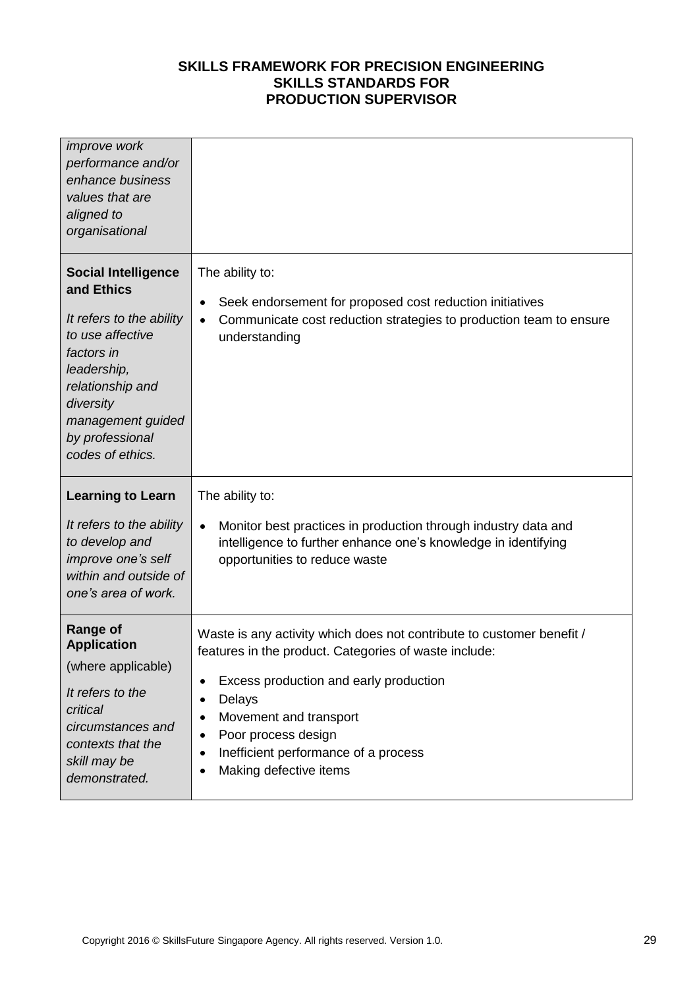| <i>improve</i> work<br>performance and/or<br>enhance business<br>values that are<br>aligned to<br>organisational                                                                                                   |                                                                                                                                                                                                                                                                                                                                                                     |
|--------------------------------------------------------------------------------------------------------------------------------------------------------------------------------------------------------------------|---------------------------------------------------------------------------------------------------------------------------------------------------------------------------------------------------------------------------------------------------------------------------------------------------------------------------------------------------------------------|
| <b>Social Intelligence</b><br>and Ethics<br>It refers to the ability<br>to use affective<br>factors in<br>leadership,<br>relationship and<br>diversity<br>management guided<br>by professional<br>codes of ethics. | The ability to:<br>Seek endorsement for proposed cost reduction initiatives<br>$\bullet$<br>Communicate cost reduction strategies to production team to ensure<br>$\bullet$<br>understanding                                                                                                                                                                        |
| <b>Learning to Learn</b><br>It refers to the ability<br>to develop and<br>improve one's self<br>within and outside of<br>one's area of work.                                                                       | The ability to:<br>Monitor best practices in production through industry data and<br>$\bullet$<br>intelligence to further enhance one's knowledge in identifying<br>opportunities to reduce waste                                                                                                                                                                   |
| <b>Range of</b><br><b>Application</b><br>(where applicable)<br>It refers to the<br>critical<br>circumstances and<br>contexts that the<br>skill may be<br>demonstrated.                                             | Waste is any activity which does not contribute to customer benefit /<br>features in the product. Categories of waste include:<br>Excess production and early production<br>٠<br>Delays<br>٠<br>Movement and transport<br>$\bullet$<br>Poor process design<br>$\bullet$<br>Inefficient performance of a process<br>$\bullet$<br>Making defective items<br>$\bullet$ |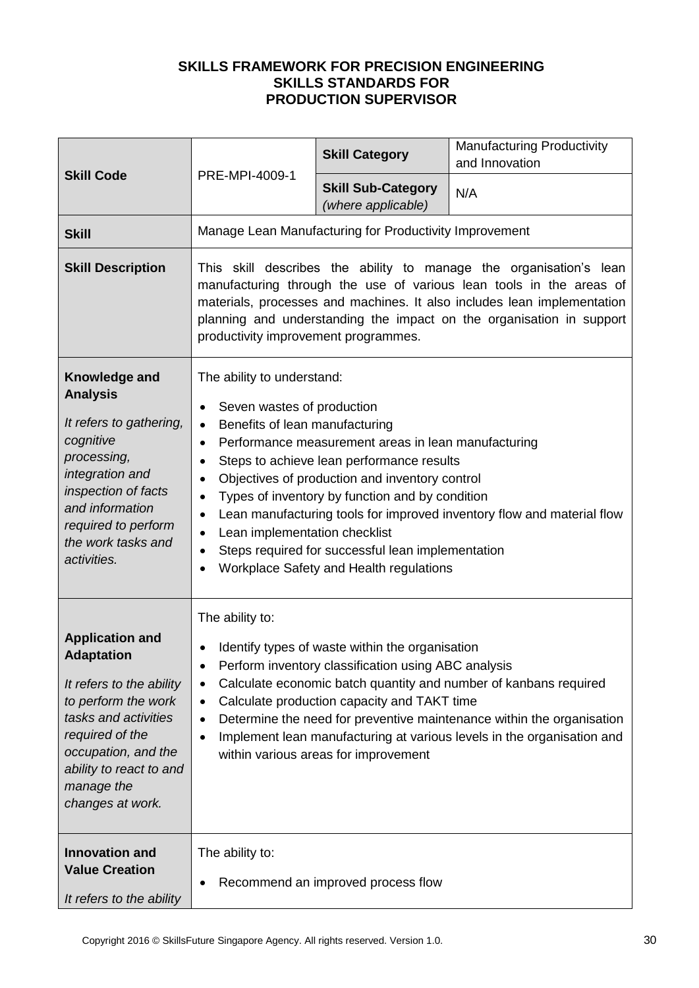| <b>Skill Code</b>                                                                                                                                                                                                             | PRE-MPI-4009-1                                                                                                                                                                                                                           | <b>Skill Category</b>                                                                                                                                                                                                                                                                                 | <b>Manufacturing Productivity</b><br>and Innovation                                                                                                                                                                                                                                          |
|-------------------------------------------------------------------------------------------------------------------------------------------------------------------------------------------------------------------------------|------------------------------------------------------------------------------------------------------------------------------------------------------------------------------------------------------------------------------------------|-------------------------------------------------------------------------------------------------------------------------------------------------------------------------------------------------------------------------------------------------------------------------------------------------------|----------------------------------------------------------------------------------------------------------------------------------------------------------------------------------------------------------------------------------------------------------------------------------------------|
|                                                                                                                                                                                                                               |                                                                                                                                                                                                                                          | <b>Skill Sub-Category</b><br>(where applicable)                                                                                                                                                                                                                                                       | N/A                                                                                                                                                                                                                                                                                          |
| <b>Skill</b>                                                                                                                                                                                                                  |                                                                                                                                                                                                                                          | Manage Lean Manufacturing for Productivity Improvement                                                                                                                                                                                                                                                |                                                                                                                                                                                                                                                                                              |
| <b>Skill Description</b>                                                                                                                                                                                                      | productivity improvement programmes.                                                                                                                                                                                                     |                                                                                                                                                                                                                                                                                                       | This skill describes the ability to manage the organisation's lean<br>manufacturing through the use of various lean tools in the areas of<br>materials, processes and machines. It also includes lean implementation<br>planning and understanding the impact on the organisation in support |
| Knowledge and<br><b>Analysis</b><br>It refers to gathering,<br>cognitive<br>processing,<br>integration and<br>inspection of facts<br>and information<br>required to perform<br>the work tasks and<br>activities.              | The ability to understand:<br>Seven wastes of production<br>$\bullet$<br>Benefits of lean manufacturing<br>$\bullet$<br>$\bullet$<br>٠<br>$\bullet$<br>$\bullet$<br>Lean implementation checklist<br>$\bullet$<br>$\bullet$<br>$\bullet$ | Performance measurement areas in lean manufacturing<br>Steps to achieve lean performance results<br>Objectives of production and inventory control<br>Types of inventory by function and by condition<br>Steps required for successful lean implementation<br>Workplace Safety and Health regulations | Lean manufacturing tools for improved inventory flow and material flow                                                                                                                                                                                                                       |
| <b>Application and</b><br><b>Adaptation</b><br>It refers to the ability<br>to perform the work<br>tasks and activities<br>required of the<br>occupation, and the<br>ability to react to and<br>manage the<br>changes at work. | The ability to:<br>$\bullet$<br>٠<br>٠<br>٠<br>$\bullet$                                                                                                                                                                                 | Identify types of waste within the organisation<br>Perform inventory classification using ABC analysis<br>Calculate production capacity and TAKT time<br>within various areas for improvement                                                                                                         | Calculate economic batch quantity and number of kanbans required<br>Determine the need for preventive maintenance within the organisation<br>Implement lean manufacturing at various levels in the organisation and                                                                          |
| <b>Innovation and</b><br><b>Value Creation</b><br>It refers to the ability                                                                                                                                                    | The ability to:                                                                                                                                                                                                                          | Recommend an improved process flow                                                                                                                                                                                                                                                                    |                                                                                                                                                                                                                                                                                              |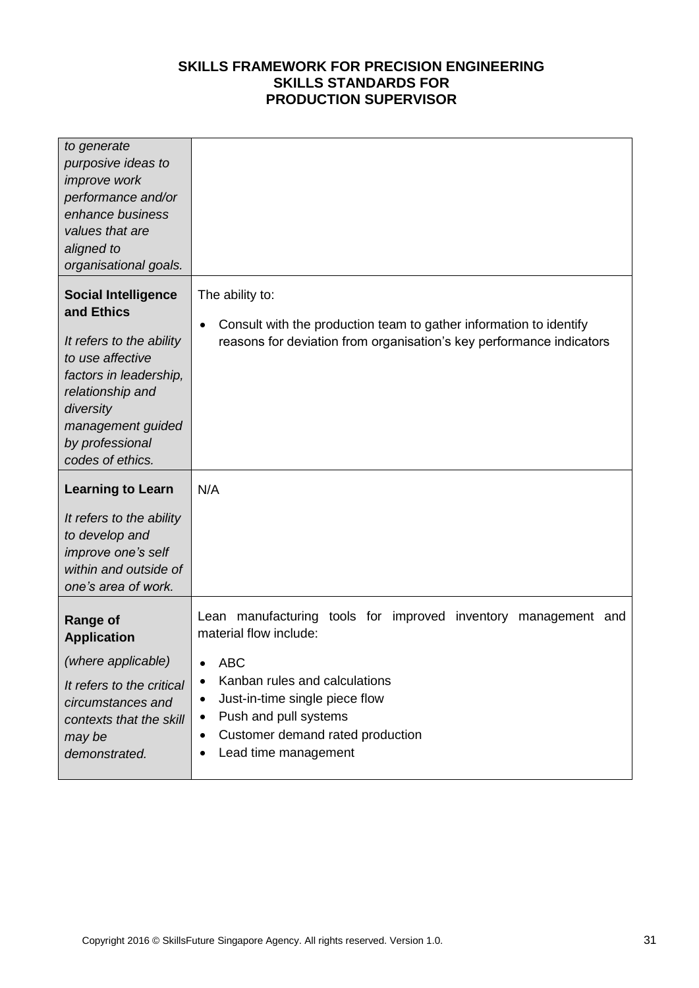| to generate<br>purposive ideas to<br>improve work<br>performance and/or<br>enhance business<br>values that are<br>aligned to<br>organisational goals.                                                           |                                                                                                                                                                                                                                                                                                               |
|-----------------------------------------------------------------------------------------------------------------------------------------------------------------------------------------------------------------|---------------------------------------------------------------------------------------------------------------------------------------------------------------------------------------------------------------------------------------------------------------------------------------------------------------|
| <b>Social Intelligence</b><br>and Ethics<br>It refers to the ability<br>to use affective<br>factors in leadership,<br>relationship and<br>diversity<br>management guided<br>by professional<br>codes of ethics. | The ability to:<br>Consult with the production team to gather information to identify<br>$\bullet$<br>reasons for deviation from organisation's key performance indicators                                                                                                                                    |
| <b>Learning to Learn</b><br>It refers to the ability<br>to develop and<br>improve one's self<br>within and outside of<br>one's area of work.                                                                    | N/A                                                                                                                                                                                                                                                                                                           |
| <b>Range of</b><br><b>Application</b><br>(where applicable)<br>It refers to the critical<br>circumstances and<br>contexts that the skill<br>may be<br>demonstrated.                                             | Lean manufacturing tools for improved inventory<br>management and<br>material flow include:<br><b>ABC</b><br>Kanban rules and calculations<br>$\bullet$<br>Just-in-time single piece flow<br>٠<br>Push and pull systems<br>$\bullet$<br>Customer demand rated production<br>$\bullet$<br>Lead time management |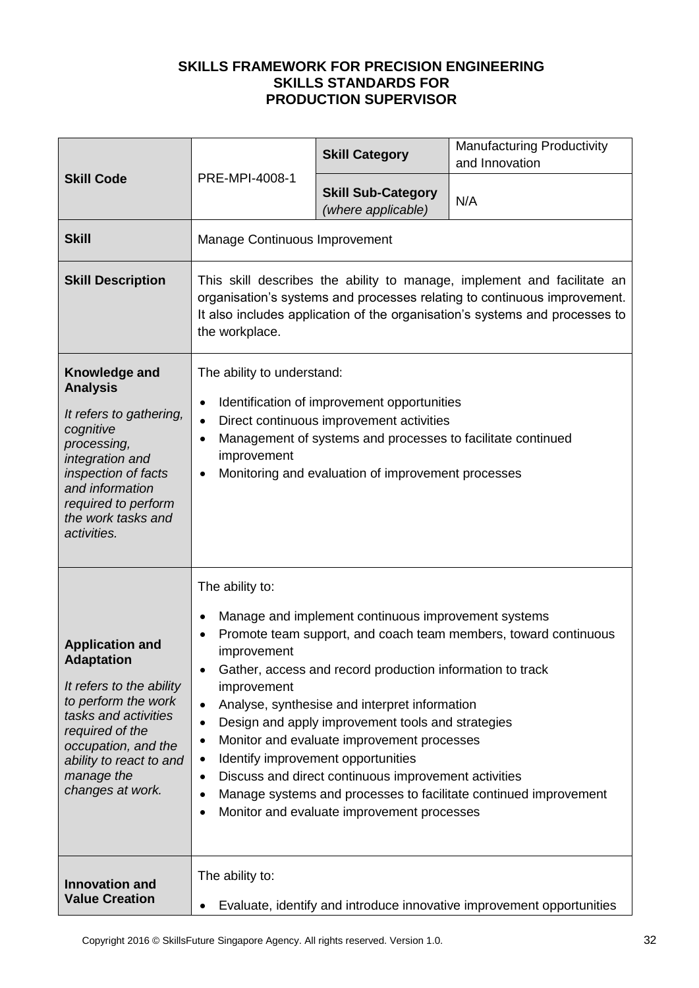| <b>Skill Code</b>                                                                                                                                                                                                             | PRE-MPI-4008-1                                                                                                                                                                                                                                                                                                                                                                                                                                                                                                                                                                                                                                                                                                     | <b>Skill Category</b>                           | <b>Manufacturing Productivity</b><br>and Innovation |
|-------------------------------------------------------------------------------------------------------------------------------------------------------------------------------------------------------------------------------|--------------------------------------------------------------------------------------------------------------------------------------------------------------------------------------------------------------------------------------------------------------------------------------------------------------------------------------------------------------------------------------------------------------------------------------------------------------------------------------------------------------------------------------------------------------------------------------------------------------------------------------------------------------------------------------------------------------------|-------------------------------------------------|-----------------------------------------------------|
|                                                                                                                                                                                                                               |                                                                                                                                                                                                                                                                                                                                                                                                                                                                                                                                                                                                                                                                                                                    | <b>Skill Sub-Category</b><br>(where applicable) | N/A                                                 |
| <b>Skill</b>                                                                                                                                                                                                                  | Manage Continuous Improvement                                                                                                                                                                                                                                                                                                                                                                                                                                                                                                                                                                                                                                                                                      |                                                 |                                                     |
| <b>Skill Description</b>                                                                                                                                                                                                      | This skill describes the ability to manage, implement and facilitate an<br>organisation's systems and processes relating to continuous improvement.<br>It also includes application of the organisation's systems and processes to<br>the workplace.                                                                                                                                                                                                                                                                                                                                                                                                                                                               |                                                 |                                                     |
| Knowledge and<br><b>Analysis</b><br>It refers to gathering,<br>cognitive<br>processing,<br>integration and<br>inspection of facts<br>and information<br>required to perform<br>the work tasks and<br>activities.              | The ability to understand:<br>Identification of improvement opportunities<br>٠<br>Direct continuous improvement activities<br>$\bullet$<br>Management of systems and processes to facilitate continued<br>$\bullet$<br>improvement<br>Monitoring and evaluation of improvement processes<br>$\bullet$                                                                                                                                                                                                                                                                                                                                                                                                              |                                                 |                                                     |
| <b>Application and</b><br><b>Adaptation</b><br>It refers to the ability<br>to perform the work<br>tasks and activities<br>required of the<br>occupation, and the<br>ability to react to and<br>manage the<br>changes at work. | The ability to:<br>Manage and implement continuous improvement systems<br>٠<br>Promote team support, and coach team members, toward continuous<br>$\bullet$<br>improvement<br>Gather, access and record production information to track<br>$\bullet$<br>improvement<br>Analyse, synthesise and interpret information<br>$\bullet$<br>Design and apply improvement tools and strategies<br>$\bullet$<br>Monitor and evaluate improvement processes<br>٠<br>Identify improvement opportunities<br>٠<br>Discuss and direct continuous improvement activities<br>$\bullet$<br>Manage systems and processes to facilitate continued improvement<br>$\bullet$<br>Monitor and evaluate improvement processes<br>$\bullet$ |                                                 |                                                     |
| <b>Innovation and</b><br><b>Value Creation</b>                                                                                                                                                                                | The ability to:<br>Evaluate, identify and introduce innovative improvement opportunities                                                                                                                                                                                                                                                                                                                                                                                                                                                                                                                                                                                                                           |                                                 |                                                     |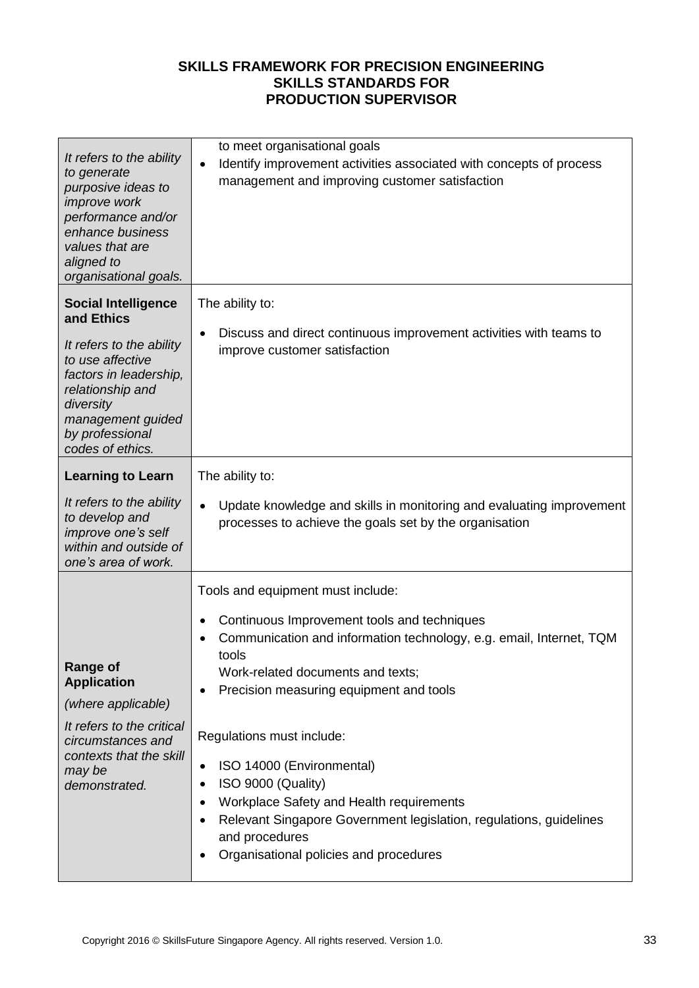| It refers to the ability<br>to generate<br>purposive ideas to<br><i>improve</i> work<br>performance and/or<br>enhance business<br>values that are<br>aligned to<br>organisational goals.                        | to meet organisational goals<br>Identify improvement activities associated with concepts of process<br>$\bullet$<br>management and improving customer satisfaction                                                                                                                                                  |
|-----------------------------------------------------------------------------------------------------------------------------------------------------------------------------------------------------------------|---------------------------------------------------------------------------------------------------------------------------------------------------------------------------------------------------------------------------------------------------------------------------------------------------------------------|
| <b>Social Intelligence</b><br>and Ethics<br>It refers to the ability<br>to use affective<br>factors in leadership,<br>relationship and<br>diversity<br>management guided<br>by professional<br>codes of ethics. | The ability to:<br>Discuss and direct continuous improvement activities with teams to<br>٠<br>improve customer satisfaction                                                                                                                                                                                         |
| <b>Learning to Learn</b><br>It refers to the ability<br>to develop and<br>improve one's self<br>within and outside of<br>one's area of work.                                                                    | The ability to:<br>Update knowledge and skills in monitoring and evaluating improvement<br>$\bullet$<br>processes to achieve the goals set by the organisation                                                                                                                                                      |
| <b>Range of</b><br><b>Application</b><br>(where applicable)<br>It refers to the critical                                                                                                                        | Tools and equipment must include:<br>Continuous Improvement tools and techniques<br>$\bullet$<br>Communication and information technology, e.g. email, Internet, TQM<br>tools<br>Work-related documents and texts;<br>Precision measuring equipment and tools<br>٠                                                  |
| circumstances and<br>contexts that the skill<br>may be<br>demonstrated.                                                                                                                                         | Regulations must include:<br>ISO 14000 (Environmental)<br>٠<br>ISO 9000 (Quality)<br>$\bullet$<br>Workplace Safety and Health requirements<br>$\bullet$<br>Relevant Singapore Government legislation, regulations, guidelines<br>$\bullet$<br>and procedures<br>Organisational policies and procedures<br>$\bullet$ |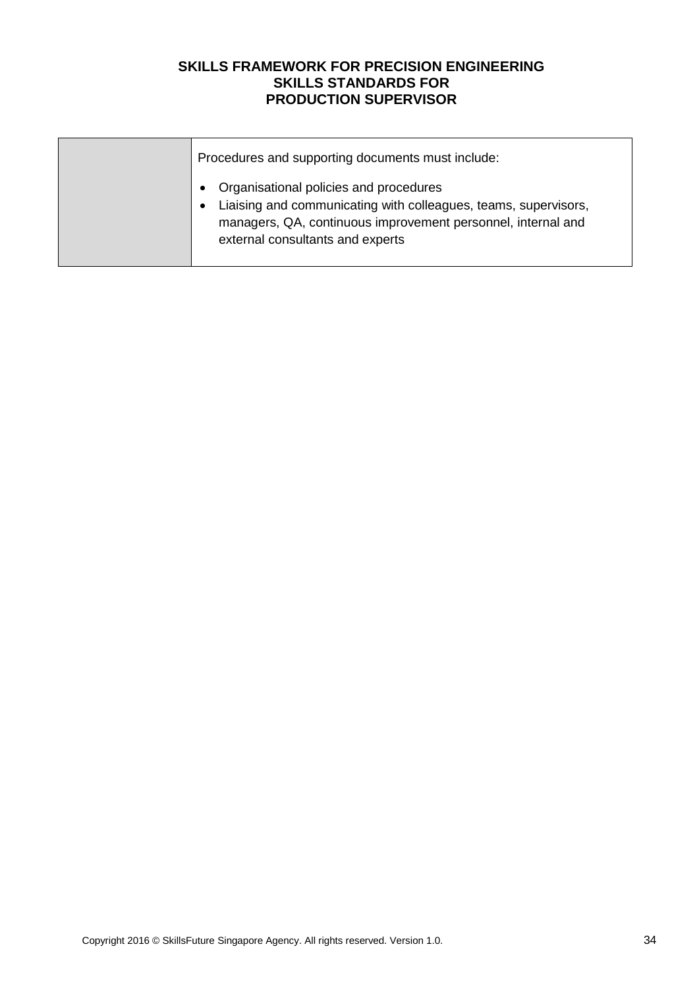| Procedures and supporting documents must include:                                                                                                                                                             |
|---------------------------------------------------------------------------------------------------------------------------------------------------------------------------------------------------------------|
| Organisational policies and procedures<br>Liaising and communicating with colleagues, teams, supervisors,<br>managers, QA, continuous improvement personnel, internal and<br>external consultants and experts |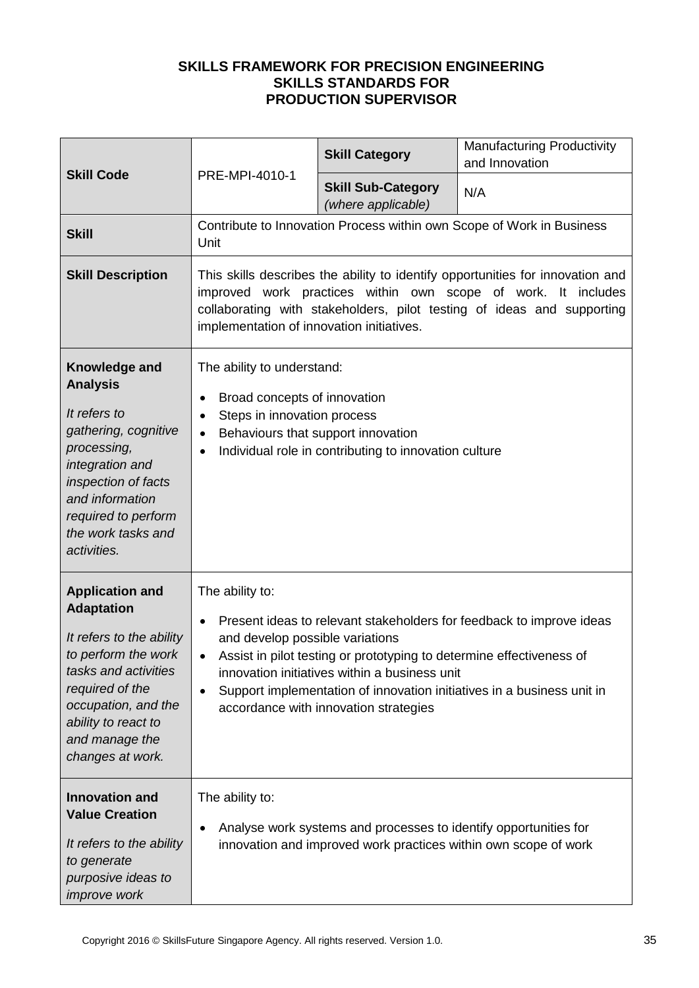| <b>Skill Code</b>                                                                                                                                                                                                             |                                                                                                                                                                                     | <b>Skill Category</b>                                                                                                                                          | <b>Manufacturing Productivity</b><br>and Innovation                                                                                                                                                                       |
|-------------------------------------------------------------------------------------------------------------------------------------------------------------------------------------------------------------------------------|-------------------------------------------------------------------------------------------------------------------------------------------------------------------------------------|----------------------------------------------------------------------------------------------------------------------------------------------------------------|---------------------------------------------------------------------------------------------------------------------------------------------------------------------------------------------------------------------------|
|                                                                                                                                                                                                                               | PRE-MPI-4010-1                                                                                                                                                                      | <b>Skill Sub-Category</b><br>(where applicable)                                                                                                                | N/A                                                                                                                                                                                                                       |
| <b>Skill</b>                                                                                                                                                                                                                  | Contribute to Innovation Process within own Scope of Work in Business<br>Unit                                                                                                       |                                                                                                                                                                |                                                                                                                                                                                                                           |
| <b>Skill Description</b>                                                                                                                                                                                                      | implementation of innovation initiatives.                                                                                                                                           |                                                                                                                                                                | This skills describes the ability to identify opportunities for innovation and<br>improved work practices within own scope of work. It includes<br>collaborating with stakeholders, pilot testing of ideas and supporting |
| Knowledge and<br><b>Analysis</b><br>It refers to<br>gathering, cognitive<br>processing,<br>integration and<br>inspection of facts<br>and information<br>required to perform<br>the work tasks and<br>activities.              | The ability to understand:<br>Broad concepts of innovation<br>$\bullet$<br>Steps in innovation process<br>$\bullet$<br>Behaviours that support innovation<br>$\bullet$<br>$\bullet$ | Individual role in contributing to innovation culture                                                                                                          |                                                                                                                                                                                                                           |
| <b>Application and</b><br><b>Adaptation</b><br>It refers to the ability<br>to perform the work<br>tasks and activities<br>required of the<br>occupation, and the<br>ability to react to<br>and manage the<br>changes at work. | The ability to:<br>$\bullet$<br>and develop possible variations<br>$\bullet$<br>$\bullet$                                                                                           | Assist in pilot testing or prototyping to determine effectiveness of<br>innovation initiatives within a business unit<br>accordance with innovation strategies | Present ideas to relevant stakeholders for feedback to improve ideas<br>Support implementation of innovation initiatives in a business unit in                                                                            |
| <b>Innovation and</b><br><b>Value Creation</b><br>It refers to the ability<br>to generate<br>purposive ideas to<br><i>improve</i> work                                                                                        | The ability to:<br>$\bullet$                                                                                                                                                        | Analyse work systems and processes to identify opportunities for<br>innovation and improved work practices within own scope of work                            |                                                                                                                                                                                                                           |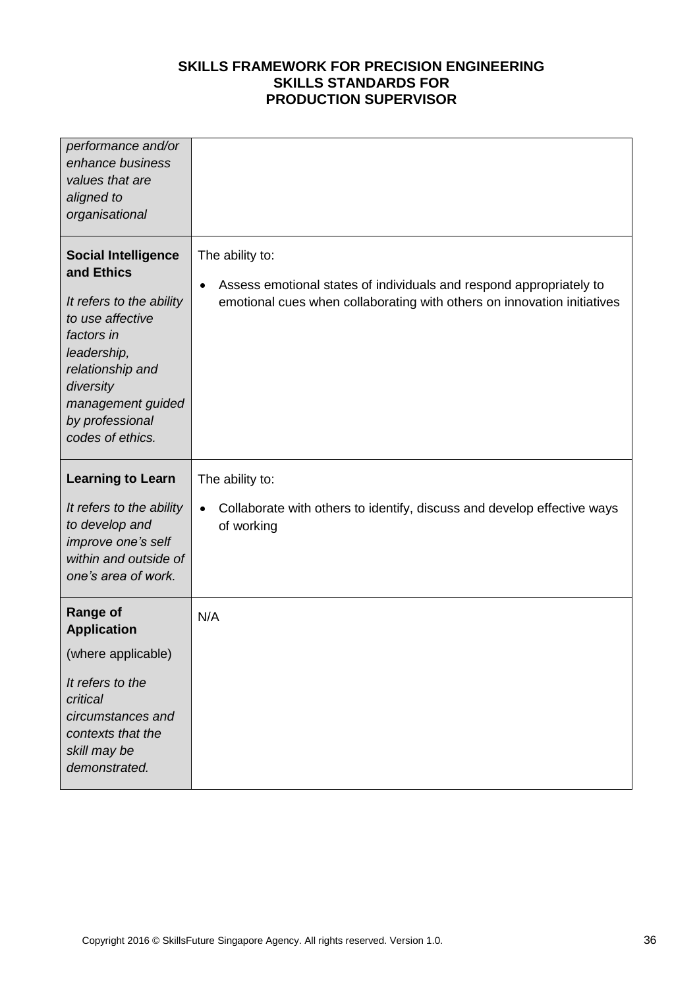| performance and/or<br>enhance business<br>values that are<br>aligned to<br>organisational                                                                                                                          |                                                                                                                                                                                |
|--------------------------------------------------------------------------------------------------------------------------------------------------------------------------------------------------------------------|--------------------------------------------------------------------------------------------------------------------------------------------------------------------------------|
| <b>Social Intelligence</b><br>and Ethics<br>It refers to the ability<br>to use affective<br>factors in<br>leadership,<br>relationship and<br>diversity<br>management guided<br>by professional<br>codes of ethics. | The ability to:<br>Assess emotional states of individuals and respond appropriately to<br>$\bullet$<br>emotional cues when collaborating with others on innovation initiatives |
| <b>Learning to Learn</b><br>It refers to the ability<br>to develop and<br>improve one's self<br>within and outside of<br>one's area of work.                                                                       | The ability to:<br>Collaborate with others to identify, discuss and develop effective ways<br>$\bullet$<br>of working                                                          |
| <b>Range of</b><br><b>Application</b><br>(where applicable)<br>It refers to the<br>critical<br>circumstances and<br>contexts that the<br>skill may be<br>demonstrated.                                             | N/A                                                                                                                                                                            |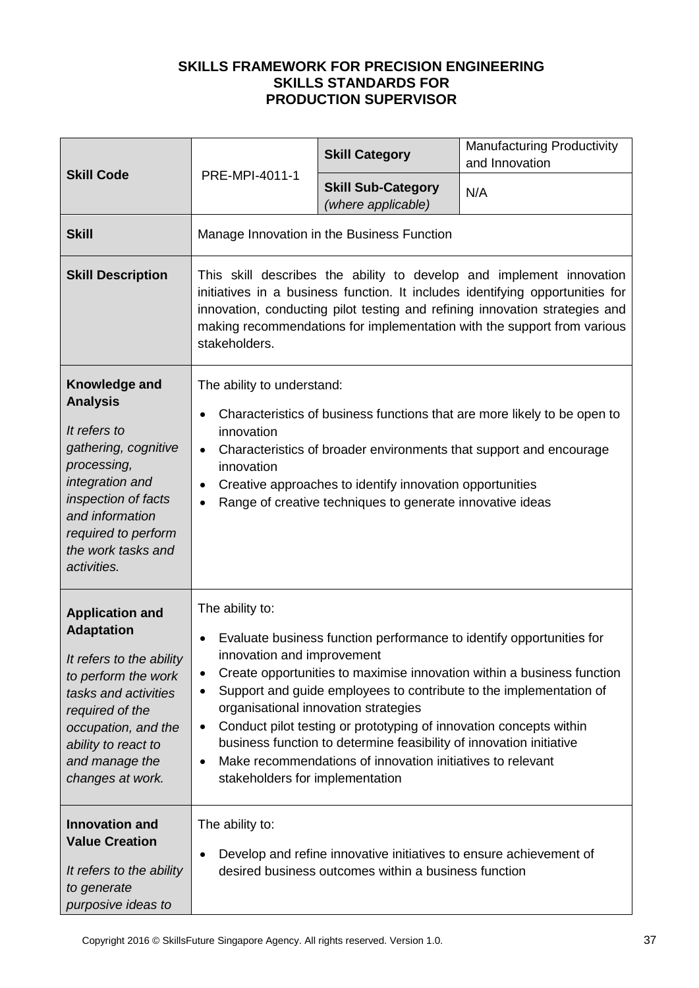|                                                                                                                                                                                                                               |                                                                                                                                                                                                                                                                                                                                                                                                                                                                                                                                                                                                                              | <b>Skill Category</b>                           | <b>Manufacturing Productivity</b><br>and Innovation |  |
|-------------------------------------------------------------------------------------------------------------------------------------------------------------------------------------------------------------------------------|------------------------------------------------------------------------------------------------------------------------------------------------------------------------------------------------------------------------------------------------------------------------------------------------------------------------------------------------------------------------------------------------------------------------------------------------------------------------------------------------------------------------------------------------------------------------------------------------------------------------------|-------------------------------------------------|-----------------------------------------------------|--|
| <b>Skill Code</b>                                                                                                                                                                                                             | PRE-MPI-4011-1                                                                                                                                                                                                                                                                                                                                                                                                                                                                                                                                                                                                               | <b>Skill Sub-Category</b><br>(where applicable) | N/A                                                 |  |
| <b>Skill</b>                                                                                                                                                                                                                  | Manage Innovation in the Business Function                                                                                                                                                                                                                                                                                                                                                                                                                                                                                                                                                                                   |                                                 |                                                     |  |
| <b>Skill Description</b>                                                                                                                                                                                                      | This skill describes the ability to develop and implement innovation<br>initiatives in a business function. It includes identifying opportunities for<br>innovation, conducting pilot testing and refining innovation strategies and<br>making recommendations for implementation with the support from various<br>stakeholders.                                                                                                                                                                                                                                                                                             |                                                 |                                                     |  |
| Knowledge and<br><b>Analysis</b><br>It refers to<br>gathering, cognitive<br>processing,<br>integration and<br>inspection of facts<br>and information<br>required to perform<br>the work tasks and<br>activities.              | The ability to understand:<br>Characteristics of business functions that are more likely to be open to<br>$\bullet$<br>innovation<br>Characteristics of broader environments that support and encourage<br>$\bullet$<br>innovation<br>Creative approaches to identify innovation opportunities<br>$\bullet$<br>Range of creative techniques to generate innovative ideas<br>$\bullet$                                                                                                                                                                                                                                        |                                                 |                                                     |  |
| <b>Application and</b><br><b>Adaptation</b><br>It refers to the ability<br>to perform the work<br>tasks and activities<br>required of the<br>occupation, and the<br>ability to react to<br>and manage the<br>changes at work. | The ability to:<br>Evaluate business function performance to identify opportunities for<br>$\bullet$<br>innovation and improvement<br>Create opportunities to maximise innovation within a business function<br>$\bullet$<br>Support and guide employees to contribute to the implementation of<br>$\bullet$<br>organisational innovation strategies<br>Conduct pilot testing or prototyping of innovation concepts within<br>$\bullet$<br>business function to determine feasibility of innovation initiative<br>Make recommendations of innovation initiatives to relevant<br>$\bullet$<br>stakeholders for implementation |                                                 |                                                     |  |
| <b>Innovation and</b><br><b>Value Creation</b><br>It refers to the ability<br>to generate<br>purposive ideas to                                                                                                               | The ability to:<br>Develop and refine innovative initiatives to ensure achievement of<br>$\bullet$<br>desired business outcomes within a business function                                                                                                                                                                                                                                                                                                                                                                                                                                                                   |                                                 |                                                     |  |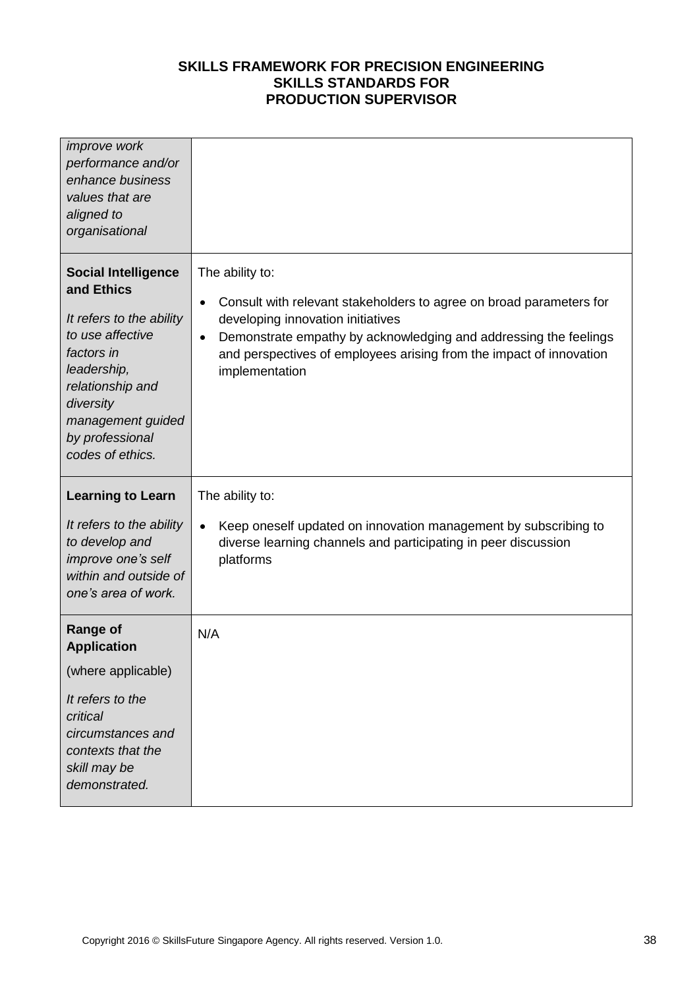| <i>improve</i> work<br>performance and/or<br>enhance business<br>values that are<br>aligned to<br>organisational                                                                                                   |                                                                                                                                                                                                                                                                                                                    |
|--------------------------------------------------------------------------------------------------------------------------------------------------------------------------------------------------------------------|--------------------------------------------------------------------------------------------------------------------------------------------------------------------------------------------------------------------------------------------------------------------------------------------------------------------|
| <b>Social Intelligence</b><br>and Ethics<br>It refers to the ability<br>to use affective<br>factors in<br>leadership,<br>relationship and<br>diversity<br>management guided<br>by professional<br>codes of ethics. | The ability to:<br>Consult with relevant stakeholders to agree on broad parameters for<br>$\bullet$<br>developing innovation initiatives<br>Demonstrate empathy by acknowledging and addressing the feelings<br>$\bullet$<br>and perspectives of employees arising from the impact of innovation<br>implementation |
| <b>Learning to Learn</b>                                                                                                                                                                                           | The ability to:                                                                                                                                                                                                                                                                                                    |
|                                                                                                                                                                                                                    |                                                                                                                                                                                                                                                                                                                    |
| It refers to the ability<br>to develop and<br>improve one's self<br>within and outside of<br>one's area of work.                                                                                                   | Keep oneself updated on innovation management by subscribing to<br>$\bullet$<br>diverse learning channels and participating in peer discussion<br>platforms                                                                                                                                                        |
| <b>Range of</b><br><b>Application</b>                                                                                                                                                                              | N/A                                                                                                                                                                                                                                                                                                                |
| (where applicable)                                                                                                                                                                                                 |                                                                                                                                                                                                                                                                                                                    |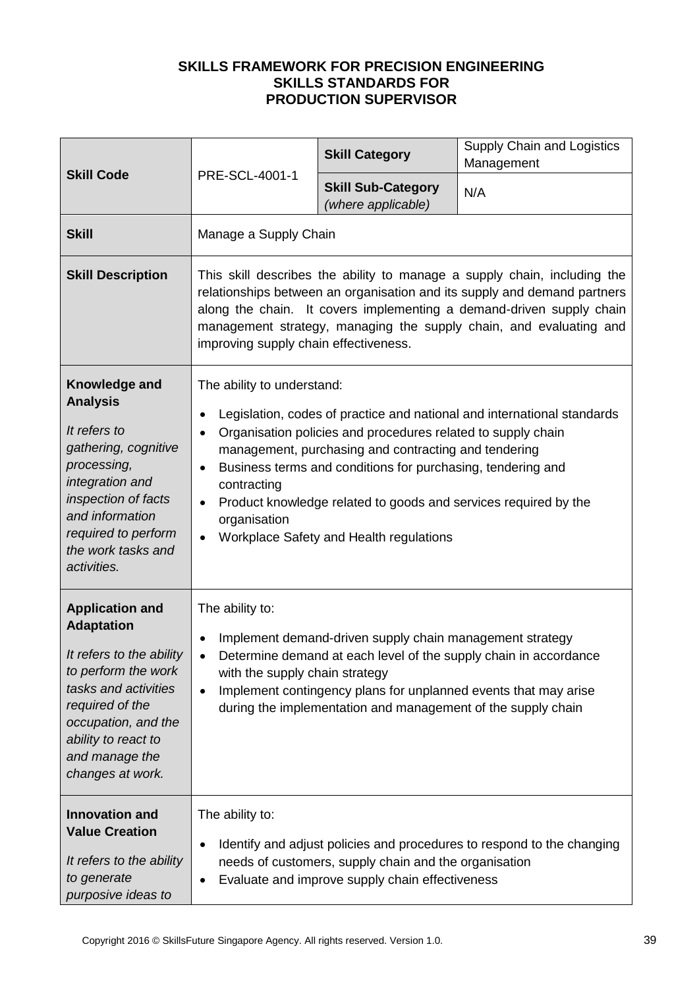|                                                                                                                                                                                                                               | PRE-SCL-4001-1                                                                                                                                                                                                                                                                                                                                                                                                                                                                                             | <b>Skill Category</b>                           | <b>Supply Chain and Logistics</b><br>Management |
|-------------------------------------------------------------------------------------------------------------------------------------------------------------------------------------------------------------------------------|------------------------------------------------------------------------------------------------------------------------------------------------------------------------------------------------------------------------------------------------------------------------------------------------------------------------------------------------------------------------------------------------------------------------------------------------------------------------------------------------------------|-------------------------------------------------|-------------------------------------------------|
| <b>Skill Code</b>                                                                                                                                                                                                             |                                                                                                                                                                                                                                                                                                                                                                                                                                                                                                            | <b>Skill Sub-Category</b><br>(where applicable) | N/A                                             |
| <b>Skill</b>                                                                                                                                                                                                                  | Manage a Supply Chain                                                                                                                                                                                                                                                                                                                                                                                                                                                                                      |                                                 |                                                 |
| <b>Skill Description</b>                                                                                                                                                                                                      | This skill describes the ability to manage a supply chain, including the<br>relationships between an organisation and its supply and demand partners<br>along the chain. It covers implementing a demand-driven supply chain<br>management strategy, managing the supply chain, and evaluating and<br>improving supply chain effectiveness.                                                                                                                                                                |                                                 |                                                 |
| Knowledge and<br><b>Analysis</b><br>It refers to<br>gathering, cognitive<br>processing,<br>integration and<br>inspection of facts<br>and information<br>required to perform<br>the work tasks and<br>activities.              | The ability to understand:<br>Legislation, codes of practice and national and international standards<br>$\bullet$<br>Organisation policies and procedures related to supply chain<br>$\bullet$<br>management, purchasing and contracting and tendering<br>Business terms and conditions for purchasing, tendering and<br>$\bullet$<br>contracting<br>Product knowledge related to goods and services required by the<br>$\bullet$<br>organisation<br>Workplace Safety and Health regulations<br>$\bullet$ |                                                 |                                                 |
| <b>Application and</b><br><b>Adaptation</b><br>It refers to the ability<br>to perform the work<br>tasks and activities<br>required of the<br>occupation, and the<br>ability to react to<br>and manage the<br>changes at work. | The ability to:<br>Implement demand-driven supply chain management strategy<br>$\bullet$<br>Determine demand at each level of the supply chain in accordance<br>$\bullet$<br>with the supply chain strategy<br>Implement contingency plans for unplanned events that may arise<br>$\bullet$<br>during the implementation and management of the supply chain                                                                                                                                                |                                                 |                                                 |
| <b>Innovation and</b><br><b>Value Creation</b><br>It refers to the ability<br>to generate<br>purposive ideas to                                                                                                               | The ability to:<br>Identify and adjust policies and procedures to respond to the changing<br>$\bullet$<br>needs of customers, supply chain and the organisation<br>Evaluate and improve supply chain effectiveness<br>$\bullet$                                                                                                                                                                                                                                                                            |                                                 |                                                 |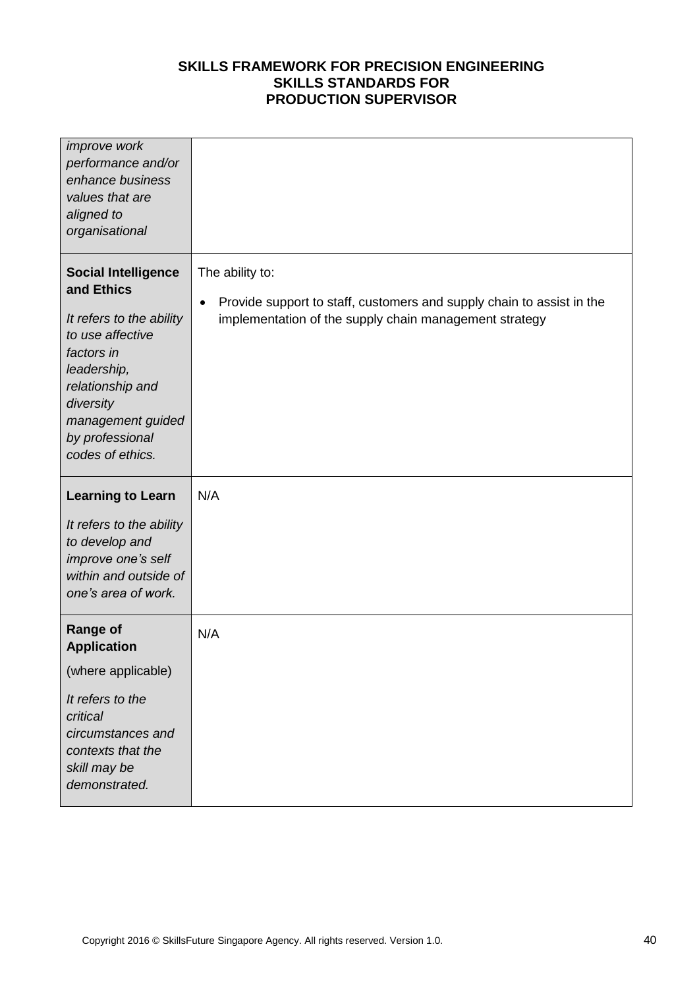| <i>improve</i> work<br>performance and/or<br>enhance business<br>values that are<br>aligned to<br>organisational                                                                                                   |                                                                                                                                                                 |
|--------------------------------------------------------------------------------------------------------------------------------------------------------------------------------------------------------------------|-----------------------------------------------------------------------------------------------------------------------------------------------------------------|
| <b>Social Intelligence</b><br>and Ethics<br>It refers to the ability<br>to use affective<br>factors in<br>leadership,<br>relationship and<br>diversity<br>management guided<br>by professional<br>codes of ethics. | The ability to:<br>Provide support to staff, customers and supply chain to assist in the<br>$\bullet$<br>implementation of the supply chain management strategy |
| <b>Learning to Learn</b><br>It refers to the ability<br>to develop and<br>improve one's self<br>within and outside of<br>one's area of work.                                                                       | N/A                                                                                                                                                             |
| <b>Range of</b><br><b>Application</b><br>(where applicable)<br>It refers to the<br>critical<br>circumstances and<br>contexts that the<br>skill may be<br>demonstrated.                                             | N/A                                                                                                                                                             |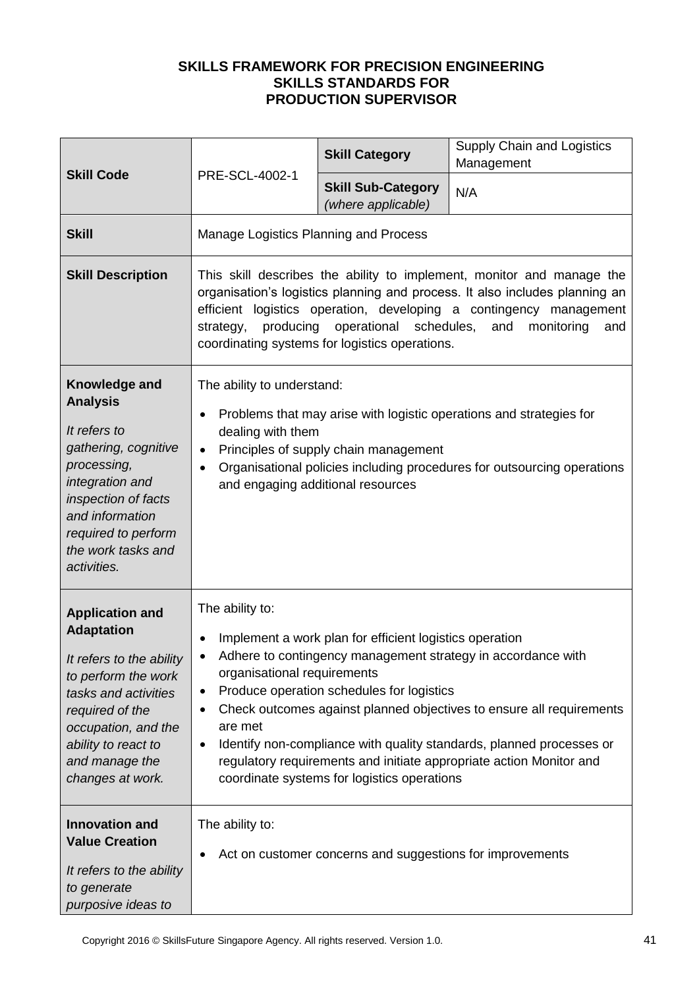| <b>Skill Code</b>                                                                                                                                                                                                             |                                                                                                                                                                                                                                                                                                                                                                                                                                                                                                                                                             | <b>Skill Category</b>                           | Supply Chain and Logistics<br>Management |
|-------------------------------------------------------------------------------------------------------------------------------------------------------------------------------------------------------------------------------|-------------------------------------------------------------------------------------------------------------------------------------------------------------------------------------------------------------------------------------------------------------------------------------------------------------------------------------------------------------------------------------------------------------------------------------------------------------------------------------------------------------------------------------------------------------|-------------------------------------------------|------------------------------------------|
|                                                                                                                                                                                                                               | PRE-SCL-4002-1                                                                                                                                                                                                                                                                                                                                                                                                                                                                                                                                              | <b>Skill Sub-Category</b><br>(where applicable) | N/A                                      |
| <b>Skill</b>                                                                                                                                                                                                                  | Manage Logistics Planning and Process                                                                                                                                                                                                                                                                                                                                                                                                                                                                                                                       |                                                 |                                          |
| <b>Skill Description</b>                                                                                                                                                                                                      | This skill describes the ability to implement, monitor and manage the<br>organisation's logistics planning and process. It also includes planning an<br>efficient logistics operation, developing a contingency management<br>producing<br>operational schedules,<br>and<br>strategy,<br>monitoring<br>and<br>coordinating systems for logistics operations.                                                                                                                                                                                                |                                                 |                                          |
| Knowledge and<br><b>Analysis</b><br>It refers to<br>gathering, cognitive<br>processing,<br>integration and<br>inspection of facts<br>and information<br>required to perform<br>the work tasks and<br>activities.              | The ability to understand:<br>Problems that may arise with logistic operations and strategies for<br>$\bullet$<br>dealing with them<br>Principles of supply chain management<br>$\bullet$<br>Organisational policies including procedures for outsourcing operations<br>$\bullet$<br>and engaging additional resources                                                                                                                                                                                                                                      |                                                 |                                          |
| <b>Application and</b><br><b>Adaptation</b><br>It refers to the ability<br>to perform the work<br>tasks and activities<br>required of the<br>occupation, and the<br>ability to react to<br>and manage the<br>changes at work. | The ability to:<br>Implement a work plan for efficient logistics operation<br>$\bullet$<br>Adhere to contingency management strategy in accordance with<br>organisational requirements<br>Produce operation schedules for logistics<br>$\bullet$<br>Check outcomes against planned objectives to ensure all requirements<br>$\bullet$<br>are met<br>Identify non-compliance with quality standards, planned processes or<br>$\bullet$<br>regulatory requirements and initiate appropriate action Monitor and<br>coordinate systems for logistics operations |                                                 |                                          |
| <b>Innovation and</b><br><b>Value Creation</b><br>It refers to the ability<br>to generate<br>purposive ideas to                                                                                                               | The ability to:<br>Act on customer concerns and suggestions for improvements<br>٠                                                                                                                                                                                                                                                                                                                                                                                                                                                                           |                                                 |                                          |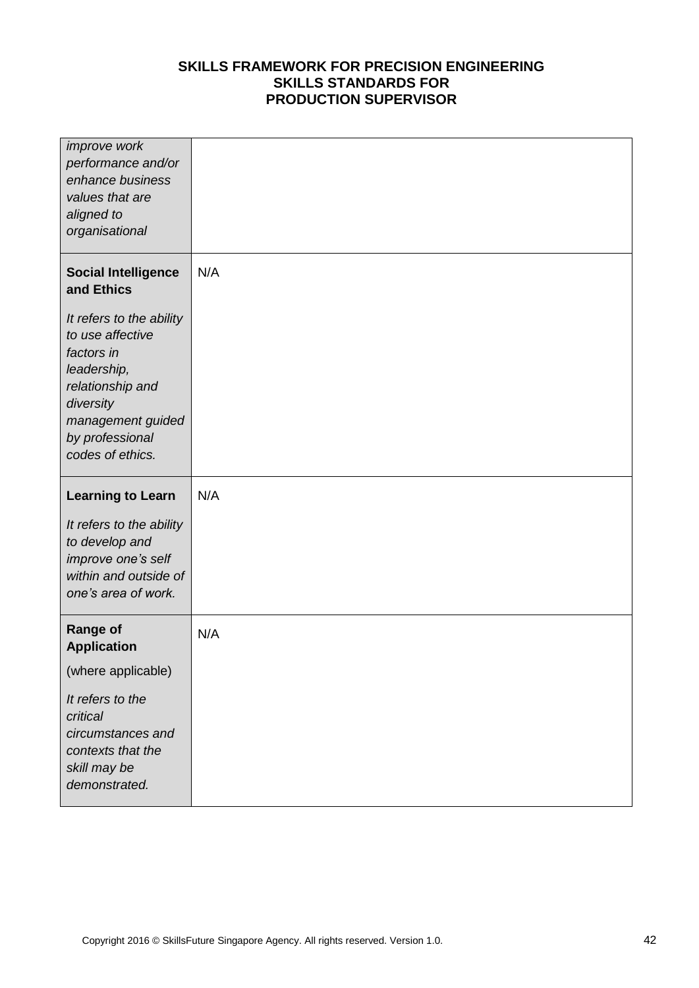| improve work<br>performance and/or<br>enhance business<br>values that are<br>aligned to<br>organisational                                                              |     |
|------------------------------------------------------------------------------------------------------------------------------------------------------------------------|-----|
| <b>Social Intelligence</b><br>and Ethics                                                                                                                               | N/A |
| It refers to the ability<br>to use affective<br>factors in<br>leadership,<br>relationship and<br>diversity<br>management guided<br>by professional<br>codes of ethics. |     |
| <b>Learning to Learn</b>                                                                                                                                               | N/A |
|                                                                                                                                                                        |     |
| It refers to the ability<br>to develop and<br>improve one's self<br>within and outside of<br>one's area of work.                                                       |     |
| <b>Range of</b><br><b>Application</b>                                                                                                                                  | N/A |
| (where applicable)                                                                                                                                                     |     |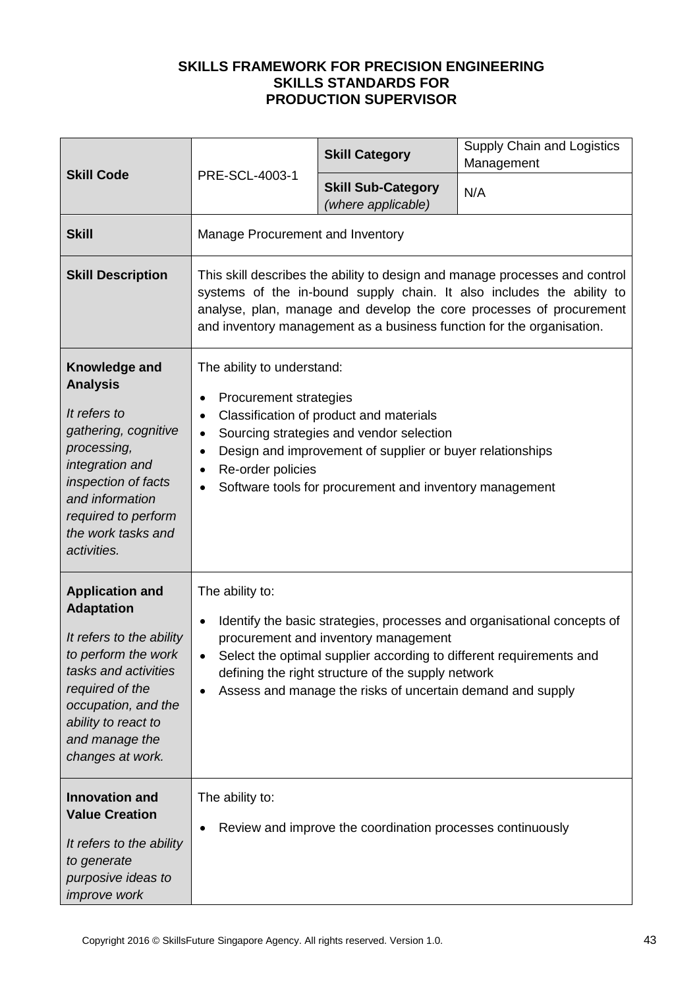| <b>Skill Code</b>                                                                                                                                                                                                             |                                                                                                                                                                                                                                                                                                                                                                | <b>Skill Category</b>                                      | Supply Chain and Logistics<br>Management |
|-------------------------------------------------------------------------------------------------------------------------------------------------------------------------------------------------------------------------------|----------------------------------------------------------------------------------------------------------------------------------------------------------------------------------------------------------------------------------------------------------------------------------------------------------------------------------------------------------------|------------------------------------------------------------|------------------------------------------|
|                                                                                                                                                                                                                               | PRE-SCL-4003-1                                                                                                                                                                                                                                                                                                                                                 | <b>Skill Sub-Category</b><br>(where applicable)            | N/A                                      |
| <b>Skill</b>                                                                                                                                                                                                                  | Manage Procurement and Inventory                                                                                                                                                                                                                                                                                                                               |                                                            |                                          |
| <b>Skill Description</b>                                                                                                                                                                                                      | This skill describes the ability to design and manage processes and control<br>systems of the in-bound supply chain. It also includes the ability to<br>analyse, plan, manage and develop the core processes of procurement<br>and inventory management as a business function for the organisation.                                                           |                                                            |                                          |
| Knowledge and<br><b>Analysis</b><br>It refers to<br>gathering, cognitive<br>processing,<br>integration and<br>inspection of facts<br>and information<br>required to perform<br>the work tasks and<br>activities.              | The ability to understand:<br>Procurement strategies<br>٠<br>Classification of product and materials<br>$\bullet$<br>Sourcing strategies and vendor selection<br>$\bullet$<br>Design and improvement of supplier or buyer relationships<br>$\bullet$<br>Re-order policies<br>$\bullet$<br>Software tools for procurement and inventory management<br>$\bullet$ |                                                            |                                          |
| <b>Application and</b><br><b>Adaptation</b><br>It refers to the ability<br>to perform the work<br>tasks and activities<br>required of the<br>occupation, and the<br>ability to react to<br>and manage the<br>changes at work. | The ability to:<br>Identify the basic strategies, processes and organisational concepts of<br>$\bullet$<br>procurement and inventory management<br>Select the optimal supplier according to different requirements and<br>$\bullet$<br>defining the right structure of the supply network<br>Assess and manage the risks of uncertain demand and supply        |                                                            |                                          |
| <b>Innovation and</b><br><b>Value Creation</b><br>It refers to the ability<br>to generate<br>purposive ideas to<br><i>improve</i> work                                                                                        | The ability to:<br>$\bullet$                                                                                                                                                                                                                                                                                                                                   | Review and improve the coordination processes continuously |                                          |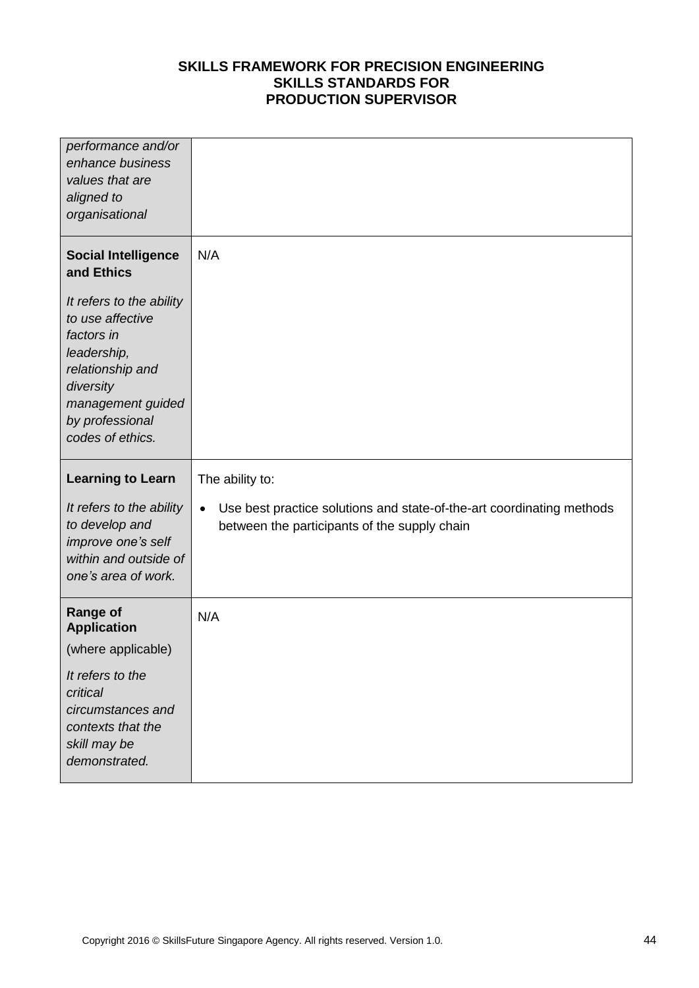| performance and/or<br>enhance business<br>values that are<br>aligned to<br>organisational                                                                              |                                                                                                                                    |
|------------------------------------------------------------------------------------------------------------------------------------------------------------------------|------------------------------------------------------------------------------------------------------------------------------------|
| <b>Social Intelligence</b><br>and Ethics                                                                                                                               | N/A                                                                                                                                |
| It refers to the ability<br>to use affective<br>factors in<br>leadership,<br>relationship and<br>diversity<br>management guided<br>by professional<br>codes of ethics. |                                                                                                                                    |
|                                                                                                                                                                        |                                                                                                                                    |
| <b>Learning to Learn</b>                                                                                                                                               | The ability to:                                                                                                                    |
| It refers to the ability<br>to develop and<br>improve one's self<br>within and outside of<br>one's area of work.                                                       | Use best practice solutions and state-of-the-art coordinating methods<br>$\bullet$<br>between the participants of the supply chain |
| <b>Range of</b><br><b>Application</b>                                                                                                                                  | N/A                                                                                                                                |
| (where applicable)                                                                                                                                                     |                                                                                                                                    |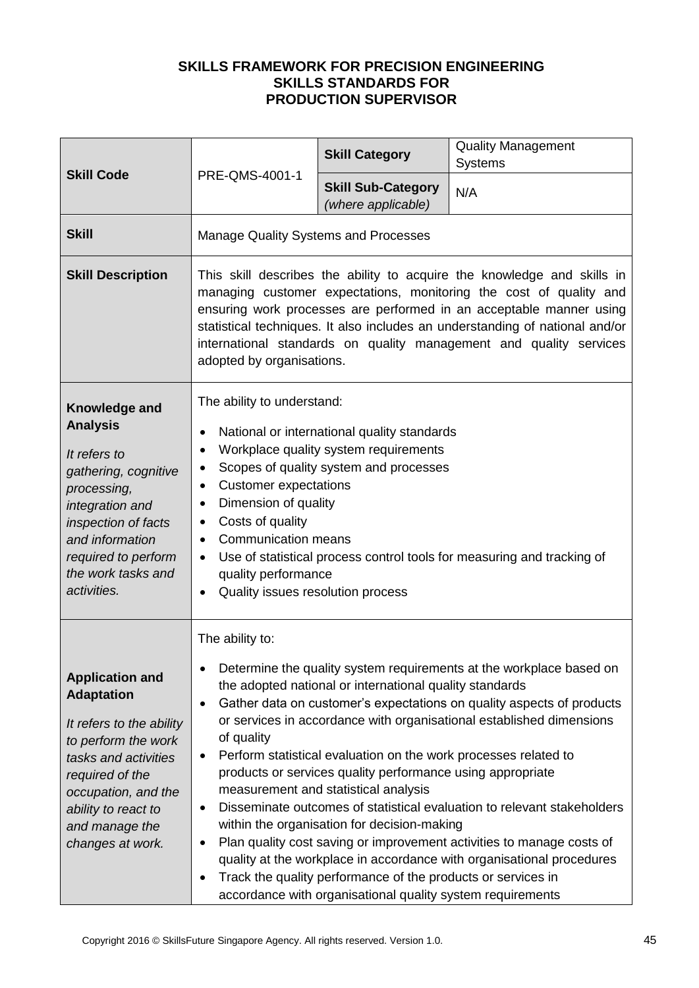|                                                                                                                                                                                                                               |                                                                                                                                                                                                                                                                                                                                                                                                                                                                                                                                                                                                                                                                                                                                                                                                                                                                                                                                                           | <b>Skill Category</b>                           | <b>Quality Management</b><br><b>Systems</b> |  |
|-------------------------------------------------------------------------------------------------------------------------------------------------------------------------------------------------------------------------------|-----------------------------------------------------------------------------------------------------------------------------------------------------------------------------------------------------------------------------------------------------------------------------------------------------------------------------------------------------------------------------------------------------------------------------------------------------------------------------------------------------------------------------------------------------------------------------------------------------------------------------------------------------------------------------------------------------------------------------------------------------------------------------------------------------------------------------------------------------------------------------------------------------------------------------------------------------------|-------------------------------------------------|---------------------------------------------|--|
| <b>Skill Code</b>                                                                                                                                                                                                             | PRE-QMS-4001-1                                                                                                                                                                                                                                                                                                                                                                                                                                                                                                                                                                                                                                                                                                                                                                                                                                                                                                                                            | <b>Skill Sub-Category</b><br>(where applicable) | N/A                                         |  |
| <b>Skill</b>                                                                                                                                                                                                                  | <b>Manage Quality Systems and Processes</b>                                                                                                                                                                                                                                                                                                                                                                                                                                                                                                                                                                                                                                                                                                                                                                                                                                                                                                               |                                                 |                                             |  |
| <b>Skill Description</b>                                                                                                                                                                                                      | This skill describes the ability to acquire the knowledge and skills in<br>managing customer expectations, monitoring the cost of quality and<br>ensuring work processes are performed in an acceptable manner using<br>statistical techniques. It also includes an understanding of national and/or<br>international standards on quality management and quality services<br>adopted by organisations.                                                                                                                                                                                                                                                                                                                                                                                                                                                                                                                                                   |                                                 |                                             |  |
| Knowledge and<br><b>Analysis</b><br>It refers to<br>gathering, cognitive<br>processing,<br>integration and<br>inspection of facts<br>and information<br>required to perform<br>the work tasks and<br>activities.              | The ability to understand:<br>National or international quality standards<br>$\bullet$<br>Workplace quality system requirements<br>٠<br>Scopes of quality system and processes<br>$\bullet$<br><b>Customer expectations</b><br>$\bullet$<br>Dimension of quality<br>$\bullet$<br>Costs of quality<br>٠<br><b>Communication means</b><br>$\bullet$<br>Use of statistical process control tools for measuring and tracking of<br>$\bullet$<br>quality performance<br>Quality issues resolution process<br>$\bullet$                                                                                                                                                                                                                                                                                                                                                                                                                                         |                                                 |                                             |  |
| <b>Application and</b><br><b>Adaptation</b><br>It refers to the ability<br>to perform the work<br>tasks and activities<br>required of the<br>occupation, and the<br>ability to react to<br>and manage the<br>changes at work. | The ability to:<br>Determine the quality system requirements at the workplace based on<br>$\bullet$<br>the adopted national or international quality standards<br>Gather data on customer's expectations on quality aspects of products<br>٠<br>or services in accordance with organisational established dimensions<br>of quality<br>Perform statistical evaluation on the work processes related to<br>٠<br>products or services quality performance using appropriate<br>measurement and statistical analysis<br>Disseminate outcomes of statistical evaluation to relevant stakeholders<br>$\bullet$<br>within the organisation for decision-making<br>Plan quality cost saving or improvement activities to manage costs of<br>$\bullet$<br>quality at the workplace in accordance with organisational procedures<br>Track the quality performance of the products or services in<br>٠<br>accordance with organisational quality system requirements |                                                 |                                             |  |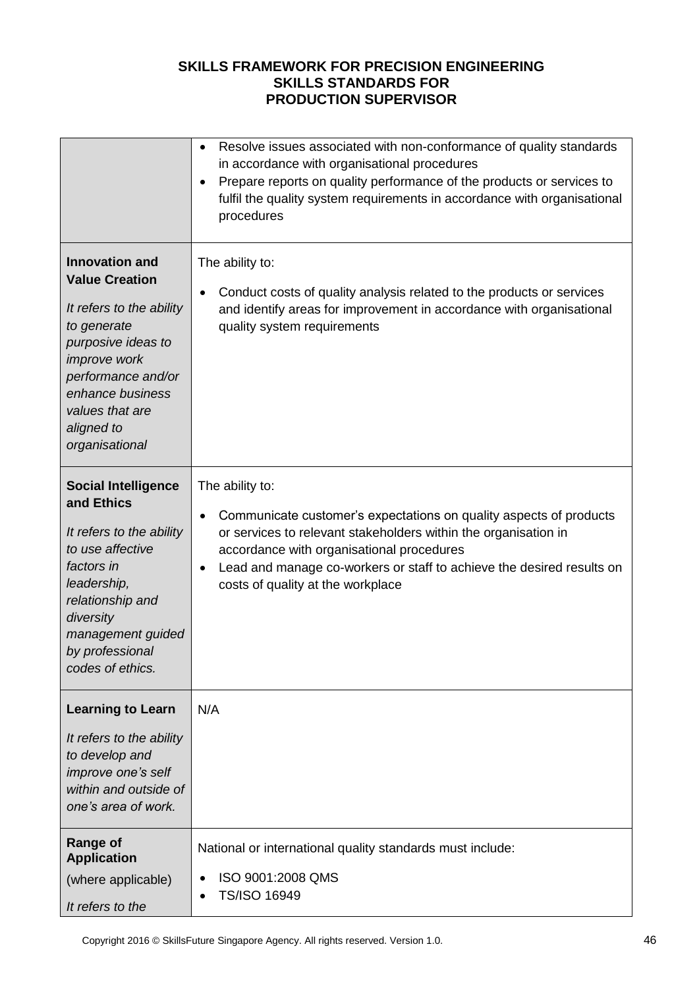|                                                                                                                                                                                                                                     | Resolve issues associated with non-conformance of quality standards<br>$\bullet$<br>in accordance with organisational procedures<br>Prepare reports on quality performance of the products or services to<br>$\bullet$<br>fulfil the quality system requirements in accordance with organisational<br>procedures                      |
|-------------------------------------------------------------------------------------------------------------------------------------------------------------------------------------------------------------------------------------|---------------------------------------------------------------------------------------------------------------------------------------------------------------------------------------------------------------------------------------------------------------------------------------------------------------------------------------|
| <b>Innovation and</b><br><b>Value Creation</b><br>It refers to the ability<br>to generate<br>purposive ideas to<br><i>improve</i> work<br>performance and/or<br>enhance business<br>values that are<br>aligned to<br>organisational | The ability to:<br>Conduct costs of quality analysis related to the products or services<br>٠<br>and identify areas for improvement in accordance with organisational<br>quality system requirements                                                                                                                                  |
| <b>Social Intelligence</b><br>and Ethics<br>It refers to the ability<br>to use affective<br>factors in<br>leadership,<br>relationship and<br>diversity<br>management guided<br>by professional<br>codes of ethics.                  | The ability to:<br>Communicate customer's expectations on quality aspects of products<br>٠<br>or services to relevant stakeholders within the organisation in<br>accordance with organisational procedures<br>Lead and manage co-workers or staff to achieve the desired results on<br>$\bullet$<br>costs of quality at the workplace |
| <b>Learning to Learn</b><br>It refers to the ability<br>to develop and<br>improve one's self<br>within and outside of<br>one's area of work.                                                                                        | N/A                                                                                                                                                                                                                                                                                                                                   |
| <b>Range of</b><br><b>Application</b><br>(where applicable)<br>It refers to the                                                                                                                                                     | National or international quality standards must include:<br>ISO 9001:2008 QMS<br>$\bullet$<br>TS/ISO 16949                                                                                                                                                                                                                           |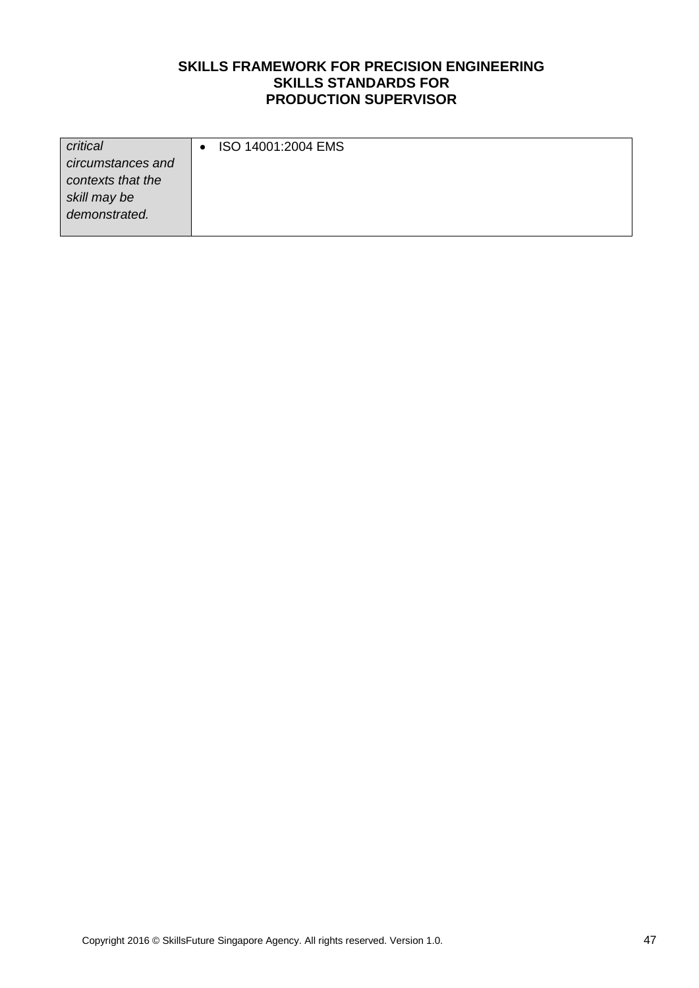| critical          | ISO 14001:2004 EMS |
|-------------------|--------------------|
| circumstances and |                    |
| contexts that the |                    |
| skill may be      |                    |
| demonstrated.     |                    |
|                   |                    |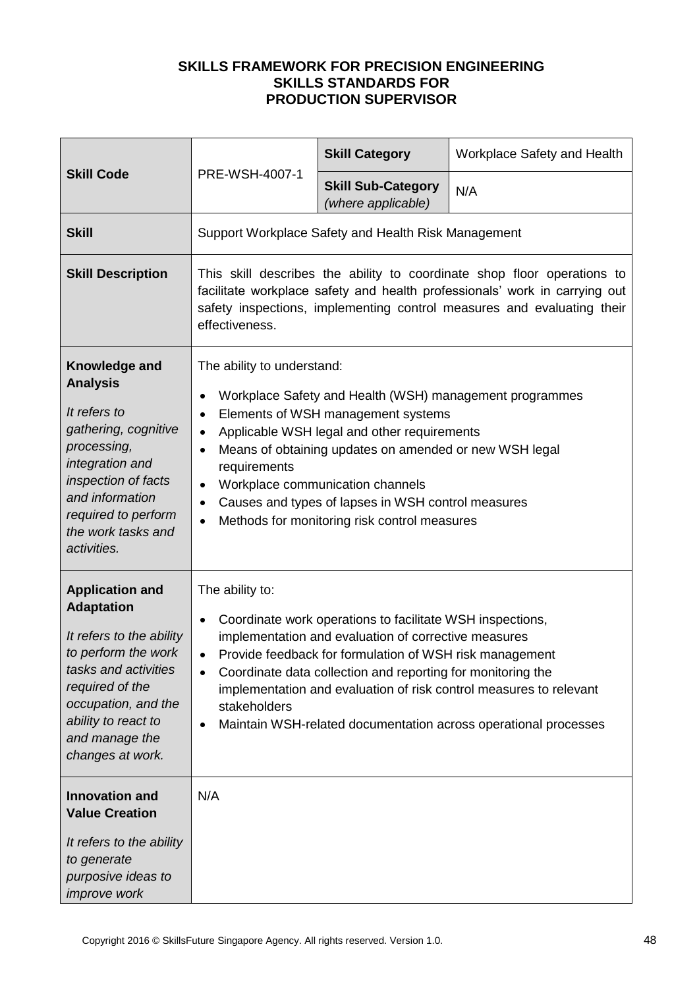| <b>Skill Code</b>                                                                                                                                                                                                             | PRE-WSH-4007-1                                                                                                                                                                                                                                                                                                                                                                                                                                                                    | <b>Skill Category</b>                           | Workplace Safety and Health |
|-------------------------------------------------------------------------------------------------------------------------------------------------------------------------------------------------------------------------------|-----------------------------------------------------------------------------------------------------------------------------------------------------------------------------------------------------------------------------------------------------------------------------------------------------------------------------------------------------------------------------------------------------------------------------------------------------------------------------------|-------------------------------------------------|-----------------------------|
|                                                                                                                                                                                                                               |                                                                                                                                                                                                                                                                                                                                                                                                                                                                                   | <b>Skill Sub-Category</b><br>(where applicable) | N/A                         |
| <b>Skill</b>                                                                                                                                                                                                                  | Support Workplace Safety and Health Risk Management                                                                                                                                                                                                                                                                                                                                                                                                                               |                                                 |                             |
| <b>Skill Description</b>                                                                                                                                                                                                      | This skill describes the ability to coordinate shop floor operations to<br>facilitate workplace safety and health professionals' work in carrying out<br>safety inspections, implementing control measures and evaluating their<br>effectiveness.                                                                                                                                                                                                                                 |                                                 |                             |
| Knowledge and<br><b>Analysis</b><br>It refers to<br>gathering, cognitive<br>processing,<br>integration and<br>inspection of facts<br>and information<br>required to perform<br>the work tasks and<br>activities.              | The ability to understand:<br>Workplace Safety and Health (WSH) management programmes<br>$\bullet$<br>Elements of WSH management systems<br>$\bullet$<br>Applicable WSH legal and other requirements<br>$\bullet$<br>Means of obtaining updates on amended or new WSH legal<br>$\bullet$<br>requirements<br>Workplace communication channels<br>$\bullet$<br>Causes and types of lapses in WSH control measures<br>$\bullet$<br>Methods for monitoring risk control measures<br>٠ |                                                 |                             |
| <b>Application and</b><br><b>Adaptation</b><br>It refers to the ability<br>to perform the work<br>tasks and activities<br>required of the<br>occupation, and the<br>ability to react to<br>and manage the<br>changes at work. | The ability to:<br>Coordinate work operations to facilitate WSH inspections,<br>$\bullet$<br>implementation and evaluation of corrective measures<br>Provide feedback for formulation of WSH risk management<br>$\bullet$<br>Coordinate data collection and reporting for monitoring the<br>$\bullet$<br>implementation and evaluation of risk control measures to relevant<br>stakeholders<br>Maintain WSH-related documentation across operational processes<br>$\bullet$       |                                                 |                             |
| <b>Innovation and</b><br><b>Value Creation</b><br>It refers to the ability<br>to generate<br>purposive ideas to<br>improve work                                                                                               | N/A                                                                                                                                                                                                                                                                                                                                                                                                                                                                               |                                                 |                             |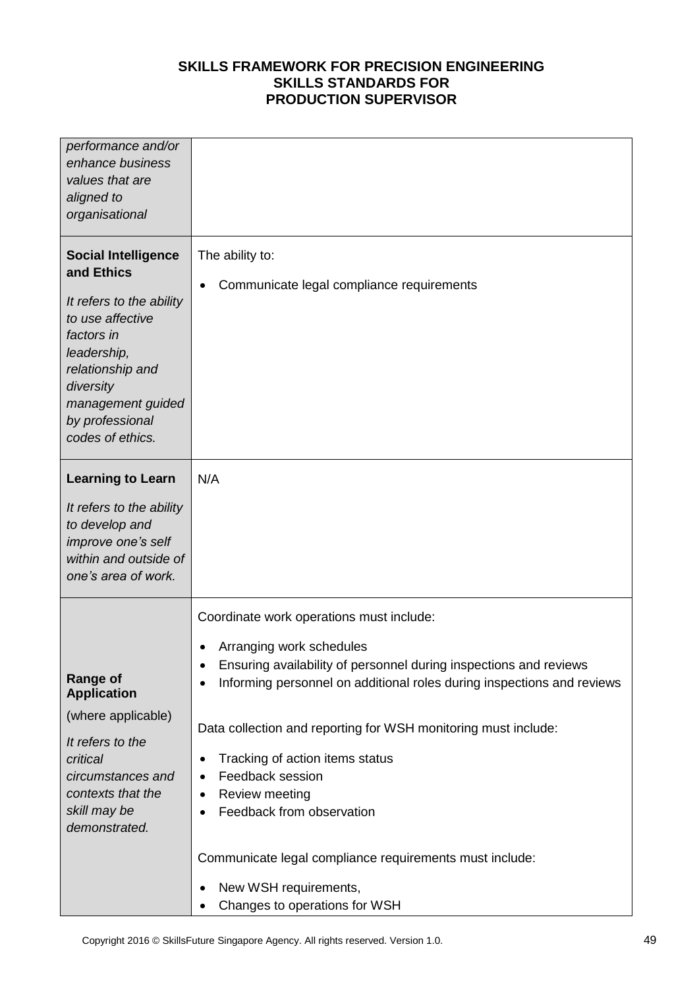| performance and/or<br>enhance business<br>values that are<br>aligned to<br>organisational                                                                                                                          |                                                                                                                                                                                                                                                                                                                                                                                                                                                                                                                                                                                                                       |
|--------------------------------------------------------------------------------------------------------------------------------------------------------------------------------------------------------------------|-----------------------------------------------------------------------------------------------------------------------------------------------------------------------------------------------------------------------------------------------------------------------------------------------------------------------------------------------------------------------------------------------------------------------------------------------------------------------------------------------------------------------------------------------------------------------------------------------------------------------|
| <b>Social Intelligence</b><br>and Ethics<br>It refers to the ability<br>to use affective<br>factors in<br>leadership,<br>relationship and<br>diversity<br>management guided<br>by professional<br>codes of ethics. | The ability to:<br>Communicate legal compliance requirements<br>$\bullet$                                                                                                                                                                                                                                                                                                                                                                                                                                                                                                                                             |
| <b>Learning to Learn</b><br>It refers to the ability<br>to develop and<br>improve one's self<br>within and outside of<br>one's area of work.                                                                       | N/A                                                                                                                                                                                                                                                                                                                                                                                                                                                                                                                                                                                                                   |
| <b>Range of</b><br><b>Application</b><br>(where applicable)<br>It refers to the<br>critical<br>circumstances and<br>contexts that the<br>skill may be<br>demonstrated.                                             | Coordinate work operations must include:<br>Arranging work schedules<br>$\bullet$<br>Ensuring availability of personnel during inspections and reviews<br>٠<br>Informing personnel on additional roles during inspections and reviews<br>$\bullet$<br>Data collection and reporting for WSH monitoring must include:<br>Tracking of action items status<br>$\bullet$<br>Feedback session<br>$\bullet$<br>Review meeting<br>٠<br>Feedback from observation<br>$\bullet$<br>Communicate legal compliance requirements must include:<br>New WSH requirements,<br>$\bullet$<br>Changes to operations for WSH<br>$\bullet$ |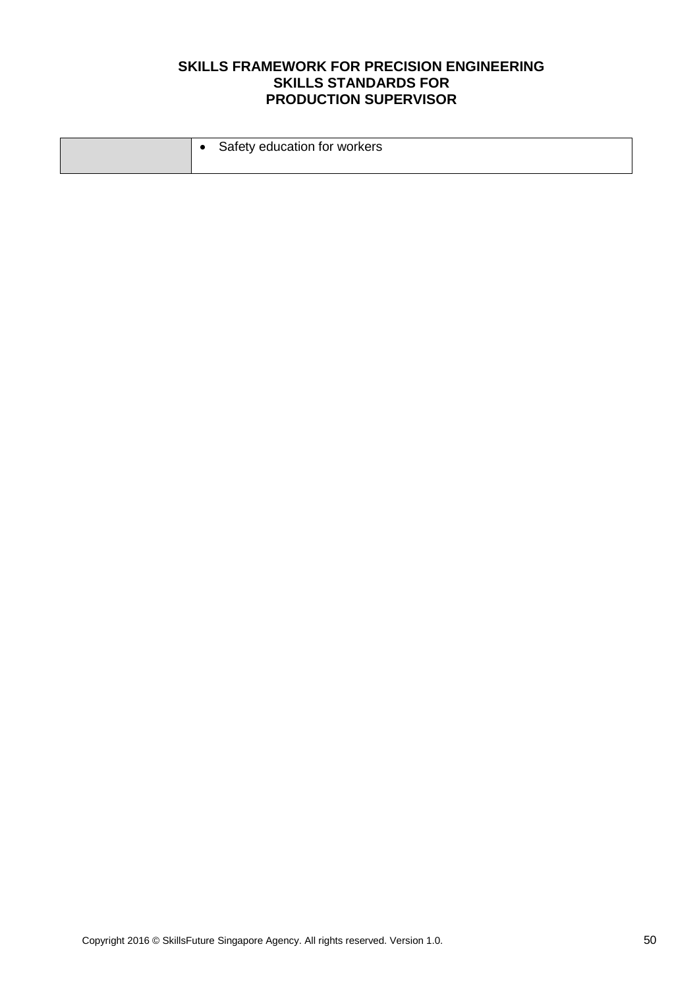|  | Safety education for workers |
|--|------------------------------|
|  |                              |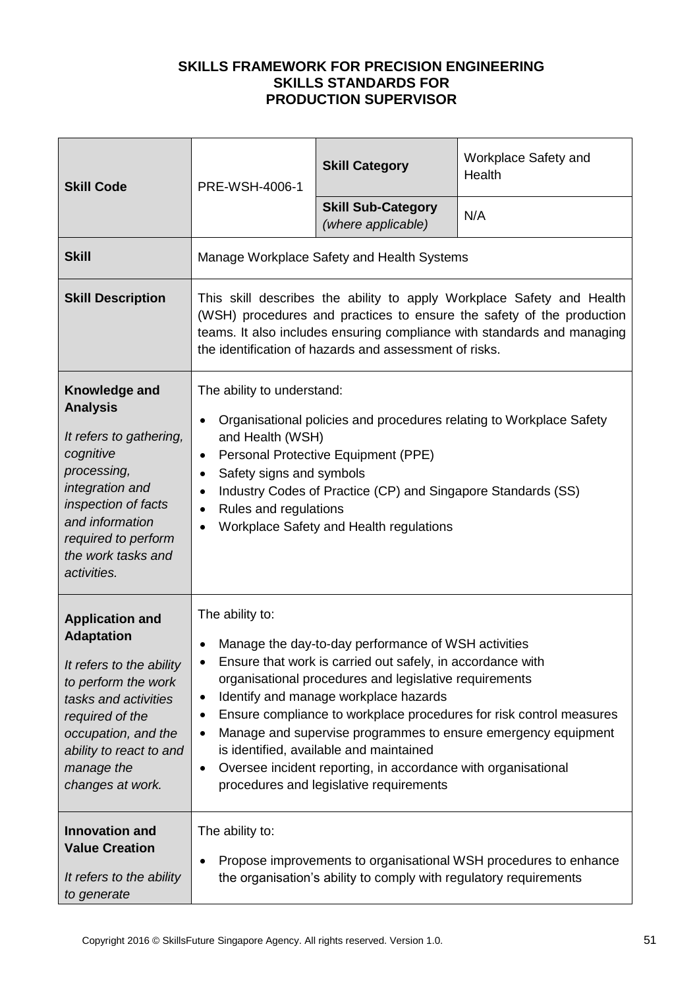| <b>Skill Code</b>                                                                                                                                                                                                             | PRE-WSH-4006-1                                                                                                                                                                                                                                                                                                                                                                                                                                                                                                                                                                | <b>Skill Category</b>                           | Workplace Safety and<br>Health |
|-------------------------------------------------------------------------------------------------------------------------------------------------------------------------------------------------------------------------------|-------------------------------------------------------------------------------------------------------------------------------------------------------------------------------------------------------------------------------------------------------------------------------------------------------------------------------------------------------------------------------------------------------------------------------------------------------------------------------------------------------------------------------------------------------------------------------|-------------------------------------------------|--------------------------------|
|                                                                                                                                                                                                                               |                                                                                                                                                                                                                                                                                                                                                                                                                                                                                                                                                                               | <b>Skill Sub-Category</b><br>(where applicable) | N/A                            |
| <b>Skill</b>                                                                                                                                                                                                                  |                                                                                                                                                                                                                                                                                                                                                                                                                                                                                                                                                                               | Manage Workplace Safety and Health Systems      |                                |
| <b>Skill Description</b>                                                                                                                                                                                                      | This skill describes the ability to apply Workplace Safety and Health<br>(WSH) procedures and practices to ensure the safety of the production<br>teams. It also includes ensuring compliance with standards and managing<br>the identification of hazards and assessment of risks.                                                                                                                                                                                                                                                                                           |                                                 |                                |
| Knowledge and<br><b>Analysis</b><br>It refers to gathering,<br>cognitive<br>processing,<br>integration and<br>inspection of facts<br>and information<br>required to perform<br>the work tasks and<br>activities.              | The ability to understand:<br>Organisational policies and procedures relating to Workplace Safety<br>$\bullet$<br>and Health (WSH)<br>Personal Protective Equipment (PPE)<br>$\bullet$<br>Safety signs and symbols<br>٠<br>Industry Codes of Practice (CP) and Singapore Standards (SS)<br>$\bullet$<br>Rules and regulations<br>$\bullet$<br>Workplace Safety and Health regulations                                                                                                                                                                                         |                                                 |                                |
| <b>Application and</b><br><b>Adaptation</b><br>It refers to the ability<br>to perform the work<br>tasks and activities<br>required of the<br>occupation, and the<br>ability to react to and<br>manage the<br>changes at work. | The ability to:<br>Manage the day-to-day performance of WSH activities<br>Ensure that work is carried out safely, in accordance with<br>organisational procedures and legislative requirements<br>Identify and manage workplace hazards<br>$\bullet$<br>Ensure compliance to workplace procedures for risk control measures<br>Manage and supervise programmes to ensure emergency equipment<br>$\bullet$<br>is identified, available and maintained<br>Oversee incident reporting, in accordance with organisational<br>$\bullet$<br>procedures and legislative requirements |                                                 |                                |
| <b>Innovation and</b><br><b>Value Creation</b><br>It refers to the ability<br>to generate                                                                                                                                     | The ability to:<br>Propose improvements to organisational WSH procedures to enhance<br>the organisation's ability to comply with regulatory requirements                                                                                                                                                                                                                                                                                                                                                                                                                      |                                                 |                                |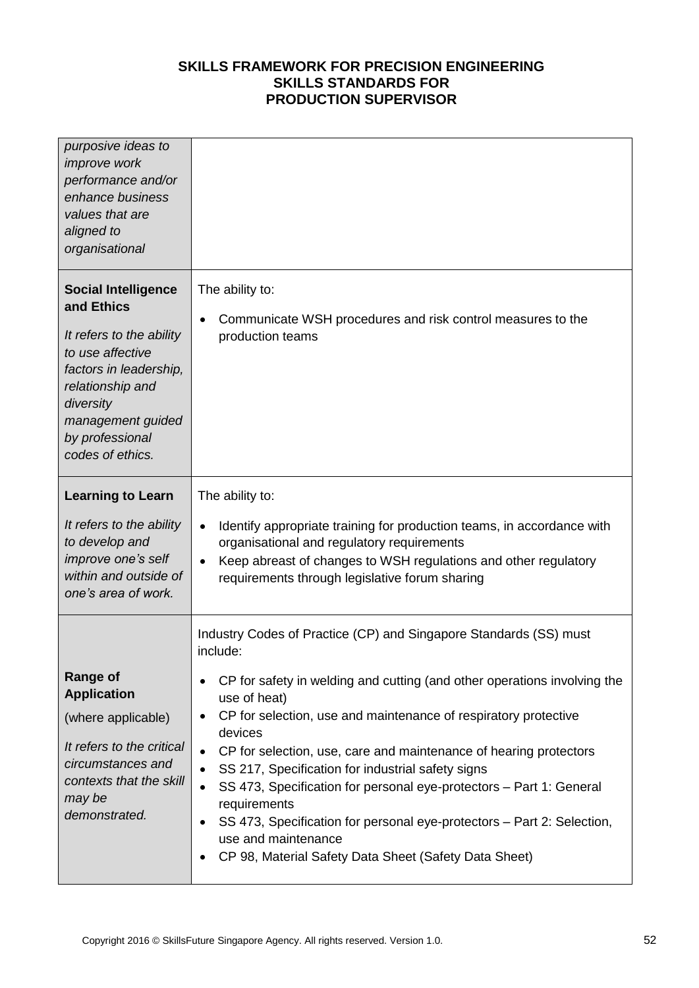| purposive ideas to<br><i>improve</i> work<br>performance and/or<br>enhance business<br>values that are<br>aligned to<br>organisational                                                                          |                                                                                                                                                                                                                                                                                                                                                                                                                                                                                                                                                                                                                                                                                                                  |
|-----------------------------------------------------------------------------------------------------------------------------------------------------------------------------------------------------------------|------------------------------------------------------------------------------------------------------------------------------------------------------------------------------------------------------------------------------------------------------------------------------------------------------------------------------------------------------------------------------------------------------------------------------------------------------------------------------------------------------------------------------------------------------------------------------------------------------------------------------------------------------------------------------------------------------------------|
| <b>Social Intelligence</b><br>and Ethics<br>It refers to the ability<br>to use affective<br>factors in leadership,<br>relationship and<br>diversity<br>management guided<br>by professional<br>codes of ethics. | The ability to:<br>Communicate WSH procedures and risk control measures to the<br>$\bullet$<br>production teams                                                                                                                                                                                                                                                                                                                                                                                                                                                                                                                                                                                                  |
| <b>Learning to Learn</b><br>It refers to the ability<br>to develop and<br>improve one's self<br>within and outside of<br>one's area of work.                                                                    | The ability to:<br>Identify appropriate training for production teams, in accordance with<br>$\bullet$<br>organisational and regulatory requirements<br>Keep abreast of changes to WSH regulations and other regulatory<br>$\bullet$<br>requirements through legislative forum sharing                                                                                                                                                                                                                                                                                                                                                                                                                           |
| <b>Range of</b><br><b>Application</b><br>(where applicable)<br>It refers to the critical<br>circumstances and<br>contexts that the skill<br>may be<br>demonstrated.                                             | Industry Codes of Practice (CP) and Singapore Standards (SS) must<br>include:<br>CP for safety in welding and cutting (and other operations involving the<br>use of heat)<br>CP for selection, use and maintenance of respiratory protective<br>$\bullet$<br>devices<br>CP for selection, use, care and maintenance of hearing protectors<br>$\bullet$<br>SS 217, Specification for industrial safety signs<br>$\bullet$<br>SS 473, Specification for personal eye-protectors - Part 1: General<br>$\bullet$<br>requirements<br>SS 473, Specification for personal eye-protectors - Part 2: Selection,<br>$\bullet$<br>use and maintenance<br>CP 98, Material Safety Data Sheet (Safety Data Sheet)<br>$\bullet$ |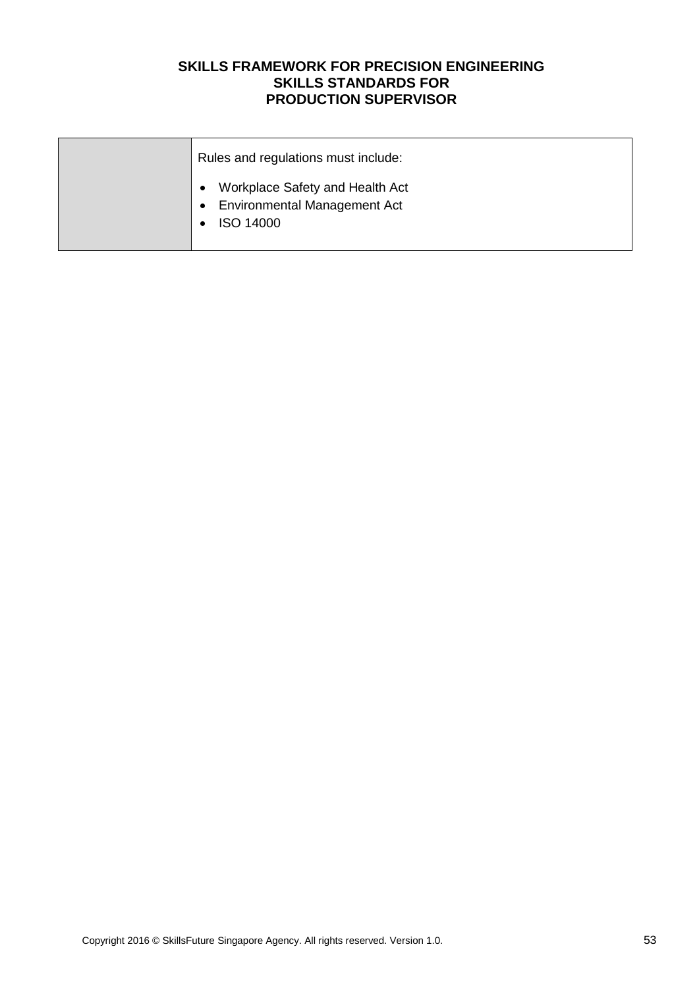| Rules and regulations must include:                                                                     |
|---------------------------------------------------------------------------------------------------------|
| Workplace Safety and Health Act<br><b>Environmental Management Act</b><br>$\bullet$<br><b>ISO 14000</b> |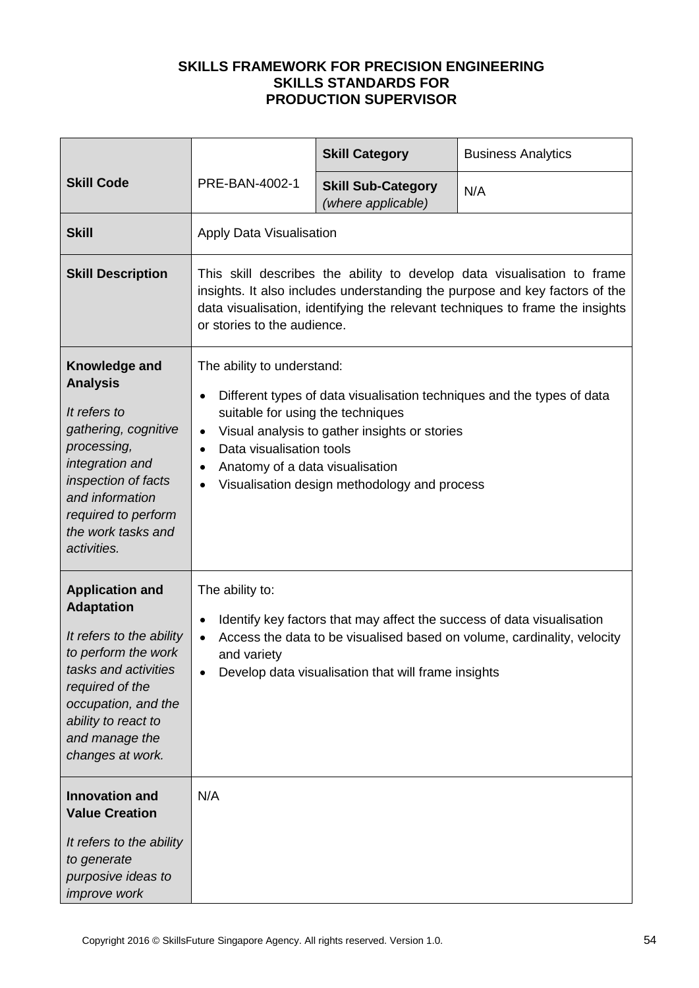|                                                                                                                                                                                                                               |                                                                                                                                                                                                                                                                                                                                                                            | <b>Skill Category</b>                           | <b>Business Analytics</b> |  |
|-------------------------------------------------------------------------------------------------------------------------------------------------------------------------------------------------------------------------------|----------------------------------------------------------------------------------------------------------------------------------------------------------------------------------------------------------------------------------------------------------------------------------------------------------------------------------------------------------------------------|-------------------------------------------------|---------------------------|--|
| <b>Skill Code</b>                                                                                                                                                                                                             | PRE-BAN-4002-1                                                                                                                                                                                                                                                                                                                                                             | <b>Skill Sub-Category</b><br>(where applicable) | N/A                       |  |
| <b>Skill</b>                                                                                                                                                                                                                  | Apply Data Visualisation                                                                                                                                                                                                                                                                                                                                                   |                                                 |                           |  |
| <b>Skill Description</b>                                                                                                                                                                                                      | This skill describes the ability to develop data visualisation to frame<br>insights. It also includes understanding the purpose and key factors of the<br>data visualisation, identifying the relevant techniques to frame the insights<br>or stories to the audience.                                                                                                     |                                                 |                           |  |
| Knowledge and<br><b>Analysis</b><br>It refers to<br>gathering, cognitive<br>processing,<br>integration and<br>inspection of facts<br>and information<br>required to perform<br>the work tasks and<br>activities.              | The ability to understand:<br>Different types of data visualisation techniques and the types of data<br>$\bullet$<br>suitable for using the techniques<br>Visual analysis to gather insights or stories<br>$\bullet$<br>Data visualisation tools<br>$\bullet$<br>Anatomy of a data visualisation<br>$\bullet$<br>Visualisation design methodology and process<br>$\bullet$ |                                                 |                           |  |
| <b>Application and</b><br><b>Adaptation</b><br>It refers to the ability<br>to perform the work<br>tasks and activities<br>required of the<br>occupation, and the<br>ability to react to<br>and manage the<br>changes at work. | The ability to:<br>Identify key factors that may affect the success of data visualisation<br>٠<br>Access the data to be visualised based on volume, cardinality, velocity<br>$\bullet$<br>and variety<br>Develop data visualisation that will frame insights                                                                                                               |                                                 |                           |  |
| <b>Innovation and</b><br><b>Value Creation</b><br>It refers to the ability<br>to generate<br>purposive ideas to<br>improve work                                                                                               | N/A                                                                                                                                                                                                                                                                                                                                                                        |                                                 |                           |  |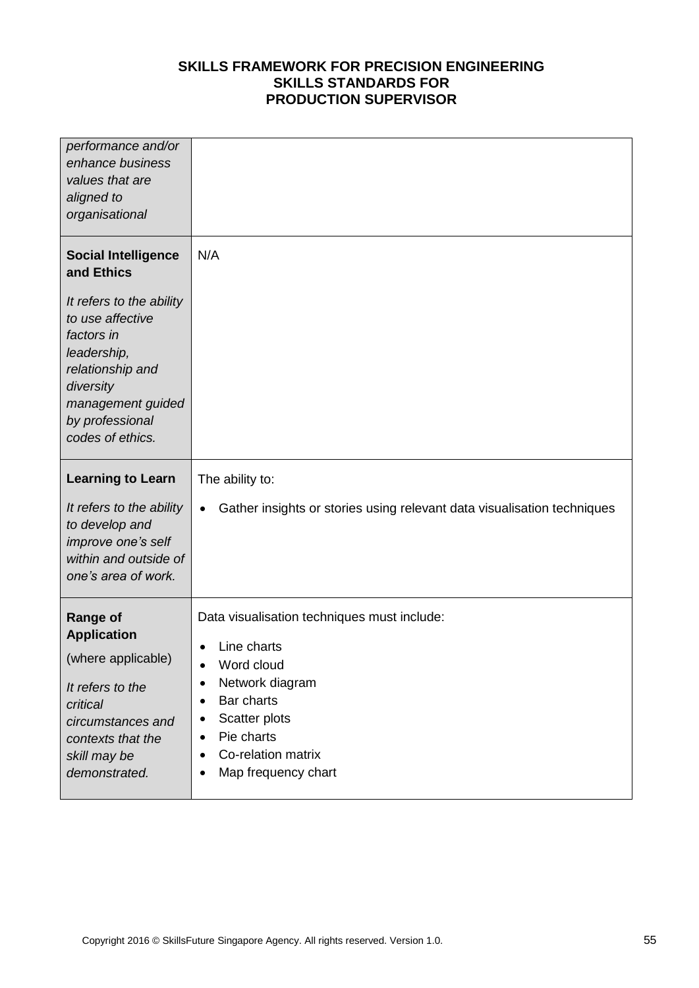| performance and/or<br>enhance business<br>values that are<br>aligned to<br>organisational                                                                                                                          |                                                                                                                                                                                                                                          |
|--------------------------------------------------------------------------------------------------------------------------------------------------------------------------------------------------------------------|------------------------------------------------------------------------------------------------------------------------------------------------------------------------------------------------------------------------------------------|
| <b>Social Intelligence</b><br>and Ethics<br>It refers to the ability<br>to use affective<br>factors in<br>leadership,<br>relationship and<br>diversity<br>management guided<br>by professional<br>codes of ethics. | N/A                                                                                                                                                                                                                                      |
| <b>Learning to Learn</b><br>It refers to the ability<br>to develop and<br>improve one's self<br>within and outside of<br>one's area of work.                                                                       | The ability to:<br>Gather insights or stories using relevant data visualisation techniques<br>$\bullet$                                                                                                                                  |
| <b>Range of</b><br><b>Application</b><br>(where applicable)<br>It refers to the<br>critical<br>circumstances and<br>contexts that the<br>skill may be<br>demonstrated.                                             | Data visualisation techniques must include:<br>Line charts<br>$\bullet$<br>Word cloud<br>Network diagram<br>٠<br>Bar charts<br>$\bullet$<br>Scatter plots<br>٠<br>Pie charts<br>٠<br>Co-relation matrix<br>٠<br>Map frequency chart<br>٠ |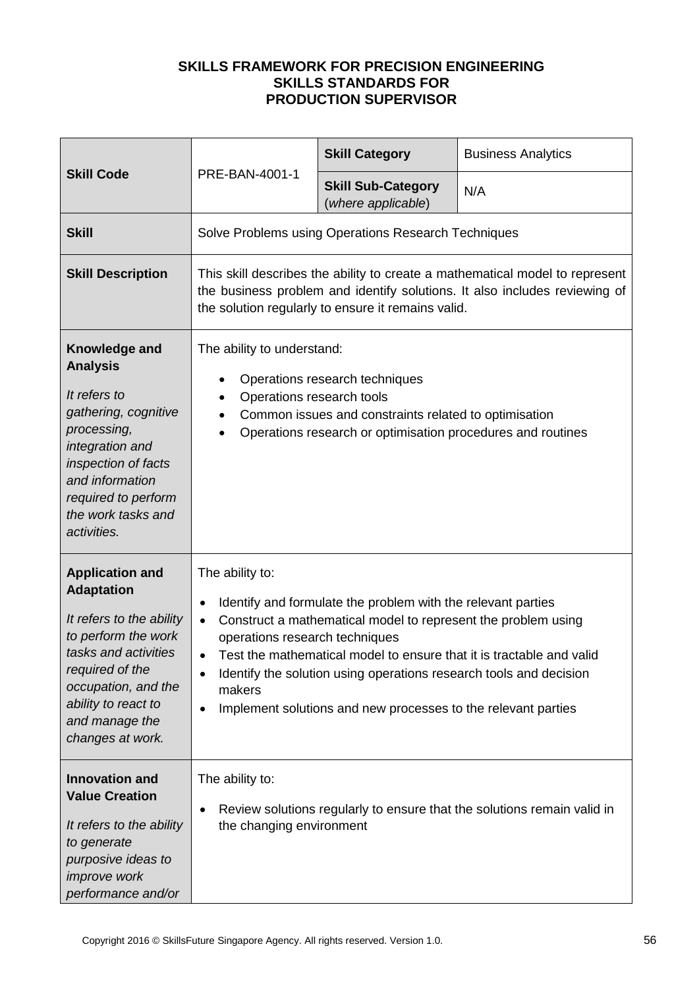| <b>Skill Code</b>                                                                                                                                                                                                             |                                                                                                                                                                                                                                                                                                                                                                                                                                                                              | <b>Skill Category</b>                               | <b>Business Analytics</b> |  |
|-------------------------------------------------------------------------------------------------------------------------------------------------------------------------------------------------------------------------------|------------------------------------------------------------------------------------------------------------------------------------------------------------------------------------------------------------------------------------------------------------------------------------------------------------------------------------------------------------------------------------------------------------------------------------------------------------------------------|-----------------------------------------------------|---------------------------|--|
|                                                                                                                                                                                                                               | PRE-BAN-4001-1                                                                                                                                                                                                                                                                                                                                                                                                                                                               | <b>Skill Sub-Category</b><br>(where applicable)     | N/A                       |  |
| <b>Skill</b>                                                                                                                                                                                                                  |                                                                                                                                                                                                                                                                                                                                                                                                                                                                              | Solve Problems using Operations Research Techniques |                           |  |
| <b>Skill Description</b>                                                                                                                                                                                                      | This skill describes the ability to create a mathematical model to represent<br>the business problem and identify solutions. It also includes reviewing of<br>the solution regularly to ensure it remains valid.                                                                                                                                                                                                                                                             |                                                     |                           |  |
| Knowledge and<br><b>Analysis</b><br>It refers to<br>gathering, cognitive<br>processing,<br>integration and<br>inspection of facts<br>and information<br>required to perform<br>the work tasks and<br>activities.              | The ability to understand:<br>Operations research techniques<br>$\bullet$<br>Operations research tools<br>$\bullet$<br>Common issues and constraints related to optimisation<br>$\bullet$<br>Operations research or optimisation procedures and routines                                                                                                                                                                                                                     |                                                     |                           |  |
| <b>Application and</b><br><b>Adaptation</b><br>It refers to the ability<br>to perform the work<br>tasks and activities<br>required of the<br>occupation, and the<br>ability to react to<br>and manage the<br>changes at work. | The ability to:<br>Identify and formulate the problem with the relevant parties<br>$\bullet$<br>Construct a mathematical model to represent the problem using<br>$\bullet$<br>operations research techniques<br>Test the mathematical model to ensure that it is tractable and valid<br>$\bullet$<br>Identify the solution using operations research tools and decision<br>$\bullet$<br>makers<br>Implement solutions and new processes to the relevant parties<br>$\bullet$ |                                                     |                           |  |
| <b>Innovation and</b><br><b>Value Creation</b><br>It refers to the ability<br>to generate<br>purposive ideas to<br>improve work<br>performance and/or                                                                         | The ability to:<br>Review solutions regularly to ensure that the solutions remain valid in<br>$\bullet$<br>the changing environment                                                                                                                                                                                                                                                                                                                                          |                                                     |                           |  |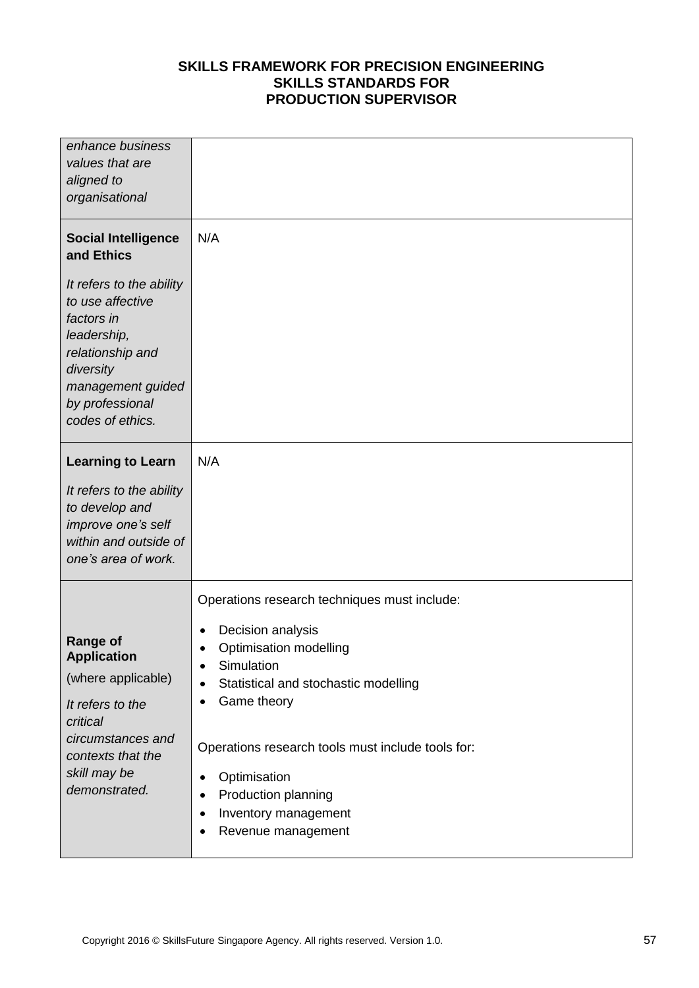| enhance business<br>values that are<br>aligned to<br>organisational                                                                                                                                                |                                                                                                                                                                                                                                                                                                                                                                                         |
|--------------------------------------------------------------------------------------------------------------------------------------------------------------------------------------------------------------------|-----------------------------------------------------------------------------------------------------------------------------------------------------------------------------------------------------------------------------------------------------------------------------------------------------------------------------------------------------------------------------------------|
| <b>Social Intelligence</b><br>and Ethics<br>It refers to the ability<br>to use affective<br>factors in<br>leadership,<br>relationship and<br>diversity<br>management guided<br>by professional<br>codes of ethics. | N/A                                                                                                                                                                                                                                                                                                                                                                                     |
| <b>Learning to Learn</b><br>It refers to the ability<br>to develop and<br>improve one's self<br>within and outside of<br>one's area of work.                                                                       | N/A                                                                                                                                                                                                                                                                                                                                                                                     |
| <b>Range of</b><br><b>Application</b><br>(where applicable)<br>It refers to the<br>critical<br>circumstances and<br>contexts that the<br>skill may be<br>demonstrated.                                             | Operations research techniques must include:<br>Decision analysis<br>٠<br>Optimisation modelling<br>$\bullet$<br>Simulation<br>٠<br>Statistical and stochastic modelling<br>٠<br>Game theory<br>٠<br>Operations research tools must include tools for:<br>Optimisation<br>$\bullet$<br>Production planning<br>$\bullet$<br>Inventory management<br>$\bullet$<br>Revenue management<br>٠ |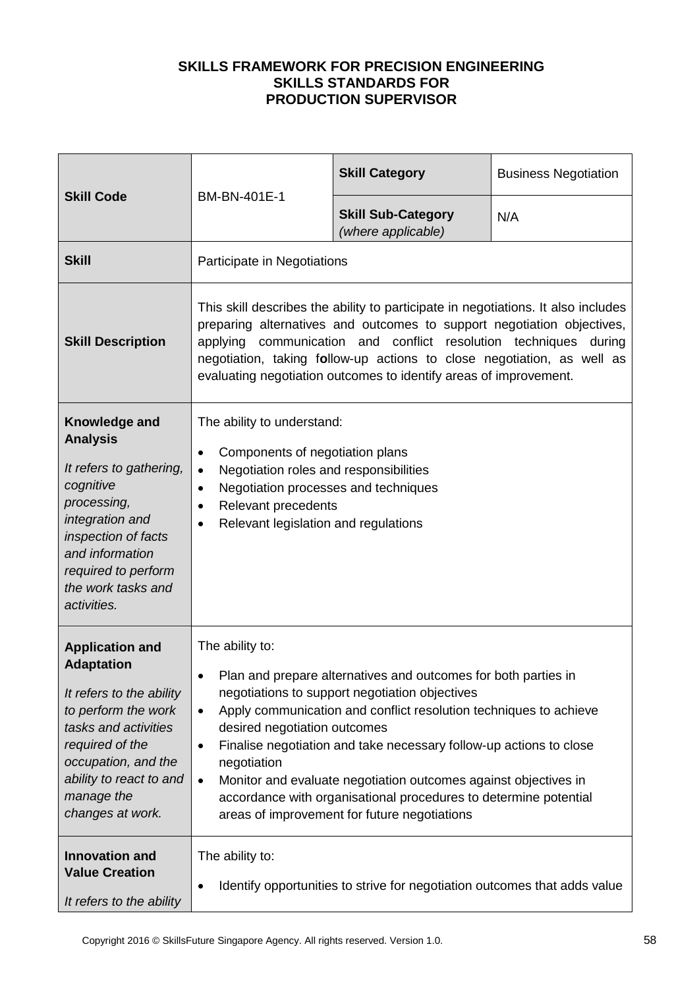| <b>Skill Code</b>                                                                                                                                                                                                             | BM-BN-401E-1                                                                                                                                                                                                                                                                                                                                                                                                                                                                                                                                        | <b>Skill Category</b>                                                     | <b>Business Negotiation</b> |
|-------------------------------------------------------------------------------------------------------------------------------------------------------------------------------------------------------------------------------|-----------------------------------------------------------------------------------------------------------------------------------------------------------------------------------------------------------------------------------------------------------------------------------------------------------------------------------------------------------------------------------------------------------------------------------------------------------------------------------------------------------------------------------------------------|---------------------------------------------------------------------------|-----------------------------|
|                                                                                                                                                                                                                               |                                                                                                                                                                                                                                                                                                                                                                                                                                                                                                                                                     | <b>Skill Sub-Category</b><br>(where applicable)                           | N/A                         |
| <b>Skill</b>                                                                                                                                                                                                                  | Participate in Negotiations                                                                                                                                                                                                                                                                                                                                                                                                                                                                                                                         |                                                                           |                             |
| <b>Skill Description</b>                                                                                                                                                                                                      | This skill describes the ability to participate in negotiations. It also includes<br>preparing alternatives and outcomes to support negotiation objectives,<br>communication and conflict resolution techniques during<br>applying<br>negotiation, taking follow-up actions to close negotiation, as well as<br>evaluating negotiation outcomes to identify areas of improvement.                                                                                                                                                                   |                                                                           |                             |
| Knowledge and<br><b>Analysis</b><br>It refers to gathering,<br>cognitive<br>processing,<br>integration and<br>inspection of facts<br>and information<br>required to perform<br>the work tasks and<br>activities.              | The ability to understand:<br>Components of negotiation plans<br>$\bullet$<br>Negotiation roles and responsibilities<br>$\bullet$<br>Negotiation processes and techniques<br>$\bullet$<br>Relevant precedents<br>$\bullet$<br>Relevant legislation and regulations                                                                                                                                                                                                                                                                                  |                                                                           |                             |
| <b>Application and</b><br><b>Adaptation</b><br>It refers to the ability<br>to perform the work<br>tasks and activities<br>required of the<br>occupation, and the<br>ability to react to and<br>manage the<br>changes at work. | The ability to:<br>Plan and prepare alternatives and outcomes for both parties in<br>negotiations to support negotiation objectives<br>Apply communication and conflict resolution techniques to achieve<br>$\bullet$<br>desired negotiation outcomes<br>Finalise negotiation and take necessary follow-up actions to close<br>٠<br>negotiation<br>Monitor and evaluate negotiation outcomes against objectives in<br>$\bullet$<br>accordance with organisational procedures to determine potential<br>areas of improvement for future negotiations |                                                                           |                             |
| <b>Innovation and</b><br><b>Value Creation</b><br>It refers to the ability                                                                                                                                                    | The ability to:                                                                                                                                                                                                                                                                                                                                                                                                                                                                                                                                     | Identify opportunities to strive for negotiation outcomes that adds value |                             |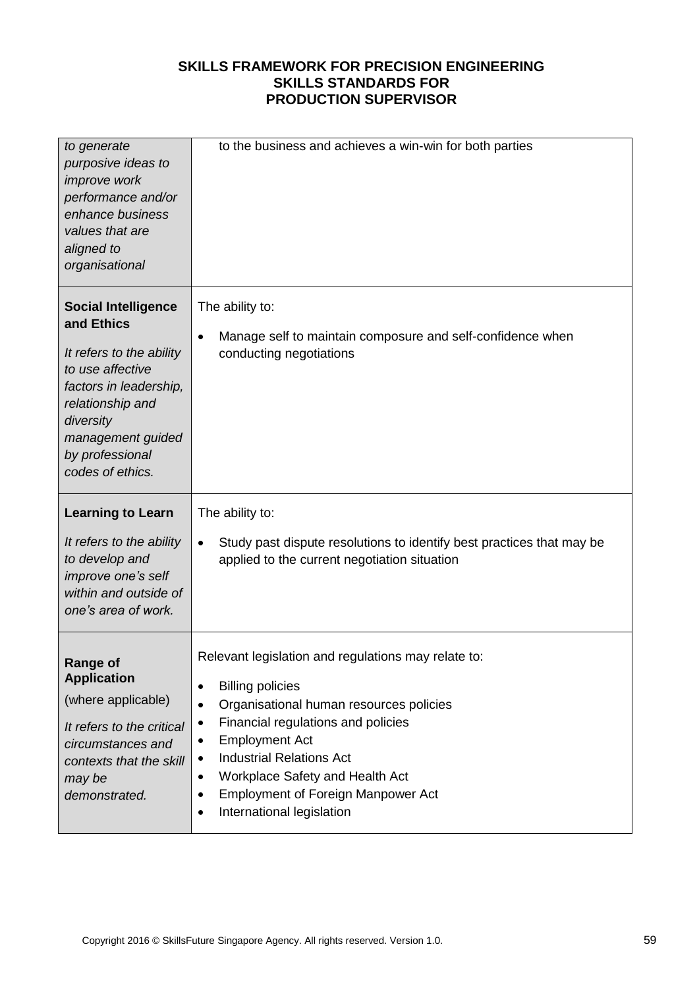| to generate<br>purposive ideas to<br>improve work<br>performance and/or<br>enhance business<br>values that are<br>aligned to<br>organisational                                                                  | to the business and achieves a win-win for both parties                                                                                                                                                                                                                                                                                                                                                                  |
|-----------------------------------------------------------------------------------------------------------------------------------------------------------------------------------------------------------------|--------------------------------------------------------------------------------------------------------------------------------------------------------------------------------------------------------------------------------------------------------------------------------------------------------------------------------------------------------------------------------------------------------------------------|
| <b>Social Intelligence</b><br>and Ethics<br>It refers to the ability<br>to use affective<br>factors in leadership,<br>relationship and<br>diversity<br>management guided<br>by professional<br>codes of ethics. | The ability to:<br>Manage self to maintain composure and self-confidence when<br>$\bullet$<br>conducting negotiations                                                                                                                                                                                                                                                                                                    |
| <b>Learning to Learn</b><br>It refers to the ability<br>to develop and<br>improve one's self<br>within and outside of<br>one's area of work.                                                                    | The ability to:<br>Study past dispute resolutions to identify best practices that may be<br>$\bullet$<br>applied to the current negotiation situation                                                                                                                                                                                                                                                                    |
| Range of<br><b>Application</b><br>(where applicable)<br>It refers to the critical<br>circumstances and<br>contexts that the skill<br>may be<br>demonstrated.                                                    | Relevant legislation and regulations may relate to:<br><b>Billing policies</b><br>$\bullet$<br>Organisational human resources policies<br>$\bullet$<br>Financial regulations and policies<br>$\bullet$<br><b>Employment Act</b><br>٠<br><b>Industrial Relations Act</b><br>$\bullet$<br>Workplace Safety and Health Act<br>$\bullet$<br><b>Employment of Foreign Manpower Act</b><br>٠<br>International legislation<br>٠ |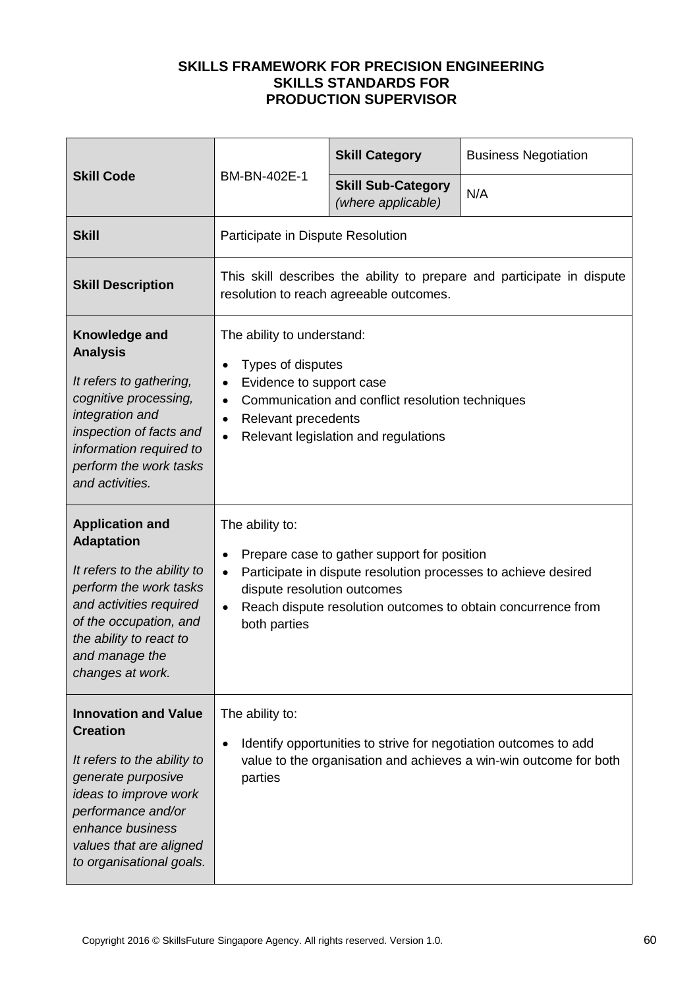|                                                                                                                                                                                                                               | BM-BN-402E-1                                                                                                                                                                                                                                                              | <b>Skill Category</b>                           | <b>Business Negotiation</b> |  |
|-------------------------------------------------------------------------------------------------------------------------------------------------------------------------------------------------------------------------------|---------------------------------------------------------------------------------------------------------------------------------------------------------------------------------------------------------------------------------------------------------------------------|-------------------------------------------------|-----------------------------|--|
| <b>Skill Code</b>                                                                                                                                                                                                             |                                                                                                                                                                                                                                                                           | <b>Skill Sub-Category</b><br>(where applicable) | N/A                         |  |
| <b>Skill</b>                                                                                                                                                                                                                  | Participate in Dispute Resolution                                                                                                                                                                                                                                         |                                                 |                             |  |
| <b>Skill Description</b>                                                                                                                                                                                                      | This skill describes the ability to prepare and participate in dispute<br>resolution to reach agreeable outcomes.                                                                                                                                                         |                                                 |                             |  |
| Knowledge and<br><b>Analysis</b><br>It refers to gathering,<br>cognitive processing,<br>integration and<br>inspection of facts and<br>information required to<br>perform the work tasks<br>and activities.                    | The ability to understand:<br>Types of disputes<br>Evidence to support case<br>$\bullet$<br>Communication and conflict resolution techniques<br>$\bullet$<br>Relevant precedents<br>$\bullet$<br>Relevant legislation and regulations<br>$\bullet$                        |                                                 |                             |  |
| <b>Application and</b><br><b>Adaptation</b><br>It refers to the ability to<br>perform the work tasks<br>and activities required<br>of the occupation, and<br>the ability to react to<br>and manage the<br>changes at work.    | The ability to:<br>Prepare case to gather support for position<br>Participate in dispute resolution processes to achieve desired<br>$\bullet$<br>dispute resolution outcomes<br>Reach dispute resolution outcomes to obtain concurrence from<br>$\bullet$<br>both parties |                                                 |                             |  |
| <b>Innovation and Value</b><br><b>Creation</b><br>It refers to the ability to<br>generate purposive<br>ideas to improve work<br>performance and/or<br>enhance business<br>values that are aligned<br>to organisational goals. | The ability to:<br>Identify opportunities to strive for negotiation outcomes to add<br>$\bullet$<br>value to the organisation and achieves a win-win outcome for both<br>parties                                                                                          |                                                 |                             |  |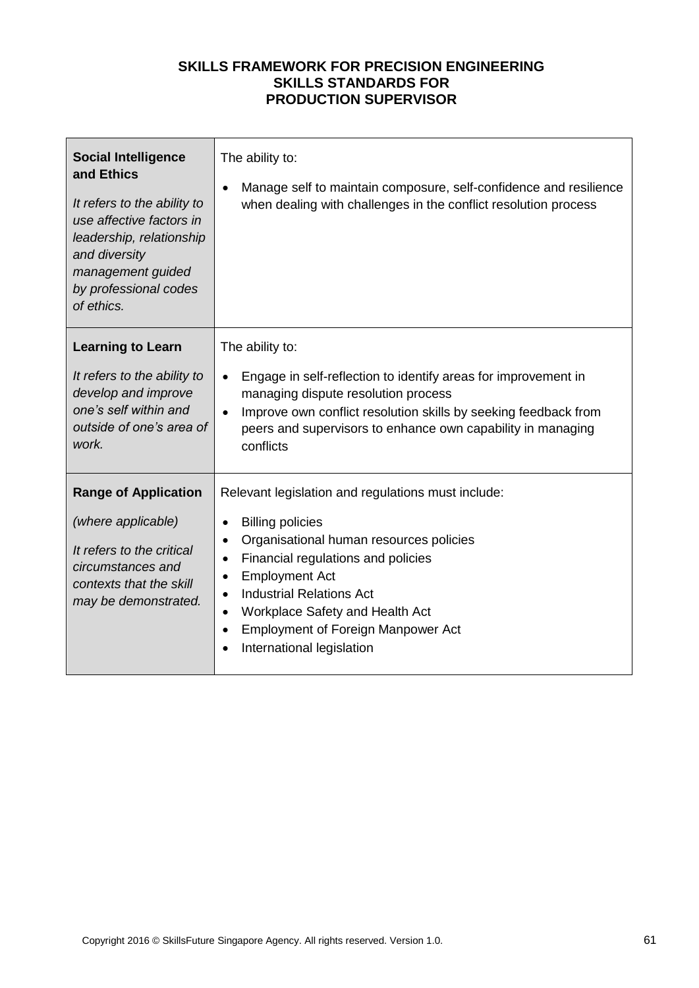| <b>Social Intelligence</b><br>and Ethics<br>It refers to the ability to<br>use affective factors in<br>leadership, relationship<br>and diversity<br>management guided<br>by professional codes<br>of ethics. | The ability to:<br>Manage self to maintain composure, self-confidence and resilience<br>when dealing with challenges in the conflict resolution process                                                                                                                                                                                                                                                                            |
|--------------------------------------------------------------------------------------------------------------------------------------------------------------------------------------------------------------|------------------------------------------------------------------------------------------------------------------------------------------------------------------------------------------------------------------------------------------------------------------------------------------------------------------------------------------------------------------------------------------------------------------------------------|
| <b>Learning to Learn</b><br>It refers to the ability to<br>develop and improve<br>one's self within and<br>outside of one's area of<br>work.                                                                 | The ability to:<br>Engage in self-reflection to identify areas for improvement in<br>managing dispute resolution process<br>Improve own conflict resolution skills by seeking feedback from<br>peers and supervisors to enhance own capability in managing<br>conflicts                                                                                                                                                            |
| <b>Range of Application</b><br>(where applicable)<br>It refers to the critical<br>circumstances and<br>contexts that the skill<br>may be demonstrated.                                                       | Relevant legislation and regulations must include:<br><b>Billing policies</b><br>$\bullet$<br>Organisational human resources policies<br>$\bullet$<br>Financial regulations and policies<br>$\bullet$<br><b>Employment Act</b><br>$\bullet$<br><b>Industrial Relations Act</b><br>$\bullet$<br>Workplace Safety and Health Act<br>$\bullet$<br><b>Employment of Foreign Manpower Act</b><br>$\bullet$<br>International legislation |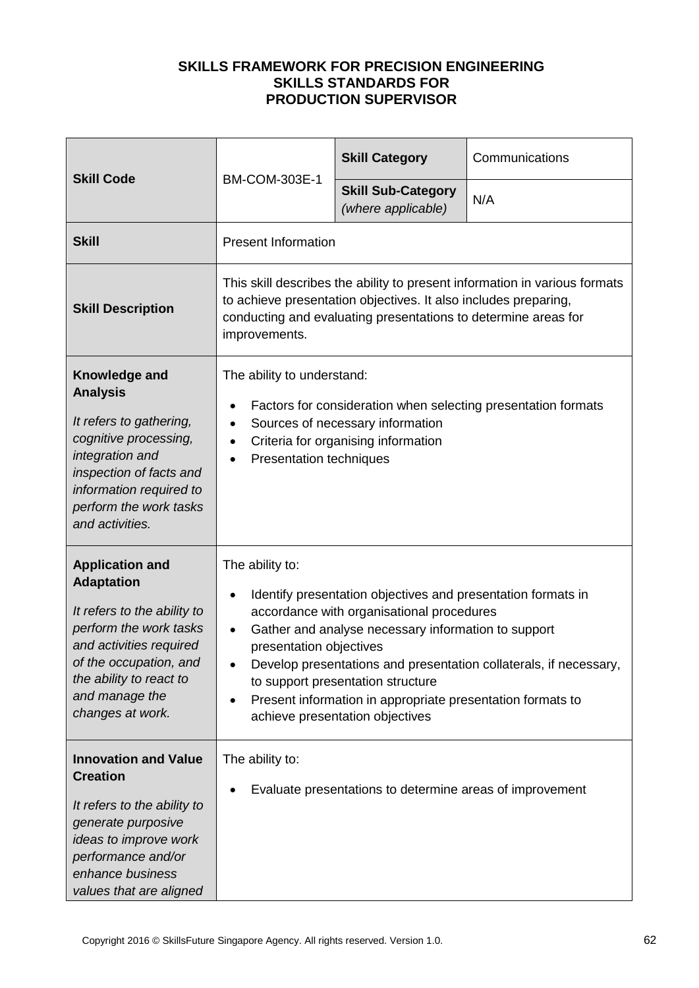| <b>Skill Code</b>                                                                                                                                                                                                          |                                                                                                                                                                                                                                                                                                                                                                                                                                        | <b>Skill Category</b>                           | Communications |
|----------------------------------------------------------------------------------------------------------------------------------------------------------------------------------------------------------------------------|----------------------------------------------------------------------------------------------------------------------------------------------------------------------------------------------------------------------------------------------------------------------------------------------------------------------------------------------------------------------------------------------------------------------------------------|-------------------------------------------------|----------------|
|                                                                                                                                                                                                                            | <b>BM-COM-303E-1</b>                                                                                                                                                                                                                                                                                                                                                                                                                   | <b>Skill Sub-Category</b><br>(where applicable) | N/A            |
| <b>Skill</b>                                                                                                                                                                                                               | <b>Present Information</b>                                                                                                                                                                                                                                                                                                                                                                                                             |                                                 |                |
| <b>Skill Description</b>                                                                                                                                                                                                   | This skill describes the ability to present information in various formats<br>to achieve presentation objectives. It also includes preparing,<br>conducting and evaluating presentations to determine areas for<br>improvements.                                                                                                                                                                                                       |                                                 |                |
| Knowledge and<br><b>Analysis</b><br>It refers to gathering,<br>cognitive processing,<br>integration and<br>inspection of facts and<br>information required to<br>perform the work tasks<br>and activities.                 | The ability to understand:<br>Factors for consideration when selecting presentation formats<br>Sources of necessary information<br>$\bullet$<br>Criteria for organising information<br><b>Presentation techniques</b>                                                                                                                                                                                                                  |                                                 |                |
| <b>Application and</b><br><b>Adaptation</b><br>It refers to the ability to<br>perform the work tasks<br>and activities required<br>of the occupation, and<br>the ability to react to<br>and manage the<br>changes at work. | The ability to:<br>Identify presentation objectives and presentation formats in<br>accordance with organisational procedures<br>Gather and analyse necessary information to support<br>$\bullet$<br>presentation objectives<br>Develop presentations and presentation collaterals, if necessary,<br>to support presentation structure<br>Present information in appropriate presentation formats to<br>achieve presentation objectives |                                                 |                |
| <b>Innovation and Value</b><br><b>Creation</b><br>It refers to the ability to<br>generate purposive<br>ideas to improve work<br>performance and/or<br>enhance business<br>values that are aligned                          | The ability to:<br>Evaluate presentations to determine areas of improvement                                                                                                                                                                                                                                                                                                                                                            |                                                 |                |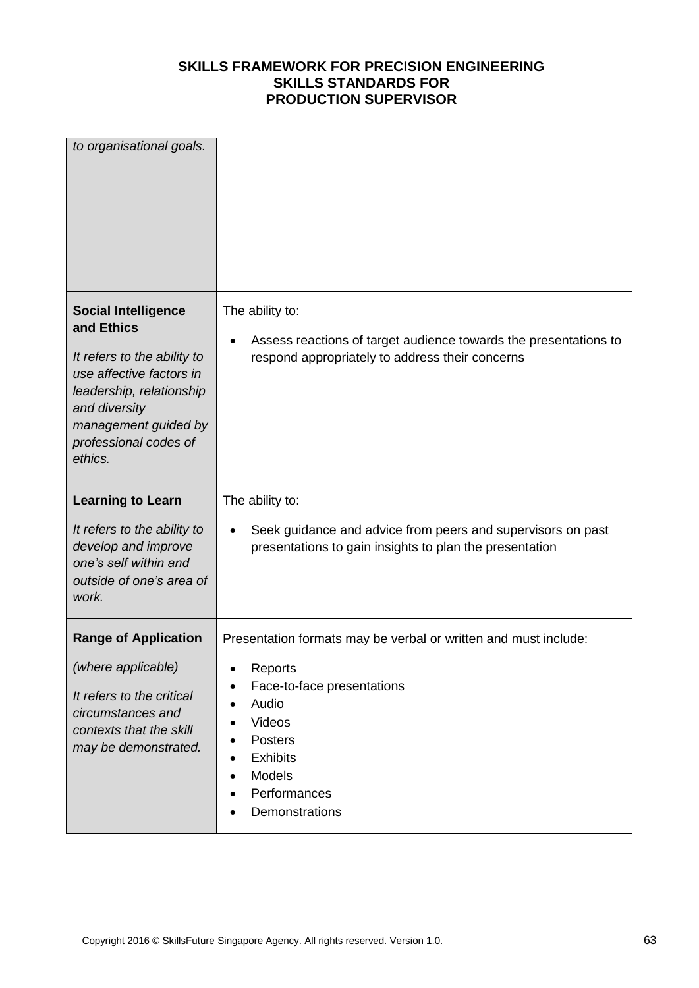| to organisational goals.                                                                                                                                                                                     |                                                                                                                                                                                                                     |
|--------------------------------------------------------------------------------------------------------------------------------------------------------------------------------------------------------------|---------------------------------------------------------------------------------------------------------------------------------------------------------------------------------------------------------------------|
| <b>Social Intelligence</b><br>and Ethics<br>It refers to the ability to<br>use affective factors in<br>leadership, relationship<br>and diversity<br>management guided by<br>professional codes of<br>ethics. | The ability to:<br>Assess reactions of target audience towards the presentations to<br>respond appropriately to address their concerns                                                                              |
| <b>Learning to Learn</b><br>It refers to the ability to<br>develop and improve<br>one's self within and<br>outside of one's area of<br>work.                                                                 | The ability to:<br>Seek guidance and advice from peers and supervisors on past<br>presentations to gain insights to plan the presentation                                                                           |
| <b>Range of Application</b><br>(where applicable)<br>It refers to the critical<br>circumstances and<br>contexts that the skill<br>may be demonstrated.                                                       | Presentation formats may be verbal or written and must include:<br>Reports<br>Face-to-face presentations<br>Audio<br>Videos<br><b>Posters</b><br><b>Exhibits</b><br><b>Models</b><br>Performances<br>Demonstrations |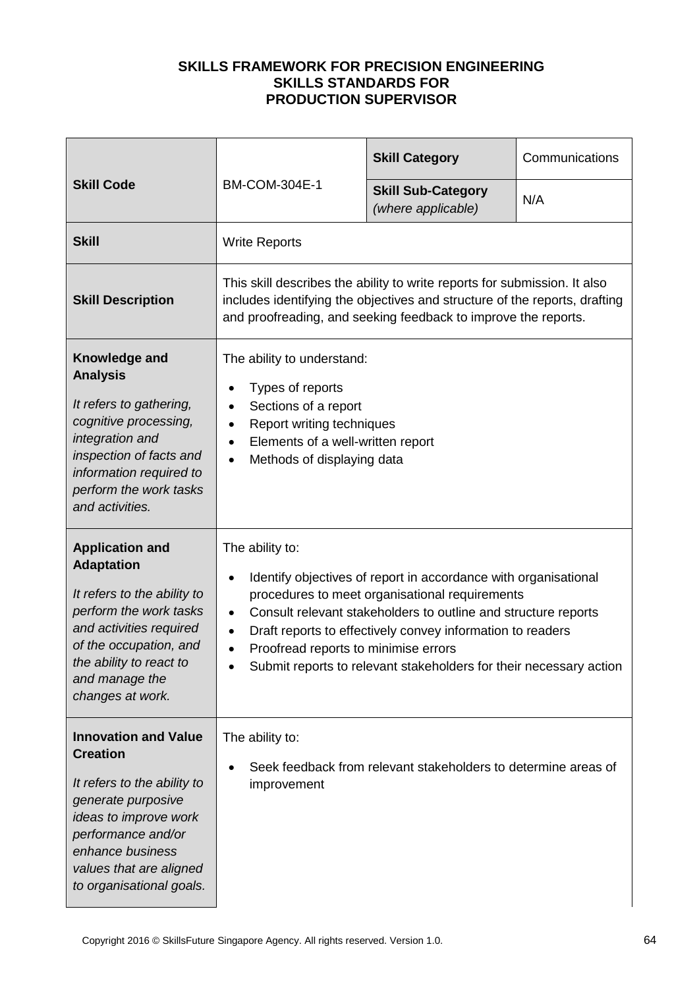|                                                                                                                                                                                                                               |                                                                                                                                                                                                                                                                                                                                                                                                              | <b>Skill Category</b>                                          | Communications |
|-------------------------------------------------------------------------------------------------------------------------------------------------------------------------------------------------------------------------------|--------------------------------------------------------------------------------------------------------------------------------------------------------------------------------------------------------------------------------------------------------------------------------------------------------------------------------------------------------------------------------------------------------------|----------------------------------------------------------------|----------------|
| <b>Skill Code</b>                                                                                                                                                                                                             | <b>BM-COM-304E-1</b>                                                                                                                                                                                                                                                                                                                                                                                         | <b>Skill Sub-Category</b><br>(where applicable)                | N/A            |
| <b>Skill</b>                                                                                                                                                                                                                  | <b>Write Reports</b>                                                                                                                                                                                                                                                                                                                                                                                         |                                                                |                |
| <b>Skill Description</b>                                                                                                                                                                                                      | This skill describes the ability to write reports for submission. It also<br>includes identifying the objectives and structure of the reports, drafting<br>and proofreading, and seeking feedback to improve the reports.                                                                                                                                                                                    |                                                                |                |
| Knowledge and<br><b>Analysis</b><br>It refers to gathering,<br>cognitive processing,<br>integration and<br>inspection of facts and<br>information required to<br>perform the work tasks<br>and activities.                    | The ability to understand:<br>Types of reports<br>Sections of a report<br>Report writing techniques<br>Elements of a well-written report<br>Methods of displaying data<br>$\bullet$                                                                                                                                                                                                                          |                                                                |                |
| <b>Application and</b><br><b>Adaptation</b><br>It refers to the ability to<br>perform the work tasks<br>and activities required<br>of the occupation, and<br>the ability to react to<br>and manage the<br>changes at work.    | The ability to:<br>Identify objectives of report in accordance with organisational<br>$\bullet$<br>procedures to meet organisational requirements<br>Consult relevant stakeholders to outline and structure reports<br>$\bullet$<br>Draft reports to effectively convey information to readers<br>Proofread reports to minimise errors<br>Submit reports to relevant stakeholders for their necessary action |                                                                |                |
| <b>Innovation and Value</b><br><b>Creation</b><br>It refers to the ability to<br>generate purposive<br>ideas to improve work<br>performance and/or<br>enhance business<br>values that are aligned<br>to organisational goals. | The ability to:<br>improvement                                                                                                                                                                                                                                                                                                                                                                               | Seek feedback from relevant stakeholders to determine areas of |                |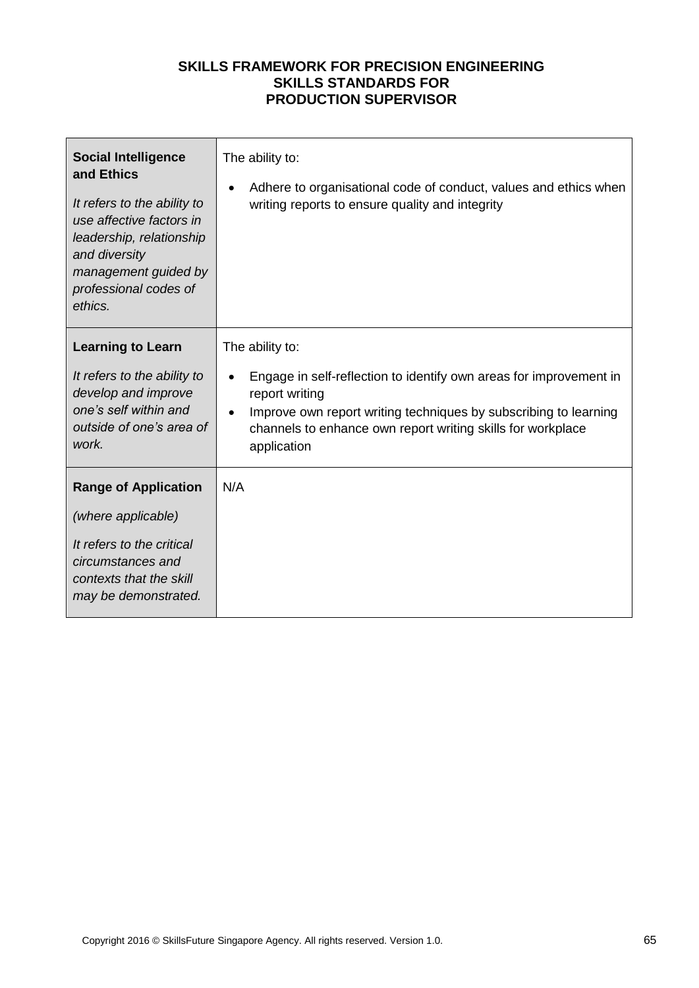| <b>Social Intelligence</b><br>and Ethics<br>It refers to the ability to<br>use affective factors in<br>leadership, relationship<br>and diversity<br>management guided by<br>professional codes of<br>ethics. | The ability to:<br>Adhere to organisational code of conduct, values and ethics when<br>$\bullet$<br>writing reports to ensure quality and integrity                                                                                                                    |
|--------------------------------------------------------------------------------------------------------------------------------------------------------------------------------------------------------------|------------------------------------------------------------------------------------------------------------------------------------------------------------------------------------------------------------------------------------------------------------------------|
| <b>Learning to Learn</b><br>It refers to the ability to<br>develop and improve<br>one's self within and<br>outside of one's area of<br>work.                                                                 | The ability to:<br>Engage in self-reflection to identify own areas for improvement in<br>$\bullet$<br>report writing<br>Improve own report writing techniques by subscribing to learning<br>channels to enhance own report writing skills for workplace<br>application |
| <b>Range of Application</b><br>(where applicable)<br>It refers to the critical<br>circumstances and<br>contexts that the skill<br>may be demonstrated.                                                       | N/A                                                                                                                                                                                                                                                                    |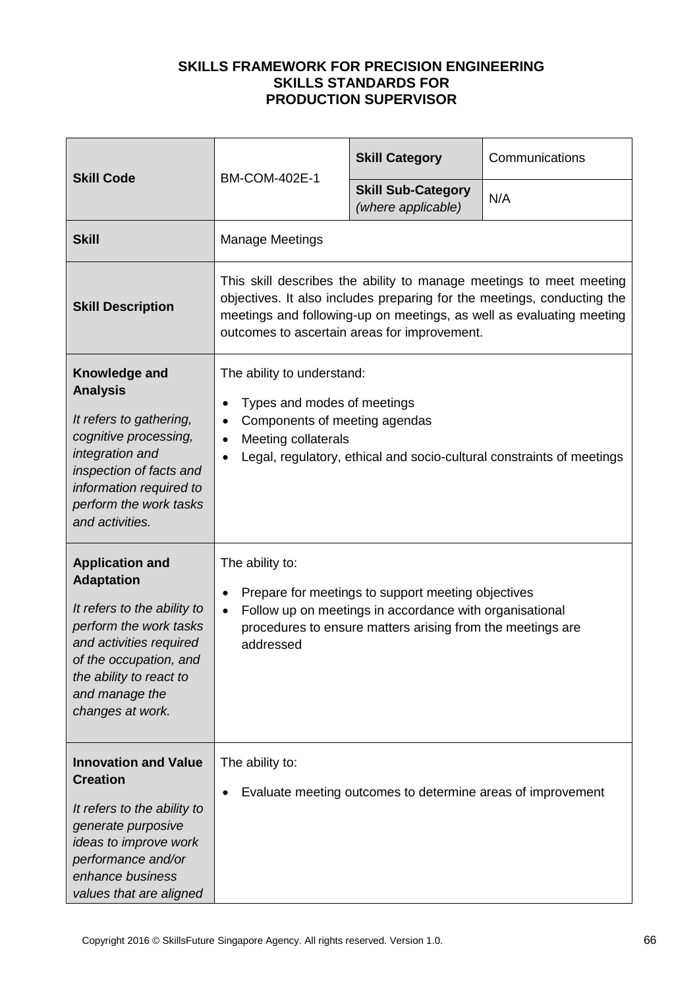| <b>Skill Code</b>                                                                                                                                                                                                          |                                                                                                                                                                                                                                                                        | <b>Skill Category</b>                           | Communications |
|----------------------------------------------------------------------------------------------------------------------------------------------------------------------------------------------------------------------------|------------------------------------------------------------------------------------------------------------------------------------------------------------------------------------------------------------------------------------------------------------------------|-------------------------------------------------|----------------|
|                                                                                                                                                                                                                            | <b>BM-COM-402E-1</b>                                                                                                                                                                                                                                                   | <b>Skill Sub-Category</b><br>(where applicable) | N/A            |
| <b>Skill</b>                                                                                                                                                                                                               | <b>Manage Meetings</b>                                                                                                                                                                                                                                                 |                                                 |                |
| <b>Skill Description</b>                                                                                                                                                                                                   | This skill describes the ability to manage meetings to meet meeting<br>objectives. It also includes preparing for the meetings, conducting the<br>meetings and following-up on meetings, as well as evaluating meeting<br>outcomes to ascertain areas for improvement. |                                                 |                |
| Knowledge and<br><b>Analysis</b><br>It refers to gathering,<br>cognitive processing,<br>integration and<br>inspection of facts and<br>information required to<br>perform the work tasks<br>and activities.                 | The ability to understand:<br>Types and modes of meetings<br>$\bullet$<br>Components of meeting agendas<br>$\bullet$<br>Meeting collaterals<br>$\bullet$<br>Legal, regulatory, ethical and socio-cultural constraints of meetings                                      |                                                 |                |
| <b>Application and</b><br><b>Adaptation</b><br>It refers to the ability to<br>perform the work tasks<br>and activities required<br>of the occupation, and<br>the ability to react to<br>and manage the<br>changes at work. | The ability to:<br>Prepare for meetings to support meeting objectives<br>$\bullet$<br>Follow up on meetings in accordance with organisational<br>$\bullet$<br>procedures to ensure matters arising from the meetings are<br>addressed                                  |                                                 |                |
| <b>Innovation and Value</b><br><b>Creation</b><br>It refers to the ability to<br>generate purposive<br>ideas to improve work<br>performance and/or<br>enhance business<br>values that are aligned                          | The ability to:<br>Evaluate meeting outcomes to determine areas of improvement<br>$\bullet$                                                                                                                                                                            |                                                 |                |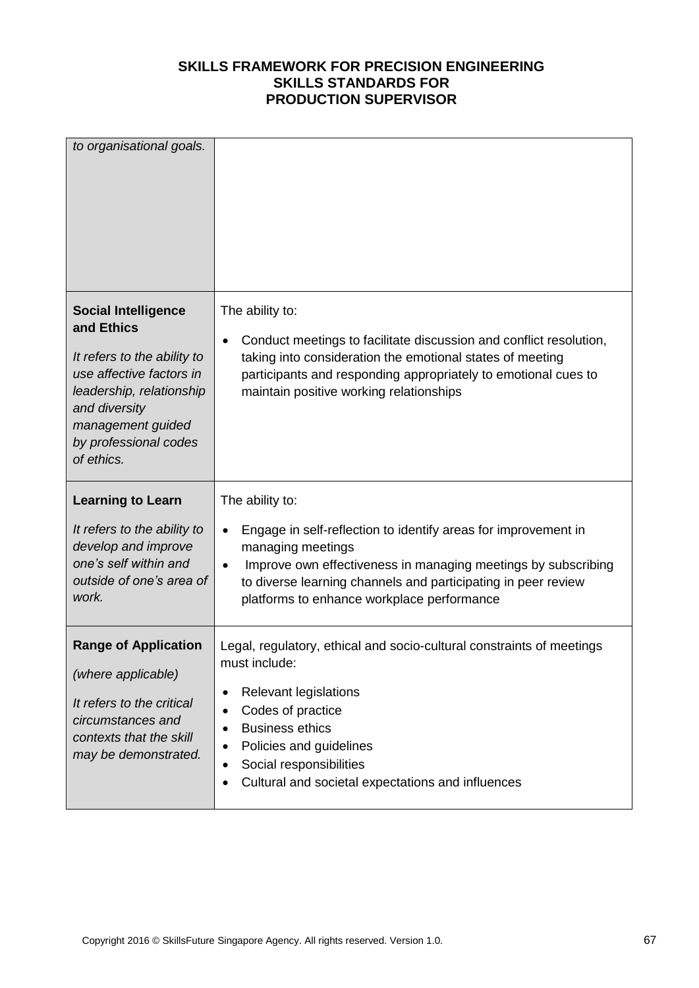| to organisational goals.                                                                                                                                                                                     |                                                                                                                                                                                                                                                                                                                                      |
|--------------------------------------------------------------------------------------------------------------------------------------------------------------------------------------------------------------|--------------------------------------------------------------------------------------------------------------------------------------------------------------------------------------------------------------------------------------------------------------------------------------------------------------------------------------|
| <b>Social Intelligence</b><br>and Ethics<br>It refers to the ability to<br>use affective factors in<br>leadership, relationship<br>and diversity<br>management guided<br>by professional codes<br>of ethics. | The ability to:<br>Conduct meetings to facilitate discussion and conflict resolution,<br>taking into consideration the emotional states of meeting<br>participants and responding appropriately to emotional cues to<br>maintain positive working relationships                                                                      |
| <b>Learning to Learn</b>                                                                                                                                                                                     | The ability to:                                                                                                                                                                                                                                                                                                                      |
| It refers to the ability to<br>develop and improve<br>one's self within and<br>outside of one's area of<br>work.                                                                                             | Engage in self-reflection to identify areas for improvement in<br>managing meetings<br>Improve own effectiveness in managing meetings by subscribing<br>$\bullet$<br>to diverse learning channels and participating in peer review<br>platforms to enhance workplace performance                                                     |
| <b>Range of Application</b><br>(where applicable)<br>It refers to the critical<br>circumstances and<br>contexts that the skill<br>may be demonstrated.                                                       | Legal, regulatory, ethical and socio-cultural constraints of meetings<br>must include:<br><b>Relevant legislations</b><br>Codes of practice<br>$\bullet$<br><b>Business ethics</b><br>$\bullet$<br>Policies and guidelines<br>$\bullet$<br>Social responsibilities<br>Cultural and societal expectations and influences<br>$\bullet$ |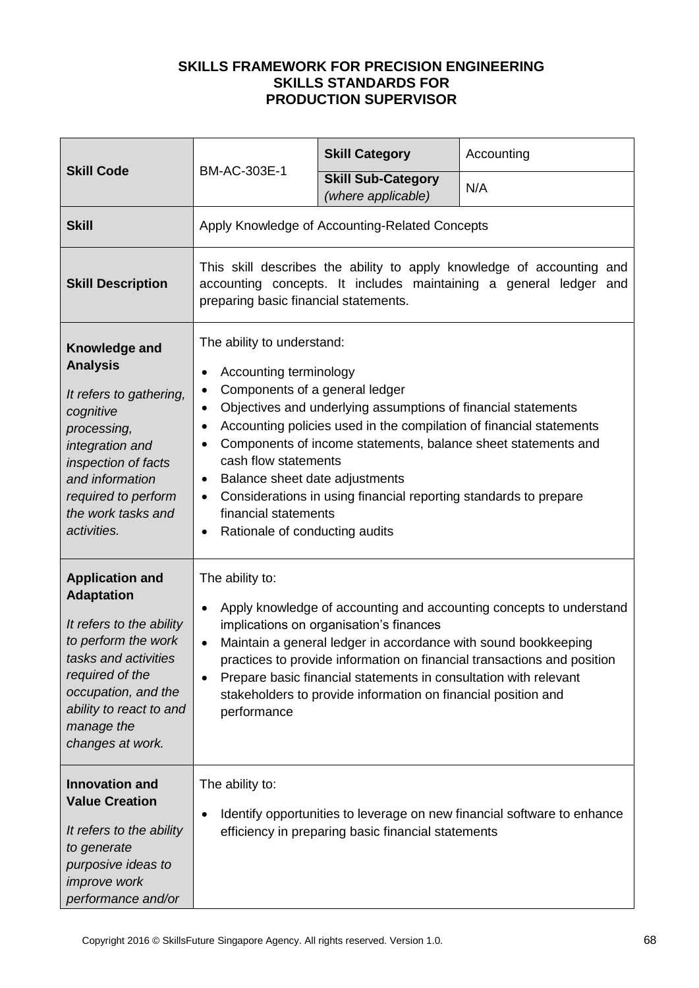| <b>Skill Code</b><br>BM-AC-303E-1                                                                                                                                                                                             |                                                                                                                                                                                                                                                                                                                                                                                                                                                                                                                                                                                         | <b>Skill Category</b>                              | Accounting                                                              |
|-------------------------------------------------------------------------------------------------------------------------------------------------------------------------------------------------------------------------------|-----------------------------------------------------------------------------------------------------------------------------------------------------------------------------------------------------------------------------------------------------------------------------------------------------------------------------------------------------------------------------------------------------------------------------------------------------------------------------------------------------------------------------------------------------------------------------------------|----------------------------------------------------|-------------------------------------------------------------------------|
|                                                                                                                                                                                                                               | <b>Skill Sub-Category</b><br>(where applicable)                                                                                                                                                                                                                                                                                                                                                                                                                                                                                                                                         | N/A                                                |                                                                         |
| <b>Skill</b>                                                                                                                                                                                                                  |                                                                                                                                                                                                                                                                                                                                                                                                                                                                                                                                                                                         | Apply Knowledge of Accounting-Related Concepts     |                                                                         |
| <b>Skill Description</b>                                                                                                                                                                                                      | This skill describes the ability to apply knowledge of accounting and<br>accounting concepts. It includes maintaining a general ledger and<br>preparing basic financial statements.                                                                                                                                                                                                                                                                                                                                                                                                     |                                                    |                                                                         |
| Knowledge and<br><b>Analysis</b><br>It refers to gathering,<br>cognitive<br>processing,<br>integration and<br>inspection of facts<br>and information<br>required to perform<br>the work tasks and<br>activities.              | The ability to understand:<br>Accounting terminology<br>$\bullet$<br>Components of a general ledger<br>$\bullet$<br>Objectives and underlying assumptions of financial statements<br>٠<br>Accounting policies used in the compilation of financial statements<br>$\bullet$<br>Components of income statements, balance sheet statements and<br>$\bullet$<br>cash flow statements<br>Balance sheet date adjustments<br>$\bullet$<br>Considerations in using financial reporting standards to prepare<br>$\bullet$<br>financial statements<br>Rationale of conducting audits<br>$\bullet$ |                                                    |                                                                         |
| <b>Application and</b><br><b>Adaptation</b><br>It refers to the ability<br>to perform the work<br>tasks and activities<br>required of the<br>occupation, and the<br>ability to react to and<br>manage the<br>changes at work. | The ability to:<br>Apply knowledge of accounting and accounting concepts to understand<br>$\bullet$<br>implications on organisation's finances<br>Maintain a general ledger in accordance with sound bookkeeping<br>$\bullet$<br>practices to provide information on financial transactions and position<br>Prepare basic financial statements in consultation with relevant<br>$\bullet$<br>stakeholders to provide information on financial position and<br>performance                                                                                                               |                                                    |                                                                         |
| <b>Innovation and</b><br><b>Value Creation</b><br>It refers to the ability<br>to generate<br>purposive ideas to<br><i>improve</i> work<br>performance and/or                                                                  | The ability to:<br>٠                                                                                                                                                                                                                                                                                                                                                                                                                                                                                                                                                                    | efficiency in preparing basic financial statements | Identify opportunities to leverage on new financial software to enhance |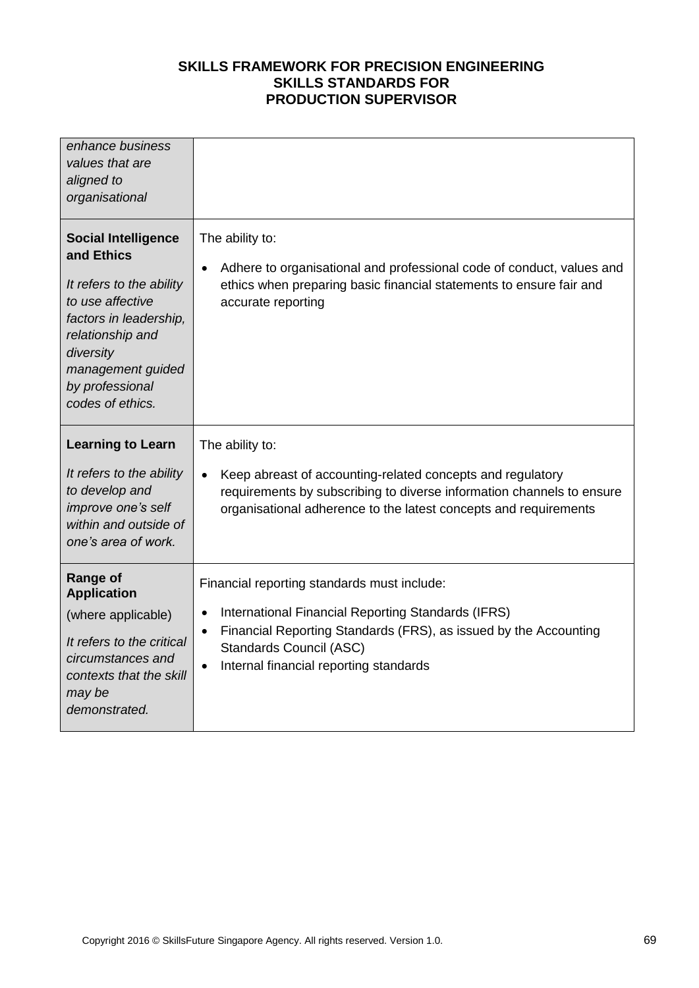| enhance business<br>values that are<br>aligned to<br>organisational                                                                                                                                             |                                                                                                                                                                                                                                                                                   |
|-----------------------------------------------------------------------------------------------------------------------------------------------------------------------------------------------------------------|-----------------------------------------------------------------------------------------------------------------------------------------------------------------------------------------------------------------------------------------------------------------------------------|
| <b>Social Intelligence</b><br>and Ethics<br>It refers to the ability<br>to use affective<br>factors in leadership,<br>relationship and<br>diversity<br>management guided<br>by professional<br>codes of ethics. | The ability to:<br>Adhere to organisational and professional code of conduct, values and<br>$\bullet$<br>ethics when preparing basic financial statements to ensure fair and<br>accurate reporting                                                                                |
| <b>Learning to Learn</b><br>It refers to the ability<br>to develop and<br>improve one's self<br>within and outside of<br>one's area of work.                                                                    | The ability to:<br>Keep abreast of accounting-related concepts and regulatory<br>$\bullet$<br>requirements by subscribing to diverse information channels to ensure<br>organisational adherence to the latest concepts and requirements                                           |
| Range of<br><b>Application</b><br>(where applicable)<br>It refers to the critical<br>circumstances and<br>contexts that the skill<br>may be<br>demonstrated.                                                    | Financial reporting standards must include:<br>International Financial Reporting Standards (IFRS)<br>$\bullet$<br>Financial Reporting Standards (FRS), as issued by the Accounting<br>$\bullet$<br>Standards Council (ASC)<br>Internal financial reporting standards<br>$\bullet$ |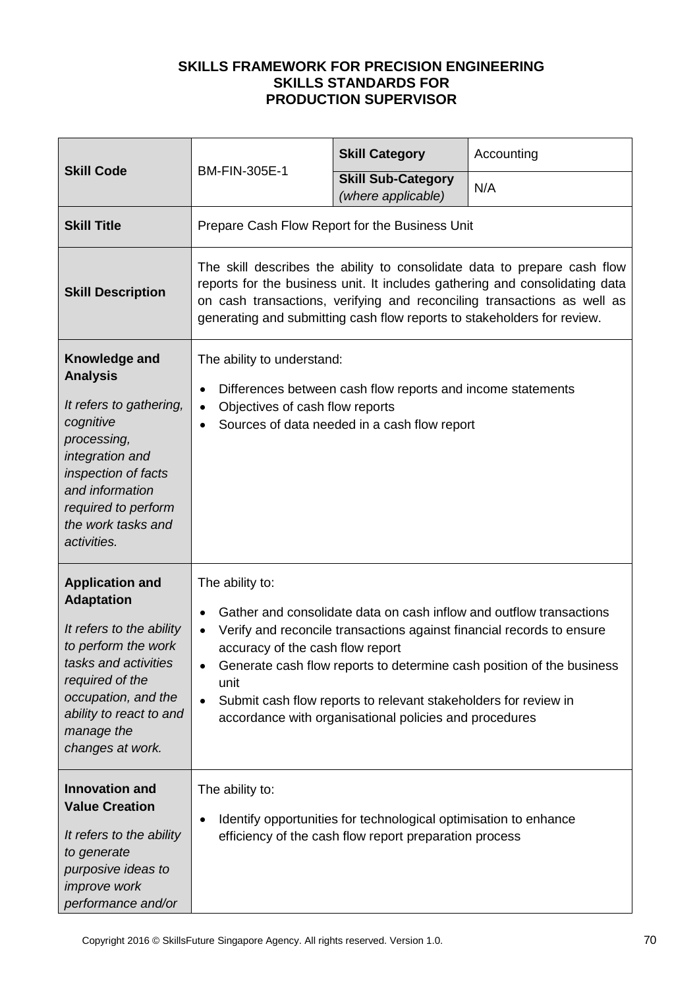| <b>Skill Code</b>                                                                                                                                                                                                             | BM-FIN-305E-1                                                                                                                                                                                                                                                                                                                                                                                                                  | <b>Skill Category</b>                                                                                                      | Accounting |
|-------------------------------------------------------------------------------------------------------------------------------------------------------------------------------------------------------------------------------|--------------------------------------------------------------------------------------------------------------------------------------------------------------------------------------------------------------------------------------------------------------------------------------------------------------------------------------------------------------------------------------------------------------------------------|----------------------------------------------------------------------------------------------------------------------------|------------|
|                                                                                                                                                                                                                               |                                                                                                                                                                                                                                                                                                                                                                                                                                | <b>Skill Sub-Category</b><br>(where applicable)                                                                            | N/A        |
| <b>Skill Title</b>                                                                                                                                                                                                            | Prepare Cash Flow Report for the Business Unit                                                                                                                                                                                                                                                                                                                                                                                 |                                                                                                                            |            |
| <b>Skill Description</b>                                                                                                                                                                                                      | The skill describes the ability to consolidate data to prepare cash flow<br>reports for the business unit. It includes gathering and consolidating data<br>on cash transactions, verifying and reconciling transactions as well as<br>generating and submitting cash flow reports to stakeholders for review.                                                                                                                  |                                                                                                                            |            |
| Knowledge and<br><b>Analysis</b><br>It refers to gathering,<br>cognitive<br>processing,<br>integration and<br>inspection of facts<br>and information<br>required to perform<br>the work tasks and<br>activities.              | The ability to understand:<br>Differences between cash flow reports and income statements<br>٠<br>Objectives of cash flow reports<br>$\bullet$<br>Sources of data needed in a cash flow report                                                                                                                                                                                                                                 |                                                                                                                            |            |
| <b>Application and</b><br><b>Adaptation</b><br>It refers to the ability<br>to perform the work<br>tasks and activities<br>required of the<br>occupation, and the<br>ability to react to and<br>manage the<br>changes at work. | The ability to:<br>Gather and consolidate data on cash inflow and outflow transactions<br>Verify and reconcile transactions against financial records to ensure<br>accuracy of the cash flow report<br>Generate cash flow reports to determine cash position of the business<br>unit<br>Submit cash flow reports to relevant stakeholders for review in<br>$\bullet$<br>accordance with organisational policies and procedures |                                                                                                                            |            |
| <b>Innovation and</b><br><b>Value Creation</b><br>It refers to the ability<br>to generate<br>purposive ideas to<br><i>improve</i> work<br>performance and/or                                                                  | The ability to:<br>٠                                                                                                                                                                                                                                                                                                                                                                                                           | Identify opportunities for technological optimisation to enhance<br>efficiency of the cash flow report preparation process |            |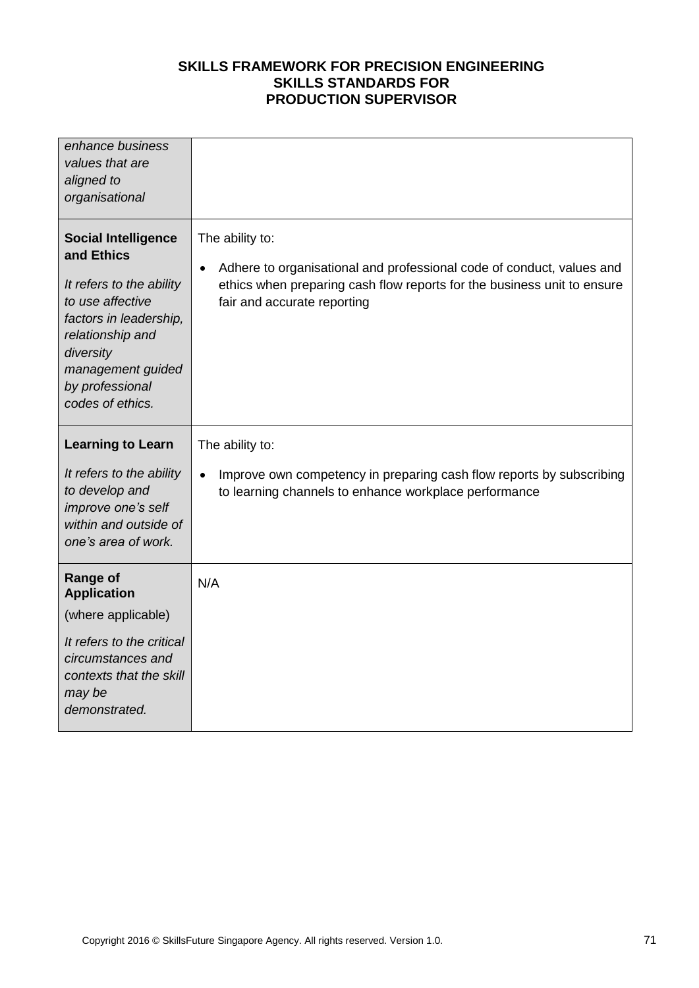| enhance business<br>values that are<br>aligned to<br>organisational                                                                                                                                             |                                                                                                                                                                                                                 |
|-----------------------------------------------------------------------------------------------------------------------------------------------------------------------------------------------------------------|-----------------------------------------------------------------------------------------------------------------------------------------------------------------------------------------------------------------|
| <b>Social Intelligence</b><br>and Ethics<br>It refers to the ability<br>to use affective<br>factors in leadership,<br>relationship and<br>diversity<br>management guided<br>by professional<br>codes of ethics. | The ability to:<br>Adhere to organisational and professional code of conduct, values and<br>$\bullet$<br>ethics when preparing cash flow reports for the business unit to ensure<br>fair and accurate reporting |
| <b>Learning to Learn</b><br>It refers to the ability<br>to develop and<br>improve one's self<br>within and outside of<br>one's area of work.                                                                    | The ability to:<br>Improve own competency in preparing cash flow reports by subscribing<br>$\bullet$<br>to learning channels to enhance workplace performance                                                   |
| <b>Range of</b><br><b>Application</b><br>(where applicable)<br>It refers to the critical<br>circumstances and<br>contexts that the skill<br>may be<br>demonstrated.                                             | N/A                                                                                                                                                                                                             |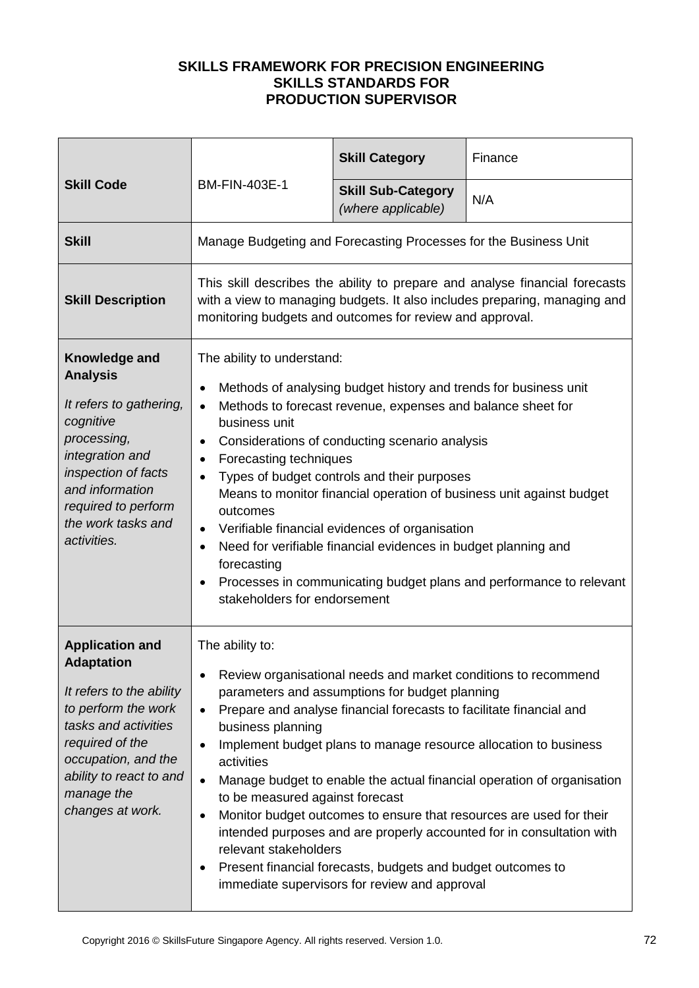| <b>Skill Code</b>                                                                                                                                                                                                             |                                                                                                                                                                                                                                                                                                                                                                                                                                                                                                                                                                                                                                                                                                                                                                                               | <b>Skill Category</b>                           | Finance |
|-------------------------------------------------------------------------------------------------------------------------------------------------------------------------------------------------------------------------------|-----------------------------------------------------------------------------------------------------------------------------------------------------------------------------------------------------------------------------------------------------------------------------------------------------------------------------------------------------------------------------------------------------------------------------------------------------------------------------------------------------------------------------------------------------------------------------------------------------------------------------------------------------------------------------------------------------------------------------------------------------------------------------------------------|-------------------------------------------------|---------|
|                                                                                                                                                                                                                               | <b>BM-FIN-403E-1</b>                                                                                                                                                                                                                                                                                                                                                                                                                                                                                                                                                                                                                                                                                                                                                                          | <b>Skill Sub-Category</b><br>(where applicable) | N/A     |
| <b>Skill</b>                                                                                                                                                                                                                  | Manage Budgeting and Forecasting Processes for the Business Unit                                                                                                                                                                                                                                                                                                                                                                                                                                                                                                                                                                                                                                                                                                                              |                                                 |         |
| <b>Skill Description</b>                                                                                                                                                                                                      | This skill describes the ability to prepare and analyse financial forecasts<br>with a view to managing budgets. It also includes preparing, managing and<br>monitoring budgets and outcomes for review and approval.                                                                                                                                                                                                                                                                                                                                                                                                                                                                                                                                                                          |                                                 |         |
| Knowledge and<br><b>Analysis</b><br>It refers to gathering,<br>cognitive<br>processing,<br>integration and<br>inspection of facts<br>and information<br>required to perform<br>the work tasks and<br>activities.              | The ability to understand:<br>Methods of analysing budget history and trends for business unit<br>$\bullet$<br>Methods to forecast revenue, expenses and balance sheet for<br>$\bullet$<br>business unit<br>Considerations of conducting scenario analysis<br>$\bullet$<br>Forecasting techniques<br>٠<br>Types of budget controls and their purposes<br>$\bullet$<br>Means to monitor financial operation of business unit against budget<br>outcomes<br>Verifiable financial evidences of organisation<br>$\bullet$<br>Need for verifiable financial evidences in budget planning and<br>$\bullet$<br>forecasting<br>Processes in communicating budget plans and performance to relevant<br>$\bullet$<br>stakeholders for endorsement                                                       |                                                 |         |
| <b>Application and</b><br><b>Adaptation</b><br>It refers to the ability<br>to perform the work<br>tasks and activities<br>required of the<br>occupation, and the<br>ability to react to and<br>manage the<br>changes at work. | The ability to:<br>Review organisational needs and market conditions to recommend<br>$\bullet$<br>parameters and assumptions for budget planning<br>Prepare and analyse financial forecasts to facilitate financial and<br>$\bullet$<br>business planning<br>Implement budget plans to manage resource allocation to business<br>$\bullet$<br>activities<br>Manage budget to enable the actual financial operation of organisation<br>$\bullet$<br>to be measured against forecast<br>Monitor budget outcomes to ensure that resources are used for their<br>$\bullet$<br>intended purposes and are properly accounted for in consultation with<br>relevant stakeholders<br>Present financial forecasts, budgets and budget outcomes to<br>٠<br>immediate supervisors for review and approval |                                                 |         |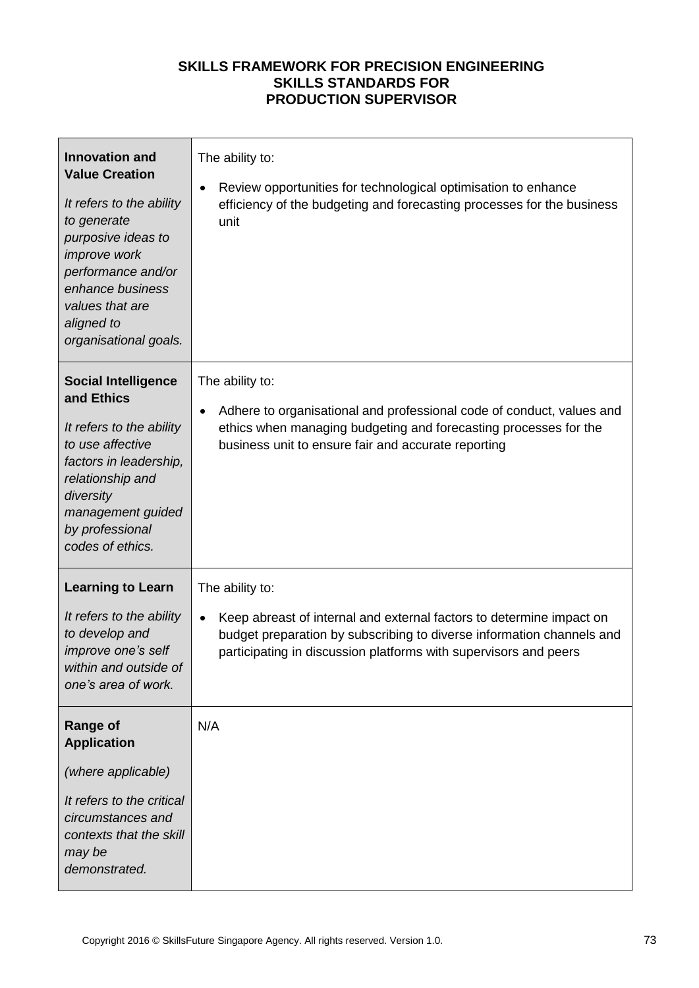| <b>Innovation and</b><br><b>Value Creation</b><br>It refers to the ability<br>to generate<br>purposive ideas to<br>improve work<br>performance and/or<br>enhance business<br>values that are<br>aligned to<br>organisational goals. | The ability to:<br>Review opportunities for technological optimisation to enhance<br>efficiency of the budgeting and forecasting processes for the business<br>unit                                                                               |
|-------------------------------------------------------------------------------------------------------------------------------------------------------------------------------------------------------------------------------------|---------------------------------------------------------------------------------------------------------------------------------------------------------------------------------------------------------------------------------------------------|
| <b>Social Intelligence</b><br>and Ethics<br>It refers to the ability<br>to use affective<br>factors in leadership,<br>relationship and<br>diversity<br>management guided<br>by professional<br>codes of ethics.                     | The ability to:<br>Adhere to organisational and professional code of conduct, values and<br>$\bullet$<br>ethics when managing budgeting and forecasting processes for the<br>business unit to ensure fair and accurate reporting                  |
| <b>Learning to Learn</b><br>It refers to the ability<br>to develop and<br>improve one's self<br>within and outside of<br>one's area of work.                                                                                        | The ability to:<br>Keep abreast of internal and external factors to determine impact on<br>$\bullet$<br>budget preparation by subscribing to diverse information channels and<br>participating in discussion platforms with supervisors and peers |
| <b>Range of</b><br><b>Application</b><br>(where applicable)<br>It refers to the critical<br>circumstances and<br>contexts that the skill<br>may be<br>demonstrated.                                                                 | N/A                                                                                                                                                                                                                                               |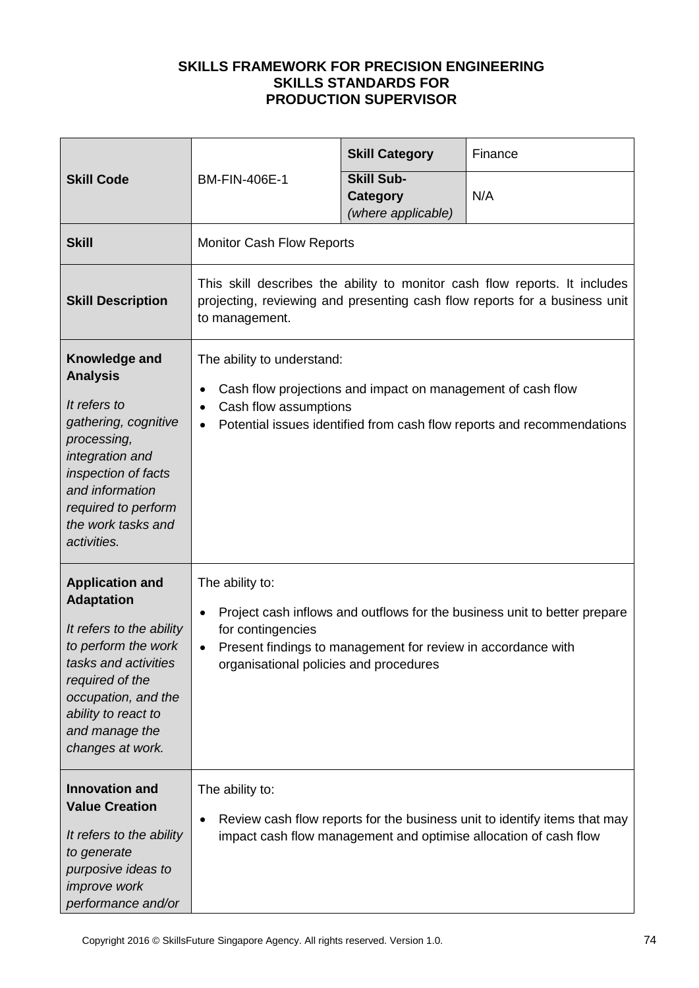| <b>Skill Code</b>                                                                                                                                                                                                             | <b>BM-FIN-406E-1</b>                                                                                                                                                                                                                                  | <b>Skill Category</b>                               | Finance                                                                                                                                       |
|-------------------------------------------------------------------------------------------------------------------------------------------------------------------------------------------------------------------------------|-------------------------------------------------------------------------------------------------------------------------------------------------------------------------------------------------------------------------------------------------------|-----------------------------------------------------|-----------------------------------------------------------------------------------------------------------------------------------------------|
|                                                                                                                                                                                                                               |                                                                                                                                                                                                                                                       | <b>Skill Sub-</b><br>Category<br>(where applicable) | N/A                                                                                                                                           |
| <b>Skill</b>                                                                                                                                                                                                                  | <b>Monitor Cash Flow Reports</b>                                                                                                                                                                                                                      |                                                     |                                                                                                                                               |
| <b>Skill Description</b>                                                                                                                                                                                                      | This skill describes the ability to monitor cash flow reports. It includes<br>projecting, reviewing and presenting cash flow reports for a business unit<br>to management.                                                                            |                                                     |                                                                                                                                               |
| Knowledge and<br><b>Analysis</b><br>It refers to<br>gathering, cognitive<br>processing,<br>integration and<br>inspection of facts<br>and information<br>required to perform<br>the work tasks and<br>activities.              | The ability to understand:<br>Cash flow projections and impact on management of cash flow<br>٠<br>Cash flow assumptions<br>$\bullet$<br>Potential issues identified from cash flow reports and recommendations<br>$\bullet$                           |                                                     |                                                                                                                                               |
| <b>Application and</b><br><b>Adaptation</b><br>It refers to the ability<br>to perform the work<br>tasks and activities<br>required of the<br>occupation, and the<br>ability to react to<br>and manage the<br>changes at work. | The ability to:<br>Project cash inflows and outflows for the business unit to better prepare<br>$\bullet$<br>for contingencies<br>Present findings to management for review in accordance with<br>$\bullet$<br>organisational policies and procedures |                                                     |                                                                                                                                               |
| <b>Innovation and</b><br><b>Value Creation</b><br>It refers to the ability<br>to generate<br>purposive ideas to<br><i>improve</i> work<br>performance and/or                                                                  | The ability to:<br>٠                                                                                                                                                                                                                                  |                                                     | Review cash flow reports for the business unit to identify items that may<br>impact cash flow management and optimise allocation of cash flow |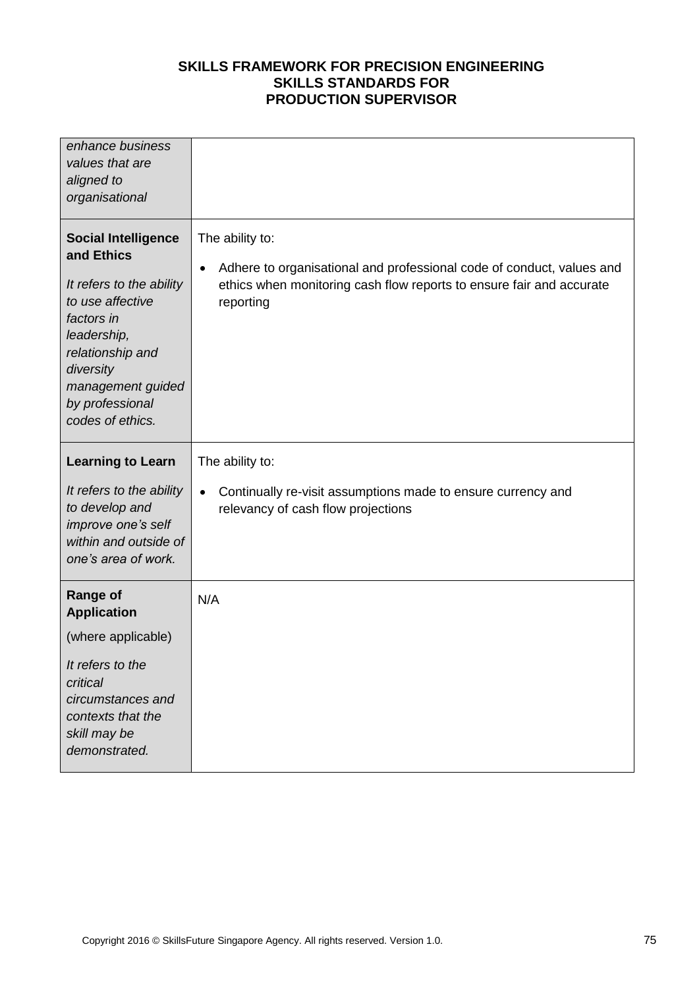| enhance business<br>values that are<br>aligned to<br>organisational                                                                                                                                                |                                                                                                                                                                                            |
|--------------------------------------------------------------------------------------------------------------------------------------------------------------------------------------------------------------------|--------------------------------------------------------------------------------------------------------------------------------------------------------------------------------------------|
| <b>Social Intelligence</b><br>and Ethics<br>It refers to the ability<br>to use affective<br>factors in<br>leadership,<br>relationship and<br>diversity<br>management guided<br>by professional<br>codes of ethics. | The ability to:<br>Adhere to organisational and professional code of conduct, values and<br>$\bullet$<br>ethics when monitoring cash flow reports to ensure fair and accurate<br>reporting |
| <b>Learning to Learn</b>                                                                                                                                                                                           | The ability to:                                                                                                                                                                            |
| It refers to the ability<br>to develop and<br>improve one's self<br>within and outside of<br>one's area of work.                                                                                                   | Continually re-visit assumptions made to ensure currency and<br>$\bullet$<br>relevancy of cash flow projections                                                                            |
| <b>Range of</b><br><b>Application</b>                                                                                                                                                                              | N/A                                                                                                                                                                                        |
| (where applicable)                                                                                                                                                                                                 |                                                                                                                                                                                            |
| It refers to the<br>critical<br>circumstances and<br>contexts that the<br>skill may be<br>demonstrated.                                                                                                            |                                                                                                                                                                                            |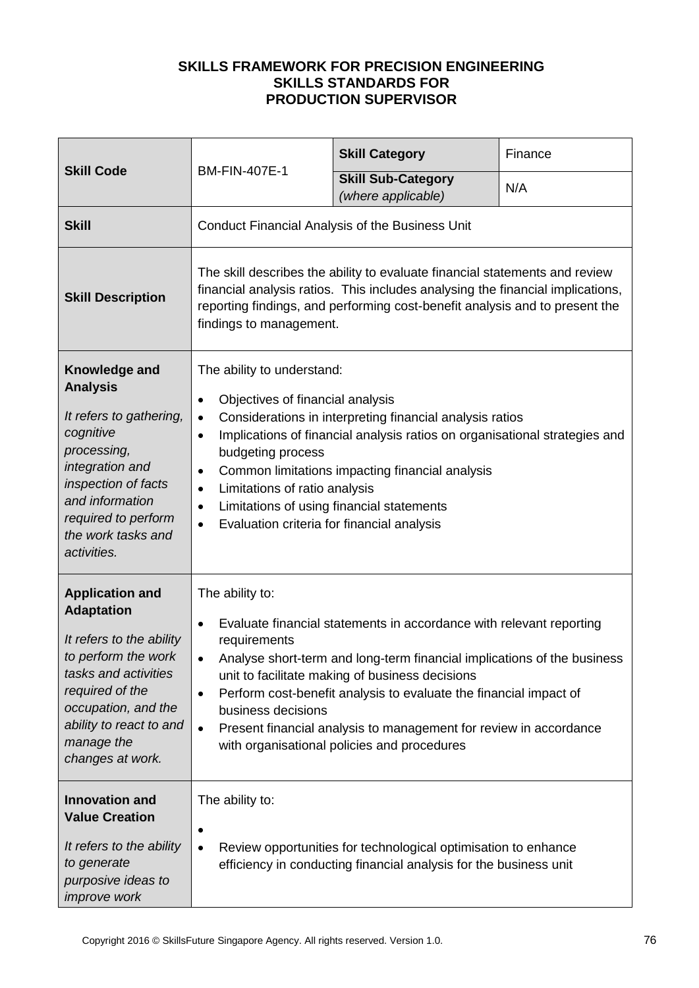|                                                                                                                                                                                                                               | <b>BM-FIN-407E-1</b>                                                                                                                                                                                                                                                                                                                                                                                                                                                                                    | <b>Skill Category</b>                                                                                                               | Finance |
|-------------------------------------------------------------------------------------------------------------------------------------------------------------------------------------------------------------------------------|---------------------------------------------------------------------------------------------------------------------------------------------------------------------------------------------------------------------------------------------------------------------------------------------------------------------------------------------------------------------------------------------------------------------------------------------------------------------------------------------------------|-------------------------------------------------------------------------------------------------------------------------------------|---------|
| <b>Skill Code</b>                                                                                                                                                                                                             |                                                                                                                                                                                                                                                                                                                                                                                                                                                                                                         | <b>Skill Sub-Category</b><br>(where applicable)                                                                                     | N/A     |
| <b>Skill</b>                                                                                                                                                                                                                  |                                                                                                                                                                                                                                                                                                                                                                                                                                                                                                         | Conduct Financial Analysis of the Business Unit                                                                                     |         |
| <b>Skill Description</b>                                                                                                                                                                                                      | The skill describes the ability to evaluate financial statements and review<br>financial analysis ratios. This includes analysing the financial implications,<br>reporting findings, and performing cost-benefit analysis and to present the<br>findings to management.                                                                                                                                                                                                                                 |                                                                                                                                     |         |
| Knowledge and<br><b>Analysis</b><br>It refers to gathering,<br>cognitive<br>processing,<br>integration and<br>inspection of facts<br>and information<br>required to perform<br>the work tasks and<br>activities.              | The ability to understand:<br>Objectives of financial analysis<br>$\bullet$<br>Considerations in interpreting financial analysis ratios<br>$\bullet$<br>Implications of financial analysis ratios on organisational strategies and<br>$\bullet$<br>budgeting process<br>Common limitations impacting financial analysis<br>$\bullet$<br>Limitations of ratio analysis<br>$\bullet$<br>Limitations of using financial statements<br>$\bullet$<br>Evaluation criteria for financial analysis<br>$\bullet$ |                                                                                                                                     |         |
| <b>Application and</b><br><b>Adaptation</b><br>It refers to the ability<br>to perform the work<br>tasks and activities<br>required of the<br>occupation, and the<br>ability to react to and<br>manage the<br>changes at work. | The ability to:<br>Evaluate financial statements in accordance with relevant reporting<br>$\bullet$<br>requirements<br>Analyse short-term and long-term financial implications of the business<br>$\bullet$<br>unit to facilitate making of business decisions<br>Perform cost-benefit analysis to evaluate the financial impact of<br>$\bullet$<br>business decisions<br>Present financial analysis to management for review in accordance<br>$\bullet$<br>with organisational policies and procedures |                                                                                                                                     |         |
| <b>Innovation and</b><br><b>Value Creation</b><br>It refers to the ability<br>to generate<br>purposive ideas to<br><i>improve</i> work                                                                                        | The ability to:<br>$\bullet$                                                                                                                                                                                                                                                                                                                                                                                                                                                                            | Review opportunities for technological optimisation to enhance<br>efficiency in conducting financial analysis for the business unit |         |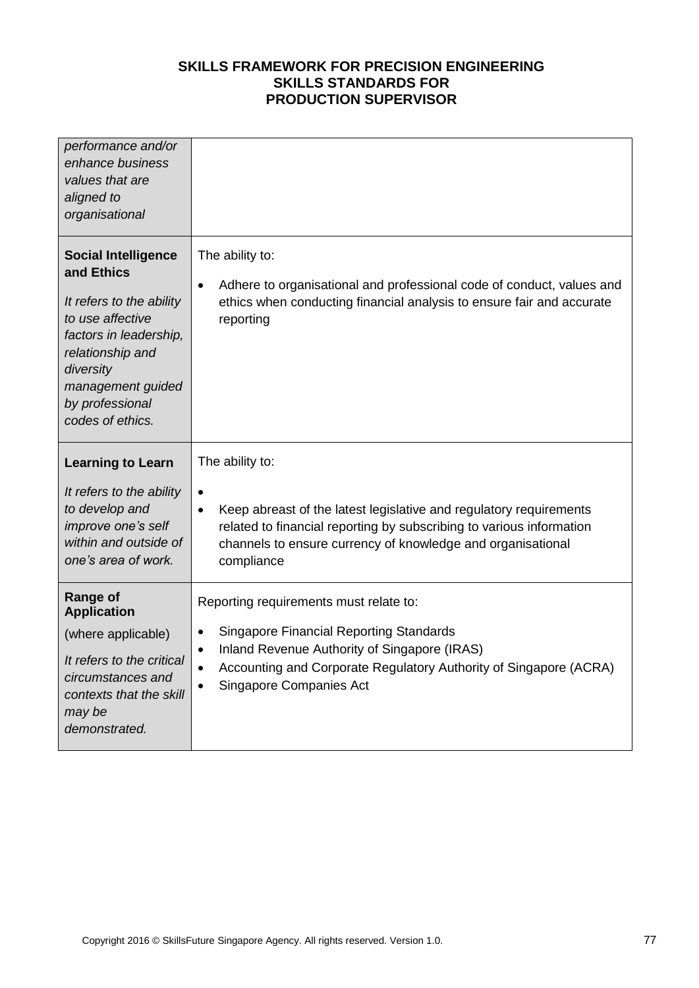| performance and/or<br>enhance business<br>values that are<br>aligned to<br>organisational                                                                                                                       |                                                                                                                                                                                                                                                                                        |
|-----------------------------------------------------------------------------------------------------------------------------------------------------------------------------------------------------------------|----------------------------------------------------------------------------------------------------------------------------------------------------------------------------------------------------------------------------------------------------------------------------------------|
| <b>Social Intelligence</b><br>and Ethics<br>It refers to the ability<br>to use affective<br>factors in leadership,<br>relationship and<br>diversity<br>management guided<br>by professional<br>codes of ethics. | The ability to:<br>Adhere to organisational and professional code of conduct, values and<br>$\bullet$<br>ethics when conducting financial analysis to ensure fair and accurate<br>reporting                                                                                            |
| <b>Learning to Learn</b>                                                                                                                                                                                        | The ability to:                                                                                                                                                                                                                                                                        |
| It refers to the ability<br>to develop and<br>improve one's self<br>within and outside of<br>one's area of work.                                                                                                | $\bullet$<br>Keep abreast of the latest legislative and regulatory requirements<br>$\bullet$<br>related to financial reporting by subscribing to various information<br>channels to ensure currency of knowledge and organisational<br>compliance                                      |
| <b>Range of</b><br><b>Application</b><br>(where applicable)<br>It refers to the critical<br>circumstances and<br>contexts that the skill                                                                        | Reporting requirements must relate to:<br><b>Singapore Financial Reporting Standards</b><br>$\bullet$<br>Inland Revenue Authority of Singapore (IRAS)<br>$\bullet$<br>Accounting and Corporate Regulatory Authority of Singapore (ACRA)<br>$\bullet$<br><b>Singapore Companies Act</b> |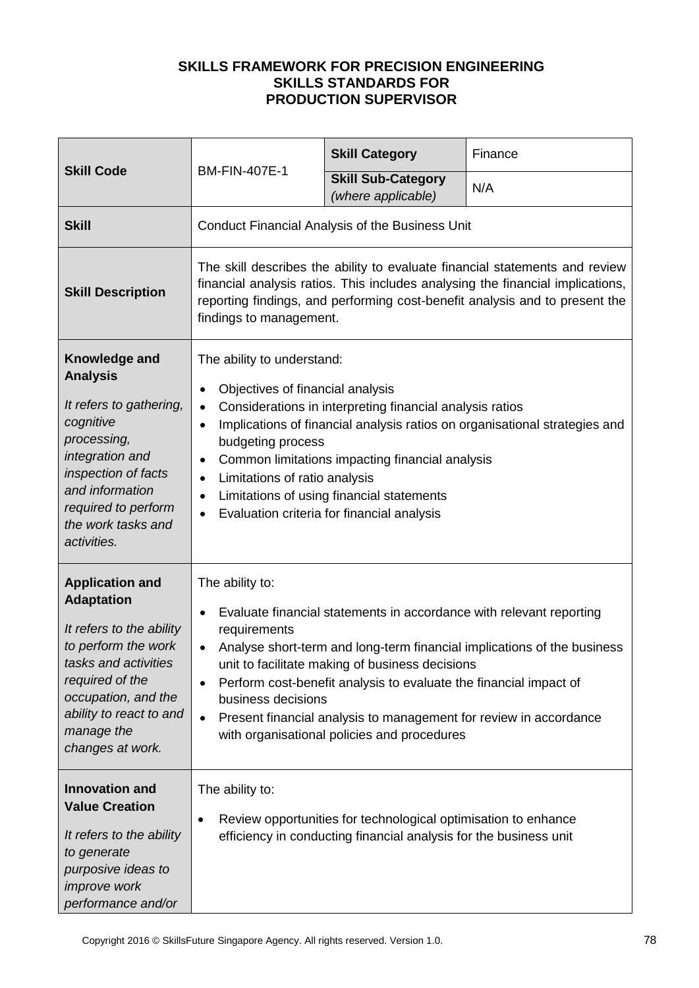|                                                                                                                                                                                                                               | <b>BM-FIN-407E-1</b>                                                                                                                                                                                                                                                                                                                                                                                                                                                                                    | <b>Skill Category</b>                           | Finance |
|-------------------------------------------------------------------------------------------------------------------------------------------------------------------------------------------------------------------------------|---------------------------------------------------------------------------------------------------------------------------------------------------------------------------------------------------------------------------------------------------------------------------------------------------------------------------------------------------------------------------------------------------------------------------------------------------------------------------------------------------------|-------------------------------------------------|---------|
| <b>Skill Code</b>                                                                                                                                                                                                             |                                                                                                                                                                                                                                                                                                                                                                                                                                                                                                         | <b>Skill Sub-Category</b><br>(where applicable) | N/A     |
| <b>Skill</b>                                                                                                                                                                                                                  |                                                                                                                                                                                                                                                                                                                                                                                                                                                                                                         | Conduct Financial Analysis of the Business Unit |         |
| <b>Skill Description</b>                                                                                                                                                                                                      | The skill describes the ability to evaluate financial statements and review<br>financial analysis ratios. This includes analysing the financial implications,<br>reporting findings, and performing cost-benefit analysis and to present the<br>findings to management.                                                                                                                                                                                                                                 |                                                 |         |
| Knowledge and<br><b>Analysis</b><br>It refers to gathering,<br>cognitive<br>processing,<br>integration and<br>inspection of facts<br>and information<br>required to perform<br>the work tasks and<br>activities.              | The ability to understand:<br>Objectives of financial analysis<br>٠<br>Considerations in interpreting financial analysis ratios<br>$\bullet$<br>Implications of financial analysis ratios on organisational strategies and<br>$\bullet$<br>budgeting process<br>Common limitations impacting financial analysis<br>$\bullet$<br>Limitations of ratio analysis<br>٠<br>Limitations of using financial statements<br>Evaluation criteria for financial analysis                                           |                                                 |         |
| <b>Application and</b><br><b>Adaptation</b><br>It refers to the ability<br>to perform the work<br>tasks and activities<br>required of the<br>occupation, and the<br>ability to react to and<br>manage the<br>changes at work. | The ability to:<br>Evaluate financial statements in accordance with relevant reporting<br>$\bullet$<br>requirements<br>Analyse short-term and long-term financial implications of the business<br>$\bullet$<br>unit to facilitate making of business decisions<br>Perform cost-benefit analysis to evaluate the financial impact of<br>$\bullet$<br>business decisions<br>Present financial analysis to management for review in accordance<br>$\bullet$<br>with organisational policies and procedures |                                                 |         |
| <b>Innovation and</b><br><b>Value Creation</b><br>It refers to the ability<br>to generate<br>purposive ideas to<br><i>improve</i> work<br>performance and/or                                                                  | The ability to:<br>Review opportunities for technological optimisation to enhance<br>٠<br>efficiency in conducting financial analysis for the business unit                                                                                                                                                                                                                                                                                                                                             |                                                 |         |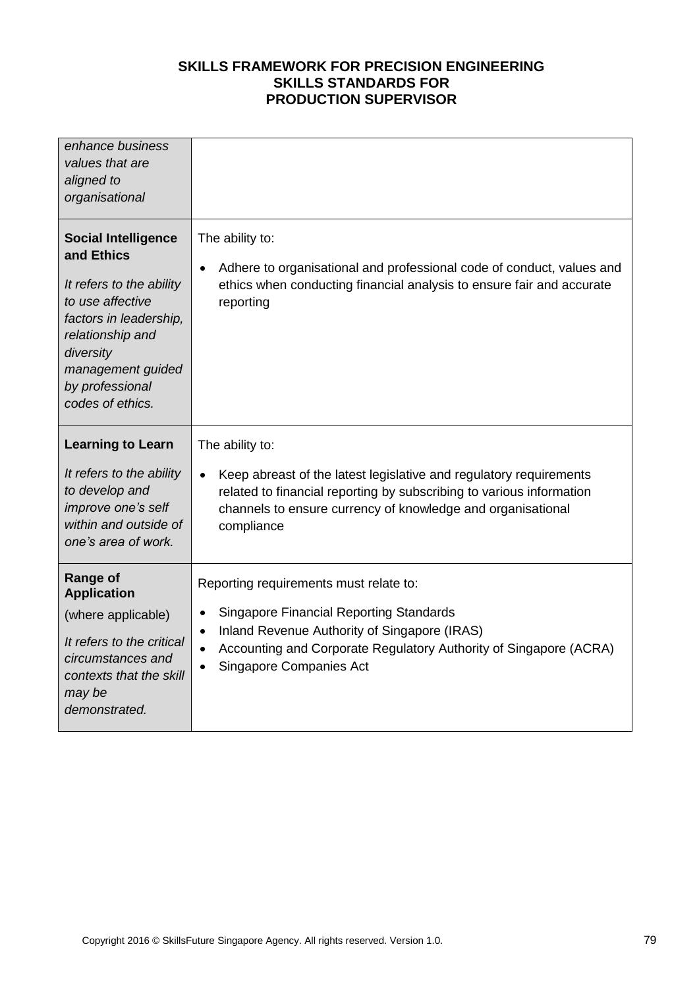| enhance business<br>values that are<br>aligned to<br>organisational                                                                                                                                             |                                                                                                                                                                                             |
|-----------------------------------------------------------------------------------------------------------------------------------------------------------------------------------------------------------------|---------------------------------------------------------------------------------------------------------------------------------------------------------------------------------------------|
| <b>Social Intelligence</b><br>and Ethics<br>It refers to the ability<br>to use affective<br>factors in leadership,<br>relationship and<br>diversity<br>management guided<br>by professional<br>codes of ethics. | The ability to:<br>Adhere to organisational and professional code of conduct, values and<br>$\bullet$<br>ethics when conducting financial analysis to ensure fair and accurate<br>reporting |
| <b>Learning to Learn</b>                                                                                                                                                                                        | The ability to:                                                                                                                                                                             |
| It refers to the ability                                                                                                                                                                                        | Keep abreast of the latest legislative and regulatory requirements                                                                                                                          |
| to develop and                                                                                                                                                                                                  | $\bullet$                                                                                                                                                                                   |
| improve one's self                                                                                                                                                                                              | related to financial reporting by subscribing to various information                                                                                                                        |
| within and outside of                                                                                                                                                                                           | channels to ensure currency of knowledge and organisational                                                                                                                                 |
| one's area of work.                                                                                                                                                                                             | compliance                                                                                                                                                                                  |
| <b>Range of</b>                                                                                                                                                                                                 | Reporting requirements must relate to:                                                                                                                                                      |
| <b>Application</b>                                                                                                                                                                                              | <b>Singapore Financial Reporting Standards</b>                                                                                                                                              |
| (where applicable)                                                                                                                                                                                              | $\bullet$                                                                                                                                                                                   |
| It refers to the critical                                                                                                                                                                                       | Inland Revenue Authority of Singapore (IRAS)                                                                                                                                                |
| circumstances and                                                                                                                                                                                               | $\bullet$                                                                                                                                                                                   |
| contexts that the skill                                                                                                                                                                                         | Accounting and Corporate Regulatory Authority of Singapore (ACRA)                                                                                                                           |
| may be                                                                                                                                                                                                          | $\bullet$                                                                                                                                                                                   |
| demonstrated.                                                                                                                                                                                                   | Singapore Companies Act                                                                                                                                                                     |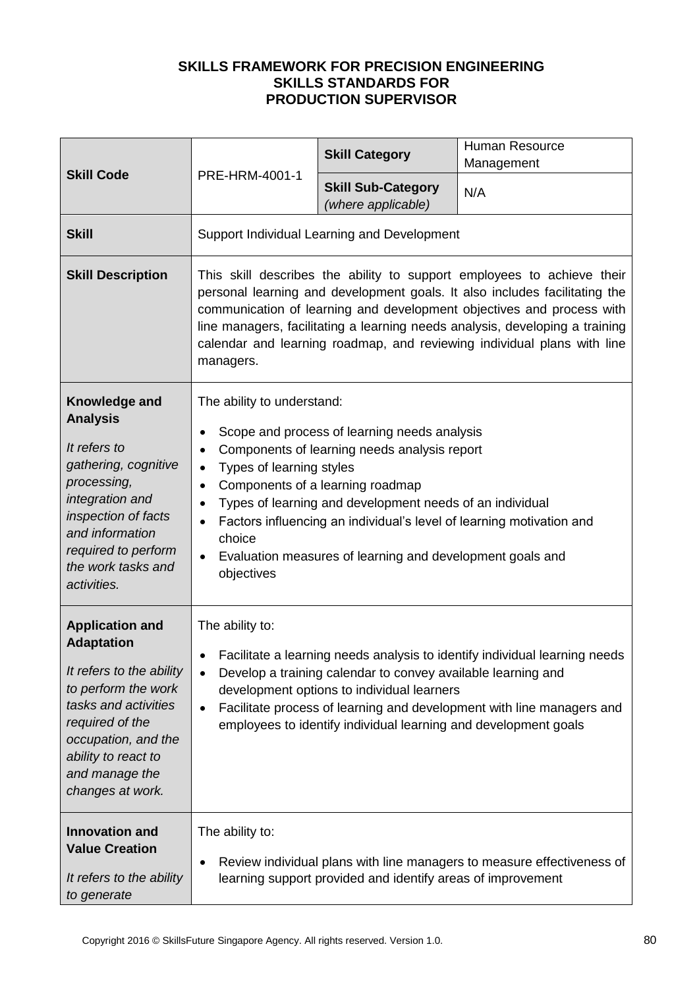| <b>Skill Code</b>                                                                                                                                                                                                             | PRE-HRM-4001-1                                                                                                                                                                                                                                                                                                                                                                                                                                                                                 | <b>Skill Category</b>                                       | Human Resource<br>Management                                           |
|-------------------------------------------------------------------------------------------------------------------------------------------------------------------------------------------------------------------------------|------------------------------------------------------------------------------------------------------------------------------------------------------------------------------------------------------------------------------------------------------------------------------------------------------------------------------------------------------------------------------------------------------------------------------------------------------------------------------------------------|-------------------------------------------------------------|------------------------------------------------------------------------|
|                                                                                                                                                                                                                               |                                                                                                                                                                                                                                                                                                                                                                                                                                                                                                | <b>Skill Sub-Category</b><br>(where applicable)             | N/A                                                                    |
| <b>Skill</b>                                                                                                                                                                                                                  |                                                                                                                                                                                                                                                                                                                                                                                                                                                                                                | Support Individual Learning and Development                 |                                                                        |
| <b>Skill Description</b>                                                                                                                                                                                                      | This skill describes the ability to support employees to achieve their<br>personal learning and development goals. It also includes facilitating the<br>communication of learning and development objectives and process with<br>line managers, facilitating a learning needs analysis, developing a training<br>calendar and learning roadmap, and reviewing individual plans with line<br>managers.                                                                                          |                                                             |                                                                        |
| Knowledge and<br><b>Analysis</b><br>It refers to<br>gathering, cognitive<br>processing,<br>integration and<br>inspection of facts<br>and information<br>required to perform<br>the work tasks and<br>activities.              | The ability to understand:<br>Scope and process of learning needs analysis<br>٠<br>Components of learning needs analysis report<br>٠<br>Types of learning styles<br>$\bullet$<br>Components of a learning roadmap<br>$\bullet$<br>Types of learning and development needs of an individual<br>$\bullet$<br>Factors influencing an individual's level of learning motivation and<br>$\bullet$<br>choice<br>Evaluation measures of learning and development goals and<br>$\bullet$<br>objectives |                                                             |                                                                        |
| <b>Application and</b><br><b>Adaptation</b><br>It refers to the ability<br>to perform the work<br>tasks and activities<br>required of the<br>occupation, and the<br>ability to react to<br>and manage the<br>changes at work. | The ability to:<br>Facilitate a learning needs analysis to identify individual learning needs<br>$\bullet$<br>Develop a training calendar to convey available learning and<br>$\bullet$<br>development options to individual learners<br>Facilitate process of learning and development with line managers and<br>$\bullet$<br>employees to identify individual learning and development goals                                                                                                 |                                                             |                                                                        |
| <b>Innovation and</b><br><b>Value Creation</b><br>It refers to the ability<br>to generate                                                                                                                                     | The ability to:<br>٠                                                                                                                                                                                                                                                                                                                                                                                                                                                                           | learning support provided and identify areas of improvement | Review individual plans with line managers to measure effectiveness of |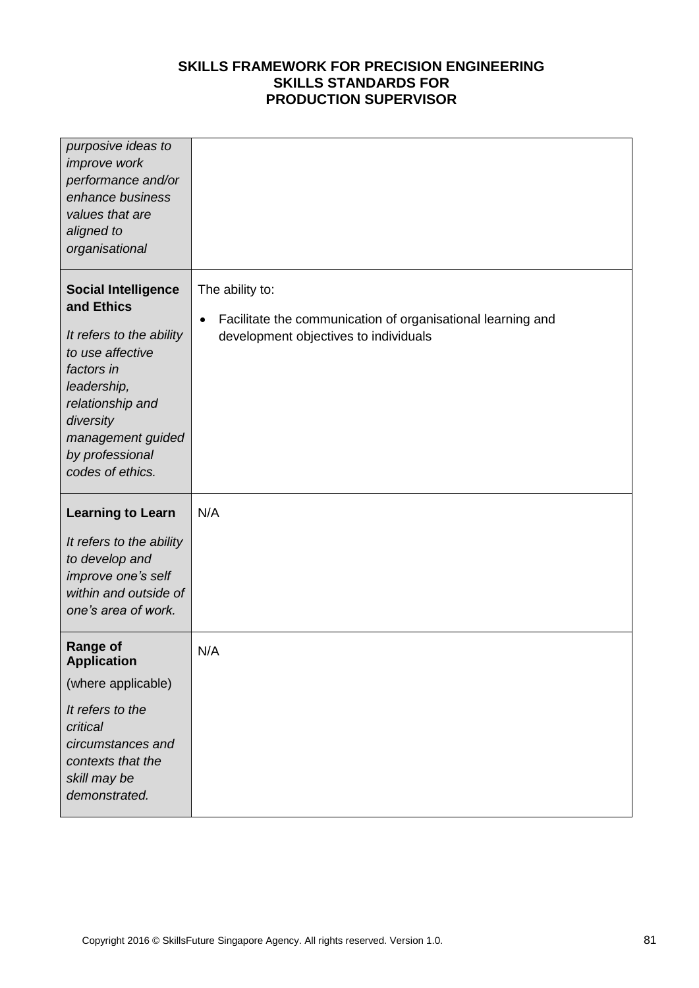| purposive ideas to<br>improve work<br>performance and/or<br>enhance business<br>values that are<br>aligned to<br>organisational                                                                                    |                                                                                                                                      |
|--------------------------------------------------------------------------------------------------------------------------------------------------------------------------------------------------------------------|--------------------------------------------------------------------------------------------------------------------------------------|
| <b>Social Intelligence</b><br>and Ethics<br>It refers to the ability<br>to use affective<br>factors in<br>leadership,<br>relationship and<br>diversity<br>management guided<br>by professional<br>codes of ethics. | The ability to:<br>Facilitate the communication of organisational learning and<br>$\bullet$<br>development objectives to individuals |
| <b>Learning to Learn</b><br>It refers to the ability<br>to develop and<br>improve one's self<br>within and outside of<br>one's area of work.                                                                       | N/A                                                                                                                                  |
| <b>Range of</b><br><b>Application</b><br>(where applicable)<br>It refers to the<br>critical<br>circumstances and<br>contexts that the<br>skill may be<br>demonstrated.                                             | N/A                                                                                                                                  |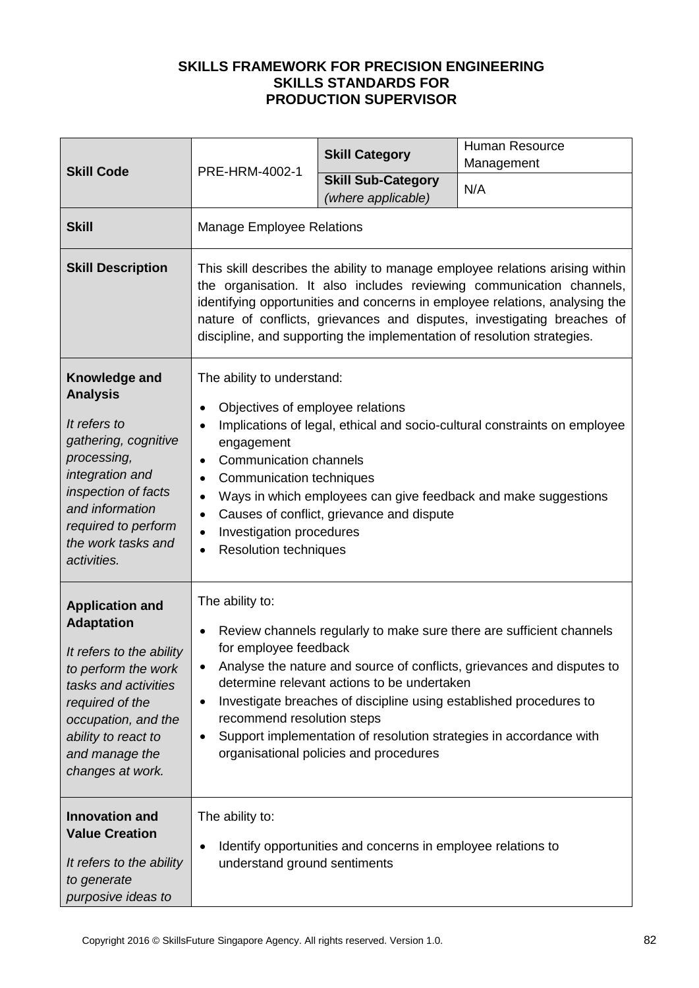| <b>Skill Code</b>                                                                                                                                                                                                             |                                                                                                                                                                                                                                                                                                                                                                                                                                                                                                   | <b>Skill Category</b>                                        | <b>Human Resource</b><br>Management |
|-------------------------------------------------------------------------------------------------------------------------------------------------------------------------------------------------------------------------------|---------------------------------------------------------------------------------------------------------------------------------------------------------------------------------------------------------------------------------------------------------------------------------------------------------------------------------------------------------------------------------------------------------------------------------------------------------------------------------------------------|--------------------------------------------------------------|-------------------------------------|
|                                                                                                                                                                                                                               | PRE-HRM-4002-1                                                                                                                                                                                                                                                                                                                                                                                                                                                                                    | <b>Skill Sub-Category</b><br>(where applicable)              | N/A                                 |
| <b>Skill</b>                                                                                                                                                                                                                  | <b>Manage Employee Relations</b>                                                                                                                                                                                                                                                                                                                                                                                                                                                                  |                                                              |                                     |
| <b>Skill Description</b>                                                                                                                                                                                                      | This skill describes the ability to manage employee relations arising within<br>the organisation. It also includes reviewing communication channels,<br>identifying opportunities and concerns in employee relations, analysing the<br>nature of conflicts, grievances and disputes, investigating breaches of<br>discipline, and supporting the implementation of resolution strategies.                                                                                                         |                                                              |                                     |
| Knowledge and<br><b>Analysis</b><br>It refers to<br>gathering, cognitive<br>processing,<br>integration and<br>inspection of facts<br>and information<br>required to perform<br>the work tasks and<br>activities.              | The ability to understand:<br>Objectives of employee relations<br>$\bullet$<br>Implications of legal, ethical and socio-cultural constraints on employee<br>$\bullet$<br>engagement<br><b>Communication channels</b><br>$\bullet$<br>Communication techniques<br>٠<br>Ways in which employees can give feedback and make suggestions<br>$\bullet$<br>Causes of conflict, grievance and dispute<br>$\bullet$<br>Investigation procedures<br>$\bullet$<br><b>Resolution techniques</b><br>$\bullet$ |                                                              |                                     |
| <b>Application and</b><br><b>Adaptation</b><br>It refers to the ability<br>to perform the work<br>tasks and activities<br>required of the<br>occupation, and the<br>ability to react to<br>and manage the<br>changes at work. | The ability to:<br>Review channels regularly to make sure there are sufficient channels<br>$\bullet$<br>for employee feedback<br>Analyse the nature and source of conflicts, grievances and disputes to<br>determine relevant actions to be undertaken<br>Investigate breaches of discipline using established procedures to<br>٠<br>recommend resolution steps<br>Support implementation of resolution strategies in accordance with<br>٠<br>organisational policies and procedures              |                                                              |                                     |
| <b>Innovation and</b><br><b>Value Creation</b><br>It refers to the ability<br>to generate<br>purposive ideas to                                                                                                               | The ability to:<br>$\bullet$<br>understand ground sentiments                                                                                                                                                                                                                                                                                                                                                                                                                                      | Identify opportunities and concerns in employee relations to |                                     |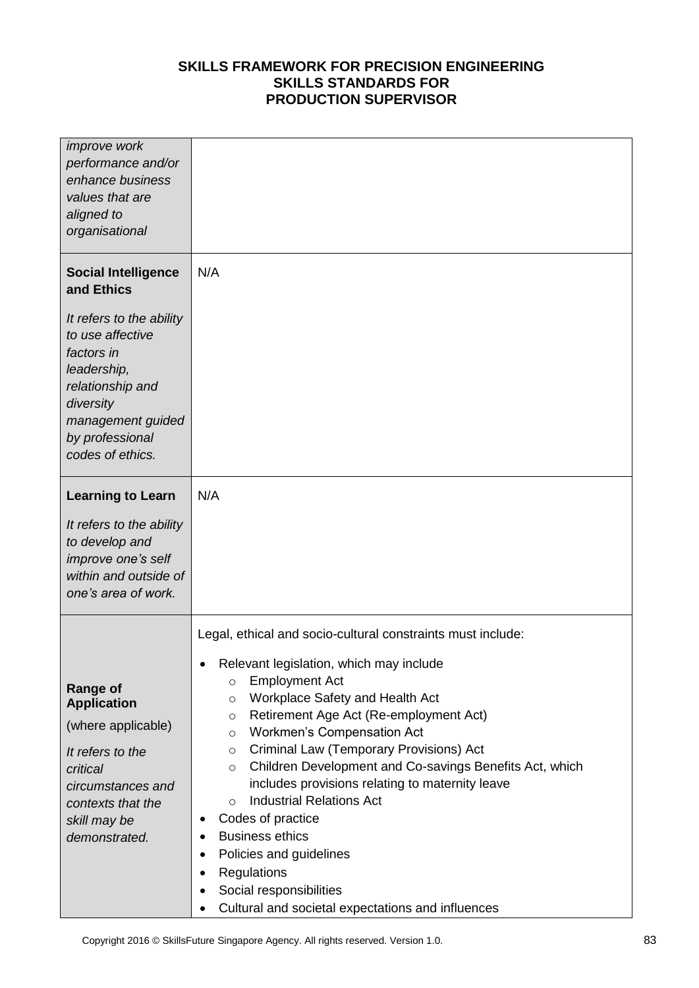| <i>improve</i> work<br>performance and/or<br>enhance business<br>values that are<br>aligned to<br>organisational                                                                                                   |                                                                                                                                                                                                                                                                                                                                                                                                                                                                                                                                                                                                                                                                                                                                                                   |
|--------------------------------------------------------------------------------------------------------------------------------------------------------------------------------------------------------------------|-------------------------------------------------------------------------------------------------------------------------------------------------------------------------------------------------------------------------------------------------------------------------------------------------------------------------------------------------------------------------------------------------------------------------------------------------------------------------------------------------------------------------------------------------------------------------------------------------------------------------------------------------------------------------------------------------------------------------------------------------------------------|
| <b>Social Intelligence</b><br>and Ethics<br>It refers to the ability<br>to use affective<br>factors in<br>leadership,<br>relationship and<br>diversity<br>management guided<br>by professional<br>codes of ethics. | N/A                                                                                                                                                                                                                                                                                                                                                                                                                                                                                                                                                                                                                                                                                                                                                               |
| <b>Learning to Learn</b><br>It refers to the ability<br>to develop and<br>improve one's self<br>within and outside of<br>one's area of work.                                                                       | N/A                                                                                                                                                                                                                                                                                                                                                                                                                                                                                                                                                                                                                                                                                                                                                               |
| <b>Range of</b><br><b>Application</b><br>(where applicable)<br>It refers to the<br>critical<br>circumstances and<br>contexts that the<br>skill may be<br>demonstrated.                                             | Legal, ethical and socio-cultural constraints must include:<br>Relevant legislation, which may include<br><b>Employment Act</b><br>$\circ$<br><b>Workplace Safety and Health Act</b><br>$\circ$<br>Retirement Age Act (Re-employment Act)<br>$\circ$<br>Workmen's Compensation Act<br>$\circ$<br>Criminal Law (Temporary Provisions) Act<br>$\circ$<br>Children Development and Co-savings Benefits Act, which<br>$\circ$<br>includes provisions relating to maternity leave<br><b>Industrial Relations Act</b><br>$\circ$<br>Codes of practice<br>$\bullet$<br><b>Business ethics</b><br>٠<br>Policies and guidelines<br>$\bullet$<br>Regulations<br>$\bullet$<br>Social responsibilities<br>$\bullet$<br>Cultural and societal expectations and influences<br>٠ |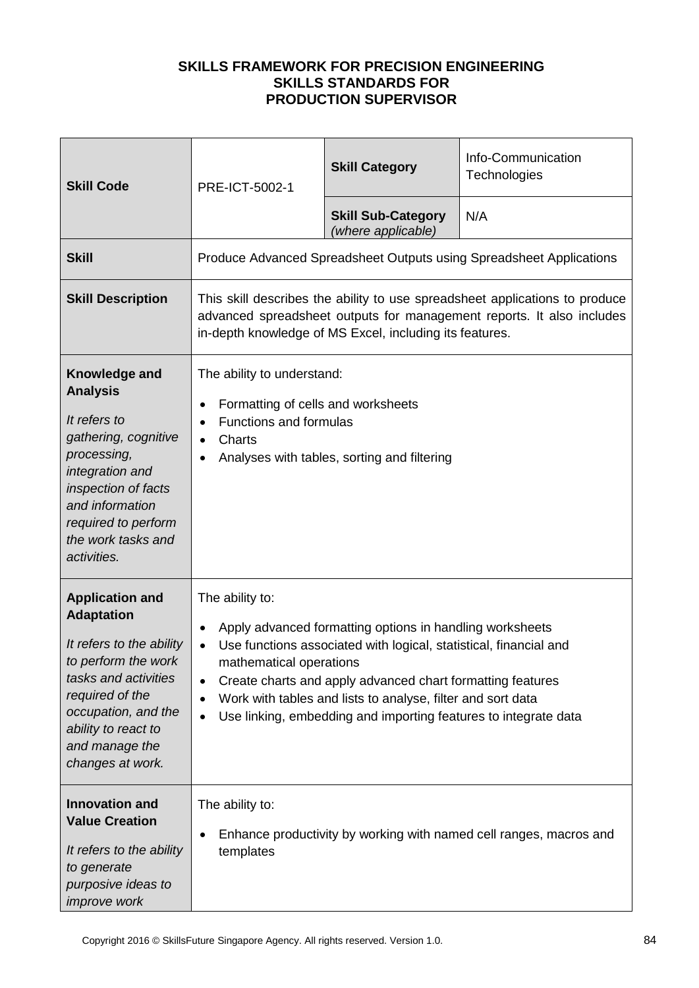| <b>Skill Code</b>                                                                                                                                                                                                             | PRE-ICT-5002-1                                                                                                                                                                                                  | <b>Skill Category</b>                                                                                                                                                                                                                                                                                                         | Info-Communication<br>Technologies                                  |
|-------------------------------------------------------------------------------------------------------------------------------------------------------------------------------------------------------------------------------|-----------------------------------------------------------------------------------------------------------------------------------------------------------------------------------------------------------------|-------------------------------------------------------------------------------------------------------------------------------------------------------------------------------------------------------------------------------------------------------------------------------------------------------------------------------|---------------------------------------------------------------------|
|                                                                                                                                                                                                                               |                                                                                                                                                                                                                 | <b>Skill Sub-Category</b><br>(where applicable)                                                                                                                                                                                                                                                                               | N/A                                                                 |
| <b>Skill</b>                                                                                                                                                                                                                  |                                                                                                                                                                                                                 |                                                                                                                                                                                                                                                                                                                               | Produce Advanced Spreadsheet Outputs using Spreadsheet Applications |
| <b>Skill Description</b>                                                                                                                                                                                                      | This skill describes the ability to use spreadsheet applications to produce<br>advanced spreadsheet outputs for management reports. It also includes<br>in-depth knowledge of MS Excel, including its features. |                                                                                                                                                                                                                                                                                                                               |                                                                     |
| Knowledge and<br><b>Analysis</b><br>It refers to<br>gathering, cognitive<br>processing,<br>integration and<br>inspection of facts<br>and information<br>required to perform<br>the work tasks and<br>activities.              | The ability to understand:<br>Formatting of cells and worksheets<br>$\bullet$<br><b>Functions and formulas</b><br>$\bullet$<br>Charts<br>$\bullet$<br>Analyses with tables, sorting and filtering<br>$\bullet$  |                                                                                                                                                                                                                                                                                                                               |                                                                     |
| <b>Application and</b><br><b>Adaptation</b><br>It refers to the ability<br>to perform the work<br>tasks and activities<br>required of the<br>occupation, and the<br>ability to react to<br>and manage the<br>changes at work. | The ability to:<br>$\bullet$<br>$\bullet$<br>mathematical operations<br>$\bullet$<br>$\bullet$<br>$\bullet$                                                                                                     | Apply advanced formatting options in handling worksheets<br>Use functions associated with logical, statistical, financial and<br>Create charts and apply advanced chart formatting features<br>Work with tables and lists to analyse, filter and sort data<br>Use linking, embedding and importing features to integrate data |                                                                     |
| <b>Innovation and</b><br><b>Value Creation</b><br>It refers to the ability<br>to generate<br>purposive ideas to<br>improve work                                                                                               | The ability to:<br>$\bullet$<br>templates                                                                                                                                                                       |                                                                                                                                                                                                                                                                                                                               | Enhance productivity by working with named cell ranges, macros and  |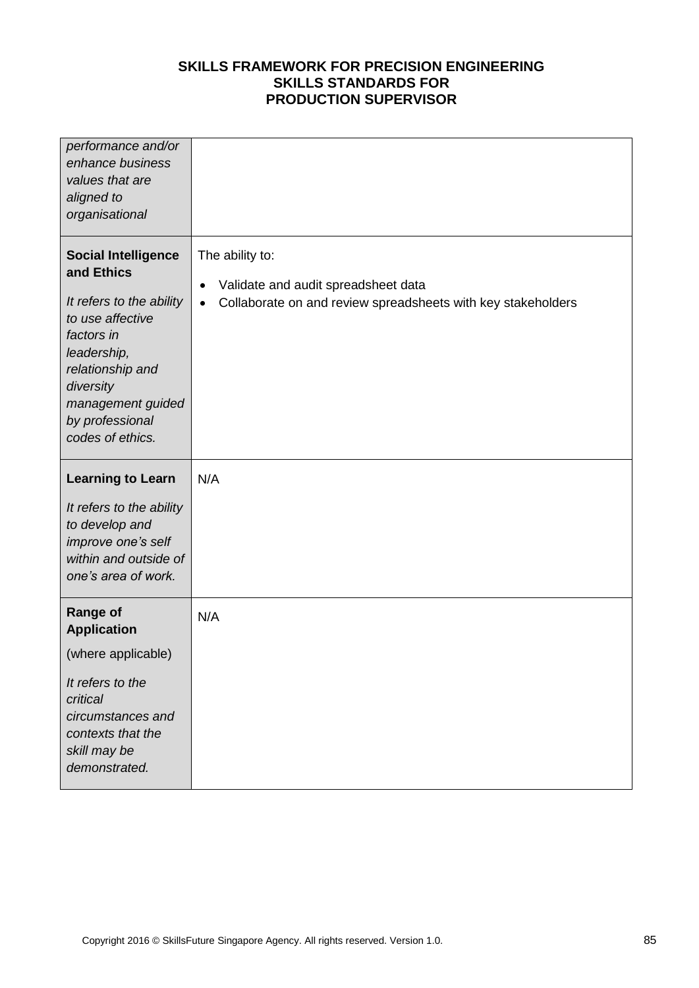| performance and/or<br>enhance business<br>values that are<br>aligned to<br>organisational                                                                                                                          |                                                                                                                                                  |
|--------------------------------------------------------------------------------------------------------------------------------------------------------------------------------------------------------------------|--------------------------------------------------------------------------------------------------------------------------------------------------|
| <b>Social Intelligence</b><br>and Ethics<br>It refers to the ability<br>to use affective<br>factors in<br>leadership,<br>relationship and<br>diversity<br>management guided<br>by professional<br>codes of ethics. | The ability to:<br>Validate and audit spreadsheet data<br>$\bullet$<br>Collaborate on and review spreadsheets with key stakeholders<br>$\bullet$ |
| <b>Learning to Learn</b><br>It refers to the ability<br>to develop and<br>improve one's self<br>within and outside of<br>one's area of work.                                                                       | N/A                                                                                                                                              |
| <b>Range of</b><br><b>Application</b><br>(where applicable)<br>It refers to the<br>critical<br>circumstances and<br>contexts that the<br>skill may be<br>demonstrated.                                             | N/A                                                                                                                                              |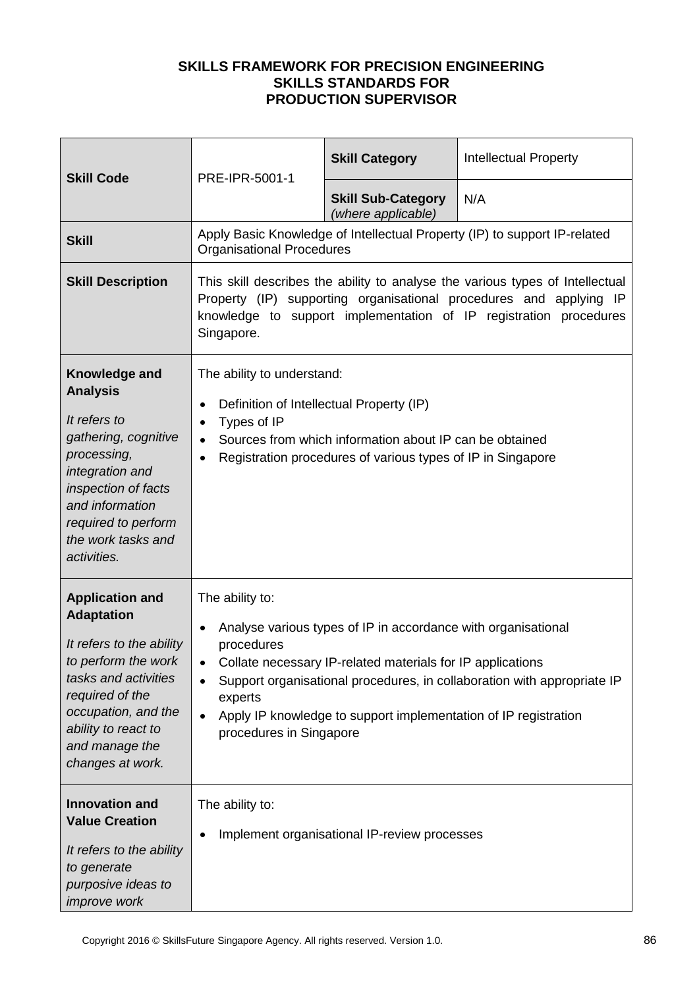| <b>Skill Code</b>                                                                                                                                                                                                             | PRE-IPR-5001-1                                                                                                                                                                                                                                                                                                                                                                          | <b>Skill Category</b>                           | <b>Intellectual Property</b>                                              |
|-------------------------------------------------------------------------------------------------------------------------------------------------------------------------------------------------------------------------------|-----------------------------------------------------------------------------------------------------------------------------------------------------------------------------------------------------------------------------------------------------------------------------------------------------------------------------------------------------------------------------------------|-------------------------------------------------|---------------------------------------------------------------------------|
|                                                                                                                                                                                                                               |                                                                                                                                                                                                                                                                                                                                                                                         | <b>Skill Sub-Category</b><br>(where applicable) | N/A                                                                       |
| <b>Skill</b>                                                                                                                                                                                                                  | <b>Organisational Procedures</b>                                                                                                                                                                                                                                                                                                                                                        |                                                 | Apply Basic Knowledge of Intellectual Property (IP) to support IP-related |
| <b>Skill Description</b>                                                                                                                                                                                                      | This skill describes the ability to analyse the various types of Intellectual<br>Property (IP) supporting organisational procedures and applying IP<br>knowledge to support implementation of IP registration procedures<br>Singapore.                                                                                                                                                  |                                                 |                                                                           |
| Knowledge and<br><b>Analysis</b><br>It refers to<br>gathering, cognitive<br>processing,<br>integration and<br>inspection of facts<br>and information<br>required to perform<br>the work tasks and<br>activities.              | The ability to understand:<br>Definition of Intellectual Property (IP)<br>٠<br>Types of IP<br>$\bullet$<br>Sources from which information about IP can be obtained<br>$\bullet$<br>Registration procedures of various types of IP in Singapore<br>$\bullet$                                                                                                                             |                                                 |                                                                           |
| <b>Application and</b><br><b>Adaptation</b><br>It refers to the ability<br>to perform the work<br>tasks and activities<br>required of the<br>occupation, and the<br>ability to react to<br>and manage the<br>changes at work. | The ability to:<br>Analyse various types of IP in accordance with organisational<br>$\bullet$<br>procedures<br>Collate necessary IP-related materials for IP applications<br>$\bullet$<br>Support organisational procedures, in collaboration with appropriate IP<br>experts<br>Apply IP knowledge to support implementation of IP registration<br>$\bullet$<br>procedures in Singapore |                                                 |                                                                           |
| <b>Innovation and</b><br><b>Value Creation</b><br>It refers to the ability<br>to generate<br>purposive ideas to<br><i>improve</i> work                                                                                        | The ability to:<br>Implement organisational IP-review processes                                                                                                                                                                                                                                                                                                                         |                                                 |                                                                           |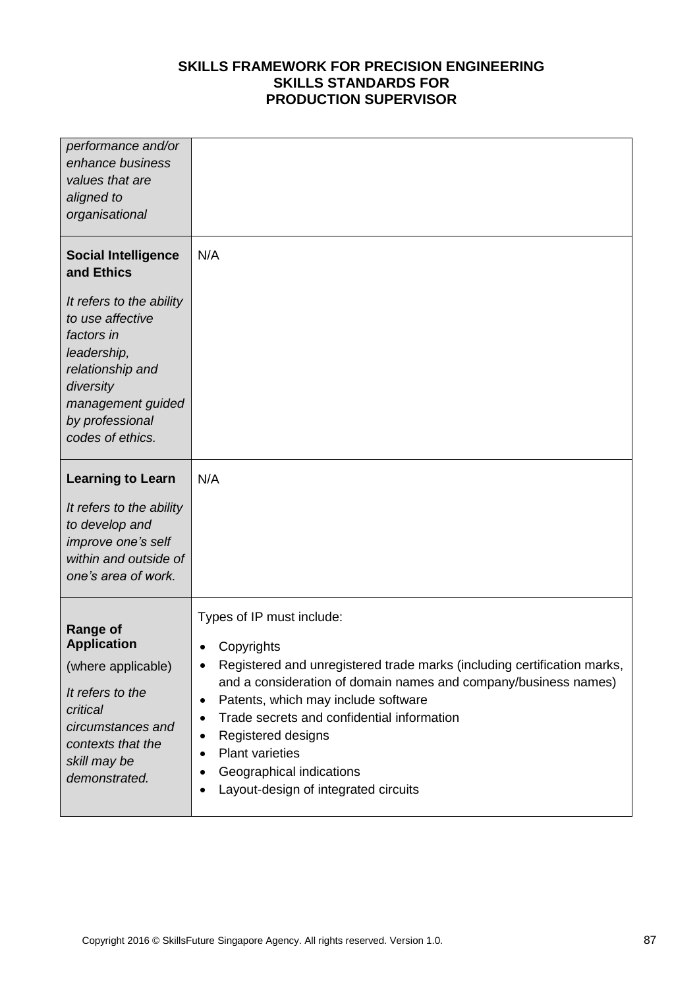| performance and/or<br>enhance business<br>values that are<br>aligned to<br>organisational                                                                                   |                                                                                                                                                                                                                                                                                                                                                                                                                                                                                           |
|-----------------------------------------------------------------------------------------------------------------------------------------------------------------------------|-------------------------------------------------------------------------------------------------------------------------------------------------------------------------------------------------------------------------------------------------------------------------------------------------------------------------------------------------------------------------------------------------------------------------------------------------------------------------------------------|
| <b>Social Intelligence</b><br>and Ethics<br>It refers to the ability<br>to use affective<br>factors in<br>leadership,<br>relationship and<br>diversity<br>management guided | N/A                                                                                                                                                                                                                                                                                                                                                                                                                                                                                       |
| by professional<br>codes of ethics.                                                                                                                                         |                                                                                                                                                                                                                                                                                                                                                                                                                                                                                           |
| <b>Learning to Learn</b><br>It refers to the ability<br>to develop and<br>improve one's self<br>within and outside of<br>one's area of work.                                | N/A                                                                                                                                                                                                                                                                                                                                                                                                                                                                                       |
| <b>Range of</b><br><b>Application</b><br>(where applicable)<br>It refers to the<br>critical<br>circumstances and<br>contexts that the<br>skill may be<br>demonstrated.      | Types of IP must include:<br>Copyrights<br>$\bullet$<br>Registered and unregistered trade marks (including certification marks,<br>and a consideration of domain names and company/business names)<br>Patents, which may include software<br>$\bullet$<br>Trade secrets and confidential information<br>$\bullet$<br>Registered designs<br>$\bullet$<br><b>Plant varieties</b><br>$\bullet$<br>Geographical indications<br>$\bullet$<br>Layout-design of integrated circuits<br>$\bullet$ |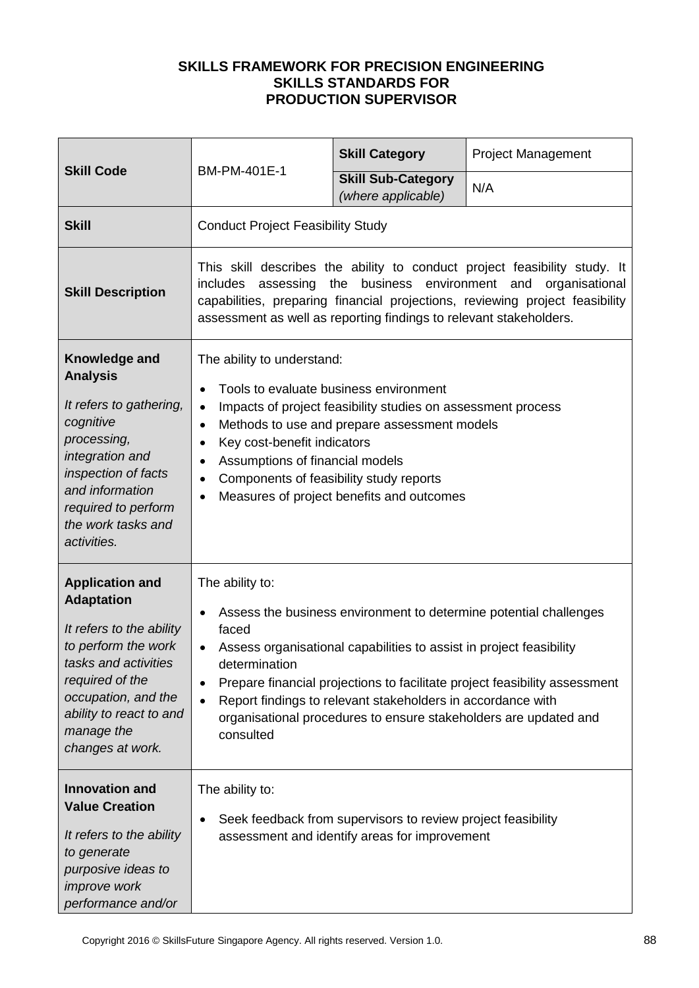| <b>Skill Code</b><br>BM-PM-401E-1                                                                                                                                                                                             |                                                                                                                                                                                                                                                                                                                                                                                                                                                            | <b>Skill Category</b>                           | Project Management |  |
|-------------------------------------------------------------------------------------------------------------------------------------------------------------------------------------------------------------------------------|------------------------------------------------------------------------------------------------------------------------------------------------------------------------------------------------------------------------------------------------------------------------------------------------------------------------------------------------------------------------------------------------------------------------------------------------------------|-------------------------------------------------|--------------------|--|
|                                                                                                                                                                                                                               |                                                                                                                                                                                                                                                                                                                                                                                                                                                            | <b>Skill Sub-Category</b><br>(where applicable) | N/A                |  |
| <b>Skill</b>                                                                                                                                                                                                                  | <b>Conduct Project Feasibility Study</b>                                                                                                                                                                                                                                                                                                                                                                                                                   |                                                 |                    |  |
| <b>Skill Description</b>                                                                                                                                                                                                      | This skill describes the ability to conduct project feasibility study. It<br>the business environment and<br>organisational<br>includes assessing<br>capabilities, preparing financial projections, reviewing project feasibility<br>assessment as well as reporting findings to relevant stakeholders.                                                                                                                                                    |                                                 |                    |  |
| Knowledge and<br><b>Analysis</b><br>It refers to gathering,<br>cognitive<br>processing,<br>integration and<br>inspection of facts<br>and information<br>required to perform<br>the work tasks and<br>activities.              | The ability to understand:<br>Tools to evaluate business environment<br>$\bullet$<br>Impacts of project feasibility studies on assessment process<br>$\bullet$<br>Methods to use and prepare assessment models<br>$\bullet$<br>Key cost-benefit indicators<br>$\bullet$<br>Assumptions of financial models<br>$\bullet$<br>Components of feasibility study reports<br>٠<br>Measures of project benefits and outcomes                                       |                                                 |                    |  |
| <b>Application and</b><br><b>Adaptation</b><br>It refers to the ability<br>to perform the work<br>tasks and activities<br>required of the<br>occupation, and the<br>ability to react to and<br>manage the<br>changes at work. | The ability to:<br>Assess the business environment to determine potential challenges<br>$\bullet$<br>faced<br>Assess organisational capabilities to assist in project feasibility<br>determination<br>Prepare financial projections to facilitate project feasibility assessment<br>$\bullet$<br>Report findings to relevant stakeholders in accordance with<br>$\bullet$<br>organisational procedures to ensure stakeholders are updated and<br>consulted |                                                 |                    |  |
| <b>Innovation and</b><br><b>Value Creation</b><br>It refers to the ability<br>to generate<br>purposive ideas to<br><i>improve</i> work<br>performance and/or                                                                  | The ability to:<br>Seek feedback from supervisors to review project feasibility<br>$\bullet$<br>assessment and identify areas for improvement                                                                                                                                                                                                                                                                                                              |                                                 |                    |  |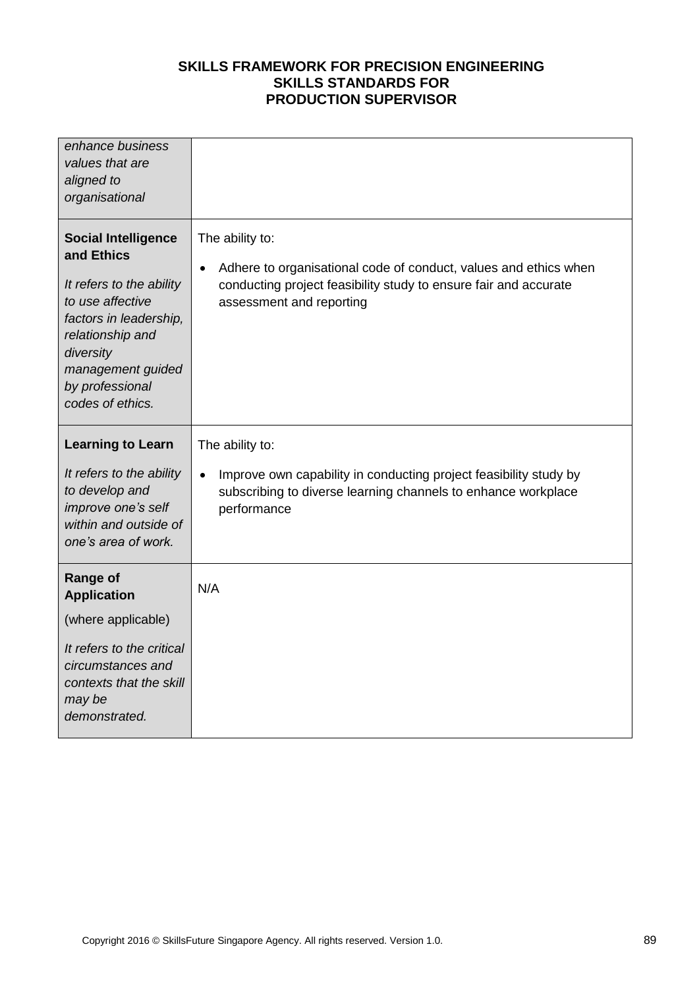| enhance business<br>values that are<br>aligned to<br>organisational                                                                                                                                             |                                                                                                                                                                                                  |
|-----------------------------------------------------------------------------------------------------------------------------------------------------------------------------------------------------------------|--------------------------------------------------------------------------------------------------------------------------------------------------------------------------------------------------|
| <b>Social Intelligence</b><br>and Ethics<br>It refers to the ability<br>to use affective<br>factors in leadership,<br>relationship and<br>diversity<br>management guided<br>by professional<br>codes of ethics. | The ability to:<br>Adhere to organisational code of conduct, values and ethics when<br>$\bullet$<br>conducting project feasibility study to ensure fair and accurate<br>assessment and reporting |
| <b>Learning to Learn</b>                                                                                                                                                                                        | The ability to:                                                                                                                                                                                  |
| It refers to the ability<br>to develop and<br>improve one's self<br>within and outside of<br>one's area of work.                                                                                                | Improve own capability in conducting project feasibility study by<br>$\bullet$<br>subscribing to diverse learning channels to enhance workplace<br>performance                                   |
| <b>Range of</b><br><b>Application</b>                                                                                                                                                                           | N/A                                                                                                                                                                                              |
| (where applicable)                                                                                                                                                                                              |                                                                                                                                                                                                  |
| It refers to the critical<br>circumstances and<br>contexts that the skill<br>may be<br>demonstrated.                                                                                                            |                                                                                                                                                                                                  |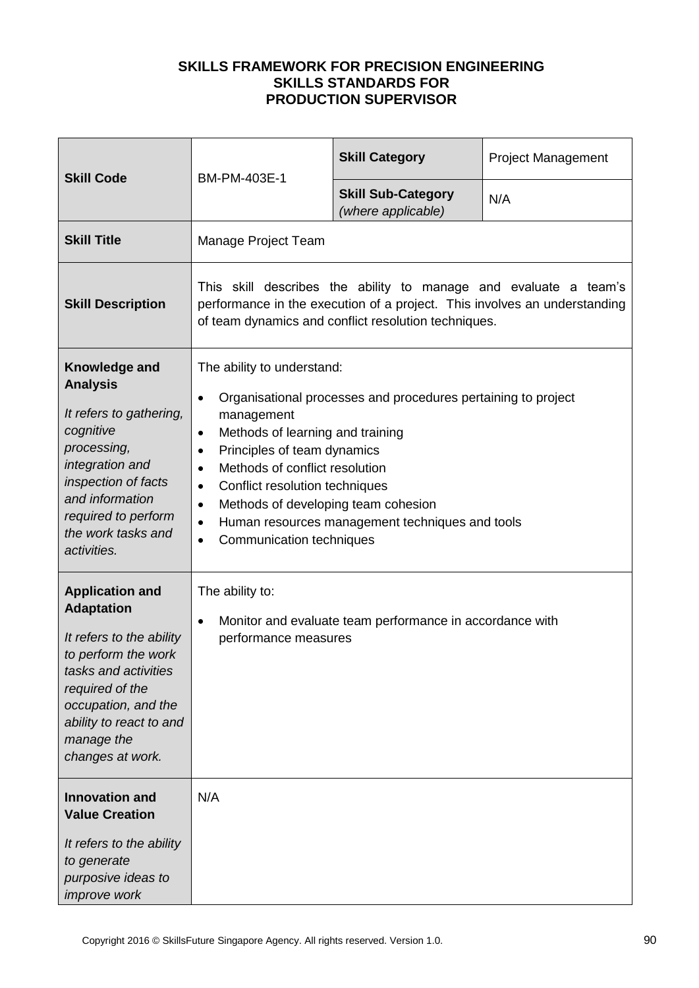| <b>Skill Code</b>                                                                                                                                                                                                             | BM-PM-403E-1                                                                                                                                                                                                                                                                                                                                                                                                                                                                   | <b>Skill Category</b>                           | <b>Project Management</b> |  |
|-------------------------------------------------------------------------------------------------------------------------------------------------------------------------------------------------------------------------------|--------------------------------------------------------------------------------------------------------------------------------------------------------------------------------------------------------------------------------------------------------------------------------------------------------------------------------------------------------------------------------------------------------------------------------------------------------------------------------|-------------------------------------------------|---------------------------|--|
|                                                                                                                                                                                                                               |                                                                                                                                                                                                                                                                                                                                                                                                                                                                                | <b>Skill Sub-Category</b><br>(where applicable) | N/A                       |  |
| <b>Skill Title</b>                                                                                                                                                                                                            | Manage Project Team                                                                                                                                                                                                                                                                                                                                                                                                                                                            |                                                 |                           |  |
| <b>Skill Description</b>                                                                                                                                                                                                      | This skill describes the ability to manage and evaluate a team's<br>performance in the execution of a project. This involves an understanding<br>of team dynamics and conflict resolution techniques.                                                                                                                                                                                                                                                                          |                                                 |                           |  |
| Knowledge and<br><b>Analysis</b><br>It refers to gathering,<br>cognitive<br>processing,<br>integration and<br>inspection of facts<br>and information<br>required to perform<br>the work tasks and<br>activities.              | The ability to understand:<br>Organisational processes and procedures pertaining to project<br>$\bullet$<br>management<br>Methods of learning and training<br>$\bullet$<br>Principles of team dynamics<br>$\bullet$<br>Methods of conflict resolution<br>$\bullet$<br>Conflict resolution techniques<br>$\bullet$<br>Methods of developing team cohesion<br>$\bullet$<br>Human resources management techniques and tools<br>$\bullet$<br>Communication techniques<br>$\bullet$ |                                                 |                           |  |
| <b>Application and</b><br><b>Adaptation</b><br>It refers to the ability<br>to perform the work<br>tasks and activities<br>required of the<br>occupation, and the<br>ability to react to and<br>manage the<br>changes at work. | The ability to:<br>Monitor and evaluate team performance in accordance with<br>$\bullet$<br>performance measures                                                                                                                                                                                                                                                                                                                                                               |                                                 |                           |  |
| <b>Innovation and</b><br><b>Value Creation</b><br>It refers to the ability<br>to generate<br>purposive ideas to<br>improve work                                                                                               | N/A                                                                                                                                                                                                                                                                                                                                                                                                                                                                            |                                                 |                           |  |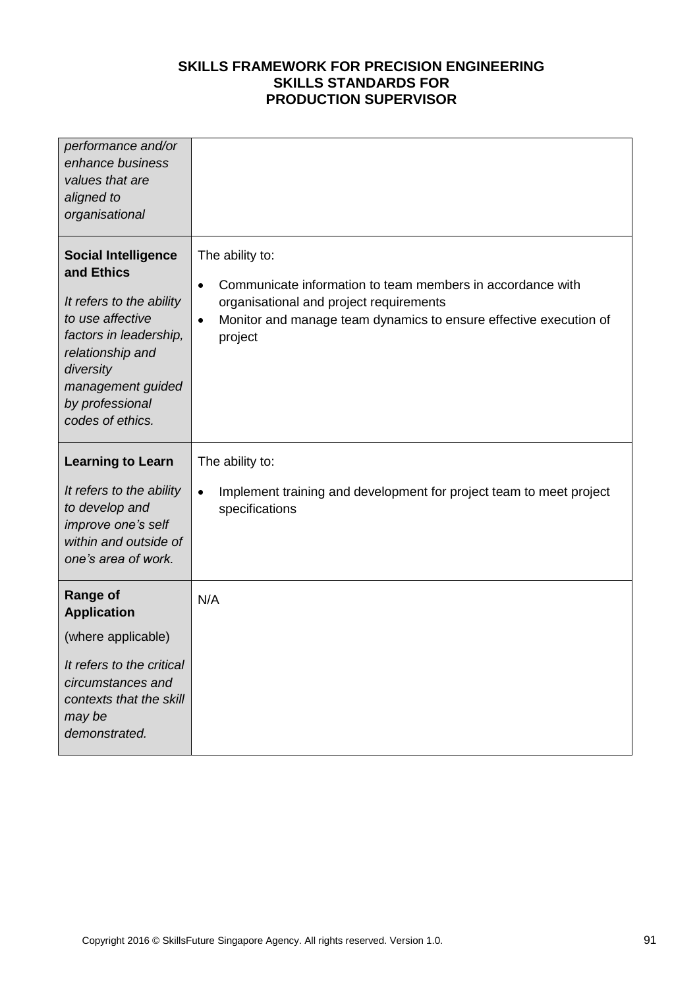| performance and/or<br>enhance business<br>values that are<br>aligned to<br>organisational                                                                                                                       |                                                                                                                                                                                                                                    |
|-----------------------------------------------------------------------------------------------------------------------------------------------------------------------------------------------------------------|------------------------------------------------------------------------------------------------------------------------------------------------------------------------------------------------------------------------------------|
| <b>Social Intelligence</b><br>and Ethics<br>It refers to the ability<br>to use affective<br>factors in leadership,<br>relationship and<br>diversity<br>management guided<br>by professional<br>codes of ethics. | The ability to:<br>Communicate information to team members in accordance with<br>$\bullet$<br>organisational and project requirements<br>Monitor and manage team dynamics to ensure effective execution of<br>$\bullet$<br>project |
| <b>Learning to Learn</b><br>It refers to the ability<br>to develop and<br>improve one's self<br>within and outside of<br>one's area of work.                                                                    | The ability to:<br>Implement training and development for project team to meet project<br>$\bullet$<br>specifications                                                                                                              |
| <b>Range of</b><br><b>Application</b><br>(where applicable)<br>It refers to the critical<br>circumstances and<br>contexts that the skill<br>may be<br>demonstrated.                                             | N/A                                                                                                                                                                                                                                |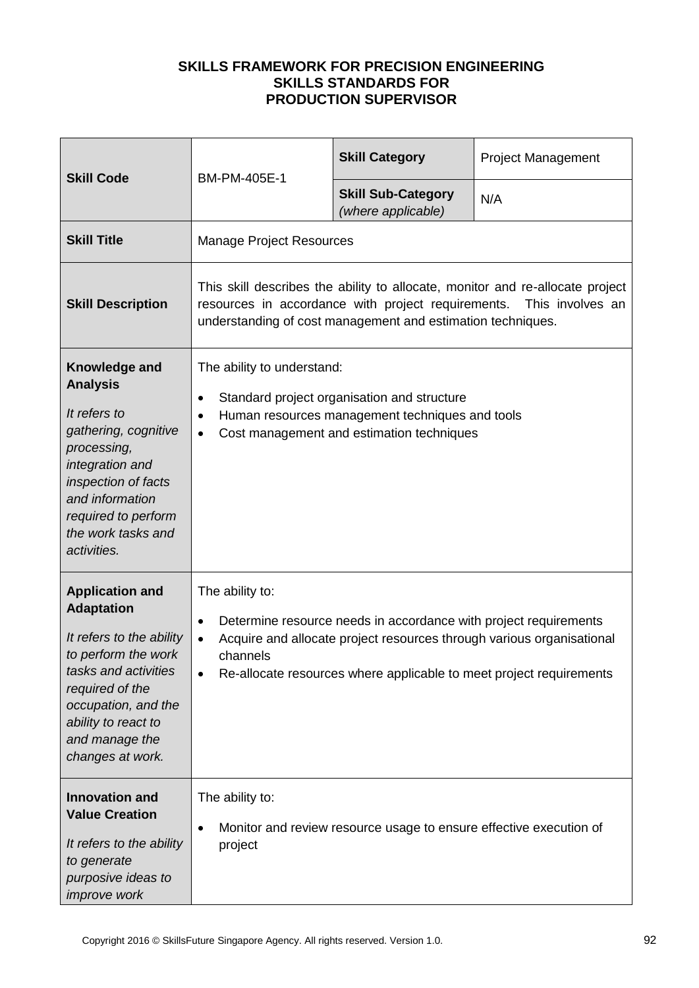| <b>Skill Code</b>                                                                                                                                                                                                             | BM-PM-405E-1                                                                                                                                                                                                                                                      | <b>Skill Category</b>                           | <b>Project Management</b> |
|-------------------------------------------------------------------------------------------------------------------------------------------------------------------------------------------------------------------------------|-------------------------------------------------------------------------------------------------------------------------------------------------------------------------------------------------------------------------------------------------------------------|-------------------------------------------------|---------------------------|
|                                                                                                                                                                                                                               |                                                                                                                                                                                                                                                                   | <b>Skill Sub-Category</b><br>(where applicable) | N/A                       |
| <b>Skill Title</b>                                                                                                                                                                                                            | <b>Manage Project Resources</b>                                                                                                                                                                                                                                   |                                                 |                           |
| <b>Skill Description</b>                                                                                                                                                                                                      | This skill describes the ability to allocate, monitor and re-allocate project<br>resources in accordance with project requirements.<br>This involves an<br>understanding of cost management and estimation techniques.                                            |                                                 |                           |
| Knowledge and<br><b>Analysis</b><br>It refers to<br>gathering, cognitive<br>processing,<br>integration and<br>inspection of facts<br>and information<br>required to perform<br>the work tasks and<br>activities.              | The ability to understand:<br>Standard project organisation and structure<br>٠<br>Human resources management techniques and tools<br>$\bullet$<br>Cost management and estimation techniques<br>$\bullet$                                                          |                                                 |                           |
| <b>Application and</b><br><b>Adaptation</b><br>It refers to the ability<br>to perform the work<br>tasks and activities<br>required of the<br>occupation, and the<br>ability to react to<br>and manage the<br>changes at work. | The ability to:<br>Determine resource needs in accordance with project requirements<br>٠<br>Acquire and allocate project resources through various organisational<br>$\bullet$<br>channels<br>Re-allocate resources where applicable to meet project requirements |                                                 |                           |
| <b>Innovation and</b><br><b>Value Creation</b><br>It refers to the ability<br>to generate<br>purposive ideas to<br>improve work                                                                                               | The ability to:<br>Monitor and review resource usage to ensure effective execution of<br>project                                                                                                                                                                  |                                                 |                           |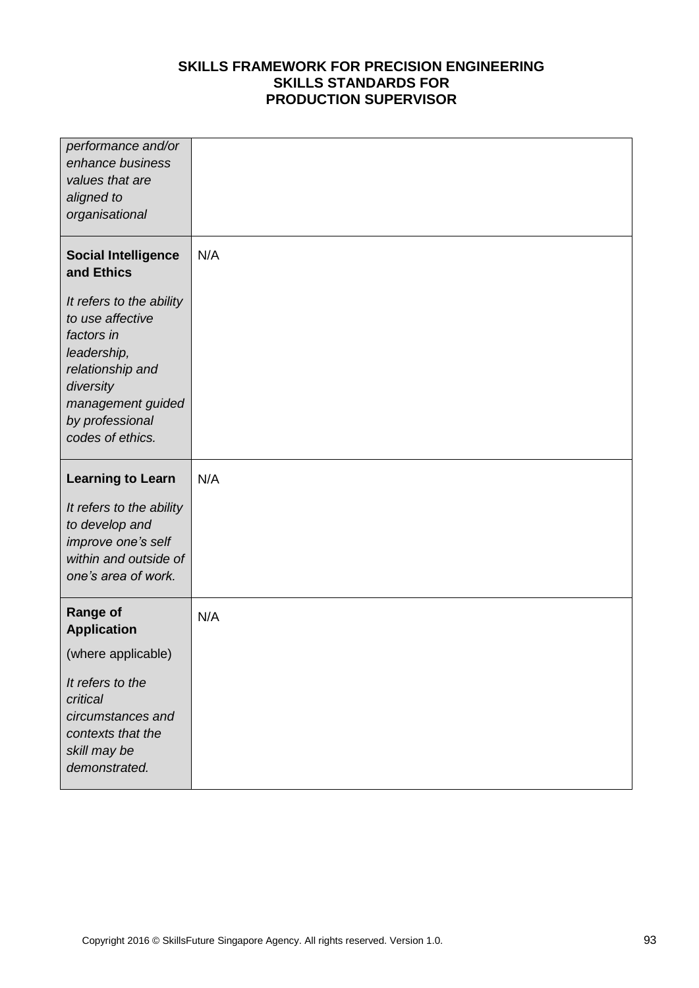| performance and/or<br>enhance business<br>values that are<br>aligned to<br>organisational                                                                              |     |
|------------------------------------------------------------------------------------------------------------------------------------------------------------------------|-----|
| <b>Social Intelligence</b><br>and Ethics                                                                                                                               | N/A |
| It refers to the ability<br>to use affective<br>factors in<br>leadership,<br>relationship and<br>diversity<br>management guided<br>by professional<br>codes of ethics. |     |
|                                                                                                                                                                        |     |
| <b>Learning to Learn</b>                                                                                                                                               | N/A |
| It refers to the ability<br>to develop and<br>improve one's self<br>within and outside of<br>one's area of work.                                                       |     |
| <b>Range of</b><br><b>Application</b>                                                                                                                                  | N/A |
| (where applicable)                                                                                                                                                     |     |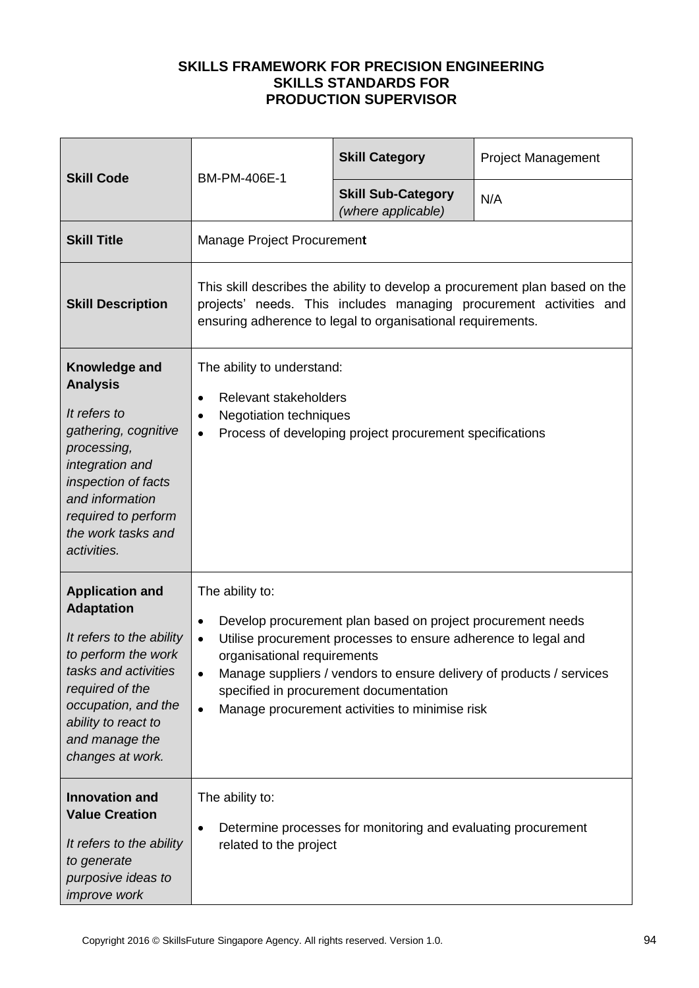| <b>Skill Code</b>                                                                                                                                                                                                             | BM-PM-406E-1                                                                                                                                                                                                                                                                                                                                                                                    | <b>Skill Category</b>                           | <b>Project Management</b> |
|-------------------------------------------------------------------------------------------------------------------------------------------------------------------------------------------------------------------------------|-------------------------------------------------------------------------------------------------------------------------------------------------------------------------------------------------------------------------------------------------------------------------------------------------------------------------------------------------------------------------------------------------|-------------------------------------------------|---------------------------|
|                                                                                                                                                                                                                               |                                                                                                                                                                                                                                                                                                                                                                                                 | <b>Skill Sub-Category</b><br>(where applicable) | N/A                       |
| <b>Skill Title</b>                                                                                                                                                                                                            | Manage Project Procurement                                                                                                                                                                                                                                                                                                                                                                      |                                                 |                           |
| <b>Skill Description</b>                                                                                                                                                                                                      | This skill describes the ability to develop a procurement plan based on the<br>projects' needs. This includes managing procurement activities and<br>ensuring adherence to legal to organisational requirements.                                                                                                                                                                                |                                                 |                           |
| Knowledge and<br><b>Analysis</b><br>It refers to<br>gathering, cognitive<br>processing,<br>integration and<br>inspection of facts<br>and information<br>required to perform<br>the work tasks and<br>activities.              | The ability to understand:<br>Relevant stakeholders<br>$\bullet$<br><b>Negotiation techniques</b><br>$\bullet$<br>Process of developing project procurement specifications<br>$\bullet$                                                                                                                                                                                                         |                                                 |                           |
| <b>Application and</b><br><b>Adaptation</b><br>It refers to the ability<br>to perform the work<br>tasks and activities<br>required of the<br>occupation, and the<br>ability to react to<br>and manage the<br>changes at work. | The ability to:<br>Develop procurement plan based on project procurement needs<br>٠<br>Utilise procurement processes to ensure adherence to legal and<br>$\bullet$<br>organisational requirements<br>Manage suppliers / vendors to ensure delivery of products / services<br>$\bullet$<br>specified in procurement documentation<br>Manage procurement activities to minimise risk<br>$\bullet$ |                                                 |                           |
| <b>Innovation and</b><br><b>Value Creation</b><br>It refers to the ability<br>to generate<br>purposive ideas to<br>improve work                                                                                               | The ability to:<br>Determine processes for monitoring and evaluating procurement<br>related to the project                                                                                                                                                                                                                                                                                      |                                                 |                           |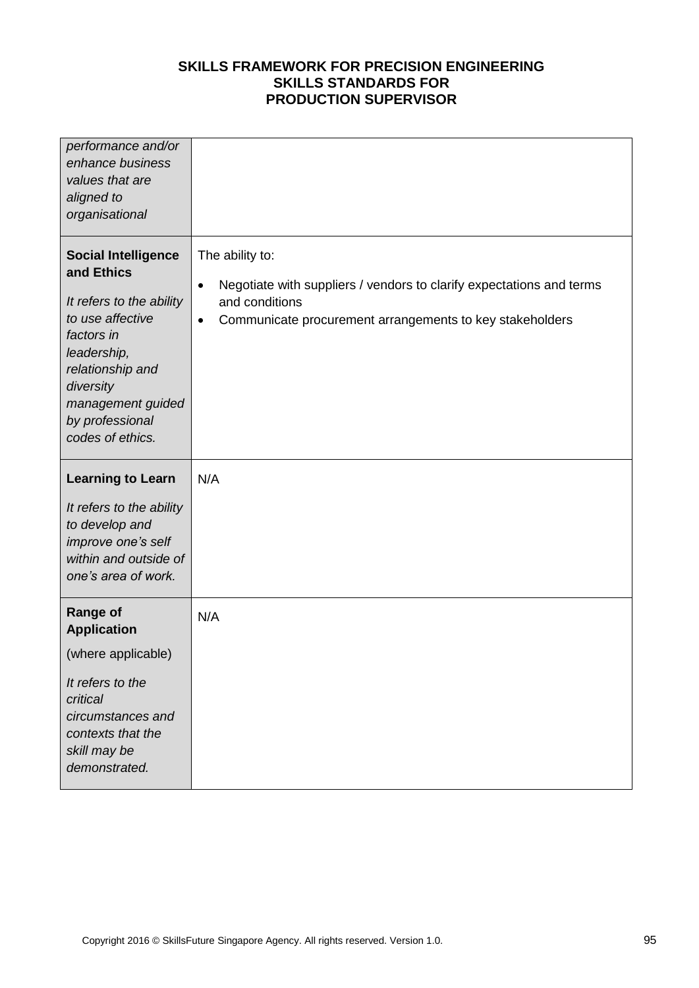| performance and/or<br>enhance business<br>values that are<br>aligned to<br>organisational                                                                                                                          |                                                                                                                                                                                                 |
|--------------------------------------------------------------------------------------------------------------------------------------------------------------------------------------------------------------------|-------------------------------------------------------------------------------------------------------------------------------------------------------------------------------------------------|
| <b>Social Intelligence</b><br>and Ethics<br>It refers to the ability<br>to use affective<br>factors in<br>leadership,<br>relationship and<br>diversity<br>management guided<br>by professional<br>codes of ethics. | The ability to:<br>Negotiate with suppliers / vendors to clarify expectations and terms<br>$\bullet$<br>and conditions<br>Communicate procurement arrangements to key stakeholders<br>$\bullet$ |
| <b>Learning to Learn</b><br>It refers to the ability<br>to develop and<br>improve one's self<br>within and outside of<br>one's area of work.                                                                       | N/A                                                                                                                                                                                             |
| <b>Range of</b><br><b>Application</b><br>(where applicable)<br>It refers to the<br>critical<br>circumstances and<br>contexts that the<br>skill may be<br>demonstrated.                                             | N/A                                                                                                                                                                                             |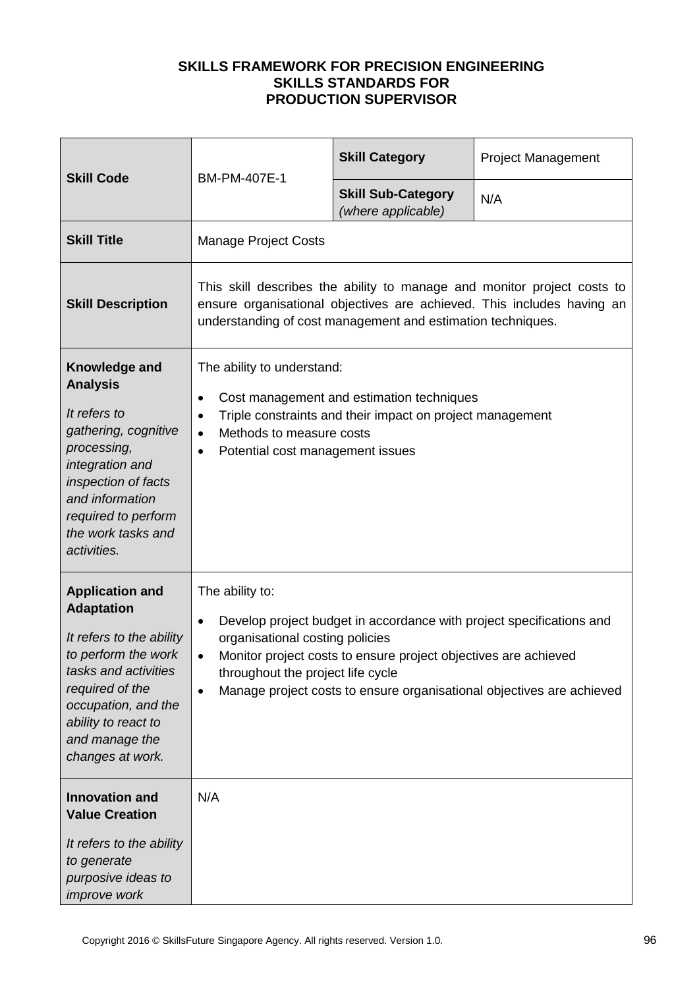| <b>Skill Code</b>                                                                                                                                                                                                             | BM-PM-407E-1                                                                                                                                                                                                                                                                                                                       | <b>Skill Category</b>                           | <b>Project Management</b> |  |
|-------------------------------------------------------------------------------------------------------------------------------------------------------------------------------------------------------------------------------|------------------------------------------------------------------------------------------------------------------------------------------------------------------------------------------------------------------------------------------------------------------------------------------------------------------------------------|-------------------------------------------------|---------------------------|--|
|                                                                                                                                                                                                                               |                                                                                                                                                                                                                                                                                                                                    | <b>Skill Sub-Category</b><br>(where applicable) | N/A                       |  |
| <b>Skill Title</b>                                                                                                                                                                                                            | <b>Manage Project Costs</b>                                                                                                                                                                                                                                                                                                        |                                                 |                           |  |
| <b>Skill Description</b>                                                                                                                                                                                                      | This skill describes the ability to manage and monitor project costs to<br>ensure organisational objectives are achieved. This includes having an<br>understanding of cost management and estimation techniques.                                                                                                                   |                                                 |                           |  |
| Knowledge and<br><b>Analysis</b><br>It refers to<br>gathering, cognitive<br>processing,<br>integration and<br>inspection of facts<br>and information<br>required to perform<br>the work tasks and<br>activities.              | The ability to understand:<br>Cost management and estimation techniques<br>$\bullet$<br>Triple constraints and their impact on project management<br>٠<br>Methods to measure costs<br>$\bullet$<br>Potential cost management issues<br>$\bullet$                                                                                   |                                                 |                           |  |
| <b>Application and</b><br><b>Adaptation</b><br>It refers to the ability<br>to perform the work<br>tasks and activities<br>required of the<br>occupation, and the<br>ability to react to<br>and manage the<br>changes at work. | The ability to:<br>Develop project budget in accordance with project specifications and<br>٠<br>organisational costing policies<br>Monitor project costs to ensure project objectives are achieved<br>$\bullet$<br>throughout the project life cycle<br>Manage project costs to ensure organisational objectives are achieved<br>٠ |                                                 |                           |  |
| <b>Innovation and</b><br><b>Value Creation</b><br>It refers to the ability<br>to generate<br>purposive ideas to<br>improve work                                                                                               | N/A                                                                                                                                                                                                                                                                                                                                |                                                 |                           |  |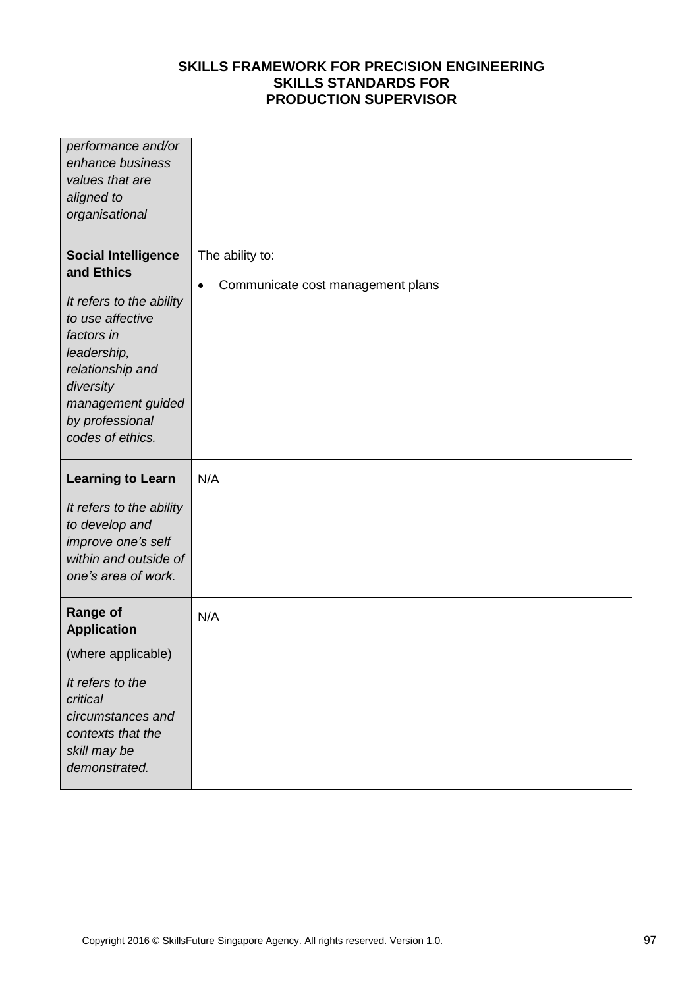| performance and/or<br>enhance business<br>values that are<br>aligned to<br>organisational                                                                                                                          |                                                           |
|--------------------------------------------------------------------------------------------------------------------------------------------------------------------------------------------------------------------|-----------------------------------------------------------|
| <b>Social Intelligence</b><br>and Ethics<br>It refers to the ability<br>to use affective<br>factors in<br>leadership,<br>relationship and<br>diversity<br>management guided<br>by professional<br>codes of ethics. | The ability to:<br>Communicate cost management plans<br>٠ |
| <b>Learning to Learn</b><br>It refers to the ability<br>to develop and<br>improve one's self<br>within and outside of<br>one's area of work.                                                                       | N/A                                                       |
| <b>Range of</b><br><b>Application</b><br>(where applicable)<br>It refers to the<br>critical                                                                                                                        | N/A                                                       |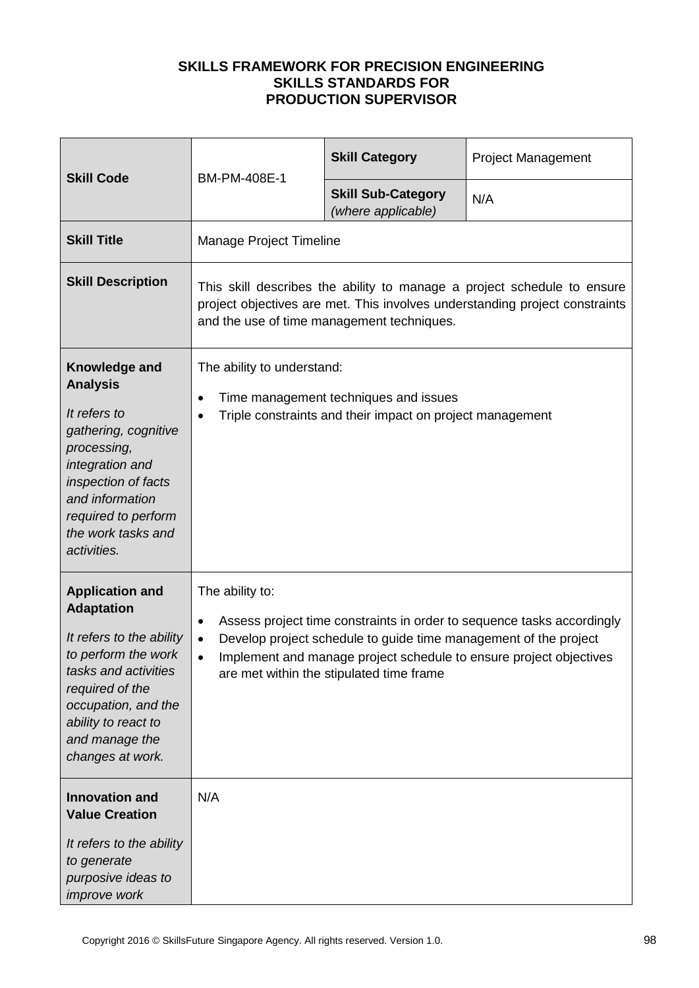| <b>Skill Code</b>                                                                                                                                                                                                             | BM-PM-408E-1                                                                                                                                                                                                                                                                                                   | <b>Skill Category</b>                           | <b>Project Management</b> |
|-------------------------------------------------------------------------------------------------------------------------------------------------------------------------------------------------------------------------------|----------------------------------------------------------------------------------------------------------------------------------------------------------------------------------------------------------------------------------------------------------------------------------------------------------------|-------------------------------------------------|---------------------------|
|                                                                                                                                                                                                                               |                                                                                                                                                                                                                                                                                                                | <b>Skill Sub-Category</b><br>(where applicable) | N/A                       |
| <b>Skill Title</b>                                                                                                                                                                                                            | Manage Project Timeline                                                                                                                                                                                                                                                                                        |                                                 |                           |
| <b>Skill Description</b>                                                                                                                                                                                                      | This skill describes the ability to manage a project schedule to ensure<br>project objectives are met. This involves understanding project constraints<br>and the use of time management techniques.                                                                                                           |                                                 |                           |
| Knowledge and<br><b>Analysis</b><br>It refers to<br>gathering, cognitive<br>processing,<br>integration and<br>inspection of facts<br>and information<br>required to perform<br>the work tasks and<br>activities.              | The ability to understand:<br>Time management techniques and issues<br>Triple constraints and their impact on project management<br>$\bullet$                                                                                                                                                                  |                                                 |                           |
| <b>Application and</b><br><b>Adaptation</b><br>It refers to the ability<br>to perform the work<br>tasks and activities<br>required of the<br>occupation, and the<br>ability to react to<br>and manage the<br>changes at work. | The ability to:<br>Assess project time constraints in order to sequence tasks accordingly<br>٠<br>Develop project schedule to guide time management of the project<br>$\bullet$<br>Implement and manage project schedule to ensure project objectives<br>$\bullet$<br>are met within the stipulated time frame |                                                 |                           |
| <b>Innovation and</b><br><b>Value Creation</b><br>It refers to the ability<br>to generate<br>purposive ideas to<br>improve work                                                                                               | N/A                                                                                                                                                                                                                                                                                                            |                                                 |                           |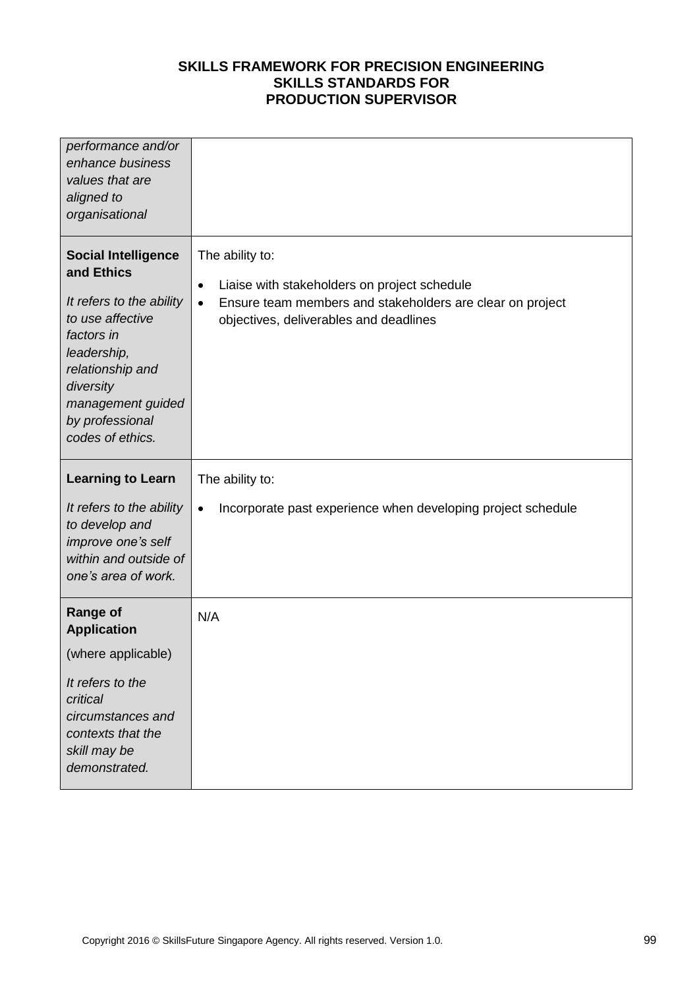| performance and/or<br>enhance business<br>values that are<br>aligned to<br>organisational                                                                                                                          |                                                                                                                                                                                                  |
|--------------------------------------------------------------------------------------------------------------------------------------------------------------------------------------------------------------------|--------------------------------------------------------------------------------------------------------------------------------------------------------------------------------------------------|
| <b>Social Intelligence</b><br>and Ethics<br>It refers to the ability<br>to use affective<br>factors in<br>leadership,<br>relationship and<br>diversity<br>management guided<br>by professional<br>codes of ethics. | The ability to:<br>Liaise with stakeholders on project schedule<br>$\bullet$<br>Ensure team members and stakeholders are clear on project<br>$\bullet$<br>objectives, deliverables and deadlines |
| <b>Learning to Learn</b><br>It refers to the ability<br>to develop and<br>improve one's self<br>within and outside of<br>one's area of work.                                                                       | The ability to:<br>Incorporate past experience when developing project schedule<br>$\bullet$                                                                                                     |
| <b>Range of</b><br><b>Application</b><br>(where applicable)<br>It refers to the<br>critical<br>circumstances and<br>contexts that the<br>skill may be                                                              | N/A                                                                                                                                                                                              |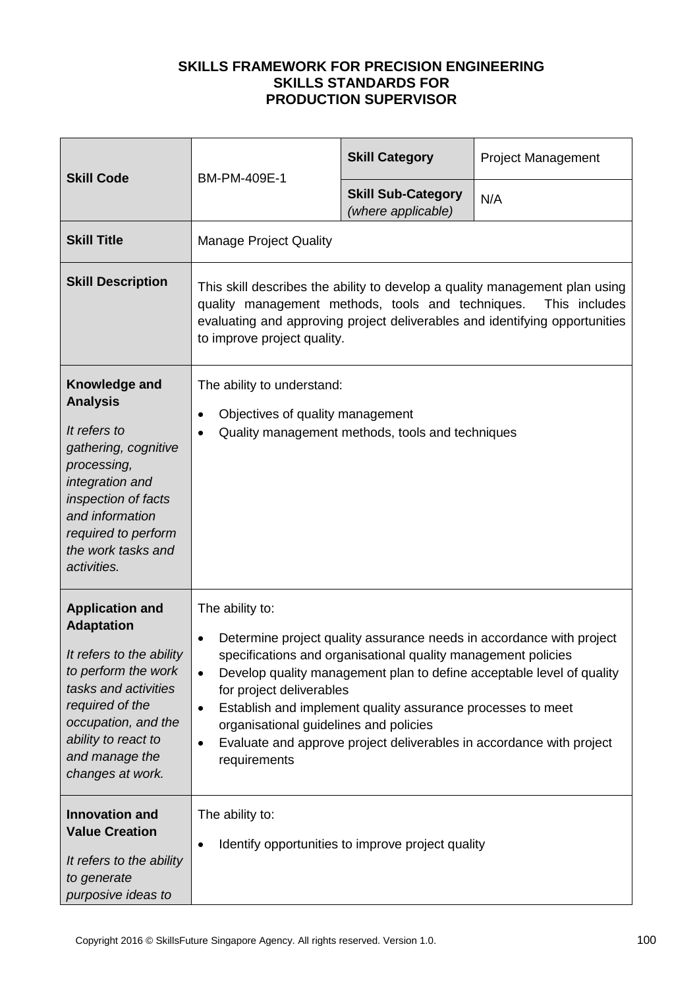| <b>Skill Code</b>                                                                                                                                                                                                             |                                                                                                                                                                                                                                                                                                                                                                                                                                                                                                            | <b>Skill Category</b>                           | <b>Project Management</b> |
|-------------------------------------------------------------------------------------------------------------------------------------------------------------------------------------------------------------------------------|------------------------------------------------------------------------------------------------------------------------------------------------------------------------------------------------------------------------------------------------------------------------------------------------------------------------------------------------------------------------------------------------------------------------------------------------------------------------------------------------------------|-------------------------------------------------|---------------------------|
|                                                                                                                                                                                                                               | BM-PM-409E-1                                                                                                                                                                                                                                                                                                                                                                                                                                                                                               | <b>Skill Sub-Category</b><br>(where applicable) | N/A                       |
| <b>Skill Title</b>                                                                                                                                                                                                            | <b>Manage Project Quality</b>                                                                                                                                                                                                                                                                                                                                                                                                                                                                              |                                                 |                           |
| <b>Skill Description</b>                                                                                                                                                                                                      | This skill describes the ability to develop a quality management plan using<br>quality management methods, tools and techniques.<br>This includes<br>evaluating and approving project deliverables and identifying opportunities<br>to improve project quality.                                                                                                                                                                                                                                            |                                                 |                           |
| Knowledge and<br><b>Analysis</b><br>It refers to<br>gathering, cognitive<br>processing,<br>integration and<br>inspection of facts<br>and information<br>required to perform<br>the work tasks and<br>activities.              | The ability to understand:<br>Objectives of quality management<br>$\bullet$<br>Quality management methods, tools and techniques<br>$\bullet$                                                                                                                                                                                                                                                                                                                                                               |                                                 |                           |
| <b>Application and</b><br><b>Adaptation</b><br>It refers to the ability<br>to perform the work<br>tasks and activities<br>required of the<br>occupation, and the<br>ability to react to<br>and manage the<br>changes at work. | The ability to:<br>Determine project quality assurance needs in accordance with project<br>$\bullet$<br>specifications and organisational quality management policies<br>Develop quality management plan to define acceptable level of quality<br>$\bullet$<br>for project deliverables<br>Establish and implement quality assurance processes to meet<br>$\bullet$<br>organisational guidelines and policies<br>Evaluate and approve project deliverables in accordance with project<br>٠<br>requirements |                                                 |                           |
| <b>Innovation and</b><br><b>Value Creation</b><br>It refers to the ability<br>to generate<br>purposive ideas to                                                                                                               | The ability to:<br>Identify opportunities to improve project quality<br>$\bullet$                                                                                                                                                                                                                                                                                                                                                                                                                          |                                                 |                           |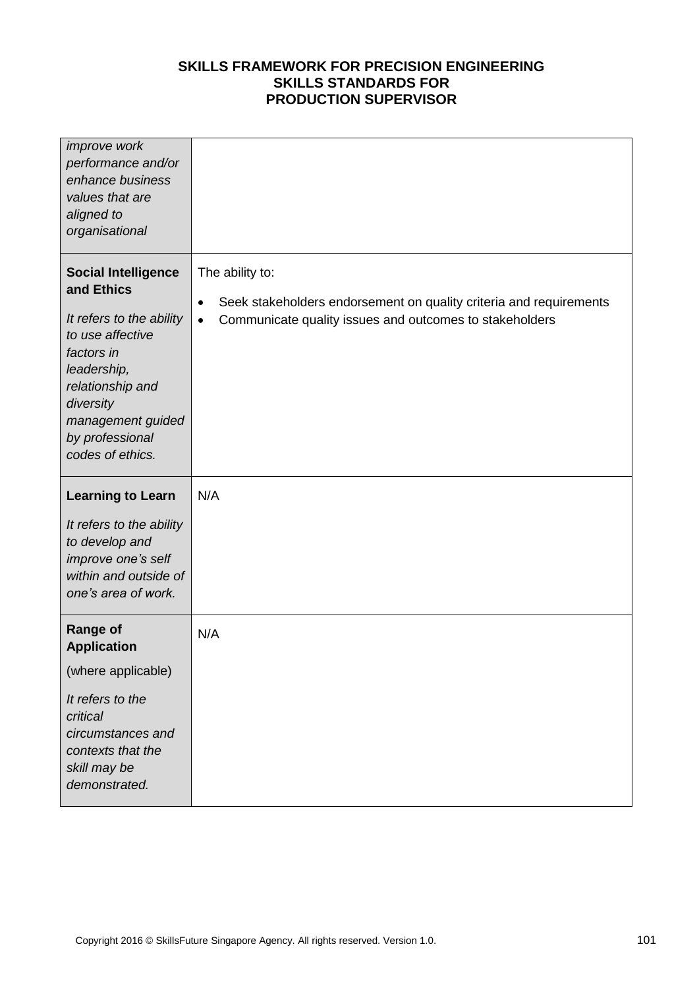| improve work<br>performance and/or<br>enhance business<br>values that are<br>aligned to<br>organisational                                                                                                          |                                                                                                                                                                    |
|--------------------------------------------------------------------------------------------------------------------------------------------------------------------------------------------------------------------|--------------------------------------------------------------------------------------------------------------------------------------------------------------------|
| <b>Social Intelligence</b><br>and Ethics<br>It refers to the ability<br>to use affective<br>factors in<br>leadership,<br>relationship and<br>diversity<br>management guided<br>by professional<br>codes of ethics. | The ability to:<br>Seek stakeholders endorsement on quality criteria and requirements<br>٠<br>Communicate quality issues and outcomes to stakeholders<br>$\bullet$ |
| <b>Learning to Learn</b><br>It refers to the ability<br>to develop and<br>improve one's self<br>within and outside of<br>one's area of work.                                                                       | N/A                                                                                                                                                                |
| <b>Range of</b><br><b>Application</b><br>(where applicable)<br>It refers to the<br>critical<br>circumstances and<br>contexts that the<br>skill may be<br>demonstrated.                                             | N/A                                                                                                                                                                |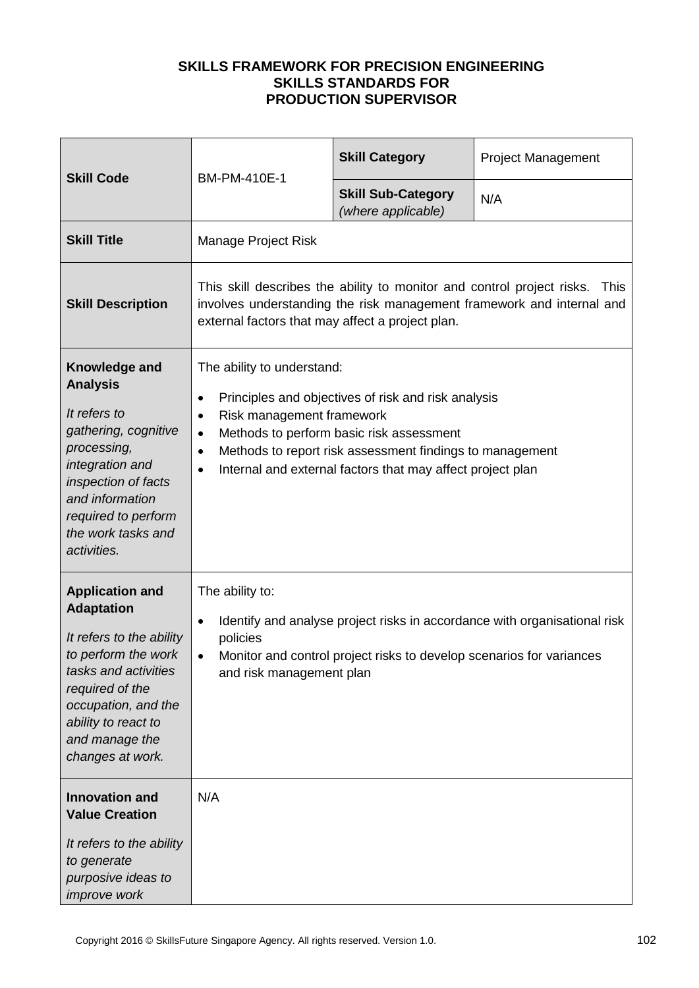| <b>Skill Code</b>                                                                                                                                                                                                             | BM-PM-410E-1                                                                                                                                                                                                                                                                                                                                  | <b>Skill Category</b>                           | <b>Project Management</b> |  |
|-------------------------------------------------------------------------------------------------------------------------------------------------------------------------------------------------------------------------------|-----------------------------------------------------------------------------------------------------------------------------------------------------------------------------------------------------------------------------------------------------------------------------------------------------------------------------------------------|-------------------------------------------------|---------------------------|--|
|                                                                                                                                                                                                                               |                                                                                                                                                                                                                                                                                                                                               | <b>Skill Sub-Category</b><br>(where applicable) | N/A                       |  |
| <b>Skill Title</b>                                                                                                                                                                                                            | Manage Project Risk                                                                                                                                                                                                                                                                                                                           |                                                 |                           |  |
| <b>Skill Description</b>                                                                                                                                                                                                      | This skill describes the ability to monitor and control project risks.<br>This<br>involves understanding the risk management framework and internal and<br>external factors that may affect a project plan.                                                                                                                                   |                                                 |                           |  |
| Knowledge and<br><b>Analysis</b><br>It refers to<br>gathering, cognitive<br>processing,<br>integration and<br>inspection of facts<br>and information<br>required to perform<br>the work tasks and<br>activities.              | The ability to understand:<br>Principles and objectives of risk and risk analysis<br>٠<br>Risk management framework<br>$\bullet$<br>Methods to perform basic risk assessment<br>$\bullet$<br>Methods to report risk assessment findings to management<br>$\bullet$<br>Internal and external factors that may affect project plan<br>$\bullet$ |                                                 |                           |  |
| <b>Application and</b><br><b>Adaptation</b><br>It refers to the ability<br>to perform the work<br>tasks and activities<br>required of the<br>occupation, and the<br>ability to react to<br>and manage the<br>changes at work. | The ability to:<br>Identify and analyse project risks in accordance with organisational risk<br>٠<br>policies<br>Monitor and control project risks to develop scenarios for variances<br>$\bullet$<br>and risk management plan                                                                                                                |                                                 |                           |  |
| <b>Innovation and</b><br><b>Value Creation</b><br>It refers to the ability<br>to generate<br>purposive ideas to<br>improve work                                                                                               | N/A                                                                                                                                                                                                                                                                                                                                           |                                                 |                           |  |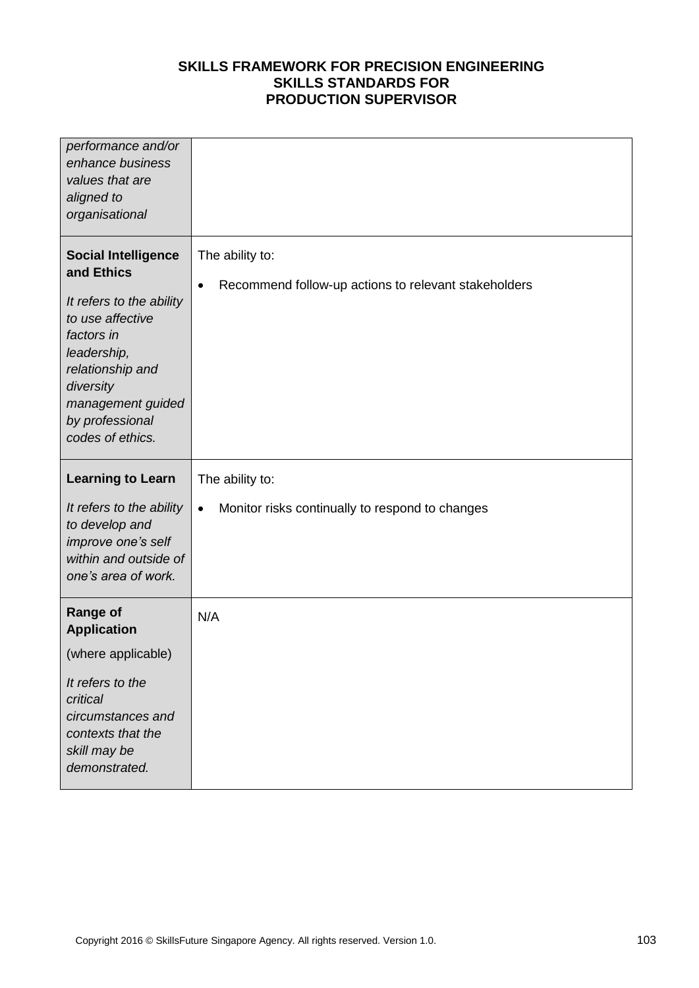| performance and/or<br>enhance business<br>values that are<br>aligned to<br>organisational                                                                                                                          |                                                                                      |
|--------------------------------------------------------------------------------------------------------------------------------------------------------------------------------------------------------------------|--------------------------------------------------------------------------------------|
| <b>Social Intelligence</b><br>and Ethics<br>It refers to the ability<br>to use affective<br>factors in<br>leadership,<br>relationship and<br>diversity<br>management guided<br>by professional<br>codes of ethics. | The ability to:<br>Recommend follow-up actions to relevant stakeholders<br>$\bullet$ |
| <b>Learning to Learn</b><br>It refers to the ability                                                                                                                                                               | The ability to:<br>Monitor risks continually to respond to changes<br>$\bullet$      |
| to develop and<br>improve one's self<br>within and outside of<br>one's area of work.                                                                                                                               |                                                                                      |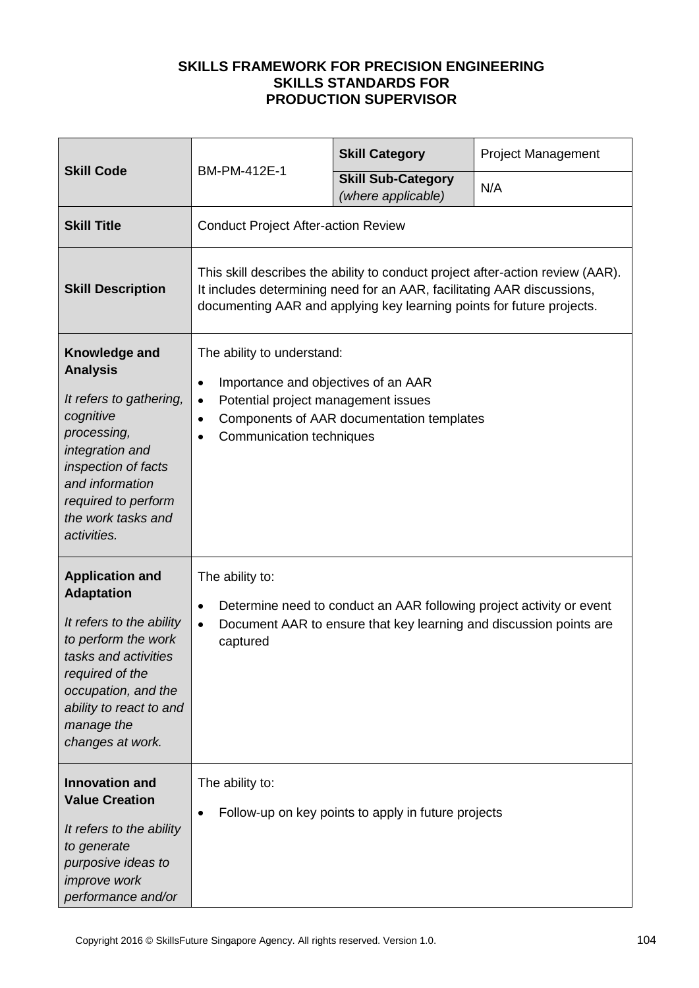|                                                                                                                                                                                                                               |                                                                                                                                                                                                                                       | <b>Skill Category</b>                               | Project Management |
|-------------------------------------------------------------------------------------------------------------------------------------------------------------------------------------------------------------------------------|---------------------------------------------------------------------------------------------------------------------------------------------------------------------------------------------------------------------------------------|-----------------------------------------------------|--------------------|
| <b>Skill Code</b>                                                                                                                                                                                                             | BM-PM-412E-1                                                                                                                                                                                                                          | <b>Skill Sub-Category</b><br>(where applicable)     | N/A                |
| <b>Skill Title</b>                                                                                                                                                                                                            | <b>Conduct Project After-action Review</b>                                                                                                                                                                                            |                                                     |                    |
| <b>Skill Description</b>                                                                                                                                                                                                      | This skill describes the ability to conduct project after-action review (AAR).<br>It includes determining need for an AAR, facilitating AAR discussions,<br>documenting AAR and applying key learning points for future projects.     |                                                     |                    |
| Knowledge and<br><b>Analysis</b><br>It refers to gathering,<br>cognitive<br>processing,<br>integration and<br>inspection of facts<br>and information<br>required to perform<br>the work tasks and<br>activities.              | The ability to understand:<br>Importance and objectives of an AAR<br>$\bullet$<br>Potential project management issues<br>$\bullet$<br>Components of AAR documentation templates<br>$\bullet$<br>Communication techniques<br>$\bullet$ |                                                     |                    |
| <b>Application and</b><br><b>Adaptation</b><br>It refers to the ability<br>to perform the work<br>tasks and activities<br>required of the<br>occupation, and the<br>ability to react to and<br>manage the<br>changes at work. | The ability to:<br>Determine need to conduct an AAR following project activity or event<br>$\bullet$<br>Document AAR to ensure that key learning and discussion points are<br>$\bullet$<br>captured                                   |                                                     |                    |
| <b>Innovation and</b><br><b>Value Creation</b><br>It refers to the ability<br>to generate<br>purposive ideas to<br>improve work<br>performance and/or                                                                         | The ability to:<br>$\bullet$                                                                                                                                                                                                          | Follow-up on key points to apply in future projects |                    |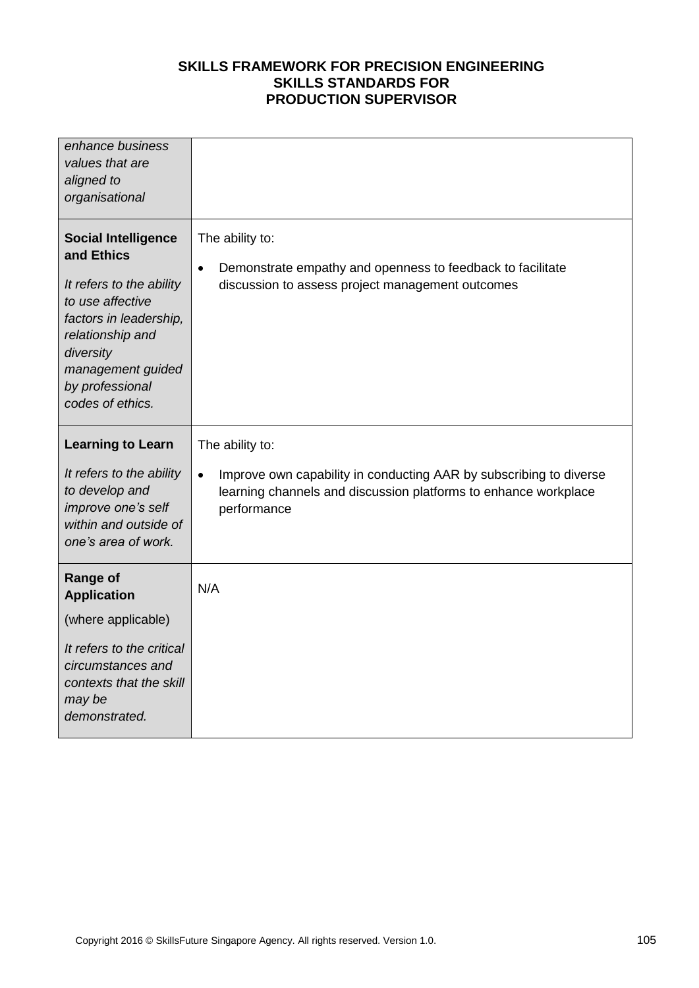| enhance business<br>values that are<br>aligned to<br>organisational                                                                                                                                             |                                                                                                                                                                   |
|-----------------------------------------------------------------------------------------------------------------------------------------------------------------------------------------------------------------|-------------------------------------------------------------------------------------------------------------------------------------------------------------------|
| <b>Social Intelligence</b><br>and Ethics<br>It refers to the ability<br>to use affective<br>factors in leadership,<br>relationship and<br>diversity<br>management guided<br>by professional<br>codes of ethics. | The ability to:<br>Demonstrate empathy and openness to feedback to facilitate<br>$\bullet$<br>discussion to assess project management outcomes                    |
| <b>Learning to Learn</b>                                                                                                                                                                                        | The ability to:                                                                                                                                                   |
| It refers to the ability<br>to develop and<br>improve one's self<br>within and outside of<br>one's area of work.                                                                                                | Improve own capability in conducting AAR by subscribing to diverse<br>$\bullet$<br>learning channels and discussion platforms to enhance workplace<br>performance |
| <b>Range of</b><br><b>Application</b>                                                                                                                                                                           | N/A                                                                                                                                                               |
| (where applicable)                                                                                                                                                                                              |                                                                                                                                                                   |
| It refers to the critical<br>circumstances and<br>contexts that the skill<br>may be<br>demonstrated.                                                                                                            |                                                                                                                                                                   |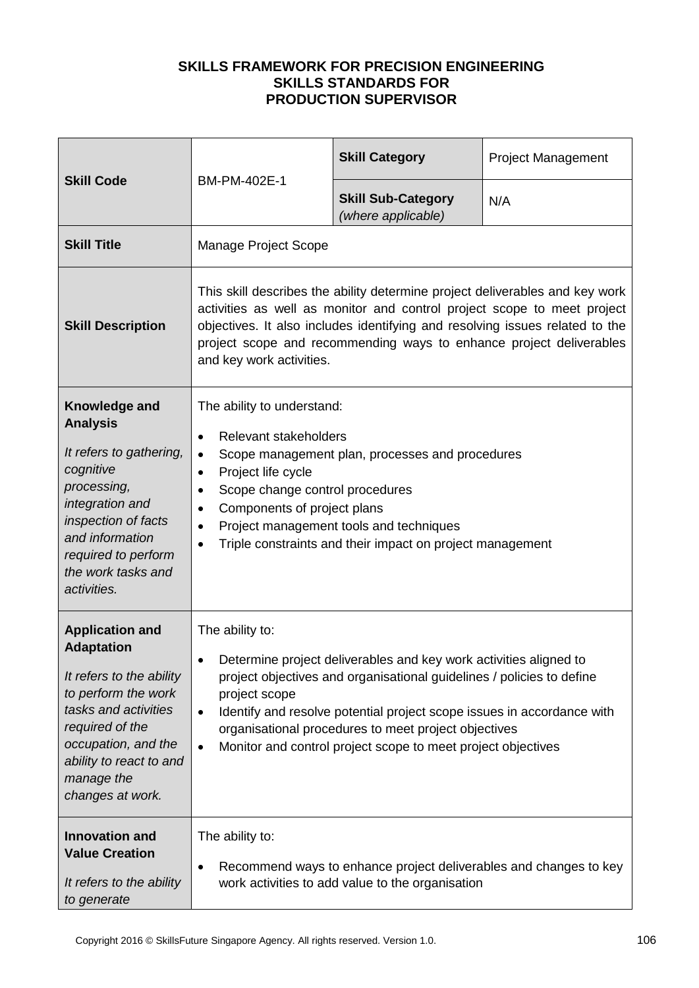| <b>Skill Code</b>                                                                                                                                                                                                             | BM-PM-402E-1                                                                                                                                                                                                                                                                                                                                                                                                            | <b>Skill Category</b>                           | <b>Project Management</b> |
|-------------------------------------------------------------------------------------------------------------------------------------------------------------------------------------------------------------------------------|-------------------------------------------------------------------------------------------------------------------------------------------------------------------------------------------------------------------------------------------------------------------------------------------------------------------------------------------------------------------------------------------------------------------------|-------------------------------------------------|---------------------------|
|                                                                                                                                                                                                                               |                                                                                                                                                                                                                                                                                                                                                                                                                         | <b>Skill Sub-Category</b><br>(where applicable) | N/A                       |
| <b>Skill Title</b>                                                                                                                                                                                                            | Manage Project Scope                                                                                                                                                                                                                                                                                                                                                                                                    |                                                 |                           |
| <b>Skill Description</b>                                                                                                                                                                                                      | This skill describes the ability determine project deliverables and key work<br>activities as well as monitor and control project scope to meet project<br>objectives. It also includes identifying and resolving issues related to the<br>project scope and recommending ways to enhance project deliverables<br>and key work activities.                                                                              |                                                 |                           |
| Knowledge and<br><b>Analysis</b><br>It refers to gathering,<br>cognitive<br>processing,<br>integration and<br>inspection of facts<br>and information<br>required to perform<br>the work tasks and<br>activities.              | The ability to understand:<br>Relevant stakeholders<br>$\bullet$<br>Scope management plan, processes and procedures<br>$\bullet$<br>Project life cycle<br>$\bullet$<br>Scope change control procedures<br>$\bullet$<br>Components of project plans<br>$\bullet$<br>Project management tools and techniques<br>$\bullet$<br>Triple constraints and their impact on project management<br>$\bullet$                       |                                                 |                           |
| <b>Application and</b><br><b>Adaptation</b><br>It refers to the ability<br>to perform the work<br>tasks and activities<br>required of the<br>occupation, and the<br>ability to react to and<br>manage the<br>changes at work. | The ability to:<br>Determine project deliverables and key work activities aligned to<br>$\bullet$<br>project objectives and organisational guidelines / policies to define<br>project scope<br>Identify and resolve potential project scope issues in accordance with<br>$\bullet$<br>organisational procedures to meet project objectives<br>Monitor and control project scope to meet project objectives<br>$\bullet$ |                                                 |                           |
| <b>Innovation and</b><br><b>Value Creation</b><br>It refers to the ability<br>to generate                                                                                                                                     | The ability to:<br>Recommend ways to enhance project deliverables and changes to key<br>$\bullet$<br>work activities to add value to the organisation                                                                                                                                                                                                                                                                   |                                                 |                           |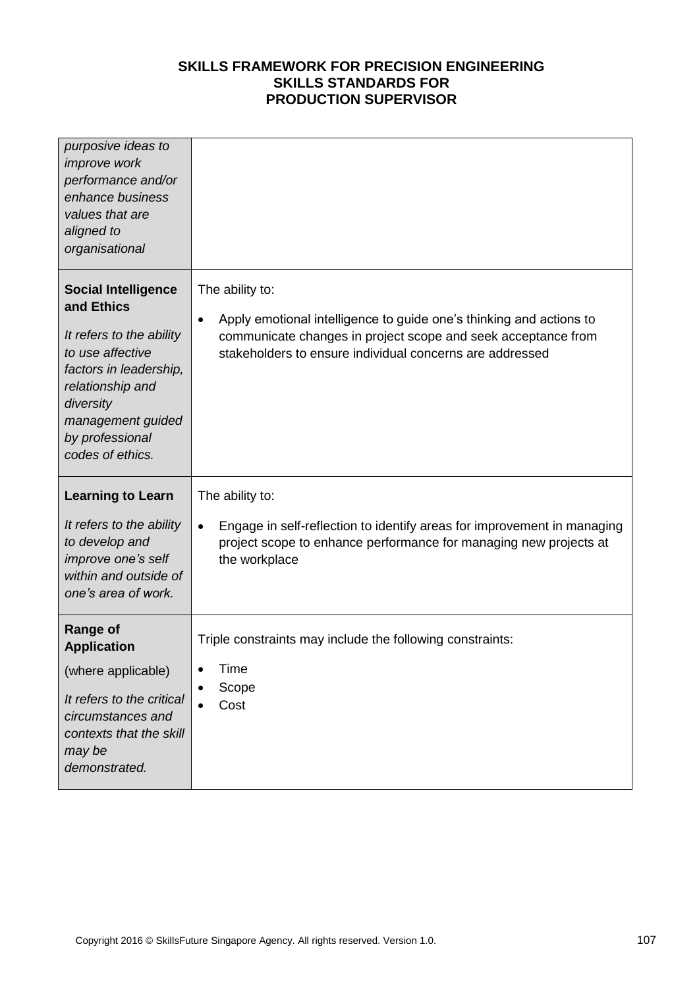| purposive ideas to<br><i>improve</i> work<br>performance and/or<br>enhance business<br>values that are<br>aligned to<br>organisational                                                                          |                                                                                                                                                                                                                                  |
|-----------------------------------------------------------------------------------------------------------------------------------------------------------------------------------------------------------------|----------------------------------------------------------------------------------------------------------------------------------------------------------------------------------------------------------------------------------|
| <b>Social Intelligence</b><br>and Ethics<br>It refers to the ability<br>to use affective<br>factors in leadership,<br>relationship and<br>diversity<br>management guided<br>by professional<br>codes of ethics. | The ability to:<br>Apply emotional intelligence to guide one's thinking and actions to<br>$\bullet$<br>communicate changes in project scope and seek acceptance from<br>stakeholders to ensure individual concerns are addressed |
| <b>Learning to Learn</b><br>It refers to the ability<br>to develop and<br>improve one's self<br>within and outside of<br>one's area of work.                                                                    | The ability to:<br>Engage in self-reflection to identify areas for improvement in managing<br>$\bullet$<br>project scope to enhance performance for managing new projects at<br>the workplace                                    |
| <b>Range of</b><br><b>Application</b><br>(where applicable)<br>It refers to the critical<br>circumstances and<br>contexts that the skill<br>may be<br>demonstrated.                                             | Triple constraints may include the following constraints:<br>Time<br>Scope<br>Cost                                                                                                                                               |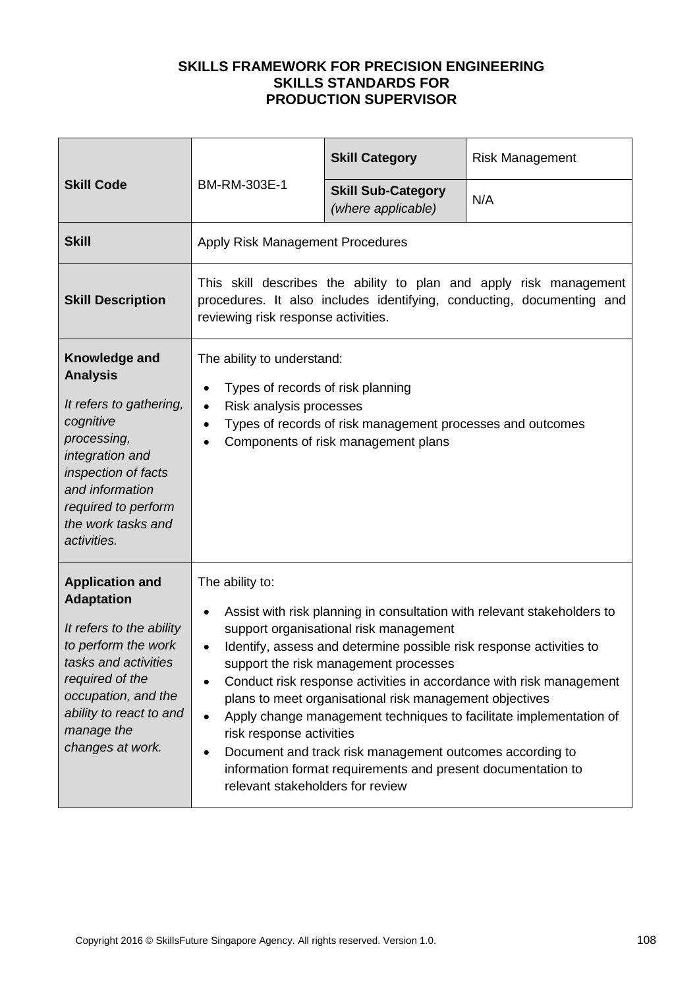| <b>Skill Code</b>                                                                                                                                                                                                             | BM-RM-303E-1                                                                                                                                                                                                                                                                                                                                                                                                                                                                                                                                                                                                                                                                    | <b>Skill Category</b>                           | <b>Risk Management</b> |
|-------------------------------------------------------------------------------------------------------------------------------------------------------------------------------------------------------------------------------|---------------------------------------------------------------------------------------------------------------------------------------------------------------------------------------------------------------------------------------------------------------------------------------------------------------------------------------------------------------------------------------------------------------------------------------------------------------------------------------------------------------------------------------------------------------------------------------------------------------------------------------------------------------------------------|-------------------------------------------------|------------------------|
|                                                                                                                                                                                                                               |                                                                                                                                                                                                                                                                                                                                                                                                                                                                                                                                                                                                                                                                                 | <b>Skill Sub-Category</b><br>(where applicable) | N/A                    |
| <b>Skill</b>                                                                                                                                                                                                                  | Apply Risk Management Procedures                                                                                                                                                                                                                                                                                                                                                                                                                                                                                                                                                                                                                                                |                                                 |                        |
| <b>Skill Description</b>                                                                                                                                                                                                      | This skill describes the ability to plan and apply risk management<br>procedures. It also includes identifying, conducting, documenting and<br>reviewing risk response activities.                                                                                                                                                                                                                                                                                                                                                                                                                                                                                              |                                                 |                        |
| Knowledge and<br><b>Analysis</b><br>It refers to gathering,<br>cognitive<br>processing,<br>integration and<br>inspection of facts<br>and information<br>required to perform<br>the work tasks and<br>activities.              | The ability to understand:<br>Types of records of risk planning<br>Risk analysis processes<br>$\bullet$<br>Types of records of risk management processes and outcomes<br>٠<br>Components of risk management plans                                                                                                                                                                                                                                                                                                                                                                                                                                                               |                                                 |                        |
| <b>Application and</b><br><b>Adaptation</b><br>It refers to the ability<br>to perform the work<br>tasks and activities<br>required of the<br>occupation, and the<br>ability to react to and<br>manage the<br>changes at work. | The ability to:<br>Assist with risk planning in consultation with relevant stakeholders to<br>٠<br>support organisational risk management<br>Identify, assess and determine possible risk response activities to<br>support the risk management processes<br>Conduct risk response activities in accordance with risk management<br>plans to meet organisational risk management objectives<br>Apply change management techniques to facilitate implementation of<br>$\bullet$<br>risk response activities<br>Document and track risk management outcomes according to<br>٠<br>information format requirements and present documentation to<br>relevant stakeholders for review |                                                 |                        |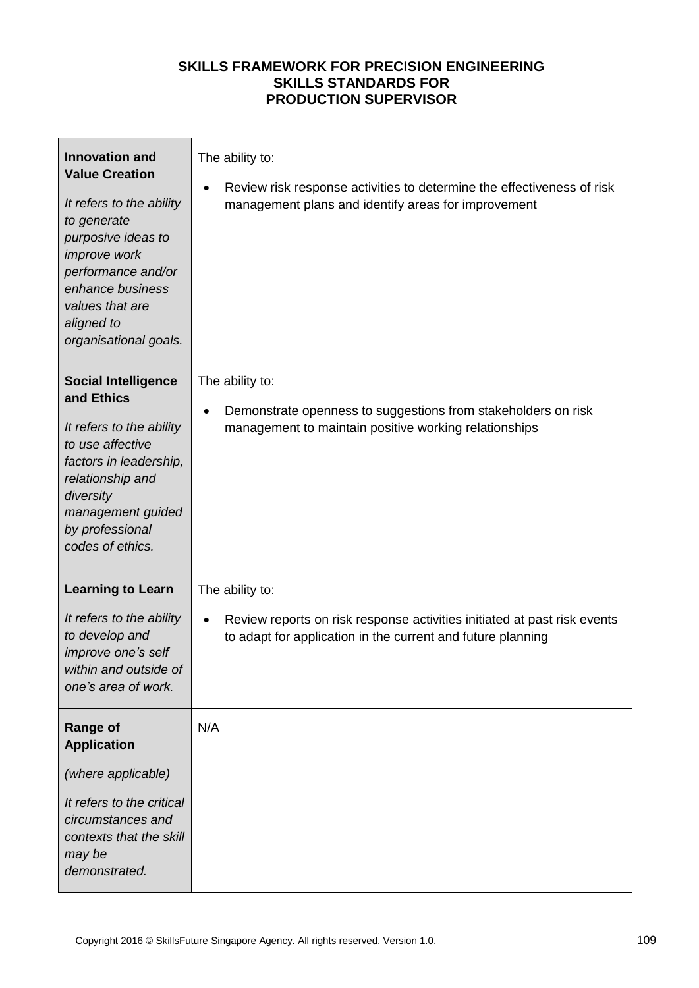| <b>Innovation and</b><br><b>Value Creation</b><br>It refers to the ability<br>to generate<br>purposive ideas to<br>improve work<br>performance and/or<br>enhance business<br>values that are<br>aligned to<br>organisational goals. | The ability to:<br>Review risk response activities to determine the effectiveness of risk<br>management plans and identify areas for improvement                        |
|-------------------------------------------------------------------------------------------------------------------------------------------------------------------------------------------------------------------------------------|-------------------------------------------------------------------------------------------------------------------------------------------------------------------------|
| <b>Social Intelligence</b><br>and Ethics<br>It refers to the ability<br>to use affective<br>factors in leadership,<br>relationship and<br>diversity<br>management guided<br>by professional<br>codes of ethics.                     | The ability to:<br>Demonstrate openness to suggestions from stakeholders on risk<br>management to maintain positive working relationships                               |
| <b>Learning to Learn</b><br>It refers to the ability<br>to develop and<br>improve one's self<br>within and outside of<br>one's area of work.                                                                                        | The ability to:<br>Review reports on risk response activities initiated at past risk events<br>$\bullet$<br>to adapt for application in the current and future planning |
| <b>Range of</b><br><b>Application</b><br>(where applicable)<br>It refers to the critical<br>circumstances and<br>contexts that the skill<br>may be<br>demonstrated.                                                                 | N/A                                                                                                                                                                     |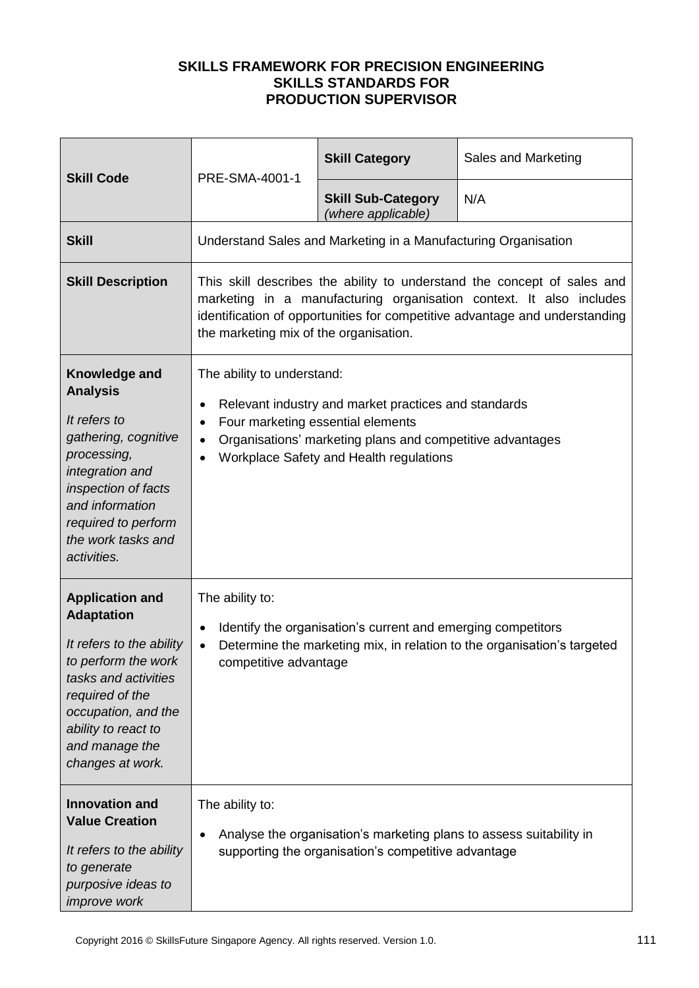| <b>Skill Code</b>                                                                                                                                                                                                             | PRE-SMA-4001-1                                                                                                                                                                                                                                                                      | <b>Skill Category</b>                                                                                                      | Sales and Marketing |
|-------------------------------------------------------------------------------------------------------------------------------------------------------------------------------------------------------------------------------|-------------------------------------------------------------------------------------------------------------------------------------------------------------------------------------------------------------------------------------------------------------------------------------|----------------------------------------------------------------------------------------------------------------------------|---------------------|
|                                                                                                                                                                                                                               |                                                                                                                                                                                                                                                                                     | <b>Skill Sub-Category</b><br>(where applicable)                                                                            | N/A                 |
| <b>Skill</b>                                                                                                                                                                                                                  |                                                                                                                                                                                                                                                                                     | Understand Sales and Marketing in a Manufacturing Organisation                                                             |                     |
| <b>Skill Description</b>                                                                                                                                                                                                      | This skill describes the ability to understand the concept of sales and<br>marketing in a manufacturing organisation context. It also includes<br>identification of opportunities for competitive advantage and understanding<br>the marketing mix of the organisation.             |                                                                                                                            |                     |
| Knowledge and<br><b>Analysis</b><br>It refers to<br>gathering, cognitive<br>processing,<br>integration and<br>inspection of facts<br>and information<br>required to perform<br>the work tasks and<br>activities.              | The ability to understand:<br>Relevant industry and market practices and standards<br>$\bullet$<br>Four marketing essential elements<br>$\bullet$<br>Organisations' marketing plans and competitive advantages<br>$\bullet$<br>Workplace Safety and Health regulations<br>$\bullet$ |                                                                                                                            |                     |
| <b>Application and</b><br><b>Adaptation</b><br>It refers to the ability<br>to perform the work<br>tasks and activities<br>required of the<br>occupation, and the<br>ability to react to<br>and manage the<br>changes at work. | The ability to:<br>Identify the organisation's current and emerging competitors<br>$\bullet$<br>Determine the marketing mix, in relation to the organisation's targeted<br>$\bullet$<br>competitive advantage                                                                       |                                                                                                                            |                     |
| <b>Innovation and</b><br><b>Value Creation</b><br>It refers to the ability<br>to generate<br>purposive ideas to<br><i>improve</i> work                                                                                        | The ability to:<br>٠                                                                                                                                                                                                                                                                | Analyse the organisation's marketing plans to assess suitability in<br>supporting the organisation's competitive advantage |                     |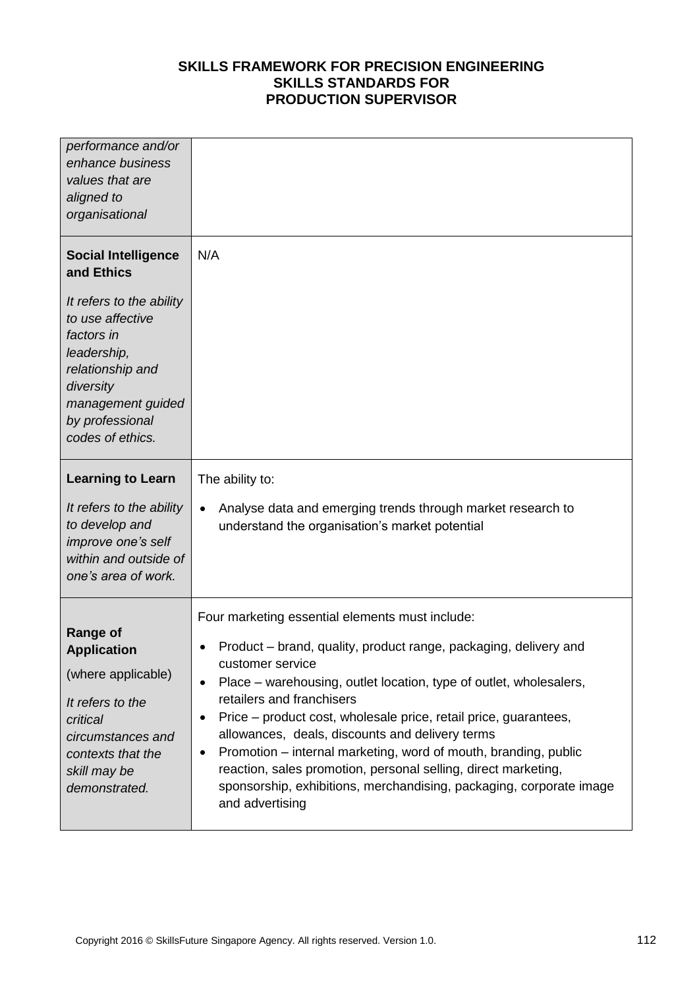| performance and/or<br>enhance business<br>values that are<br>aligned to<br>organisational                                                                                                                          |                                                                                                                                                                                                                                                                                                                                                                                                                                                                                                                                                                                                                                                      |
|--------------------------------------------------------------------------------------------------------------------------------------------------------------------------------------------------------------------|------------------------------------------------------------------------------------------------------------------------------------------------------------------------------------------------------------------------------------------------------------------------------------------------------------------------------------------------------------------------------------------------------------------------------------------------------------------------------------------------------------------------------------------------------------------------------------------------------------------------------------------------------|
| <b>Social Intelligence</b><br>and Ethics<br>It refers to the ability<br>to use affective<br>factors in<br>leadership,<br>relationship and<br>diversity<br>management guided<br>by professional<br>codes of ethics. | N/A                                                                                                                                                                                                                                                                                                                                                                                                                                                                                                                                                                                                                                                  |
| <b>Learning to Learn</b><br>It refers to the ability<br>to develop and<br>improve one's self<br>within and outside of<br>one's area of work.                                                                       | The ability to:<br>Analyse data and emerging trends through market research to<br>$\bullet$<br>understand the organisation's market potential                                                                                                                                                                                                                                                                                                                                                                                                                                                                                                        |
| <b>Range of</b><br><b>Application</b><br>(where applicable)<br>It refers to the<br>critical<br>circumstances and<br>contexts that the<br>skill may be<br>demonstrated.                                             | Four marketing essential elements must include:<br>Product – brand, quality, product range, packaging, delivery and<br>$\bullet$<br>customer service<br>Place – warehousing, outlet location, type of outlet, wholesalers,<br>$\bullet$<br>retailers and franchisers<br>Price – product cost, wholesale price, retail price, guarantees,<br>$\bullet$<br>allowances, deals, discounts and delivery terms<br>Promotion – internal marketing, word of mouth, branding, public<br>$\bullet$<br>reaction, sales promotion, personal selling, direct marketing,<br>sponsorship, exhibitions, merchandising, packaging, corporate image<br>and advertising |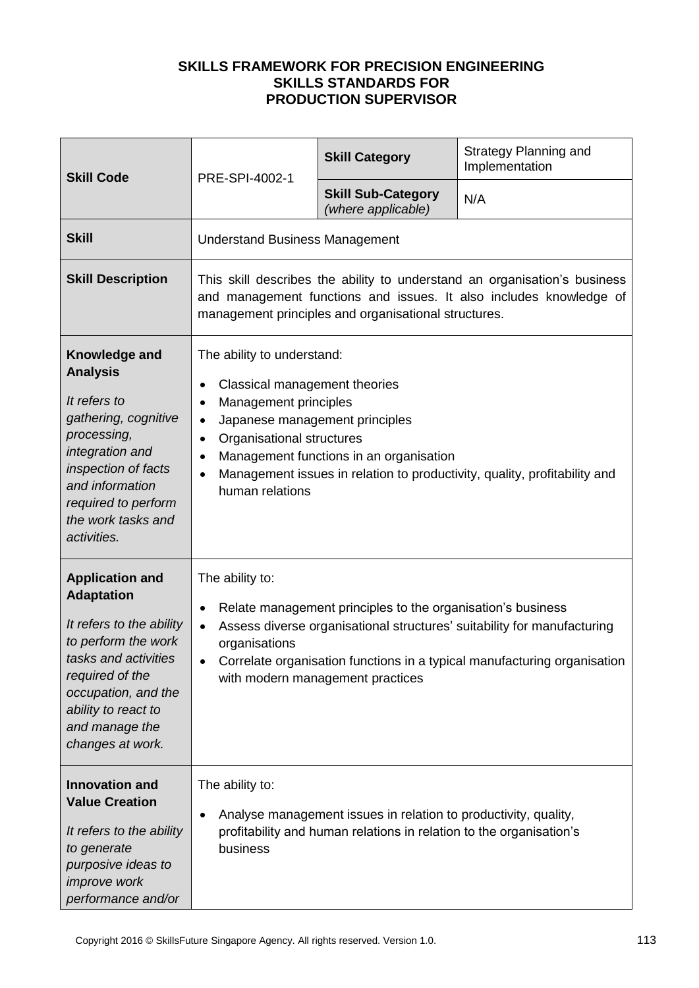| <b>Skill Code</b><br>PRE-SPI-4002-1                                                                                                                                                                                           |                                                                                                                                                                                                                                                                                                                                                                              | <b>Skill Category</b>                           | <b>Strategy Planning and</b><br>Implementation |
|-------------------------------------------------------------------------------------------------------------------------------------------------------------------------------------------------------------------------------|------------------------------------------------------------------------------------------------------------------------------------------------------------------------------------------------------------------------------------------------------------------------------------------------------------------------------------------------------------------------------|-------------------------------------------------|------------------------------------------------|
|                                                                                                                                                                                                                               |                                                                                                                                                                                                                                                                                                                                                                              | <b>Skill Sub-Category</b><br>(where applicable) | N/A                                            |
| <b>Skill</b>                                                                                                                                                                                                                  | <b>Understand Business Management</b>                                                                                                                                                                                                                                                                                                                                        |                                                 |                                                |
| <b>Skill Description</b>                                                                                                                                                                                                      | This skill describes the ability to understand an organisation's business<br>and management functions and issues. It also includes knowledge of<br>management principles and organisational structures.                                                                                                                                                                      |                                                 |                                                |
| Knowledge and<br><b>Analysis</b><br>It refers to<br>gathering, cognitive<br>processing,<br>integration and<br>inspection of facts<br>and information<br>required to perform<br>the work tasks and<br>activities.              | The ability to understand:<br>Classical management theories<br>$\bullet$<br>Management principles<br>$\bullet$<br>Japanese management principles<br>$\bullet$<br>Organisational structures<br>$\bullet$<br>Management functions in an organisation<br>$\bullet$<br>Management issues in relation to productivity, quality, profitability and<br>$\bullet$<br>human relations |                                                 |                                                |
| <b>Application and</b><br><b>Adaptation</b><br>It refers to the ability<br>to perform the work<br>tasks and activities<br>required of the<br>occupation, and the<br>ability to react to<br>and manage the<br>changes at work. | The ability to:<br>Relate management principles to the organisation's business<br>٠<br>Assess diverse organisational structures' suitability for manufacturing<br>$\bullet$<br>organisations<br>Correlate organisation functions in a typical manufacturing organisation<br>$\bullet$<br>with modern management practices                                                    |                                                 |                                                |
| <b>Innovation and</b><br><b>Value Creation</b><br>It refers to the ability<br>to generate<br>purposive ideas to<br>improve work<br>performance and/or                                                                         | The ability to:<br>Analyse management issues in relation to productivity, quality,<br>$\bullet$<br>profitability and human relations in relation to the organisation's<br>business                                                                                                                                                                                           |                                                 |                                                |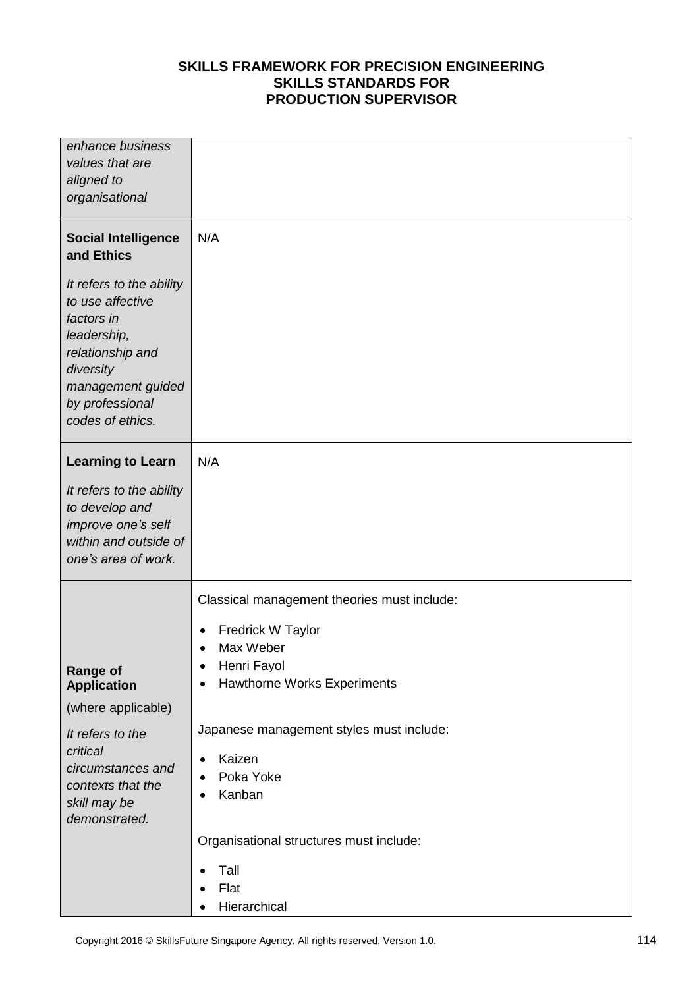| enhance business<br>values that are                                                                                                                                    |                                                                     |
|------------------------------------------------------------------------------------------------------------------------------------------------------------------------|---------------------------------------------------------------------|
| aligned to                                                                                                                                                             |                                                                     |
| organisational                                                                                                                                                         |                                                                     |
|                                                                                                                                                                        |                                                                     |
| <b>Social Intelligence</b><br>and Ethics                                                                                                                               | N/A                                                                 |
| It refers to the ability<br>to use affective<br>factors in<br>leadership,<br>relationship and<br>diversity<br>management guided<br>by professional<br>codes of ethics. |                                                                     |
| <b>Learning to Learn</b>                                                                                                                                               | N/A                                                                 |
| It refers to the ability                                                                                                                                               |                                                                     |
| to develop and                                                                                                                                                         |                                                                     |
| improve one's self<br>within and outside of                                                                                                                            |                                                                     |
| one's area of work.                                                                                                                                                    |                                                                     |
|                                                                                                                                                                        |                                                                     |
|                                                                                                                                                                        | Classical management theories must include:                         |
|                                                                                                                                                                        | <b>Fredrick W Taylor</b><br>$\bullet$                               |
|                                                                                                                                                                        | Max Weber<br>$\bullet$                                              |
| <b>Range of</b><br><b>Application</b>                                                                                                                                  | Henri Fayol<br>٠<br><b>Hawthorne Works Experiments</b><br>$\bullet$ |
| (where applicable)                                                                                                                                                     |                                                                     |
| It refers to the                                                                                                                                                       | Japanese management styles must include:                            |
| critical                                                                                                                                                               | Kaizen                                                              |
| circumstances and                                                                                                                                                      | $\bullet$<br>Poka Yoke<br>$\bullet$                                 |
| contexts that the                                                                                                                                                      | Kanban<br>$\bullet$                                                 |
| skill may be<br>demonstrated.                                                                                                                                          |                                                                     |
|                                                                                                                                                                        | Organisational structures must include:                             |
|                                                                                                                                                                        | Tall<br>$\bullet$                                                   |
|                                                                                                                                                                        | Flat<br>$\bullet$                                                   |
|                                                                                                                                                                        | Hierarchical<br>$\bullet$                                           |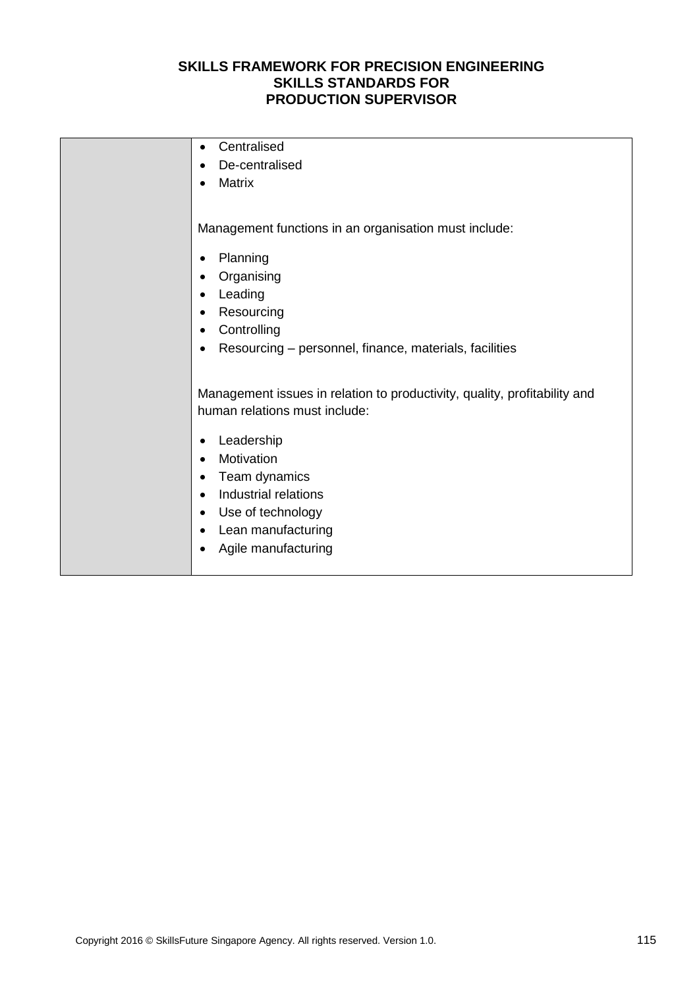| Centralised<br>$\bullet$                                                  |
|---------------------------------------------------------------------------|
| De-centralised                                                            |
| <b>Matrix</b>                                                             |
|                                                                           |
|                                                                           |
| Management functions in an organisation must include:                     |
|                                                                           |
| Planning<br>٠                                                             |
| Organising<br>٠                                                           |
| Leading                                                                   |
| Resourcing                                                                |
| Controlling                                                               |
| Resourcing – personnel, finance, materials, facilities                    |
|                                                                           |
|                                                                           |
| Management issues in relation to productivity, quality, profitability and |
| human relations must include:                                             |
|                                                                           |
| Leadership                                                                |
| Motivation                                                                |
| Team dynamics                                                             |
| Industrial relations<br>$\bullet$                                         |
| Use of technology<br>$\bullet$                                            |
| Lean manufacturing<br>$\bullet$                                           |
|                                                                           |
| Agile manufacturing                                                       |
|                                                                           |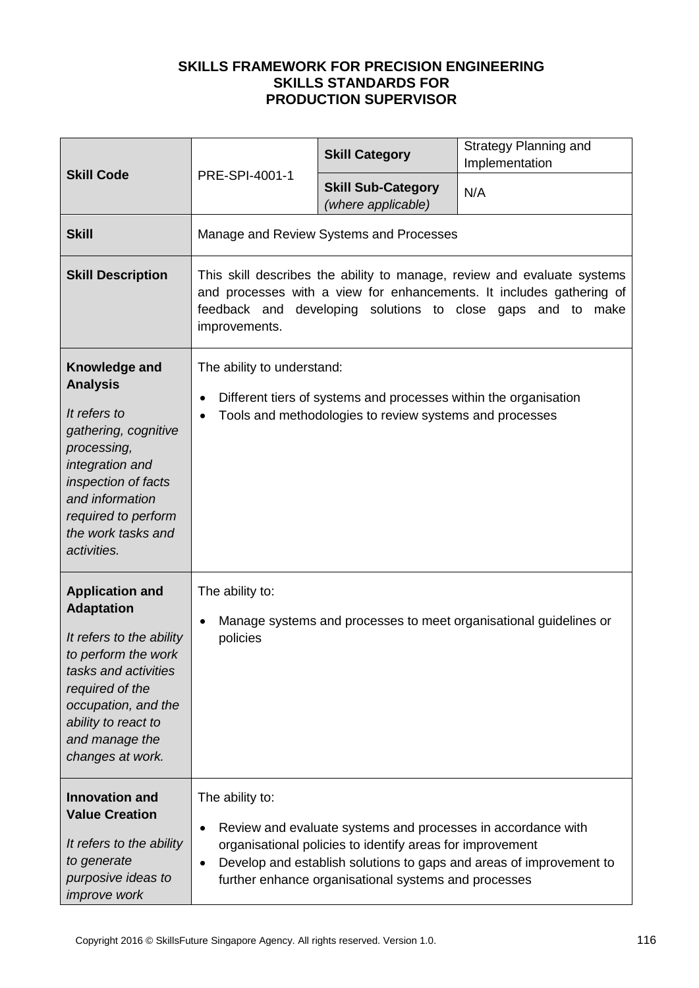|                                                                                                                                                                                                                               | PRE-SPI-4001-1                                                                                                                                                                                                                                                                                        | <b>Skill Category</b>                           | <b>Strategy Planning and</b><br>Implementation |
|-------------------------------------------------------------------------------------------------------------------------------------------------------------------------------------------------------------------------------|-------------------------------------------------------------------------------------------------------------------------------------------------------------------------------------------------------------------------------------------------------------------------------------------------------|-------------------------------------------------|------------------------------------------------|
| <b>Skill Code</b>                                                                                                                                                                                                             |                                                                                                                                                                                                                                                                                                       | <b>Skill Sub-Category</b><br>(where applicable) | N/A                                            |
| <b>Skill</b>                                                                                                                                                                                                                  |                                                                                                                                                                                                                                                                                                       | Manage and Review Systems and Processes         |                                                |
| <b>Skill Description</b>                                                                                                                                                                                                      | This skill describes the ability to manage, review and evaluate systems<br>and processes with a view for enhancements. It includes gathering of<br>feedback and developing solutions to close gaps and to make<br>improvements.                                                                       |                                                 |                                                |
| Knowledge and<br><b>Analysis</b><br>It refers to<br>gathering, cognitive<br>processing,<br>integration and<br>inspection of facts<br>and information<br>required to perform<br>the work tasks and<br>activities.              | The ability to understand:<br>Different tiers of systems and processes within the organisation<br>$\bullet$<br>Tools and methodologies to review systems and processes<br>$\bullet$                                                                                                                   |                                                 |                                                |
| <b>Application and</b><br><b>Adaptation</b><br>It refers to the ability<br>to perform the work<br>tasks and activities<br>required of the<br>occupation, and the<br>ability to react to<br>and manage the<br>changes at work. | The ability to:<br>Manage systems and processes to meet organisational guidelines or<br>$\bullet$<br>policies                                                                                                                                                                                         |                                                 |                                                |
| <b>Innovation and</b><br><b>Value Creation</b><br>It refers to the ability<br>to generate<br>purposive ideas to<br><i>improve</i> work                                                                                        | The ability to:<br>Review and evaluate systems and processes in accordance with<br>$\bullet$<br>organisational policies to identify areas for improvement<br>Develop and establish solutions to gaps and areas of improvement to<br>$\bullet$<br>further enhance organisational systems and processes |                                                 |                                                |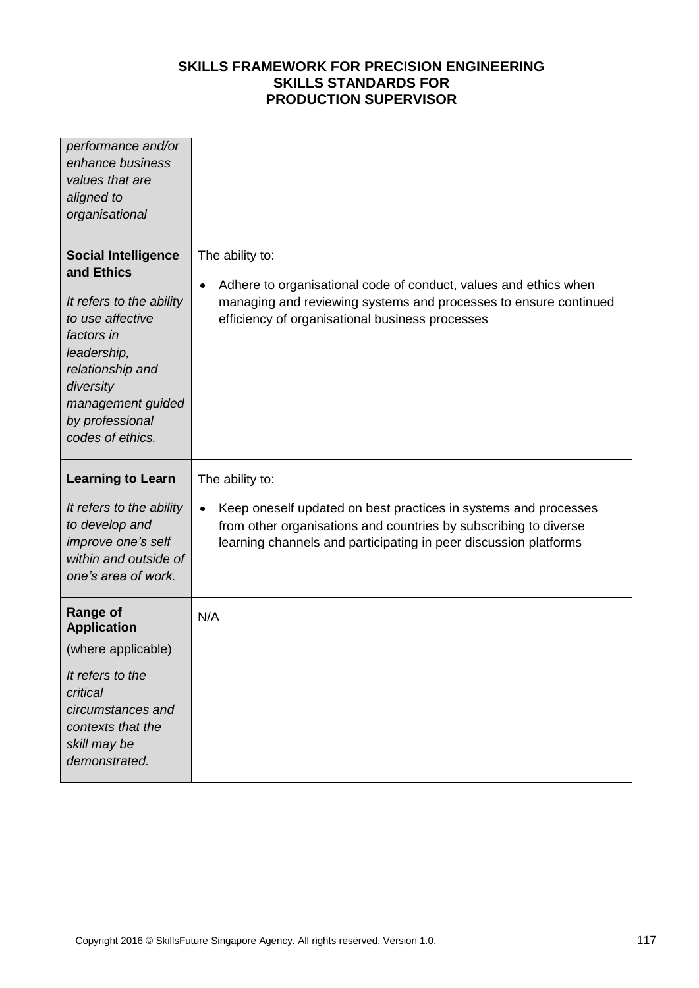| performance and/or<br>enhance business<br>values that are<br>aligned to<br>organisational                                                                                                                          |                                                                                                                                                                                                                                         |
|--------------------------------------------------------------------------------------------------------------------------------------------------------------------------------------------------------------------|-----------------------------------------------------------------------------------------------------------------------------------------------------------------------------------------------------------------------------------------|
| <b>Social Intelligence</b><br>and Ethics<br>It refers to the ability<br>to use affective<br>factors in<br>leadership,<br>relationship and<br>diversity<br>management guided<br>by professional<br>codes of ethics. | The ability to:<br>Adhere to organisational code of conduct, values and ethics when<br>$\bullet$<br>managing and reviewing systems and processes to ensure continued<br>efficiency of organisational business processes                 |
|                                                                                                                                                                                                                    |                                                                                                                                                                                                                                         |
| <b>Learning to Learn</b><br>It refers to the ability<br>to develop and<br>improve one's self<br>within and outside of<br>one's area of work.                                                                       | The ability to:<br>Keep oneself updated on best practices in systems and processes<br>$\bullet$<br>from other organisations and countries by subscribing to diverse<br>learning channels and participating in peer discussion platforms |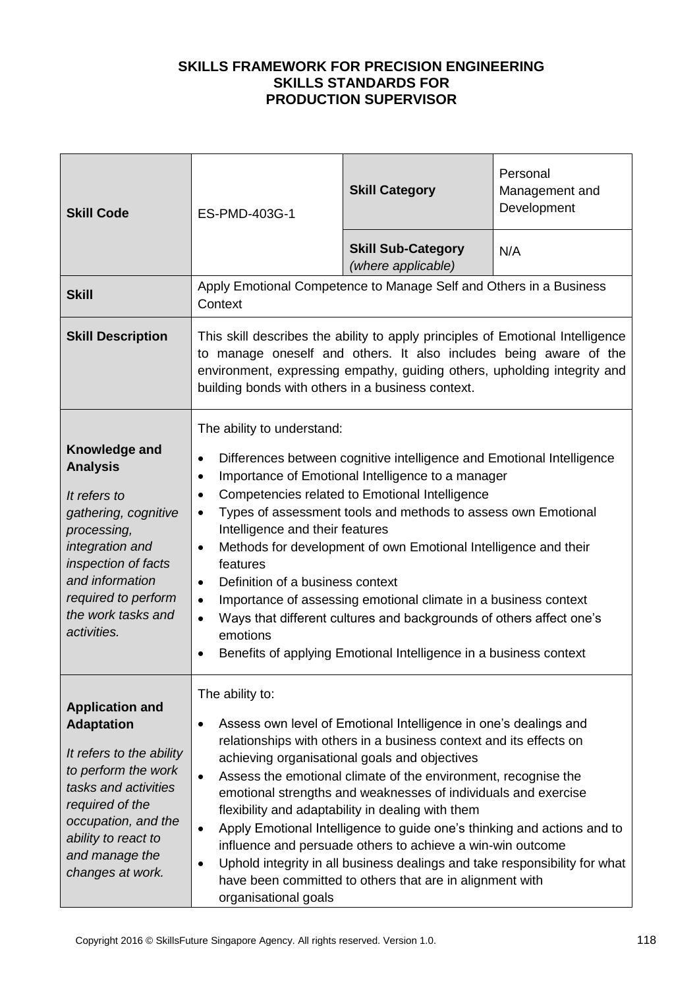| <b>Skill Code</b>                                                                                                                                                                                                             | ES-PMD-403G-1                                                                                                                                                                                                             | <b>Skill Category</b>                                                                                                                                                                                                                                                                                                                                                                                                                                                                                                                                                                                                                                               | Personal<br>Management and<br>Development |
|-------------------------------------------------------------------------------------------------------------------------------------------------------------------------------------------------------------------------------|---------------------------------------------------------------------------------------------------------------------------------------------------------------------------------------------------------------------------|---------------------------------------------------------------------------------------------------------------------------------------------------------------------------------------------------------------------------------------------------------------------------------------------------------------------------------------------------------------------------------------------------------------------------------------------------------------------------------------------------------------------------------------------------------------------------------------------------------------------------------------------------------------------|-------------------------------------------|
|                                                                                                                                                                                                                               |                                                                                                                                                                                                                           | <b>Skill Sub-Category</b><br>(where applicable)                                                                                                                                                                                                                                                                                                                                                                                                                                                                                                                                                                                                                     | N/A                                       |
| <b>Skill</b>                                                                                                                                                                                                                  | Context                                                                                                                                                                                                                   | Apply Emotional Competence to Manage Self and Others in a Business                                                                                                                                                                                                                                                                                                                                                                                                                                                                                                                                                                                                  |                                           |
| <b>Skill Description</b>                                                                                                                                                                                                      | building bonds with others in a business context.                                                                                                                                                                         | This skill describes the ability to apply principles of Emotional Intelligence<br>to manage oneself and others. It also includes being aware of the<br>environment, expressing empathy, guiding others, upholding integrity and                                                                                                                                                                                                                                                                                                                                                                                                                                     |                                           |
| Knowledge and<br><b>Analysis</b><br>It refers to<br>gathering, cognitive<br>processing,<br>integration and<br>inspection of facts<br>and information<br>required to perform<br>the work tasks and<br>activities.              | The ability to understand:<br>$\bullet$<br>٠<br>$\bullet$<br>$\bullet$<br>Intelligence and their features<br>$\bullet$<br>features<br>Definition of a business context<br>$\bullet$<br>$\bullet$<br>$\bullet$<br>emotions | Differences between cognitive intelligence and Emotional Intelligence<br>Importance of Emotional Intelligence to a manager<br>Competencies related to Emotional Intelligence<br>Types of assessment tools and methods to assess own Emotional<br>Methods for development of own Emotional Intelligence and their<br>Importance of assessing emotional climate in a business context<br>Ways that different cultures and backgrounds of others affect one's<br>Benefits of applying Emotional Intelligence in a business context                                                                                                                                     |                                           |
| <b>Application and</b><br><b>Adaptation</b><br>It refers to the ability<br>to perform the work<br>tasks and activities<br>required of the<br>occupation, and the<br>ability to react to<br>and manage the<br>changes at work. | The ability to:<br>$\bullet$<br>$\bullet$<br>organisational goals                                                                                                                                                         | Assess own level of Emotional Intelligence in one's dealings and<br>relationships with others in a business context and its effects on<br>achieving organisational goals and objectives<br>Assess the emotional climate of the environment, recognise the<br>emotional strengths and weaknesses of individuals and exercise<br>flexibility and adaptability in dealing with them<br>Apply Emotional Intelligence to guide one's thinking and actions and to<br>influence and persuade others to achieve a win-win outcome<br>Uphold integrity in all business dealings and take responsibility for what<br>have been committed to others that are in alignment with |                                           |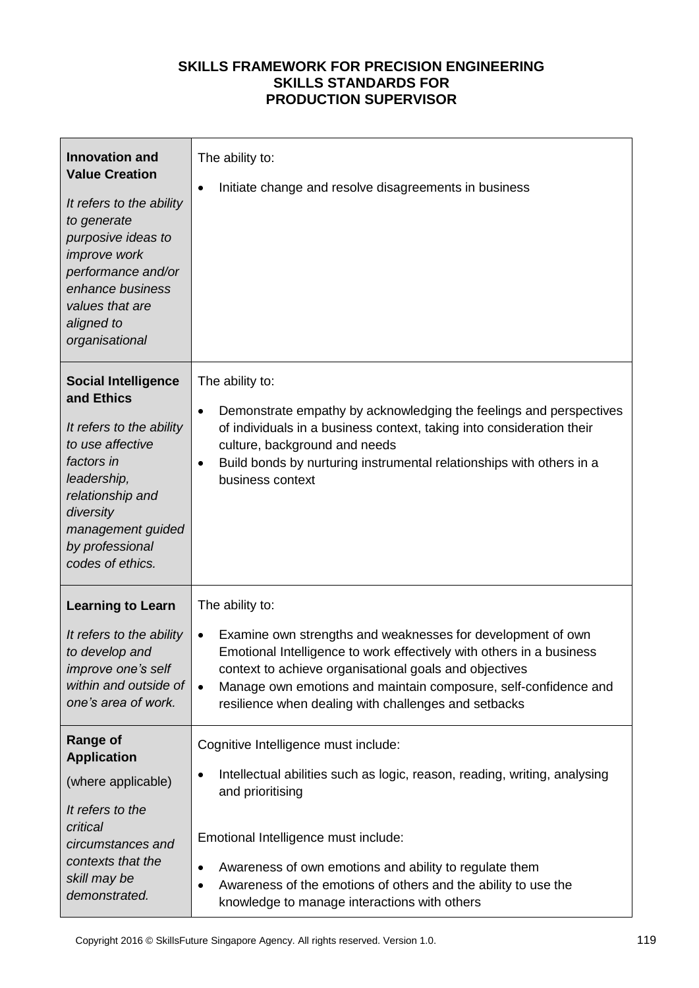| <b>Innovation and</b><br><b>Value Creation</b><br>It refers to the ability<br>to generate<br>purposive ideas to<br>improve work<br>performance and/or<br>enhance business<br>values that are<br>aligned to<br>organisational | The ability to:<br>Initiate change and resolve disagreements in business                                                                                                                                                                                                                                                                                                    |
|------------------------------------------------------------------------------------------------------------------------------------------------------------------------------------------------------------------------------|-----------------------------------------------------------------------------------------------------------------------------------------------------------------------------------------------------------------------------------------------------------------------------------------------------------------------------------------------------------------------------|
| <b>Social Intelligence</b><br>and Ethics<br>It refers to the ability<br>to use affective<br>factors in<br>leadership,<br>relationship and<br>diversity<br>management guided<br>by professional<br>codes of ethics.           | The ability to:<br>Demonstrate empathy by acknowledging the feelings and perspectives<br>$\bullet$<br>of individuals in a business context, taking into consideration their<br>culture, background and needs<br>Build bonds by nurturing instrumental relationships with others in a<br>٠<br>business context                                                               |
| <b>Learning to Learn</b><br>It refers to the ability<br>to develop and<br>improve one's self<br>within and outside of<br>one's area of work.                                                                                 | The ability to:<br>Examine own strengths and weaknesses for development of own<br>$\bullet$<br>Emotional Intelligence to work effectively with others in a business<br>context to achieve organisational goals and objectives<br>Manage own emotions and maintain composure, self-confidence and<br>$\bullet$<br>resilience when dealing with challenges and setbacks       |
| <b>Range of</b><br><b>Application</b><br>(where applicable)<br>It refers to the<br>critical<br>circumstances and<br>contexts that the<br>skill may be<br>demonstrated.                                                       | Cognitive Intelligence must include:<br>Intellectual abilities such as logic, reason, reading, writing, analysing<br>٠<br>and prioritising<br>Emotional Intelligence must include:<br>Awareness of own emotions and ability to regulate them<br>$\bullet$<br>Awareness of the emotions of others and the ability to use the<br>knowledge to manage interactions with others |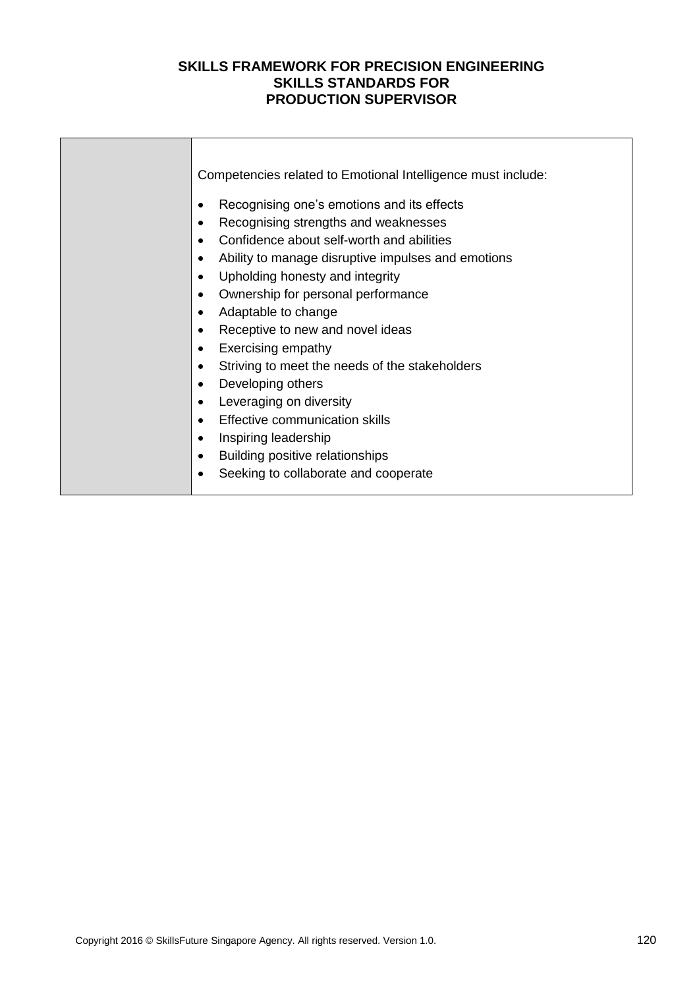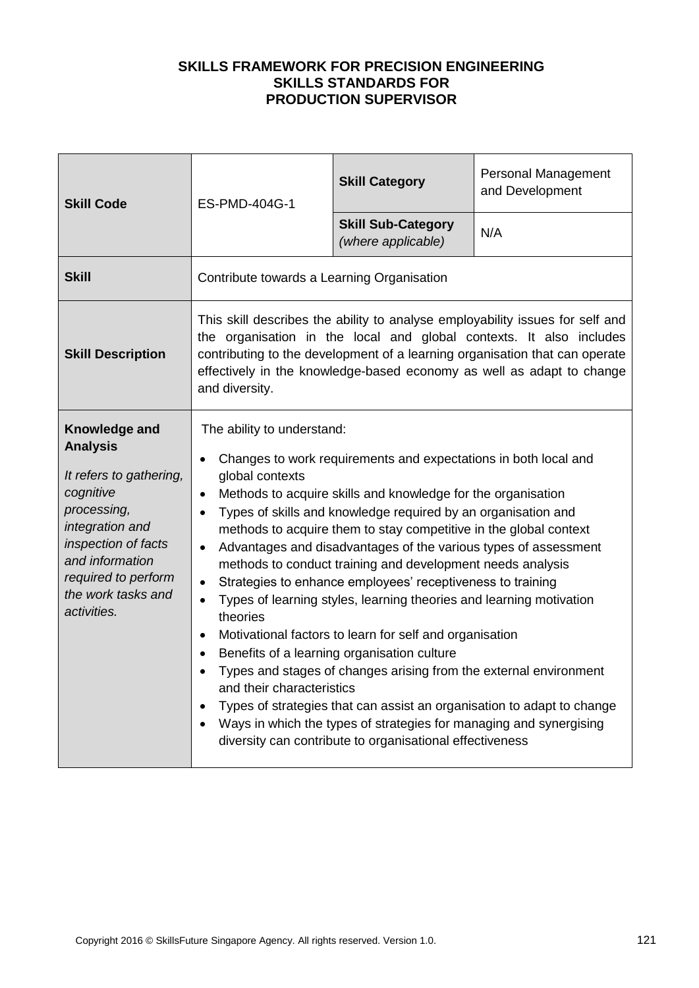| <b>Skill Code</b>                                                                                                                                                                                                | ES-PMD-404G-1                                                                                                                                                                                                                                                                                                                  | <b>Skill Category</b>                                                                                                                                                                                                                                                                                                                                                                                                                                                                                                                                                                                                                                                                                                                                                                                                                                        | Personal Management<br>and Development                                 |
|------------------------------------------------------------------------------------------------------------------------------------------------------------------------------------------------------------------|--------------------------------------------------------------------------------------------------------------------------------------------------------------------------------------------------------------------------------------------------------------------------------------------------------------------------------|--------------------------------------------------------------------------------------------------------------------------------------------------------------------------------------------------------------------------------------------------------------------------------------------------------------------------------------------------------------------------------------------------------------------------------------------------------------------------------------------------------------------------------------------------------------------------------------------------------------------------------------------------------------------------------------------------------------------------------------------------------------------------------------------------------------------------------------------------------------|------------------------------------------------------------------------|
|                                                                                                                                                                                                                  |                                                                                                                                                                                                                                                                                                                                | <b>Skill Sub-Category</b><br>(where applicable)                                                                                                                                                                                                                                                                                                                                                                                                                                                                                                                                                                                                                                                                                                                                                                                                              | N/A                                                                    |
| <b>Skill</b>                                                                                                                                                                                                     | Contribute towards a Learning Organisation                                                                                                                                                                                                                                                                                     |                                                                                                                                                                                                                                                                                                                                                                                                                                                                                                                                                                                                                                                                                                                                                                                                                                                              |                                                                        |
| <b>Skill Description</b>                                                                                                                                                                                         | This skill describes the ability to analyse employability issues for self and<br>the organisation in the local and global contexts. It also includes<br>contributing to the development of a learning organisation that can operate<br>effectively in the knowledge-based economy as well as adapt to change<br>and diversity. |                                                                                                                                                                                                                                                                                                                                                                                                                                                                                                                                                                                                                                                                                                                                                                                                                                                              |                                                                        |
| Knowledge and<br><b>Analysis</b><br>It refers to gathering,<br>cognitive<br>processing,<br>integration and<br>inspection of facts<br>and information<br>required to perform<br>the work tasks and<br>activities. | The ability to understand:<br>$\bullet$<br>global contexts<br>$\bullet$<br>$\bullet$<br>$\bullet$<br>$\bullet$<br>theories<br>$\bullet$<br>and their characteristics                                                                                                                                                           | Changes to work requirements and expectations in both local and<br>Methods to acquire skills and knowledge for the organisation<br>Types of skills and knowledge required by an organisation and<br>methods to acquire them to stay competitive in the global context<br>Advantages and disadvantages of the various types of assessment<br>methods to conduct training and development needs analysis<br>Strategies to enhance employees' receptiveness to training<br>Types of learning styles, learning theories and learning motivation<br>Motivational factors to learn for self and organisation<br>Benefits of a learning organisation culture<br>Types and stages of changes arising from the external environment<br>Ways in which the types of strategies for managing and synergising<br>diversity can contribute to organisational effectiveness | Types of strategies that can assist an organisation to adapt to change |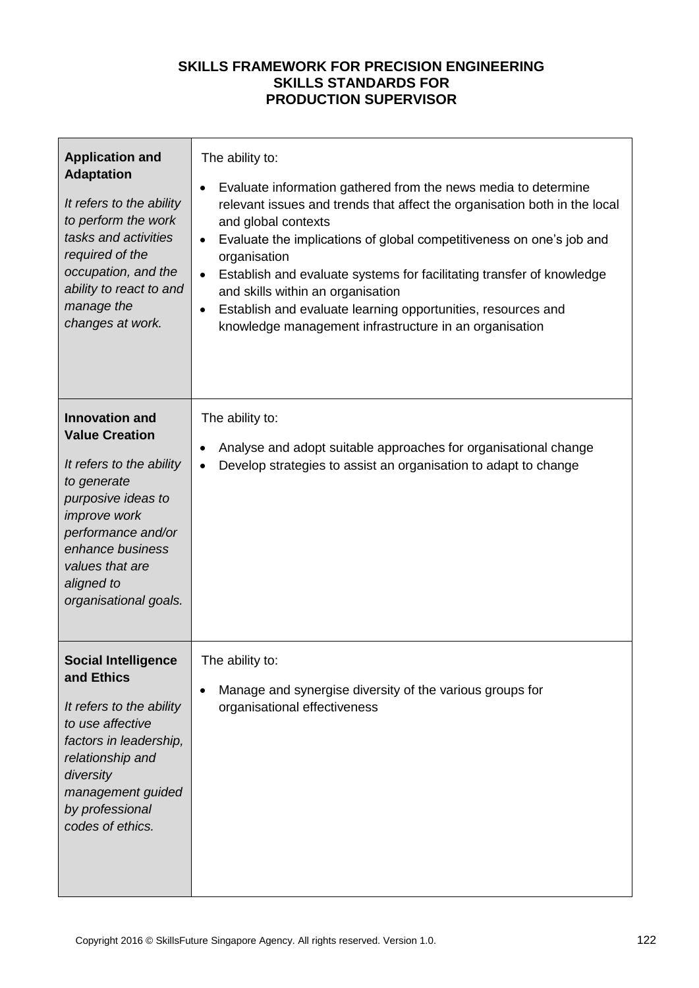| <b>Application and</b><br><b>Adaptation</b><br>It refers to the ability<br>to perform the work<br>tasks and activities<br>required of the<br>occupation, and the<br>ability to react to and<br>manage the<br>changes at work.              | The ability to:<br>Evaluate information gathered from the news media to determine<br>$\bullet$<br>relevant issues and trends that affect the organisation both in the local<br>and global contexts<br>Evaluate the implications of global competitiveness on one's job and<br>$\bullet$<br>organisation<br>Establish and evaluate systems for facilitating transfer of knowledge<br>$\bullet$<br>and skills within an organisation<br>Establish and evaluate learning opportunities, resources and<br>$\bullet$<br>knowledge management infrastructure in an organisation |
|--------------------------------------------------------------------------------------------------------------------------------------------------------------------------------------------------------------------------------------------|---------------------------------------------------------------------------------------------------------------------------------------------------------------------------------------------------------------------------------------------------------------------------------------------------------------------------------------------------------------------------------------------------------------------------------------------------------------------------------------------------------------------------------------------------------------------------|
| <b>Innovation and</b><br><b>Value Creation</b><br>It refers to the ability<br>to generate<br>purposive ideas to<br><i>improve</i> work<br>performance and/or<br>enhance business<br>values that are<br>aligned to<br>organisational goals. | The ability to:<br>Analyse and adopt suitable approaches for organisational change<br>$\bullet$<br>Develop strategies to assist an organisation to adapt to change<br>$\bullet$                                                                                                                                                                                                                                                                                                                                                                                           |
| <b>Social Intelligence</b><br>and Ethics<br>It refers to the ability<br>to use affective<br>factors in leadership,<br>relationship and<br>diversity<br>management guided<br>by professional<br>codes of ethics.                            | The ability to:<br>Manage and synergise diversity of the various groups for<br>$\bullet$<br>organisational effectiveness                                                                                                                                                                                                                                                                                                                                                                                                                                                  |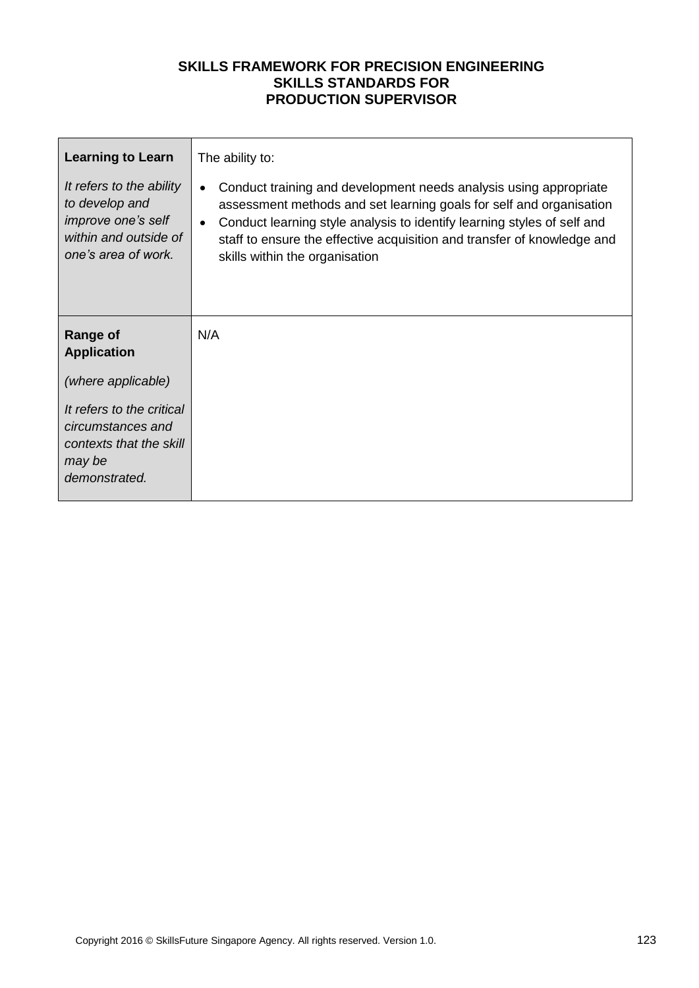| <b>Learning to Learn</b>                                                                                                | The ability to:                                                                                                                                                                                                                                                                                                                                            |
|-------------------------------------------------------------------------------------------------------------------------|------------------------------------------------------------------------------------------------------------------------------------------------------------------------------------------------------------------------------------------------------------------------------------------------------------------------------------------------------------|
| It refers to the ability<br>to develop and<br><i>improve one's self</i><br>within and outside of<br>one's area of work. | Conduct training and development needs analysis using appropriate<br>$\bullet$<br>assessment methods and set learning goals for self and organisation<br>Conduct learning style analysis to identify learning styles of self and<br>$\bullet$<br>staff to ensure the effective acquisition and transfer of knowledge and<br>skills within the organisation |
| <b>Range of</b><br><b>Application</b>                                                                                   | N/A                                                                                                                                                                                                                                                                                                                                                        |
| (where applicable)                                                                                                      |                                                                                                                                                                                                                                                                                                                                                            |
| It refers to the critical<br>circumstances and<br>contexts that the skill<br>may be<br>demonstrated.                    |                                                                                                                                                                                                                                                                                                                                                            |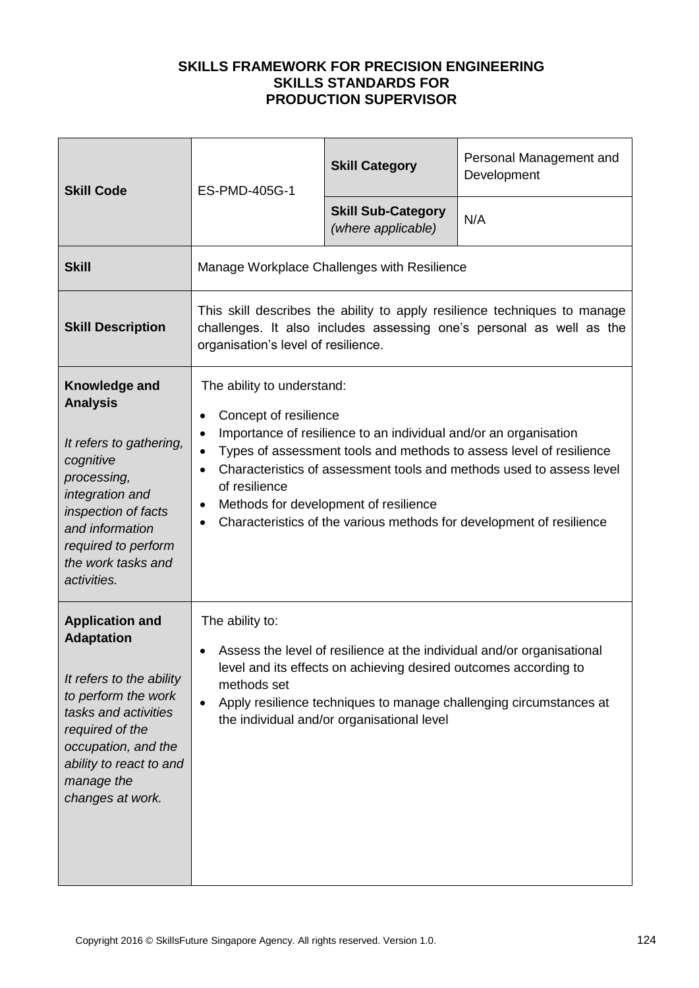| <b>Skill Code</b>                                                                                                                                                                                                             | ES-PMD-405G-1                                                                                                                                                                                                                                                                                                                                                                                                                                                             | <b>Skill Category</b>                           | Personal Management and<br>Development |
|-------------------------------------------------------------------------------------------------------------------------------------------------------------------------------------------------------------------------------|---------------------------------------------------------------------------------------------------------------------------------------------------------------------------------------------------------------------------------------------------------------------------------------------------------------------------------------------------------------------------------------------------------------------------------------------------------------------------|-------------------------------------------------|----------------------------------------|
|                                                                                                                                                                                                                               |                                                                                                                                                                                                                                                                                                                                                                                                                                                                           | <b>Skill Sub-Category</b><br>(where applicable) | N/A                                    |
| <b>Skill</b>                                                                                                                                                                                                                  | Manage Workplace Challenges with Resilience                                                                                                                                                                                                                                                                                                                                                                                                                               |                                                 |                                        |
| <b>Skill Description</b>                                                                                                                                                                                                      | This skill describes the ability to apply resilience techniques to manage<br>challenges. It also includes assessing one's personal as well as the<br>organisation's level of resilience.                                                                                                                                                                                                                                                                                  |                                                 |                                        |
| Knowledge and<br><b>Analysis</b><br>It refers to gathering,<br>cognitive<br>processing,<br>integration and<br>inspection of facts<br>and information<br>required to perform<br>the work tasks and<br>activities.              | The ability to understand:<br>Concept of resilience<br>$\bullet$<br>Importance of resilience to an individual and/or an organisation<br>$\bullet$<br>Types of assessment tools and methods to assess level of resilience<br>$\bullet$<br>Characteristics of assessment tools and methods used to assess level<br>of resilience<br>Methods for development of resilience<br>$\bullet$<br>Characteristics of the various methods for development of resilience<br>$\bullet$ |                                                 |                                        |
| <b>Application and</b><br><b>Adaptation</b><br>It refers to the ability<br>to perform the work<br>tasks and activities<br>required of the<br>occupation, and the<br>ability to react to and<br>manage the<br>changes at work. | The ability to:<br>Assess the level of resilience at the individual and/or organisational<br>level and its effects on achieving desired outcomes according to<br>methods set<br>Apply resilience techniques to manage challenging circumstances at<br>$\bullet$<br>the individual and/or organisational level                                                                                                                                                             |                                                 |                                        |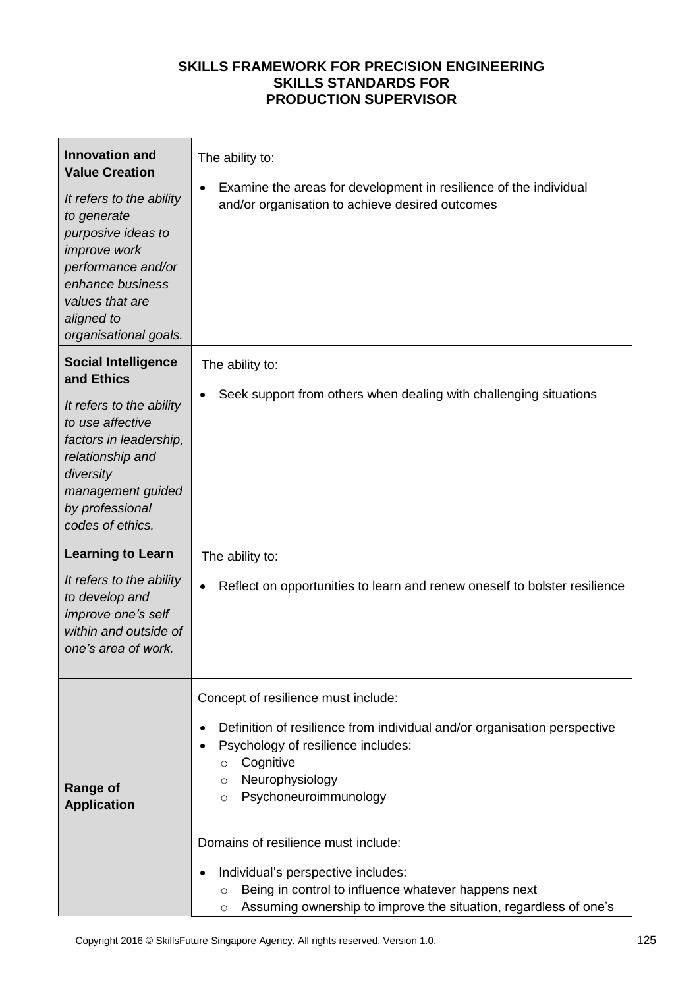| <b>Innovation and</b><br><b>Value Creation</b><br>It refers to the ability<br>to generate<br>purposive ideas to<br>improve work<br>performance and/or<br>enhance business<br>values that are<br>aligned to<br>organisational goals. | The ability to:<br>Examine the areas for development in resilience of the individual<br>$\bullet$<br>and/or organisation to achieve desired outcomes                                                                                                                                                                                                                                                                                                                                       |  |
|-------------------------------------------------------------------------------------------------------------------------------------------------------------------------------------------------------------------------------------|--------------------------------------------------------------------------------------------------------------------------------------------------------------------------------------------------------------------------------------------------------------------------------------------------------------------------------------------------------------------------------------------------------------------------------------------------------------------------------------------|--|
| <b>Social Intelligence</b><br>and Ethics<br>It refers to the ability<br>to use affective<br>factors in leadership,<br>relationship and<br>diversity<br>management guided<br>by professional<br>codes of ethics.                     | The ability to:<br>Seek support from others when dealing with challenging situations                                                                                                                                                                                                                                                                                                                                                                                                       |  |
| <b>Learning to Learn</b><br>It refers to the ability<br>to develop and<br>improve one's self<br>within and outside of<br>one's area of work.                                                                                        | The ability to:<br>Reflect on opportunities to learn and renew oneself to bolster resilience                                                                                                                                                                                                                                                                                                                                                                                               |  |
| <b>Range of</b><br><b>Application</b>                                                                                                                                                                                               | Concept of resilience must include:<br>Definition of resilience from individual and/or organisation perspective<br>$\bullet$<br>Psychology of resilience includes:<br>Cognitive<br>$\circ$<br>Neurophysiology<br>$\circ$<br>Psychoneuroimmunology<br>$\circ$<br>Domains of resilience must include:<br>Individual's perspective includes:<br>Being in control to influence whatever happens next<br>$\circ$<br>Assuming ownership to improve the situation, regardless of one's<br>$\circ$ |  |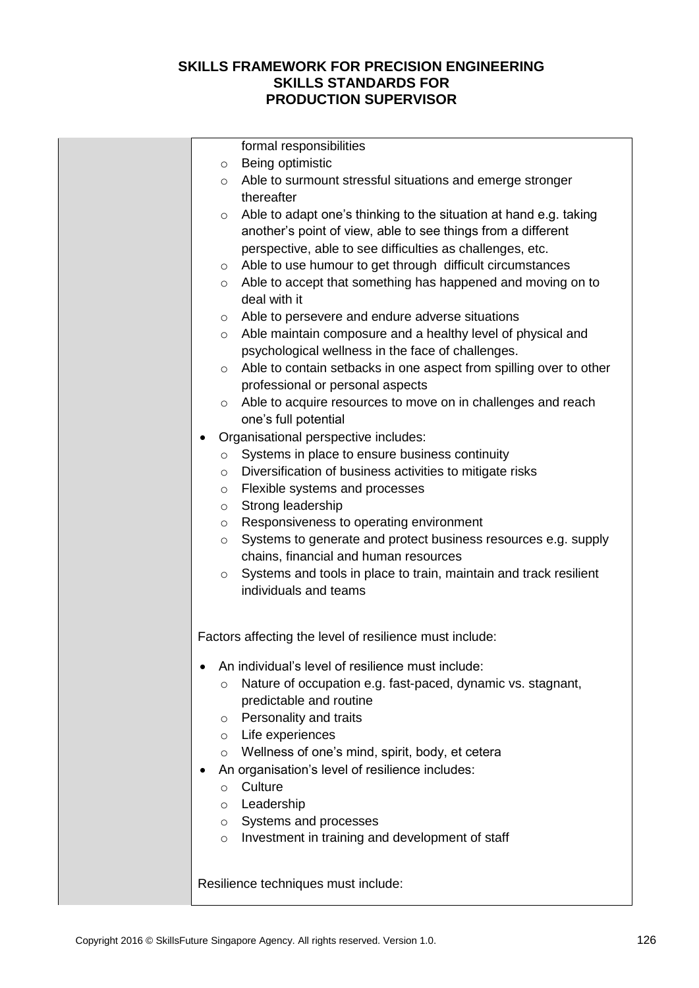| formal responsibilities                                                                                                                                                                                   |
|-----------------------------------------------------------------------------------------------------------------------------------------------------------------------------------------------------------|
| Being optimistic<br>$\circ$                                                                                                                                                                               |
| o Able to surmount stressful situations and emerge stronger<br>thereafter                                                                                                                                 |
| Able to adapt one's thinking to the situation at hand e.g. taking<br>$\circ$<br>another's point of view, able to see things from a different<br>perspective, able to see difficulties as challenges, etc. |
| Able to use humour to get through difficult circumstances<br>$\circ$                                                                                                                                      |
| $\circ$ Able to accept that something has happened and moving on to<br>deal with it                                                                                                                       |
| o Able to persevere and endure adverse situations                                                                                                                                                         |
| o Able maintain composure and a healthy level of physical and<br>psychological wellness in the face of challenges.                                                                                        |
| Able to contain setbacks in one aspect from spilling over to other<br>$\circ$<br>professional or personal aspects                                                                                         |
| ○ Able to acquire resources to move on in challenges and reach<br>one's full potential                                                                                                                    |
| Organisational perspective includes:                                                                                                                                                                      |
| Systems in place to ensure business continuity<br>$\circ$                                                                                                                                                 |
| Diversification of business activities to mitigate risks<br>$\circ$                                                                                                                                       |
| Flexible systems and processes<br>$\circ$                                                                                                                                                                 |
| Strong leadership<br>$\circ$                                                                                                                                                                              |
| Responsiveness to operating environment<br>$\circ$                                                                                                                                                        |
| Systems to generate and protect business resources e.g. supply<br>$\circ$                                                                                                                                 |
| chains, financial and human resources                                                                                                                                                                     |
| Systems and tools in place to train, maintain and track resilient<br>$\circ$                                                                                                                              |
| individuals and teams                                                                                                                                                                                     |
| Factors affecting the level of resilience must include:                                                                                                                                                   |
| An individual's level of resilience must include:                                                                                                                                                         |
| Nature of occupation e.g. fast-paced, dynamic vs. stagnant,<br>$\circ$                                                                                                                                    |
| predictable and routine                                                                                                                                                                                   |
| Personality and traits<br>$\circ$                                                                                                                                                                         |
| Life experiences<br>$\circ$                                                                                                                                                                               |
| Wellness of one's mind, spirit, body, et cetera<br>$\circ$                                                                                                                                                |
| An organisation's level of resilience includes:                                                                                                                                                           |
| Culture<br>$\circ$                                                                                                                                                                                        |
| Leadership<br>$\circ$                                                                                                                                                                                     |
| Systems and processes<br>$\circ$                                                                                                                                                                          |
| Investment in training and development of staff<br>$\circ$                                                                                                                                                |
|                                                                                                                                                                                                           |
|                                                                                                                                                                                                           |

Resilience techniques must include: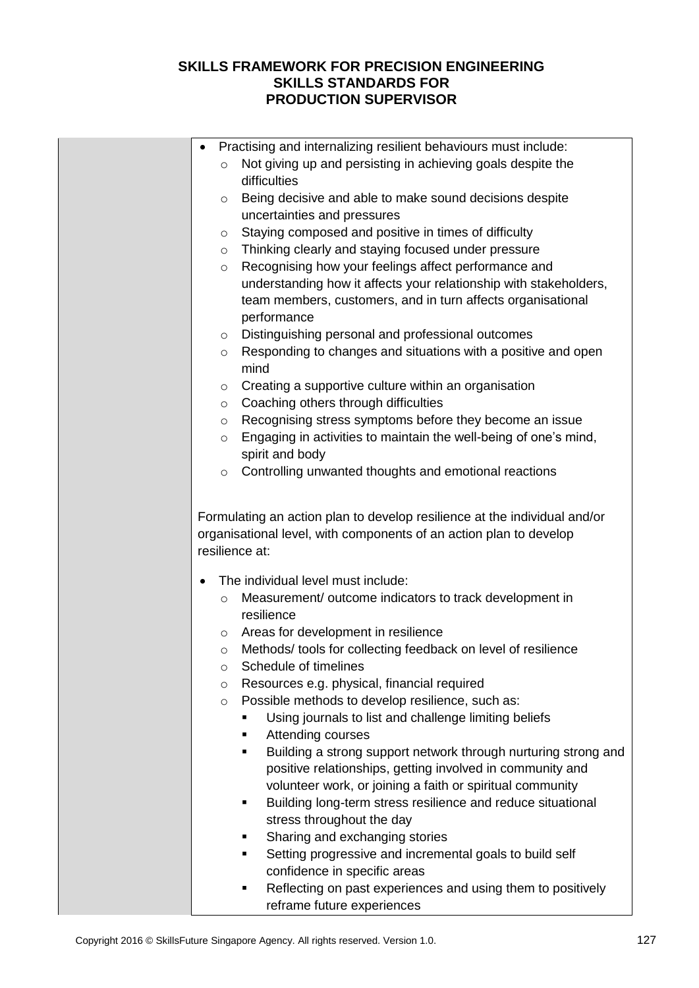|           | Practising and internalizing resilient behaviours must include:                                |
|-----------|------------------------------------------------------------------------------------------------|
| $\circ$   | Not giving up and persisting in achieving goals despite the                                    |
|           | difficulties                                                                                   |
| $\circ$   | Being decisive and able to make sound decisions despite                                        |
|           | uncertainties and pressures                                                                    |
| $\circ$   | Staying composed and positive in times of difficulty                                           |
|           | Thinking clearly and staying focused under pressure                                            |
| $\circ$   |                                                                                                |
| $\circ$   | Recognising how your feelings affect performance and                                           |
|           | understanding how it affects your relationship with stakeholders,                              |
|           | team members, customers, and in turn affects organisational                                    |
|           | performance                                                                                    |
| $\circ$   | Distinguishing personal and professional outcomes                                              |
| $\circ$   | Responding to changes and situations with a positive and open                                  |
|           | mind                                                                                           |
| $\circ$   | Creating a supportive culture within an organisation                                           |
| $\circ$   | Coaching others through difficulties                                                           |
| $\circ$   | Recognising stress symptoms before they become an issue                                        |
| $\circ$   | Engaging in activities to maintain the well-being of one's mind,                               |
|           | spirit and body                                                                                |
| $\circ$   | Controlling unwanted thoughts and emotional reactions                                          |
|           |                                                                                                |
| $\bullet$ | The individual level must include:                                                             |
| $\circ$   | Measurement/ outcome indicators to track development in                                        |
|           | resilience                                                                                     |
| $\circ$   | Areas for development in resilience                                                            |
| $\circ$   | Methods/ tools for collecting feedback on level of resilience                                  |
| O         | Schedule of timelines                                                                          |
| $\circ$   |                                                                                                |
| $\circ$   | Resources e.g. physical, financial required                                                    |
|           | Possible methods to develop resilience, such as:                                               |
|           | Using journals to list and challenge limiting beliefs                                          |
|           | Attending courses<br>٠                                                                         |
|           | ٠                                                                                              |
|           | positive relationships, getting involved in community and                                      |
|           | volunteer work, or joining a faith or spiritual community                                      |
|           | Building long-term stress resilience and reduce situational<br>٠                               |
|           | stress throughout the day                                                                      |
|           | Sharing and exchanging stories<br>٠                                                            |
|           | Setting progressive and incremental goals to build self<br>٠                                   |
|           | Building a strong support network through nurturing strong and<br>confidence in specific areas |
|           | Reflecting on past experiences and using them to positively<br>п                               |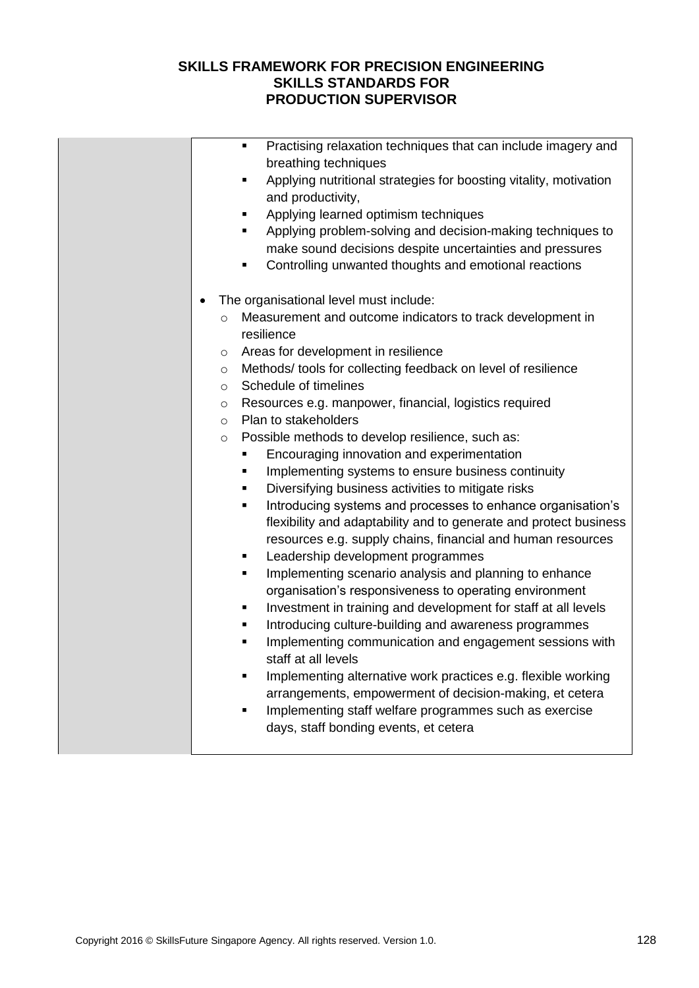|           |         | Practising relaxation techniques that can include imagery and<br>٠<br>breathing techniques                               |
|-----------|---------|--------------------------------------------------------------------------------------------------------------------------|
|           |         | Applying nutritional strategies for boosting vitality, motivation<br>٠                                                   |
|           |         | and productivity,                                                                                                        |
|           |         | Applying learned optimism techniques<br>٠                                                                                |
|           |         | Applying problem-solving and decision-making techniques to<br>٠                                                          |
|           |         | make sound decisions despite uncertainties and pressures                                                                 |
|           |         | Controlling unwanted thoughts and emotional reactions<br>٠                                                               |
| $\bullet$ |         | The organisational level must include:                                                                                   |
|           | $\circ$ | Measurement and outcome indicators to track development in                                                               |
|           |         | resilience                                                                                                               |
|           | $\circ$ | Areas for development in resilience                                                                                      |
|           | $\circ$ | Methods/tools for collecting feedback on level of resilience                                                             |
|           | $\circ$ | Schedule of timelines                                                                                                    |
|           | $\circ$ | Resources e.g. manpower, financial, logistics required                                                                   |
|           | $\circ$ | Plan to stakeholders                                                                                                     |
|           | $\circ$ | Possible methods to develop resilience, such as:                                                                         |
|           |         | Encouraging innovation and experimentation                                                                               |
|           |         | Implementing systems to ensure business continuity<br>٠                                                                  |
|           |         | Diversifying business activities to mitigate risks                                                                       |
|           |         | Introducing systems and processes to enhance organisation's<br>٠                                                         |
|           |         | flexibility and adaptability and to generate and protect business                                                        |
|           |         | resources e.g. supply chains, financial and human resources                                                              |
|           |         | Leadership development programmes<br>٠                                                                                   |
|           |         | Implementing scenario analysis and planning to enhance<br>٠                                                              |
|           |         | organisation's responsiveness to operating environment                                                                   |
|           |         | Investment in training and development for staff at all levels<br>٠                                                      |
|           |         | Introducing culture-building and awareness programmes<br>٠                                                               |
|           |         | Implementing communication and engagement sessions with<br>٠<br>staff at all levels                                      |
|           |         |                                                                                                                          |
|           |         | Implementing alternative work practices e.g. flexible working<br>arrangements, empowerment of decision-making, et cetera |
|           |         | Implementing staff welfare programmes such as exercise<br>■                                                              |
|           |         | days, staff bonding events, et cetera                                                                                    |
|           |         |                                                                                                                          |
|           |         |                                                                                                                          |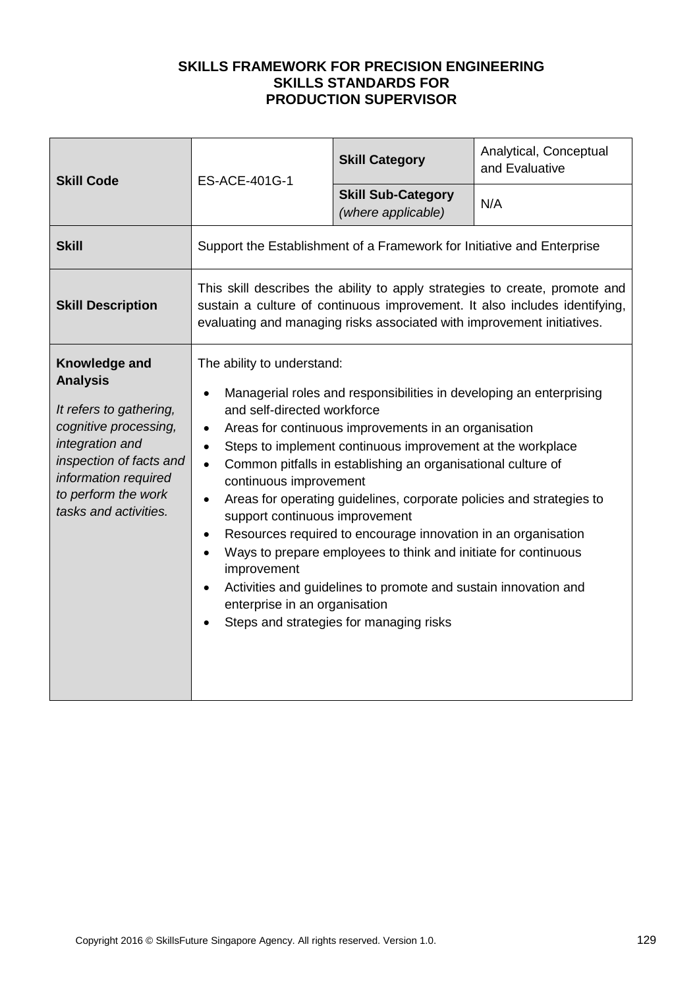| <b>Skill Code</b>                                                                                                                                                                                          | ES-ACE-401G-1                                                                                                                                                                                                                                                                                                                                                                                                                                                                                                                                                                                                                                                                                                                                                                                                                                                                                          | <b>Skill Category</b>                                                                                                                                     | Analytical, Conceptual<br>and Evaluative |
|------------------------------------------------------------------------------------------------------------------------------------------------------------------------------------------------------------|--------------------------------------------------------------------------------------------------------------------------------------------------------------------------------------------------------------------------------------------------------------------------------------------------------------------------------------------------------------------------------------------------------------------------------------------------------------------------------------------------------------------------------------------------------------------------------------------------------------------------------------------------------------------------------------------------------------------------------------------------------------------------------------------------------------------------------------------------------------------------------------------------------|-----------------------------------------------------------------------------------------------------------------------------------------------------------|------------------------------------------|
|                                                                                                                                                                                                            |                                                                                                                                                                                                                                                                                                                                                                                                                                                                                                                                                                                                                                                                                                                                                                                                                                                                                                        | <b>Skill Sub-Category</b><br>(where applicable)                                                                                                           | N/A                                      |
| <b>Skill</b>                                                                                                                                                                                               |                                                                                                                                                                                                                                                                                                                                                                                                                                                                                                                                                                                                                                                                                                                                                                                                                                                                                                        | Support the Establishment of a Framework for Initiative and Enterprise                                                                                    |                                          |
| <b>Skill Description</b>                                                                                                                                                                                   |                                                                                                                                                                                                                                                                                                                                                                                                                                                                                                                                                                                                                                                                                                                                                                                                                                                                                                        | This skill describes the ability to apply strategies to create, promote and<br>sustain a culture of continuous improvement. It also includes identifying, |                                          |
| Knowledge and<br><b>Analysis</b><br>It refers to gathering,<br>cognitive processing,<br>integration and<br>inspection of facts and<br>information required<br>to perform the work<br>tasks and activities. | evaluating and managing risks associated with improvement initiatives.<br>The ability to understand:<br>Managerial roles and responsibilities in developing an enterprising<br>$\bullet$<br>and self-directed workforce<br>Areas for continuous improvements in an organisation<br>$\bullet$<br>Steps to implement continuous improvement at the workplace<br>$\bullet$<br>Common pitfalls in establishing an organisational culture of<br>$\bullet$<br>continuous improvement<br>Areas for operating guidelines, corporate policies and strategies to<br>support continuous improvement<br>Resources required to encourage innovation in an organisation<br>$\bullet$<br>Ways to prepare employees to think and initiate for continuous<br>improvement<br>Activities and guidelines to promote and sustain innovation and<br>enterprise in an organisation<br>Steps and strategies for managing risks |                                                                                                                                                           |                                          |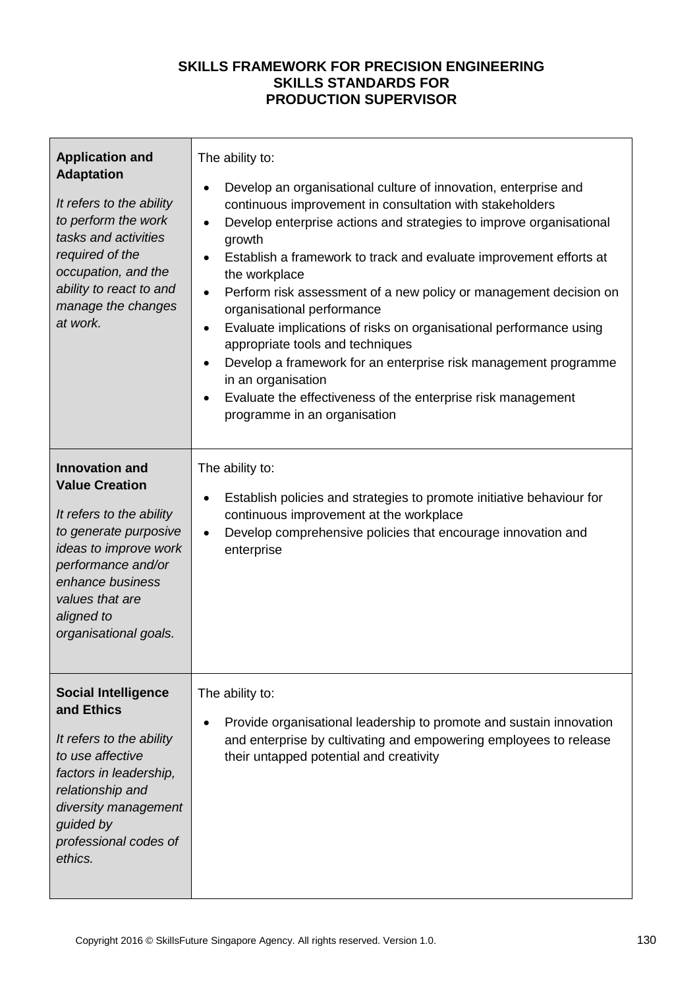| <b>Application and</b><br><b>Adaptation</b><br>It refers to the ability<br>to perform the work<br>tasks and activities<br>required of the<br>occupation, and the<br>ability to react to and<br>manage the changes<br>at work.    | The ability to:<br>Develop an organisational culture of innovation, enterprise and<br>$\bullet$<br>continuous improvement in consultation with stakeholders<br>Develop enterprise actions and strategies to improve organisational<br>$\bullet$<br>growth<br>Establish a framework to track and evaluate improvement efforts at<br>$\bullet$<br>the workplace<br>Perform risk assessment of a new policy or management decision on<br>$\bullet$<br>organisational performance<br>Evaluate implications of risks on organisational performance using<br>$\bullet$<br>appropriate tools and techniques<br>Develop a framework for an enterprise risk management programme<br>$\bullet$<br>in an organisation<br>Evaluate the effectiveness of the enterprise risk management<br>programme in an organisation |
|----------------------------------------------------------------------------------------------------------------------------------------------------------------------------------------------------------------------------------|------------------------------------------------------------------------------------------------------------------------------------------------------------------------------------------------------------------------------------------------------------------------------------------------------------------------------------------------------------------------------------------------------------------------------------------------------------------------------------------------------------------------------------------------------------------------------------------------------------------------------------------------------------------------------------------------------------------------------------------------------------------------------------------------------------|
| <b>Innovation and</b><br><b>Value Creation</b><br>It refers to the ability<br>to generate purposive<br>ideas to improve work<br>performance and/or<br>enhance business<br>values that are<br>aligned to<br>organisational goals. | The ability to:<br>Establish policies and strategies to promote initiative behaviour for<br>$\bullet$<br>continuous improvement at the workplace<br>Develop comprehensive policies that encourage innovation and<br>$\bullet$<br>enterprise                                                                                                                                                                                                                                                                                                                                                                                                                                                                                                                                                                |
| <b>Social Intelligence</b><br>and Ethics<br>It refers to the ability<br>to use affective<br>factors in leadership,<br>relationship and<br>diversity management<br>guided by<br>professional codes of<br>ethics.                  | The ability to:<br>Provide organisational leadership to promote and sustain innovation<br>and enterprise by cultivating and empowering employees to release<br>their untapped potential and creativity                                                                                                                                                                                                                                                                                                                                                                                                                                                                                                                                                                                                     |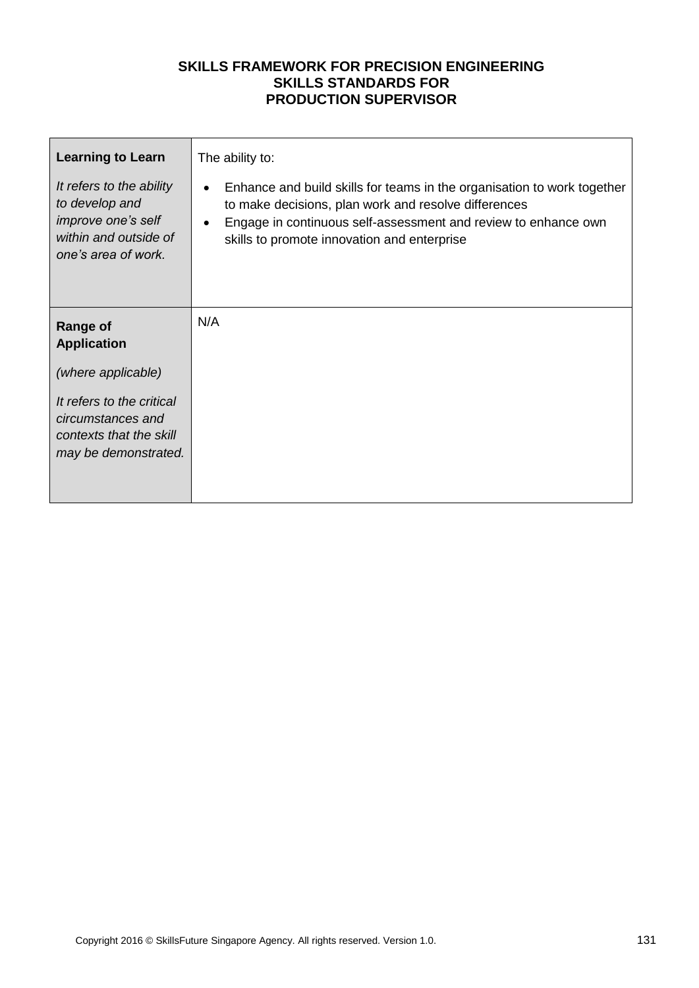| <b>Learning to Learn</b>                                                                                                | The ability to:                                                                                                                                                                                                                                               |
|-------------------------------------------------------------------------------------------------------------------------|---------------------------------------------------------------------------------------------------------------------------------------------------------------------------------------------------------------------------------------------------------------|
| It refers to the ability<br>to develop and<br><i>improve one's self</i><br>within and outside of<br>one's area of work. | Enhance and build skills for teams in the organisation to work together<br>to make decisions, plan work and resolve differences<br>Engage in continuous self-assessment and review to enhance own<br>$\bullet$<br>skills to promote innovation and enterprise |
| <b>Range of</b><br><b>Application</b>                                                                                   | N/A                                                                                                                                                                                                                                                           |
| (where applicable)                                                                                                      |                                                                                                                                                                                                                                                               |
| It refers to the critical<br>circumstances and<br>contexts that the skill<br>may be demonstrated.                       |                                                                                                                                                                                                                                                               |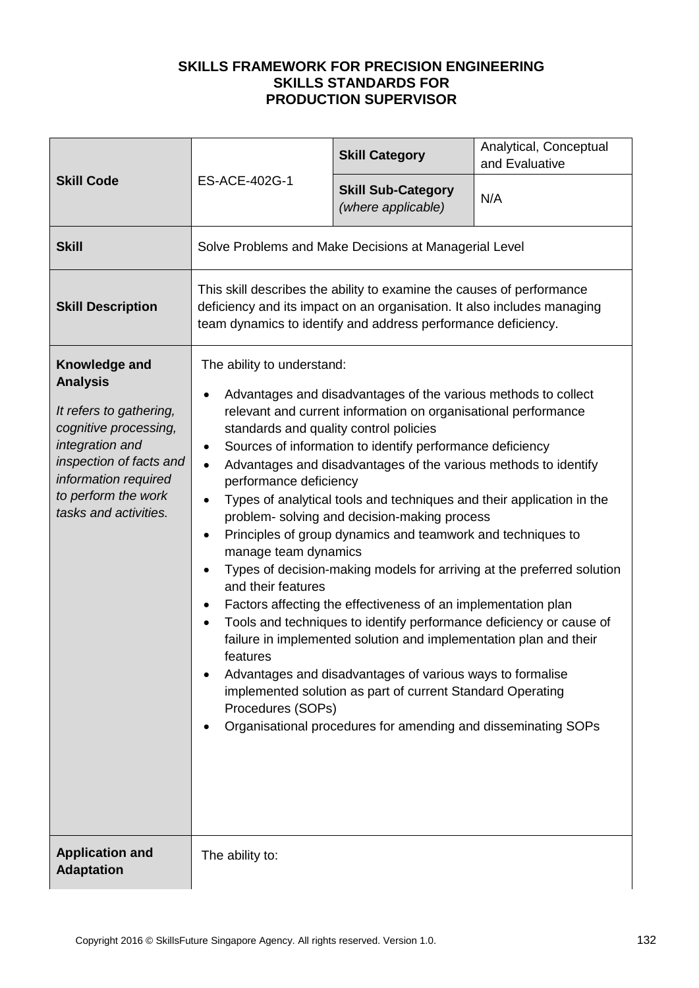|                                                                                                                                                                                                            | ES-ACE-402G-1                                                                                                                                                                                                                                                                                                                                                                                                                                                                                                                                                                                                                                                                                                                                                                                                                                                                                                                                                                                                                                                                                                                                                                 | <b>Skill Category</b>                           | Analytical, Conceptual<br>and Evaluative |
|------------------------------------------------------------------------------------------------------------------------------------------------------------------------------------------------------------|-------------------------------------------------------------------------------------------------------------------------------------------------------------------------------------------------------------------------------------------------------------------------------------------------------------------------------------------------------------------------------------------------------------------------------------------------------------------------------------------------------------------------------------------------------------------------------------------------------------------------------------------------------------------------------------------------------------------------------------------------------------------------------------------------------------------------------------------------------------------------------------------------------------------------------------------------------------------------------------------------------------------------------------------------------------------------------------------------------------------------------------------------------------------------------|-------------------------------------------------|------------------------------------------|
| <b>Skill Code</b>                                                                                                                                                                                          |                                                                                                                                                                                                                                                                                                                                                                                                                                                                                                                                                                                                                                                                                                                                                                                                                                                                                                                                                                                                                                                                                                                                                                               | <b>Skill Sub-Category</b><br>(where applicable) | N/A                                      |
| <b>Skill</b>                                                                                                                                                                                               | Solve Problems and Make Decisions at Managerial Level                                                                                                                                                                                                                                                                                                                                                                                                                                                                                                                                                                                                                                                                                                                                                                                                                                                                                                                                                                                                                                                                                                                         |                                                 |                                          |
| <b>Skill Description</b>                                                                                                                                                                                   | This skill describes the ability to examine the causes of performance<br>deficiency and its impact on an organisation. It also includes managing<br>team dynamics to identify and address performance deficiency.                                                                                                                                                                                                                                                                                                                                                                                                                                                                                                                                                                                                                                                                                                                                                                                                                                                                                                                                                             |                                                 |                                          |
| Knowledge and<br><b>Analysis</b><br>It refers to gathering,<br>cognitive processing,<br>integration and<br>inspection of facts and<br>information required<br>to perform the work<br>tasks and activities. | The ability to understand:<br>Advantages and disadvantages of the various methods to collect<br>relevant and current information on organisational performance<br>standards and quality control policies<br>Sources of information to identify performance deficiency<br>$\bullet$<br>Advantages and disadvantages of the various methods to identify<br>$\bullet$<br>performance deficiency<br>Types of analytical tools and techniques and their application in the<br>$\bullet$<br>problem- solving and decision-making process<br>Principles of group dynamics and teamwork and techniques to<br>٠<br>manage team dynamics<br>Types of decision-making models for arriving at the preferred solution<br>٠<br>and their features<br>Factors affecting the effectiveness of an implementation plan<br>Tools and techniques to identify performance deficiency or cause of<br>failure in implemented solution and implementation plan and their<br>features<br>Advantages and disadvantages of various ways to formalise<br>implemented solution as part of current Standard Operating<br>Procedures (SOPs)<br>Organisational procedures for amending and disseminating SOPs |                                                 |                                          |
| <b>Application and</b><br><b>Adaptation</b>                                                                                                                                                                | The ability to:                                                                                                                                                                                                                                                                                                                                                                                                                                                                                                                                                                                                                                                                                                                                                                                                                                                                                                                                                                                                                                                                                                                                                               |                                                 |                                          |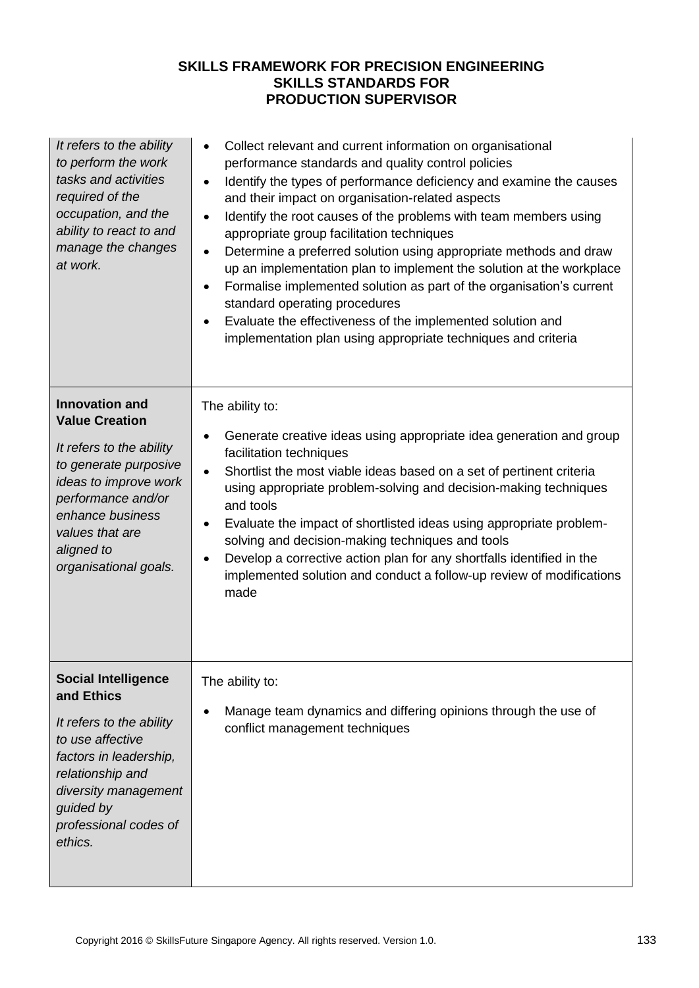| It refers to the ability<br>to perform the work<br>tasks and activities<br>required of the<br>occupation, and the<br>ability to react to and<br>manage the changes<br>at work.                                                   | Collect relevant and current information on organisational<br>performance standards and quality control policies<br>Identify the types of performance deficiency and examine the causes<br>$\bullet$<br>and their impact on organisation-related aspects<br>Identify the root causes of the problems with team members using<br>$\bullet$<br>appropriate group facilitation techniques<br>Determine a preferred solution using appropriate methods and draw<br>$\bullet$<br>up an implementation plan to implement the solution at the workplace<br>Formalise implemented solution as part of the organisation's current<br>$\bullet$<br>standard operating procedures<br>Evaluate the effectiveness of the implemented solution and<br>implementation plan using appropriate techniques and criteria |
|----------------------------------------------------------------------------------------------------------------------------------------------------------------------------------------------------------------------------------|-------------------------------------------------------------------------------------------------------------------------------------------------------------------------------------------------------------------------------------------------------------------------------------------------------------------------------------------------------------------------------------------------------------------------------------------------------------------------------------------------------------------------------------------------------------------------------------------------------------------------------------------------------------------------------------------------------------------------------------------------------------------------------------------------------|
| <b>Innovation and</b><br><b>Value Creation</b><br>It refers to the ability<br>to generate purposive<br>ideas to improve work<br>performance and/or<br>enhance business<br>values that are<br>aligned to<br>organisational goals. | The ability to:<br>Generate creative ideas using appropriate idea generation and group<br>facilitation techniques<br>Shortlist the most viable ideas based on a set of pertinent criteria<br>$\bullet$<br>using appropriate problem-solving and decision-making techniques<br>and tools<br>Evaluate the impact of shortlisted ideas using appropriate problem-<br>٠<br>solving and decision-making techniques and tools<br>Develop a corrective action plan for any shortfalls identified in the<br>implemented solution and conduct a follow-up review of modifications<br>made                                                                                                                                                                                                                      |
| <b>Social Intelligence</b><br>and Ethics<br>It refers to the ability<br>to use affective<br>factors in leadership,<br>relationship and<br>diversity management<br>guided by<br>professional codes of<br>ethics.                  | The ability to:<br>Manage team dynamics and differing opinions through the use of<br>conflict management techniques                                                                                                                                                                                                                                                                                                                                                                                                                                                                                                                                                                                                                                                                                   |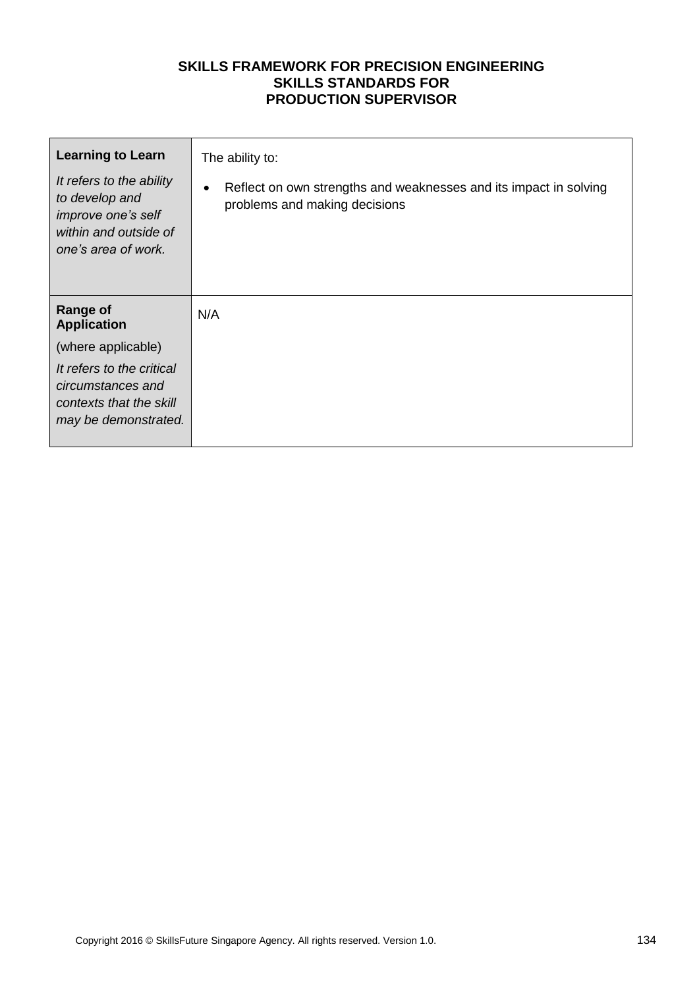| <b>Learning to Learn</b>                                                                                         | The ability to:                                                                                                 |
|------------------------------------------------------------------------------------------------------------------|-----------------------------------------------------------------------------------------------------------------|
| It refers to the ability<br>to develop and<br>improve one's self<br>within and outside of<br>one's area of work. | Reflect on own strengths and weaknesses and its impact in solving<br>$\bullet$<br>problems and making decisions |
| <b>Range of</b><br><b>Application</b>                                                                            | N/A                                                                                                             |
| (where applicable)                                                                                               |                                                                                                                 |
| It refers to the critical<br>circumstances and<br>contexts that the skill<br>may be demonstrated.                |                                                                                                                 |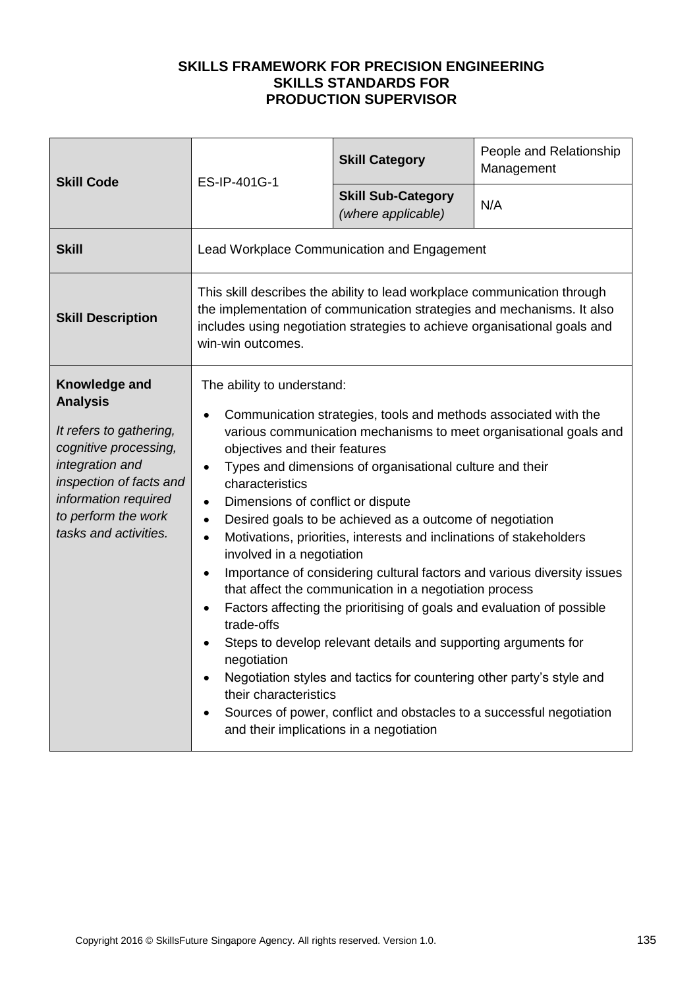| <b>Skill Code</b>                                                                                                                                                                                          | ES-IP-401G-1                                                                                                                                                                                                                                                                                                                                                                                                                                                                                                                                                                                                                                                                                                                                                                                                                                                                                                                                                                                                                                                                            | <b>Skill Category</b>                           | People and Relationship<br>Management |
|------------------------------------------------------------------------------------------------------------------------------------------------------------------------------------------------------------|-----------------------------------------------------------------------------------------------------------------------------------------------------------------------------------------------------------------------------------------------------------------------------------------------------------------------------------------------------------------------------------------------------------------------------------------------------------------------------------------------------------------------------------------------------------------------------------------------------------------------------------------------------------------------------------------------------------------------------------------------------------------------------------------------------------------------------------------------------------------------------------------------------------------------------------------------------------------------------------------------------------------------------------------------------------------------------------------|-------------------------------------------------|---------------------------------------|
|                                                                                                                                                                                                            |                                                                                                                                                                                                                                                                                                                                                                                                                                                                                                                                                                                                                                                                                                                                                                                                                                                                                                                                                                                                                                                                                         | <b>Skill Sub-Category</b><br>(where applicable) | N/A                                   |
| <b>Skill</b>                                                                                                                                                                                               | Lead Workplace Communication and Engagement                                                                                                                                                                                                                                                                                                                                                                                                                                                                                                                                                                                                                                                                                                                                                                                                                                                                                                                                                                                                                                             |                                                 |                                       |
| <b>Skill Description</b>                                                                                                                                                                                   | This skill describes the ability to lead workplace communication through<br>the implementation of communication strategies and mechanisms. It also<br>includes using negotiation strategies to achieve organisational goals and<br>win-win outcomes.                                                                                                                                                                                                                                                                                                                                                                                                                                                                                                                                                                                                                                                                                                                                                                                                                                    |                                                 |                                       |
| Knowledge and<br><b>Analysis</b><br>It refers to gathering,<br>cognitive processing,<br>integration and<br>inspection of facts and<br>information required<br>to perform the work<br>tasks and activities. | The ability to understand:<br>Communication strategies, tools and methods associated with the<br>various communication mechanisms to meet organisational goals and<br>objectives and their features<br>Types and dimensions of organisational culture and their<br>$\bullet$<br>characteristics<br>Dimensions of conflict or dispute<br>$\bullet$<br>Desired goals to be achieved as a outcome of negotiation<br>$\bullet$<br>Motivations, priorities, interests and inclinations of stakeholders<br>$\bullet$<br>involved in a negotiation<br>Importance of considering cultural factors and various diversity issues<br>$\bullet$<br>that affect the communication in a negotiation process<br>Factors affecting the prioritising of goals and evaluation of possible<br>$\bullet$<br>trade-offs<br>Steps to develop relevant details and supporting arguments for<br>negotiation<br>Negotiation styles and tactics for countering other party's style and<br>$\bullet$<br>their characteristics<br>Sources of power, conflict and obstacles to a successful negotiation<br>$\bullet$ |                                                 |                                       |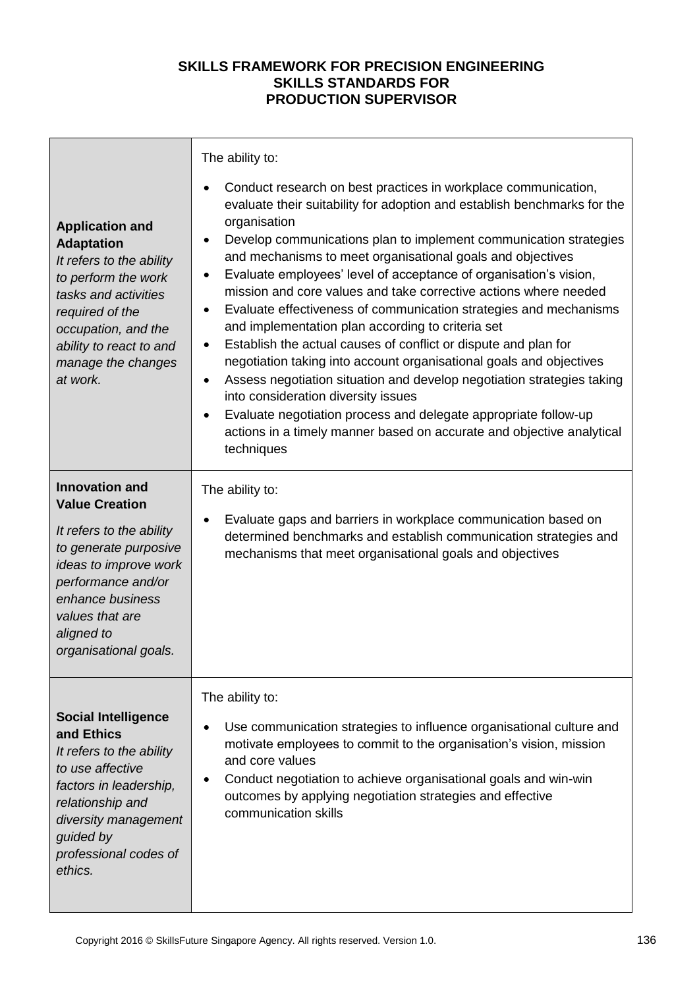| <b>Application and</b><br><b>Adaptation</b><br>It refers to the ability<br>to perform the work<br>tasks and activities<br>required of the<br>occupation, and the<br>ability to react to and<br>manage the changes<br>at work.    | The ability to:<br>Conduct research on best practices in workplace communication,<br>evaluate their suitability for adoption and establish benchmarks for the<br>organisation<br>Develop communications plan to implement communication strategies<br>$\bullet$<br>and mechanisms to meet organisational goals and objectives<br>Evaluate employees' level of acceptance of organisation's vision,<br>$\bullet$<br>mission and core values and take corrective actions where needed<br>Evaluate effectiveness of communication strategies and mechanisms<br>$\bullet$<br>and implementation plan according to criteria set<br>Establish the actual causes of conflict or dispute and plan for<br>$\bullet$<br>negotiation taking into account organisational goals and objectives<br>Assess negotiation situation and develop negotiation strategies taking<br>$\bullet$<br>into consideration diversity issues |  |  |
|----------------------------------------------------------------------------------------------------------------------------------------------------------------------------------------------------------------------------------|-----------------------------------------------------------------------------------------------------------------------------------------------------------------------------------------------------------------------------------------------------------------------------------------------------------------------------------------------------------------------------------------------------------------------------------------------------------------------------------------------------------------------------------------------------------------------------------------------------------------------------------------------------------------------------------------------------------------------------------------------------------------------------------------------------------------------------------------------------------------------------------------------------------------|--|--|
|                                                                                                                                                                                                                                  | Evaluate negotiation process and delegate appropriate follow-up<br>actions in a timely manner based on accurate and objective analytical<br>techniques                                                                                                                                                                                                                                                                                                                                                                                                                                                                                                                                                                                                                                                                                                                                                          |  |  |
| <b>Innovation and</b><br><b>Value Creation</b><br>It refers to the ability<br>to generate purposive<br>ideas to improve work<br>performance and/or<br>enhance business<br>values that are<br>aligned to<br>organisational goals. | The ability to:<br>Evaluate gaps and barriers in workplace communication based on<br>determined benchmarks and establish communication strategies and<br>mechanisms that meet organisational goals and objectives                                                                                                                                                                                                                                                                                                                                                                                                                                                                                                                                                                                                                                                                                               |  |  |
| <b>Social Intelligence</b><br>and Ethics<br>It refers to the ability<br>to use affective<br>factors in leadership,<br>relationship and<br>diversity management<br>guided by<br>professional codes of<br>ethics.                  | The ability to:<br>Use communication strategies to influence organisational culture and<br>motivate employees to commit to the organisation's vision, mission<br>and core values<br>Conduct negotiation to achieve organisational goals and win-win<br>outcomes by applying negotiation strategies and effective<br>communication skills                                                                                                                                                                                                                                                                                                                                                                                                                                                                                                                                                                        |  |  |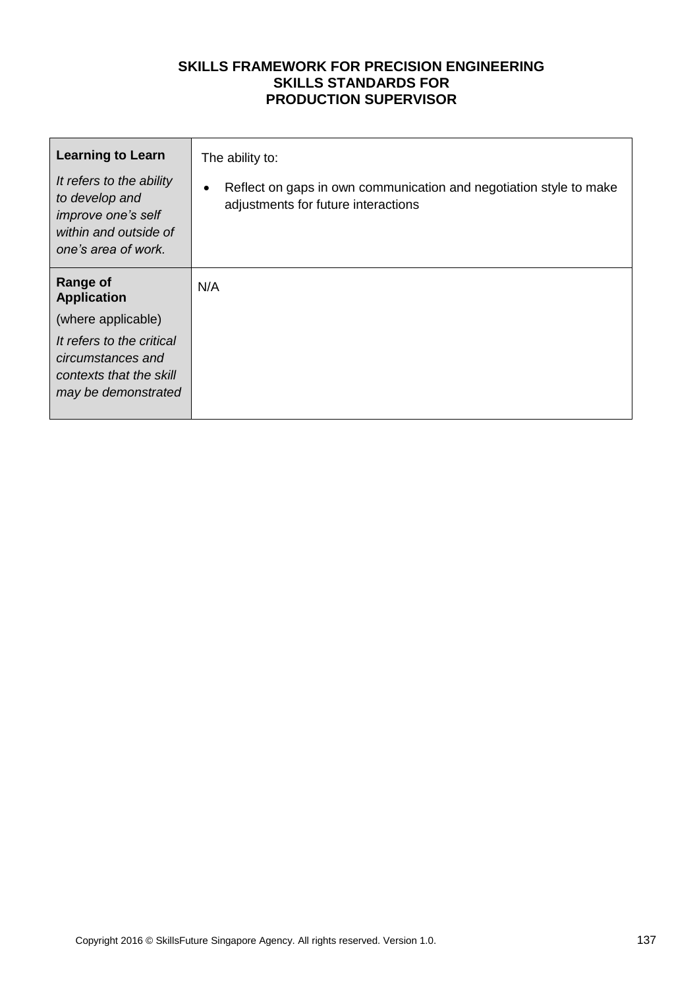| <b>Learning to Learn</b><br>It refers to the ability<br>to develop and<br>improve one's self<br>within and outside of<br>one's area of work.                    | The ability to:<br>Reflect on gaps in own communication and negotiation style to make<br>adjustments for future interactions |
|-----------------------------------------------------------------------------------------------------------------------------------------------------------------|------------------------------------------------------------------------------------------------------------------------------|
| <b>Range of</b><br><b>Application</b><br>(where applicable)<br>It refers to the critical<br>circumstances and<br>contexts that the skill<br>may be demonstrated | N/A                                                                                                                          |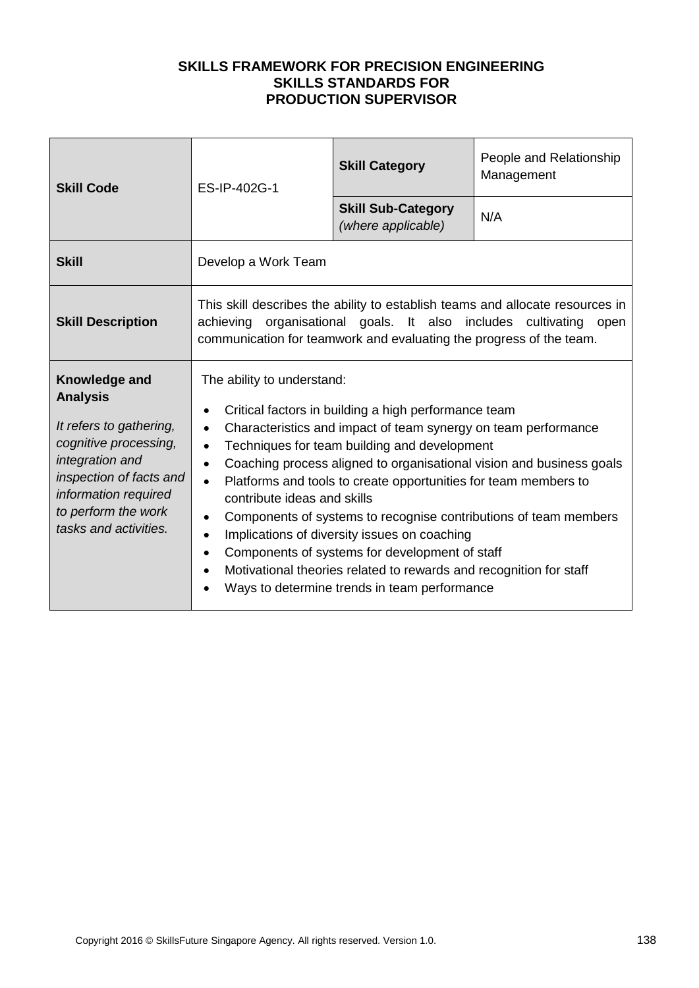| <b>Skill Code</b>                                                                                                                                                                                          | ES-IP-402G-1                                                                                                                                                                                                                                                                                                                                                                                                                                                                                                                                                                                                                                                                                                                                                  | <b>Skill Category</b>                           | People and Relationship<br>Management |  |
|------------------------------------------------------------------------------------------------------------------------------------------------------------------------------------------------------------|---------------------------------------------------------------------------------------------------------------------------------------------------------------------------------------------------------------------------------------------------------------------------------------------------------------------------------------------------------------------------------------------------------------------------------------------------------------------------------------------------------------------------------------------------------------------------------------------------------------------------------------------------------------------------------------------------------------------------------------------------------------|-------------------------------------------------|---------------------------------------|--|
|                                                                                                                                                                                                            |                                                                                                                                                                                                                                                                                                                                                                                                                                                                                                                                                                                                                                                                                                                                                               | <b>Skill Sub-Category</b><br>(where applicable) | N/A                                   |  |
| <b>Skill</b>                                                                                                                                                                                               | Develop a Work Team                                                                                                                                                                                                                                                                                                                                                                                                                                                                                                                                                                                                                                                                                                                                           |                                                 |                                       |  |
| <b>Skill Description</b>                                                                                                                                                                                   | This skill describes the ability to establish teams and allocate resources in<br>achieving organisational goals. It also includes cultivating open<br>communication for teamwork and evaluating the progress of the team.                                                                                                                                                                                                                                                                                                                                                                                                                                                                                                                                     |                                                 |                                       |  |
| Knowledge and<br><b>Analysis</b><br>It refers to gathering,<br>cognitive processing,<br>integration and<br>inspection of facts and<br>information required<br>to perform the work<br>tasks and activities. | The ability to understand:<br>Critical factors in building a high performance team<br>Characteristics and impact of team synergy on team performance<br>$\bullet$<br>Techniques for team building and development<br>$\bullet$<br>Coaching process aligned to organisational vision and business goals<br>$\bullet$<br>Platforms and tools to create opportunities for team members to<br>$\bullet$<br>contribute ideas and skills<br>Components of systems to recognise contributions of team members<br>٠<br>Implications of diversity issues on coaching<br>$\bullet$<br>Components of systems for development of staff<br>$\bullet$<br>Motivational theories related to rewards and recognition for staff<br>Ways to determine trends in team performance |                                                 |                                       |  |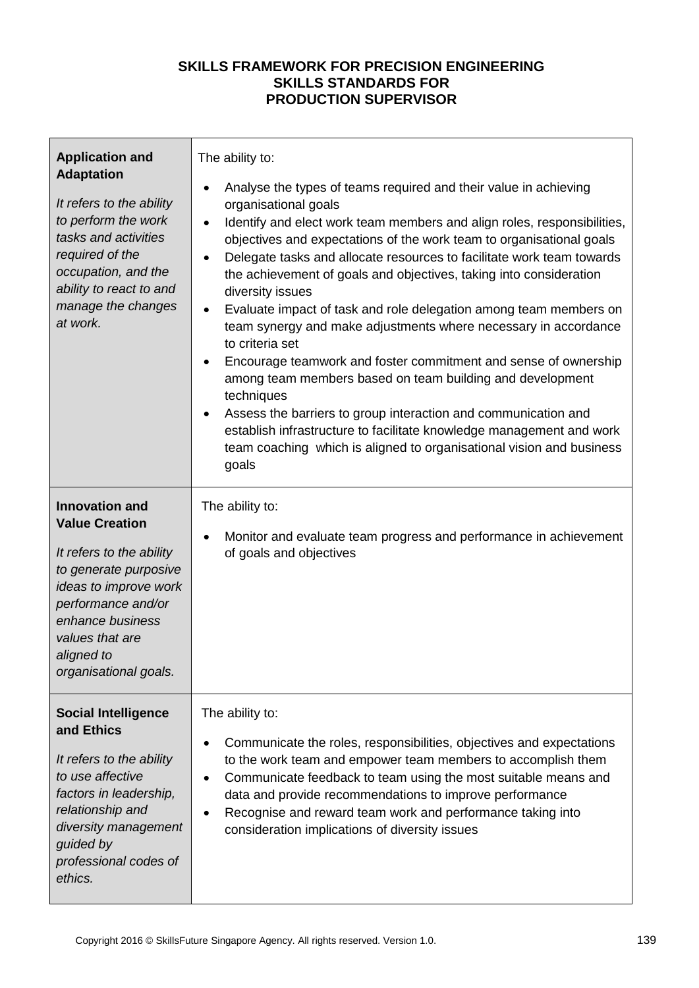| <b>Application and</b><br><b>Adaptation</b><br>It refers to the ability<br>to perform the work<br>tasks and activities<br>required of the<br>occupation, and the<br>ability to react to and<br>manage the changes<br>at work.    | The ability to:<br>Analyse the types of teams required and their value in achieving<br>$\bullet$<br>organisational goals<br>Identify and elect work team members and align roles, responsibilities,<br>$\bullet$<br>objectives and expectations of the work team to organisational goals<br>Delegate tasks and allocate resources to facilitate work team towards<br>$\bullet$<br>the achievement of goals and objectives, taking into consideration<br>diversity issues<br>Evaluate impact of task and role delegation among team members on<br>team synergy and make adjustments where necessary in accordance<br>to criteria set<br>Encourage teamwork and foster commitment and sense of ownership<br>among team members based on team building and development<br>techniques<br>Assess the barriers to group interaction and communication and<br>٠<br>establish infrastructure to facilitate knowledge management and work<br>team coaching which is aligned to organisational vision and business<br>goals |  |
|----------------------------------------------------------------------------------------------------------------------------------------------------------------------------------------------------------------------------------|-------------------------------------------------------------------------------------------------------------------------------------------------------------------------------------------------------------------------------------------------------------------------------------------------------------------------------------------------------------------------------------------------------------------------------------------------------------------------------------------------------------------------------------------------------------------------------------------------------------------------------------------------------------------------------------------------------------------------------------------------------------------------------------------------------------------------------------------------------------------------------------------------------------------------------------------------------------------------------------------------------------------|--|
| <b>Innovation and</b><br><b>Value Creation</b><br>It refers to the ability<br>to generate purposive<br>ideas to improve work<br>performance and/or<br>enhance business<br>values that are<br>aligned to<br>organisational goals. | The ability to:<br>Monitor and evaluate team progress and performance in achievement<br>of goals and objectives                                                                                                                                                                                                                                                                                                                                                                                                                                                                                                                                                                                                                                                                                                                                                                                                                                                                                                   |  |
| <b>Social Intelligence</b><br>and Ethics<br>It refers to the ability<br>to use affective<br>factors in leadership,<br>relationship and<br>diversity management<br>guided by<br>professional codes of<br>ethics.                  | The ability to:<br>Communicate the roles, responsibilities, objectives and expectations<br>$\bullet$<br>to the work team and empower team members to accomplish them<br>Communicate feedback to team using the most suitable means and<br>$\bullet$<br>data and provide recommendations to improve performance<br>Recognise and reward team work and performance taking into<br>٠<br>consideration implications of diversity issues                                                                                                                                                                                                                                                                                                                                                                                                                                                                                                                                                                               |  |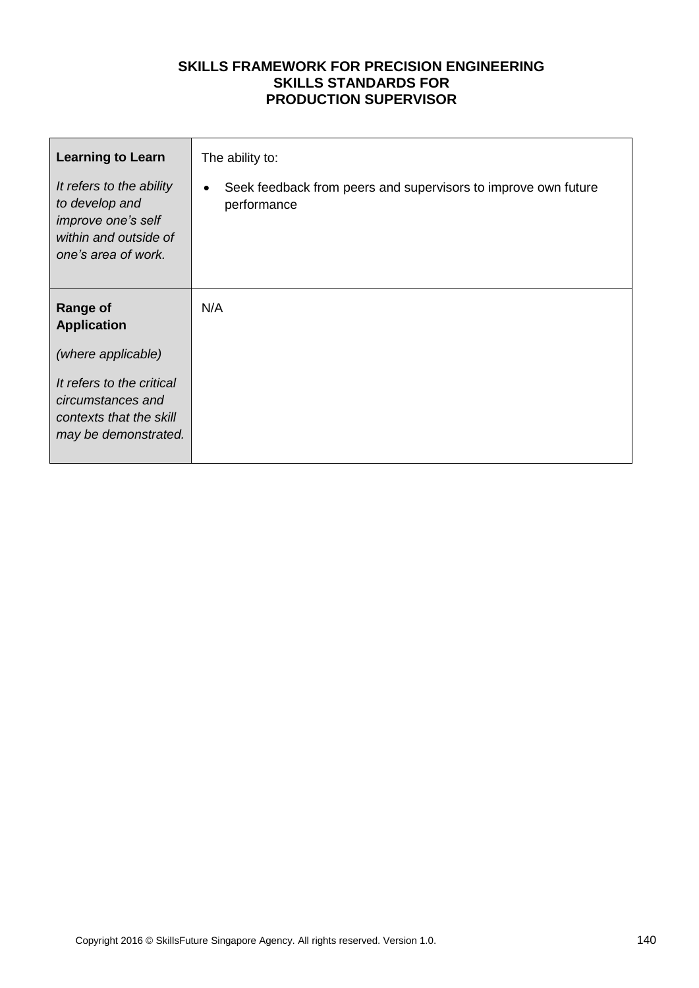| <b>Learning to Learn</b>                                                                                         | The ability to:                                                                            |  |  |
|------------------------------------------------------------------------------------------------------------------|--------------------------------------------------------------------------------------------|--|--|
| It refers to the ability<br>to develop and<br>improve one's self<br>within and outside of<br>one's area of work. | Seek feedback from peers and supervisors to improve own future<br>$\bullet$<br>performance |  |  |
| <b>Range of</b><br><b>Application</b>                                                                            | N/A                                                                                        |  |  |
| (where applicable)                                                                                               |                                                                                            |  |  |
| It refers to the critical<br>circumstances and<br>contexts that the skill<br>may be demonstrated.                |                                                                                            |  |  |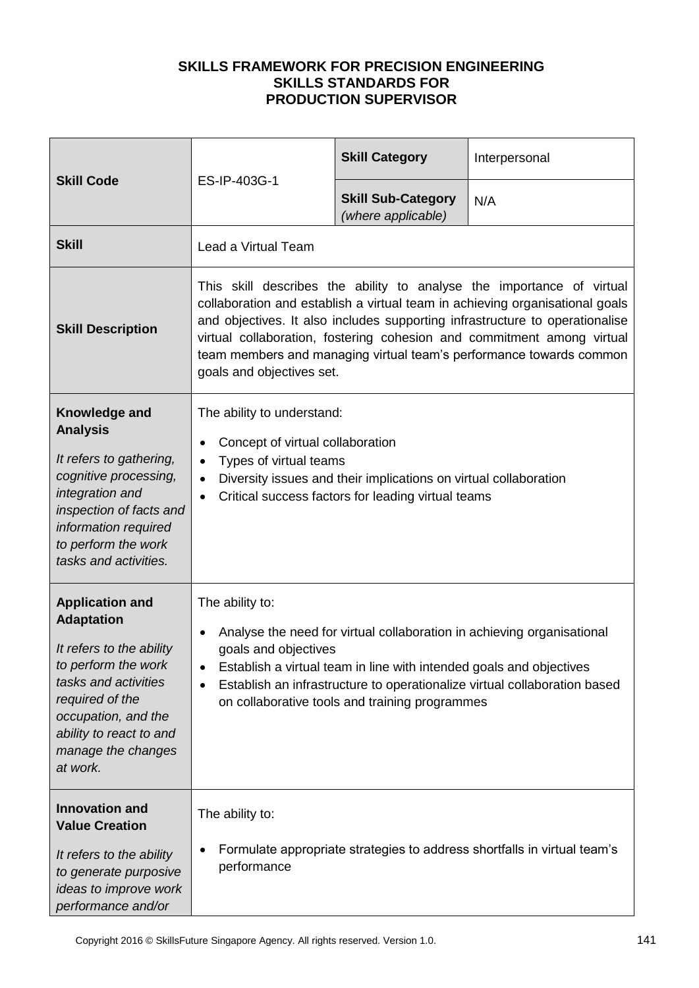| <b>Skill Code</b>                                                                                                                                                                                                             | ES-IP-403G-1                                                                                                                                                                                                                                                                                                                                                                                                        | <b>Skill Category</b>                           | Interpersonal |
|-------------------------------------------------------------------------------------------------------------------------------------------------------------------------------------------------------------------------------|---------------------------------------------------------------------------------------------------------------------------------------------------------------------------------------------------------------------------------------------------------------------------------------------------------------------------------------------------------------------------------------------------------------------|-------------------------------------------------|---------------|
|                                                                                                                                                                                                                               |                                                                                                                                                                                                                                                                                                                                                                                                                     | <b>Skill Sub-Category</b><br>(where applicable) | N/A           |
| <b>Skill</b>                                                                                                                                                                                                                  | Lead a Virtual Team                                                                                                                                                                                                                                                                                                                                                                                                 |                                                 |               |
| <b>Skill Description</b>                                                                                                                                                                                                      | This skill describes the ability to analyse the importance of virtual<br>collaboration and establish a virtual team in achieving organisational goals<br>and objectives. It also includes supporting infrastructure to operationalise<br>virtual collaboration, fostering cohesion and commitment among virtual<br>team members and managing virtual team's performance towards common<br>goals and objectives set. |                                                 |               |
| Knowledge and<br><b>Analysis</b><br>It refers to gathering,<br>cognitive processing,<br>integration and<br>inspection of facts and<br>information required<br>to perform the work<br>tasks and activities.                    | The ability to understand:<br>Concept of virtual collaboration<br>$\bullet$<br>Types of virtual teams<br>$\bullet$<br>Diversity issues and their implications on virtual collaboration<br>$\bullet$<br>Critical success factors for leading virtual teams<br>$\bullet$                                                                                                                                              |                                                 |               |
| <b>Application and</b><br><b>Adaptation</b><br>It refers to the ability<br>to perform the work<br>tasks and activities<br>required of the<br>occupation, and the<br>ability to react to and<br>manage the changes<br>at work. | The ability to:<br>Analyse the need for virtual collaboration in achieving organisational<br>٠<br>goals and objectives<br>Establish a virtual team in line with intended goals and objectives<br>$\bullet$<br>Establish an infrastructure to operationalize virtual collaboration based<br>$\bullet$<br>on collaborative tools and training programmes                                                              |                                                 |               |
| <b>Innovation and</b><br><b>Value Creation</b><br>It refers to the ability<br>to generate purposive<br>ideas to improve work<br>performance and/or                                                                            | The ability to:<br>Formulate appropriate strategies to address shortfalls in virtual team's<br>performance                                                                                                                                                                                                                                                                                                          |                                                 |               |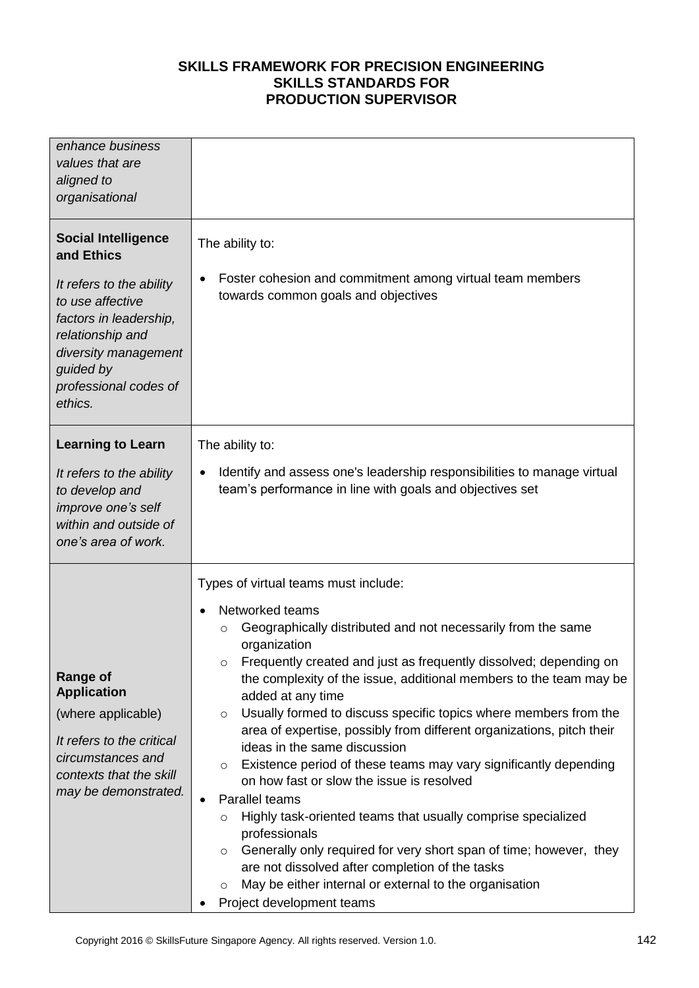| enhance business<br>values that are<br>aligned to<br>organisational                                                                                                                                             |                                                                                                                                                                                                                                                                                                                                                                                                                                                                                                                                                                                                                                                                                                                                                                                                                                                                                                                                                                                                                      |  |  |
|-----------------------------------------------------------------------------------------------------------------------------------------------------------------------------------------------------------------|----------------------------------------------------------------------------------------------------------------------------------------------------------------------------------------------------------------------------------------------------------------------------------------------------------------------------------------------------------------------------------------------------------------------------------------------------------------------------------------------------------------------------------------------------------------------------------------------------------------------------------------------------------------------------------------------------------------------------------------------------------------------------------------------------------------------------------------------------------------------------------------------------------------------------------------------------------------------------------------------------------------------|--|--|
| <b>Social Intelligence</b><br>and Ethics<br>It refers to the ability<br>to use affective<br>factors in leadership,<br>relationship and<br>diversity management<br>guided by<br>professional codes of<br>ethics. | The ability to:<br>Foster cohesion and commitment among virtual team members<br>$\bullet$<br>towards common goals and objectives                                                                                                                                                                                                                                                                                                                                                                                                                                                                                                                                                                                                                                                                                                                                                                                                                                                                                     |  |  |
| <b>Learning to Learn</b><br>It refers to the ability<br>to develop and<br>improve one's self<br>within and outside of<br>one's area of work.                                                                    | The ability to:<br>Identify and assess one's leadership responsibilities to manage virtual<br>$\bullet$<br>team's performance in line with goals and objectives set                                                                                                                                                                                                                                                                                                                                                                                                                                                                                                                                                                                                                                                                                                                                                                                                                                                  |  |  |
| <b>Range of</b><br><b>Application</b><br>(where applicable)<br>It refers to the critical<br>circumstances and<br>contexts that the skill<br>may be demonstrated.                                                | Types of virtual teams must include:<br>Networked teams<br>$\bullet$<br>Geographically distributed and not necessarily from the same<br>$\circ$<br>organization<br>Frequently created and just as frequently dissolved; depending on<br>the complexity of the issue, additional members to the team may be<br>added at any time<br>Usually formed to discuss specific topics where members from the<br>$\circ$<br>area of expertise, possibly from different organizations, pitch their<br>ideas in the same discussion<br>Existence period of these teams may vary significantly depending<br>$\circ$<br>on how fast or slow the issue is resolved<br>Parallel teams<br>$\bullet$<br>Highly task-oriented teams that usually comprise specialized<br>$\circ$<br>professionals<br>Generally only required for very short span of time; however, they<br>$\circ$<br>are not dissolved after completion of the tasks<br>May be either internal or external to the organisation<br>$\circ$<br>Project development teams |  |  |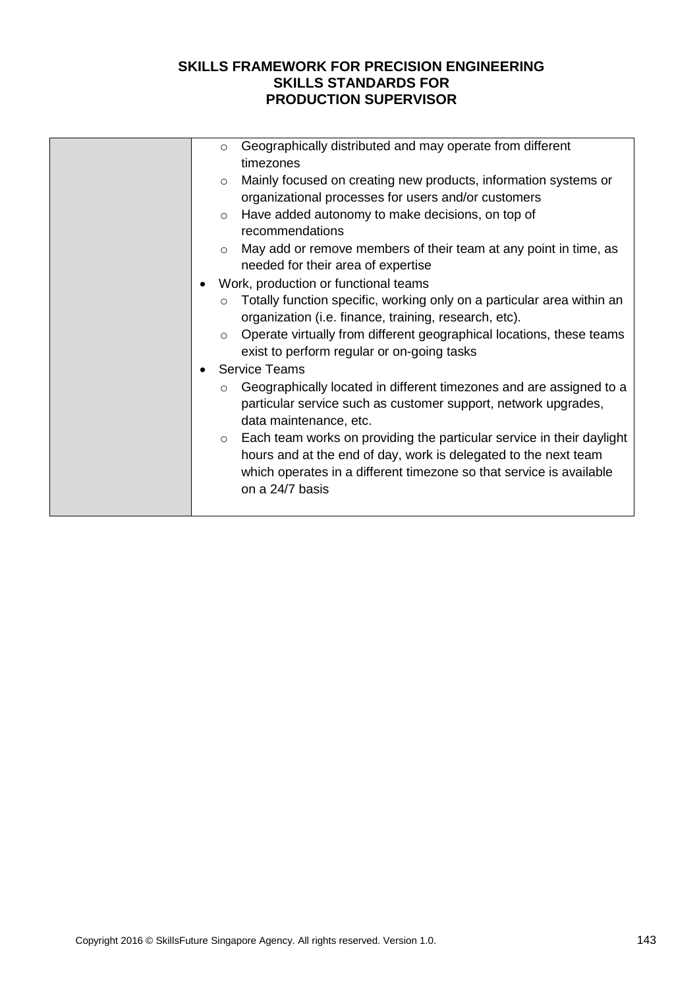|  | $\circ$ | Geographically distributed and may operate from different<br>timezones                                                                                                                                                             |
|--|---------|------------------------------------------------------------------------------------------------------------------------------------------------------------------------------------------------------------------------------------|
|  | $\circ$ | Mainly focused on creating new products, information systems or                                                                                                                                                                    |
|  |         | organizational processes for users and/or customers                                                                                                                                                                                |
|  | $\circ$ | Have added autonomy to make decisions, on top of<br>recommendations                                                                                                                                                                |
|  | $\circ$ | May add or remove members of their team at any point in time, as<br>needed for their area of expertise                                                                                                                             |
|  |         | Work, production or functional teams                                                                                                                                                                                               |
|  |         |                                                                                                                                                                                                                                    |
|  | $\circ$ | Totally function specific, working only on a particular area within an<br>organization (i.e. finance, training, research, etc).                                                                                                    |
|  | $\circ$ | Operate virtually from different geographical locations, these teams<br>exist to perform regular or on-going tasks                                                                                                                 |
|  |         | <b>Service Teams</b>                                                                                                                                                                                                               |
|  | $\circ$ | Geographically located in different timezones and are assigned to a<br>particular service such as customer support, network upgrades,<br>data maintenance, etc.                                                                    |
|  | $\circ$ | Each team works on providing the particular service in their daylight<br>hours and at the end of day, work is delegated to the next team<br>which operates in a different timezone so that service is available<br>on a 24/7 basis |
|  |         |                                                                                                                                                                                                                                    |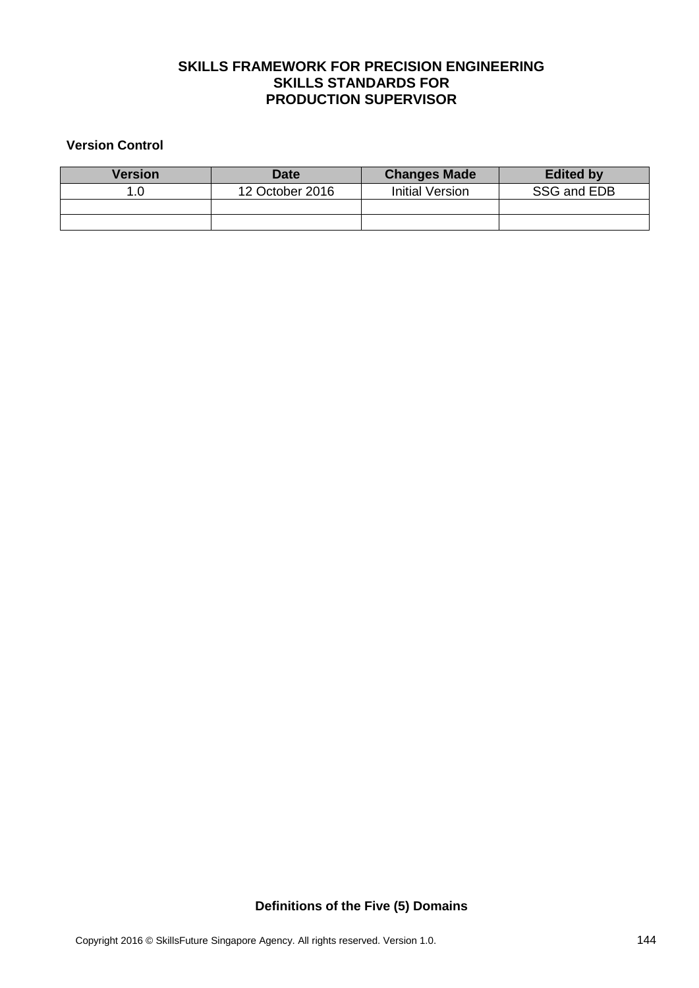#### **Version Control**

| Version | <b>Date</b>     | <b>Changes Made</b> | <b>Edited by</b> |  |
|---------|-----------------|---------------------|------------------|--|
|         | 12 October 2016 | Initial Version     | SSG and EDB      |  |
|         |                 |                     |                  |  |
|         |                 |                     |                  |  |

**Definitions of the Five (5) Domains**